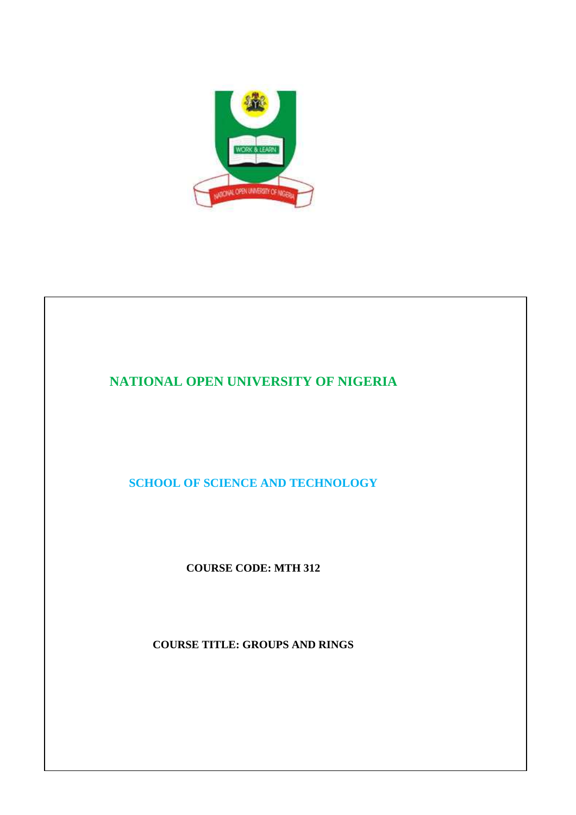

# **NATIONAL OPEN UNIVERSITY OF NIGERIA**

**SCHOOL OF SCIENCE AND TECHNOLOGY** 

**COURSE CODE: MTH 312** 

**COURSE TITLE: GROUPS AND RINGS**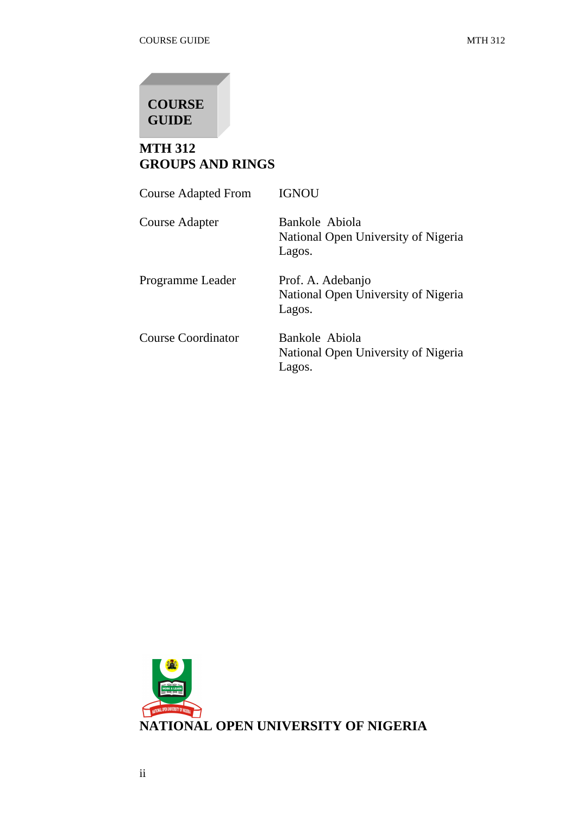# **COURSE GUIDE**

## **MTH 312 GROUPS AND RINGS**

| <b>Course Adapted From</b> | <b>IGNOU</b>                                                       |
|----------------------------|--------------------------------------------------------------------|
| Course Adapter             | Bankole Abiola<br>National Open University of Nigeria<br>Lagos.    |
| Programme Leader           | Prof. A. Adebanjo<br>National Open University of Nigeria<br>Lagos. |
| <b>Course Coordinator</b>  | Bankole Abiola<br>National Open University of Nigeria<br>Lagos.    |

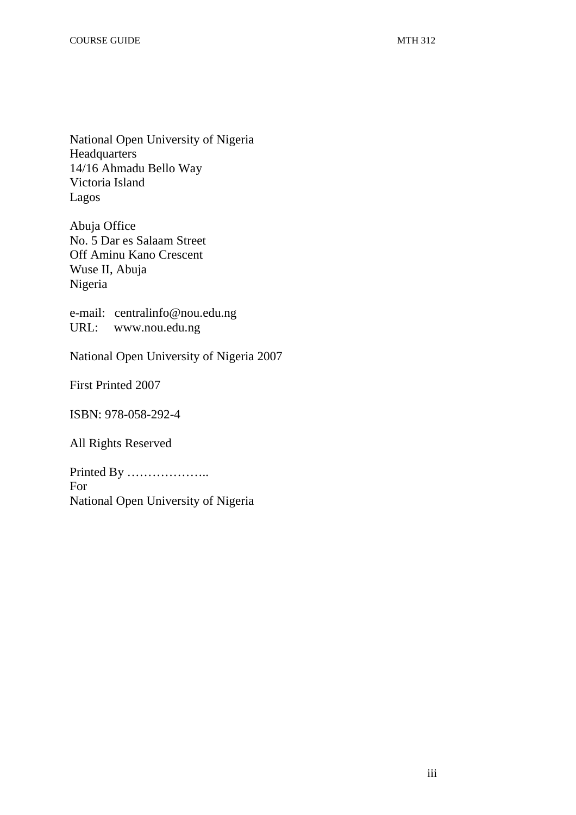National Open University of Nigeria Headquarters 14/16 Ahmadu Bello Way Victoria Island Lagos

Abuja Office No. 5 Dar es Salaam Street Off Aminu Kano Crescent Wuse II, Abuja Nigeria

e-mail: centralinfo@nou.edu.ng URL: www.nou.edu.ng

National Open University of Nigeria 2007

First Printed 2007

ISBN: 978-058-292-4

All Rights Reserved

Printed By ……………….. For National Open University of Nigeria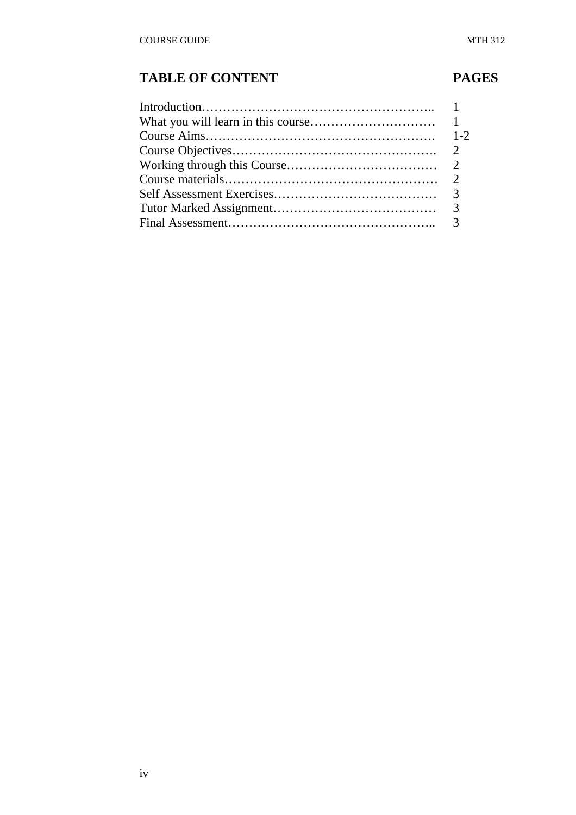# TABLE OF CONTENT PAGES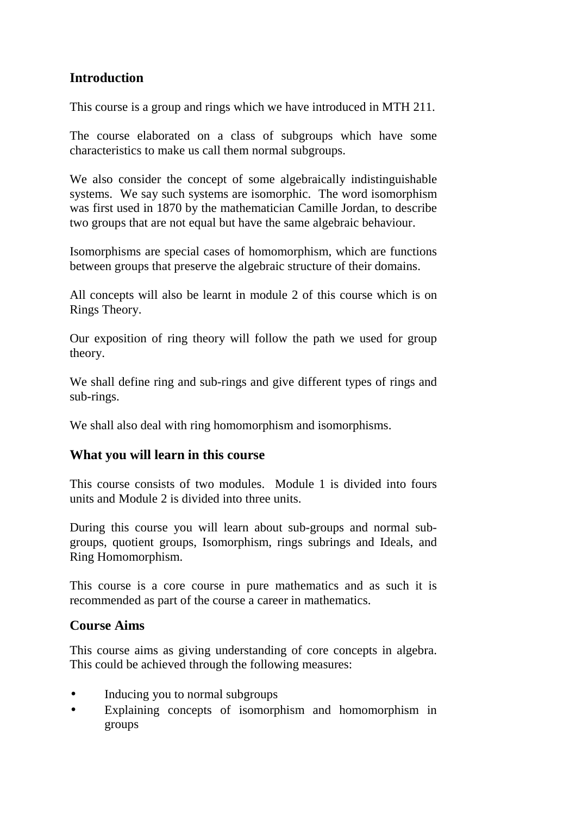## **Introduction**

This course is a group and rings which we have introduced in MTH 211.

The course elaborated on a class of subgroups which have some characteristics to make us call them normal subgroups.

We also consider the concept of some algebraically indistinguishable systems. We say such systems are isomorphic. The word isomorphism was first used in 1870 by the mathematician Camille Jordan, to describe two groups that are not equal but have the same algebraic behaviour.

Isomorphisms are special cases of homomorphism, which are functions between groups that preserve the algebraic structure of their domains.

All concepts will also be learnt in module 2 of this course which is on Rings Theory.

Our exposition of ring theory will follow the path we used for group theory.

We shall define ring and sub-rings and give different types of rings and sub-rings.

We shall also deal with ring homomorphism and isomorphisms.

## **What you will learn in this course**

This course consists of two modules. Module 1 is divided into fours units and Module 2 is divided into three units.

During this course you will learn about sub-groups and normal subgroups, quotient groups, Isomorphism, rings subrings and Ideals, and Ring Homomorphism.

This course is a core course in pure mathematics and as such it is recommended as part of the course a career in mathematics.

## **Course Aims**

This course aims as giving understanding of core concepts in algebra. This could be achieved through the following measures:

- Inducing you to normal subgroups
- Explaining concepts of isomorphism and homomorphism in groups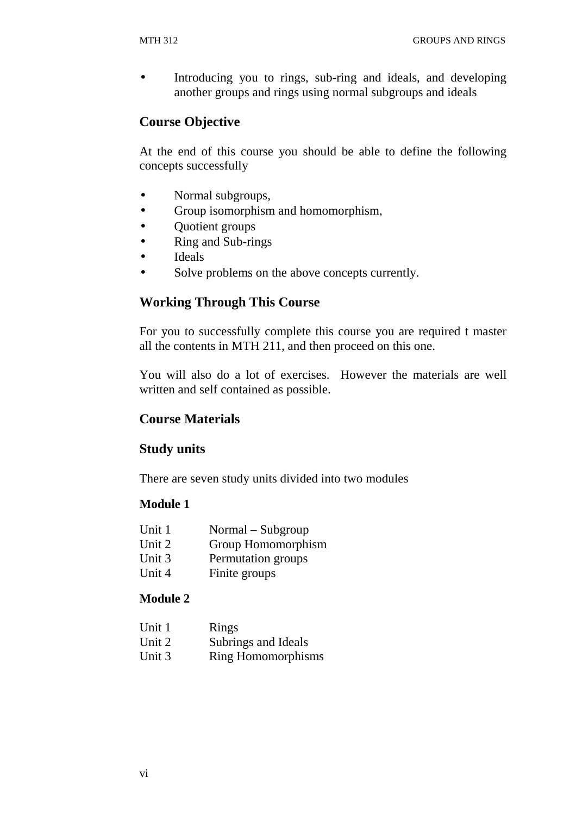• Introducing you to rings, sub-ring and ideals, and developing another groups and rings using normal subgroups and ideals

## **Course Objective**

At the end of this course you should be able to define the following concepts successfully

- Normal subgroups,
- Group isomorphism and homomorphism,
- Quotient groups
- Ring and Sub-rings
- Ideals
- Solve problems on the above concepts currently.

## **Working Through This Course**

For you to successfully complete this course you are required t master all the contents in MTH 211, and then proceed on this one.

You will also do a lot of exercises. However the materials are well written and self contained as possible.

## **Course Materials**

## **Study units**

There are seven study units divided into two modules

#### **Module 1**

| Unit 1 | Normal – Subgroup  |
|--------|--------------------|
| Unit 2 | Group Homomorphism |

- Unit 3 Permutation groups
- Unit 4 Finite groups

#### **Module 2**

| Unit 1 | Rings                     |
|--------|---------------------------|
| Unit 2 | Subrings and Ideals       |
| Unit 3 | <b>Ring Homomorphisms</b> |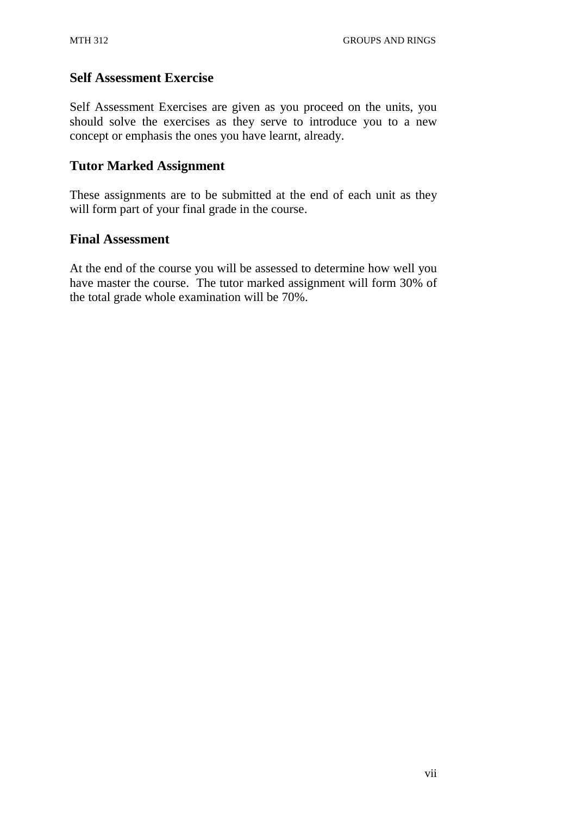## **Self Assessment Exercise**

Self Assessment Exercises are given as you proceed on the units, you should solve the exercises as they serve to introduce you to a new concept or emphasis the ones you have learnt, already.

## **Tutor Marked Assignment**

These assignments are to be submitted at the end of each unit as they will form part of your final grade in the course.

## **Final Assessment**

At the end of the course you will be assessed to determine how well you have master the course. The tutor marked assignment will form 30% of the total grade whole examination will be 70%.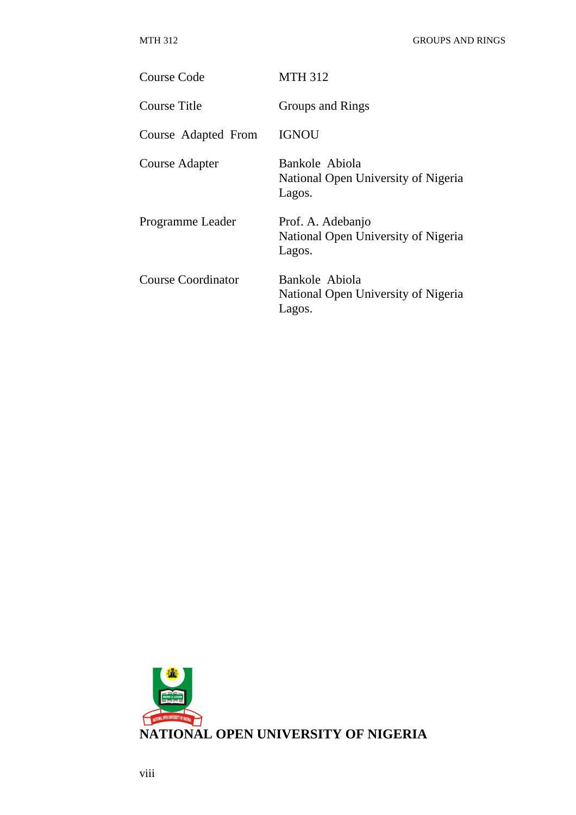| Course Code               | <b>MTH 312</b>                                                     |
|---------------------------|--------------------------------------------------------------------|
| Course Title              | Groups and Rings                                                   |
| Course Adapted From       | <b>IGNOU</b>                                                       |
| Course Adapter            | Bankole Abiola<br>National Open University of Nigeria<br>Lagos.    |
| Programme Leader          | Prof. A. Adebanjo<br>National Open University of Nigeria<br>Lagos. |
| <b>Course Coordinator</b> | Bankole Abiola<br>National Open University of Nigeria<br>Lagos.    |

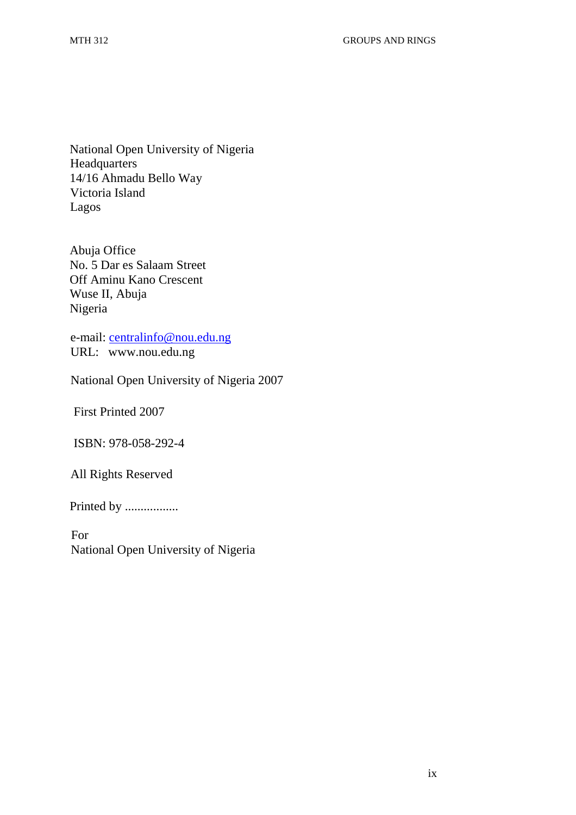National Open University of Nigeria **Headquarters** 14/16 Ahmadu Bello Way Victoria Island Lagos

Abuja Office No. 5 Dar es Salaam Street Off Aminu Kano Crescent Wuse II, Abuja Nigeria

e-mail: centralinfo@nou.edu.ng URL: www.nou.edu.ng

National Open University of Nigeria 2007

First Printed 2007

ISBN: 978-058-292-4

All Rights Reserved

Printed by ..................

For National Open University of Nigeria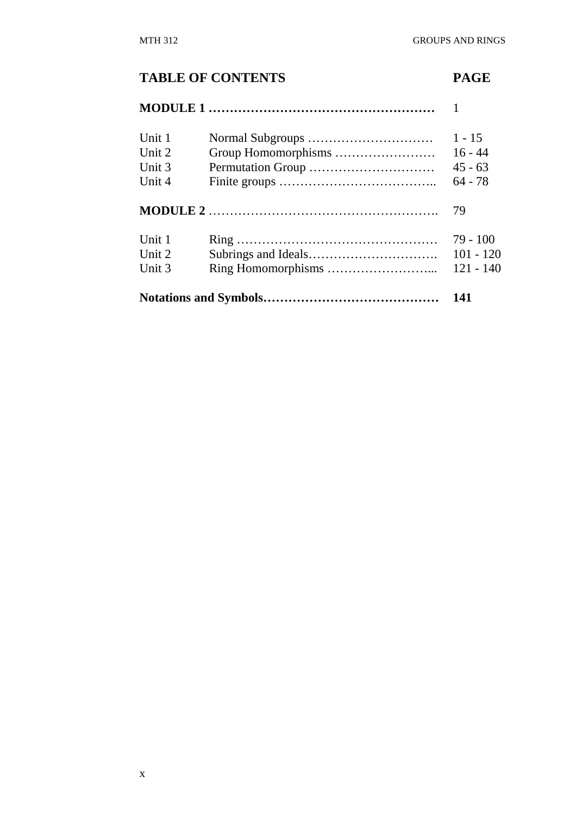#### **TABLE OF CONTENTS PAGE**

# **MODULE 1 ………………………………………………** 1 Unit 1 Normal Subgroups ………………………… 1 - 15 Unit 2 Group Homomorphisms …………………… 16 - 44 Unit 3 Permutation Group ………………………… 45 - 63 Unit 4 Finite groups ……………………………….. 64 - 78 **MODULE 2** ………………………………………………. 79 Unit 1 Ring ………………………………………… 79 - 100 Unit 2 Subrings and Ideals…………………………. 101 - 120 Unit 3 Ring Homomorphisms ……………………... 121 - 140 **Notations and Symbols…………………………………… 141**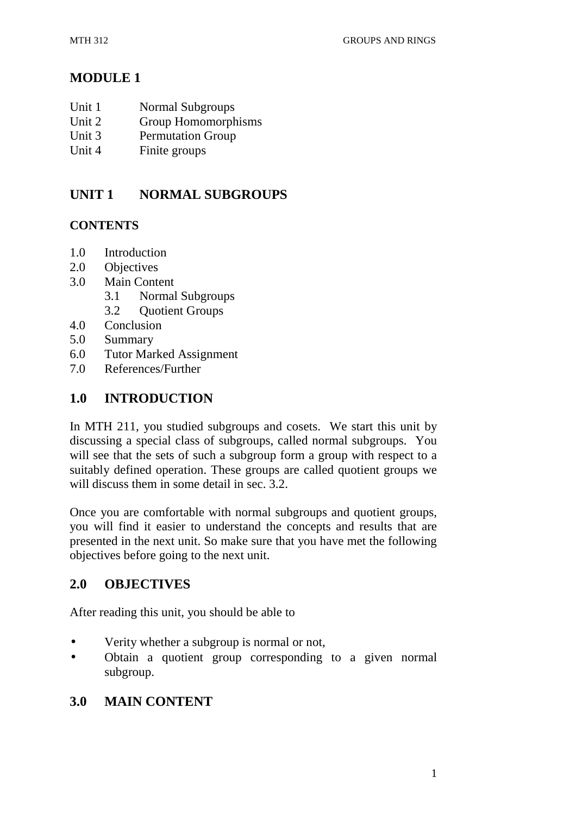## **MODULE 1**

- Unit 1 Normal Subgroups
- Unit 2 Group Homomorphisms
- Unit 3 Permutation Group
- Unit 4 Finite groups

## **UNIT 1 NORMAL SUBGROUPS**

#### **CONTENTS**

- 1.0 Introduction
- 2.0 Objectives
- 3.0 Main Content
	- 3.1 Normal Subgroups
	- 3.2 Quotient Groups
- 4.0 Conclusion
- 5.0 Summary
- 6.0 Tutor Marked Assignment
- 7.0 References/Further

## **1.0 INTRODUCTION**

In MTH 211, you studied subgroups and cosets. We start this unit by discussing a special class of subgroups, called normal subgroups. You will see that the sets of such a subgroup form a group with respect to a suitably defined operation. These groups are called quotient groups we will discuss them in some detail in sec. 3.2.

Once you are comfortable with normal subgroups and quotient groups, you will find it easier to understand the concepts and results that are presented in the next unit. So make sure that you have met the following objectives before going to the next unit.

## **2.0 OBJECTIVES**

After reading this unit, you should be able to

- Verity whether a subgroup is normal or not,
- Obtain a quotient group corresponding to a given normal subgroup.

## **3.0 MAIN CONTENT**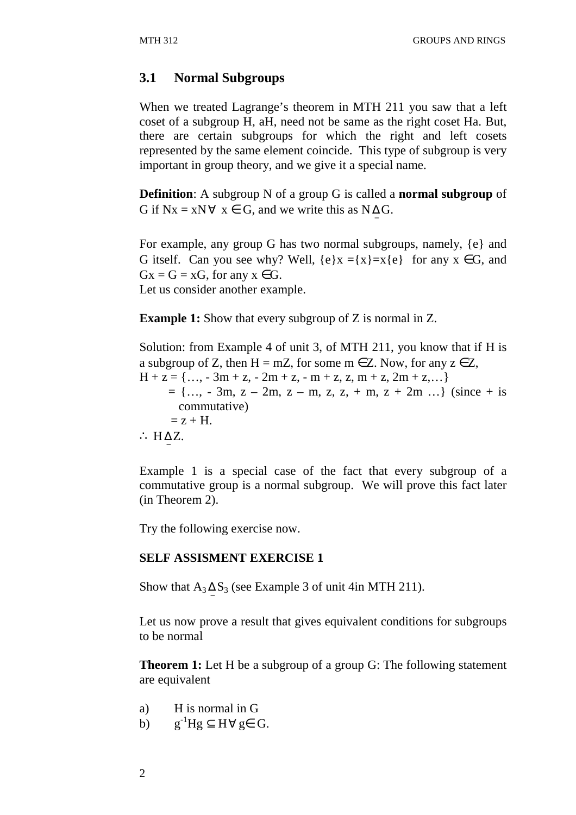#### **3.1 Normal Subgroups**

When we treated Lagrange's theorem in MTH 211 you saw that a left coset of a subgroup H, aH, need not be same as the right coset Ha. But, there are certain subgroups for which the right and left cosets represented by the same element coincide. This type of subgroup is very important in group theory, and we give it a special name.

**Definition**: A subgroup N of a group G is called a **normal subgroup** of G if  $Nx = xN \forall x \in G$ , and we write this as  $N \Delta G$ .

For example, any group G has two normal subgroups, namely, {e} and G itself. Can you see why? Well,  $\{e\}x = \{x\} = x\{e\}$  for any  $x \in G$ , and  $Gx = G = xG$ , for any  $x \in G$ . Let us consider another example.

**Example 1:** Show that every subgroup of Z is normal in Z.

Solution: from Example 4 of unit 3, of MTH 211, you know that if H is a subgroup of Z, then  $H = mZ$ , for some  $m \in Z$ . Now, for any  $z \in Z$ ,  $H + z = \{..., -3m + z, -2m + z, -m + z, z, m + z, 2m + z,...\}$  $= \{..., -3m, z - 2m, z - m, z, z, + m, z + 2m ...\}$  (since + is commutative)  $= z + H$ . ∴ H $\triangle Z$ .

Example 1 is a special case of the fact that every subgroup of a commutative group is a normal subgroup. We will prove this fact later (in Theorem 2).

Try the following exercise now.

#### **SELF ASSISMENT EXERCISE 1**

Show that  $A_3 \Delta S_3$  (see Example 3 of unit 4in MTH 211). −

Let us now prove a result that gives equivalent conditions for subgroups to be normal

**Theorem 1:** Let H be a subgroup of a group G: The following statement are equivalent

- a) H is normal in G
- b)  $g^{-1}Hg \subseteq H \forall g \in G$ .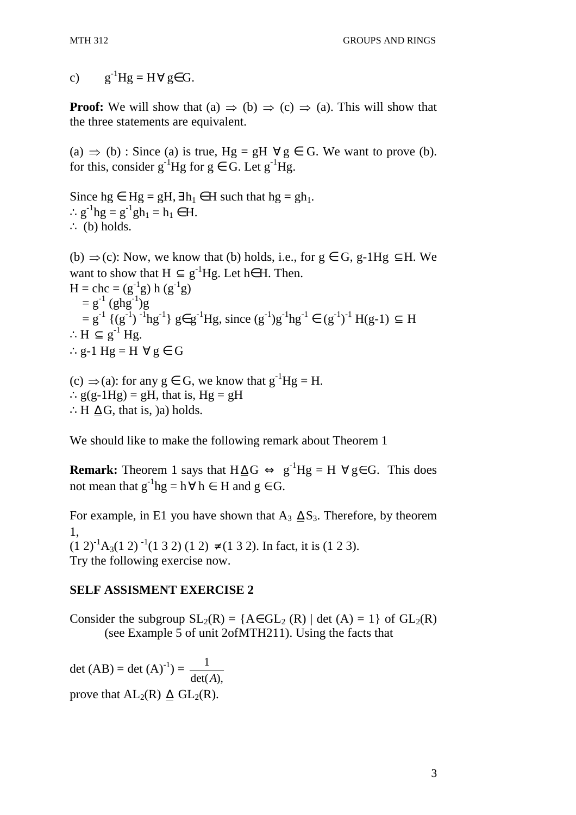c)  $g^{-1}Hg = H \forall g \in G$ .

**Proof:** We will show that (a)  $\Rightarrow$  (b)  $\Rightarrow$  (c)  $\Rightarrow$  (a). This will show that the three statements are equivalent.

(a)  $\Rightarrow$  (b) : Since (a) is true, Hg = gH  $\forall$  g  $\in$  G. We want to prove (b). for this, consider  $g^{-1}Hg$  for  $g \in G$ . Let  $g^{-1}Hg$ .

Since hg  $\in$  Hg = gH,  $\exists$  h<sub>1</sub>  $\in$  H such that hg = gh<sub>1</sub>. ∴  $g^{-1}hg = g^{-1}gh_1 = h_1 \in H$ . ∴ (b) holds. (b)  $\Rightarrow$  (c): Now, we know that (b) holds, i.e., for  $g \in G$ , g-1Hg  $\subseteq$  H. We want to show that  $H \subseteq g^{-1}Hg$ . Let h∈ H. Then.  $H = chc = (g^{-1}g) h (g^{-1}g)$  $= g^{-1} (ghg^{-1})g$  $= g^{-1} \{(g^{-1})^{-1}hg^{-1}\}\n\in g^{-1}Hg, \text{ since } (g^{-1})g^{-1}hg^{-1} \in (g^{-1})^{-1}H(g-1) \subseteq H$ ∴H  $\subseteq$  g<sup>-1</sup> Hg. ∴g-1 Hg = H  $\forall$  g ∈ G

(c)  $\Rightarrow$  (a): for any g  $\in$  G, we know that g<sup>-1</sup>Hg = H. ∴  $g(g-1Hg) = gH$ , that is,  $Hg = gH$ ∴H  $\Delta G$ , that is, )a) holds.

We should like to make the following remark about Theorem 1

**Remark:** Theorem 1 says that  $H \Delta G \Leftrightarrow g^{-1}Hg = H \forall g \in G$ . This does not mean that  $g^{-1}$ hg = h $\forall$  h  $\in$  H and g  $\in$  G.

For example, in E1 you have shown that A<sub>3</sub>  $\Delta S_3$ . Therefore, by theorem 1,  $(1\ 2)^{-1}A_3(1\ 2)^{-1}(1\ 3\ 2)(1\ 2)\neq (1\ 3\ 2)$ . In fact, it is (1 2 3). Try the following exercise now.

#### **SELF ASSISMENT EXERCISE 2**

Consider the subgroup  $SL_2(R) = \{A \in GL_2(R) \mid \det(A) = 1\}$  of  $GL_2(R)$ (see Example 5 of unit 2ofMTH211). Using the facts that

det  $(AB) = det (A)^{-1} =$  $det(A),$ 1 *A* prove that  $AL_2(R)$   $\Delta$   $GL_2(R)$ .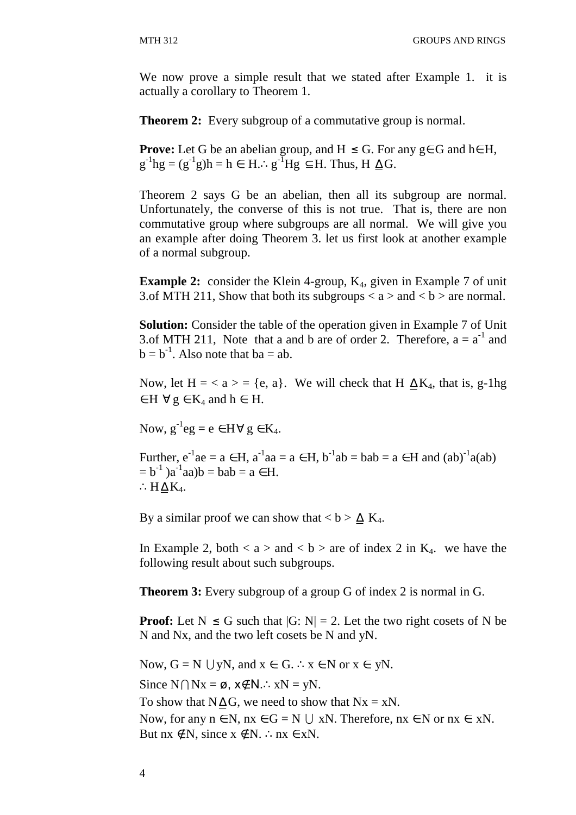We now prove a simple result that we stated after Example 1. it is actually a corollary to Theorem 1.

**Theorem 2:** Every subgroup of a commutative group is normal.

**Prove:** Let G be an abelian group, and  $H \leq G$ . For any  $g \in G$  and  $h \in H$ ,  $g^{-1}hg = (g^{-1}g)h = h \in H \dots g^{-1}Hg \subseteq H$ . Thus,  $H \trianglelefteq G$ .

Theorem 2 says G be an abelian, then all its subgroup are normal. Unfortunately, the converse of this is not true. That is, there are non commutative group where subgroups are all normal. We will give you an example after doing Theorem 3. let us first look at another example of a normal subgroup.

**Example 2:** consider the Klein 4-group,  $K_4$ , given in Example 7 of unit 3.of MTH 211, Show that both its subgroups  $\langle a \rangle$  and  $\langle b \rangle$  are normal.

**Solution:** Consider the table of the operation given in Example 7 of Unit 3.of MTH 211, Note that a and b are of order 2. Therefore,  $a = a^{-1}$  and  $b = b^{-1}$ . Also note that  $ba = ab$ .

Now, let  $H = < a > = \{e, a\}$ . We will check that H  $\Delta K_4$ , that is, g-1hg  $\in$  H  $\forall$  g  $\in$  K<sub>4</sub> and h  $\in$  H.

Now,  $g^{-1}eg = e \in H \,\forall g \in K_4$ .

Further,  $e^{-1}ae = a \in H$ ,  $a^{-1}aa = a \in H$ ,  $b^{-1}ab = bab = a \in H$  and  $(ab)^{-1}a(ab)$  $= b^{-1}$ )a<sup>-1</sup>aa)b = bab = a  $\in$  H. ∴ $H \Delta K_4$ .

By a similar proof we can show that **.** 

In Example 2, both  $a >$  and  $b >$  are of index 2 in  $K_4$ . we have the following result about such subgroups.

**Theorem 3:** Every subgroup of a group G of index 2 is normal in G.

**Proof:** Let  $N \le G$  such that  $|G: N| = 2$ . Let the two right cosets of N be N and Nx, and the two left cosets be N and yN.

Now,  $G = N \cup yN$ , and  $x \in G$ . ∴  $x \in N$  or  $x \in yN$ . Since  $N \cap Nx = \emptyset$ ,  $x \notin N$ .∴  $xN = yN$ . To show that N $\Delta G$ , we need to show that Nx = xN. Now, for any  $n \in N$ ,  $nx \in G = N \cup xN$ . Therefore,  $nx \in N$  or  $nx \in xN$ . But  $nx \notin N$ , since  $x \notin N$ . ∴n $x \in xN$ .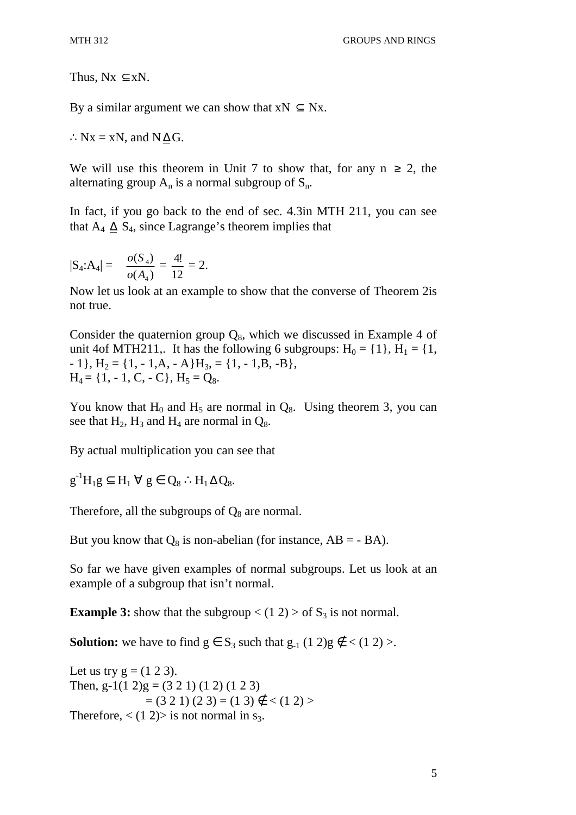Thus,  $Nx \subseteq xN$ .

By a similar argument we can show that  $xN \subseteq Nx$ .

 $\therefore$  Nx = xN, and N  $\Delta$  G.

We will use this theorem in Unit 7 to show that, for any  $n \geq 2$ , the alternating group  $A_n$  is a normal subgroup of  $S_n$ .

In fact, if you go back to the end of sec. 4.3in MTH 211, you can see that  $A_4 \Delta S_4$ , since Lagrange's theorem implies that

$$
|S_4:A_4| = \frac{o(S_4)}{o(A_4)} = \frac{4!}{12} = 2.
$$

Now let us look at an example to show that the converse of Theorem 2is not true.

Consider the quaternion group  $Q_8$ , which we discussed in Example 4 of unit 4of MTH211,. It has the following 6 subgroups:  $H_0 = \{1\}$ ,  $H_1 = \{1,$  $-1$ ,  $H_2 = \{1, -1, A, -A\}H_3 = \{1, -1, B, -B\}$ ,  $H_4 = \{1, -1, C, -C\}, H_5 = Q_8.$ 

You know that  $H_0$  and  $H_5$  are normal in  $Q_8$ . Using theorem 3, you can see that  $H_2$ ,  $H_3$  and  $H_4$  are normal in  $Q_8$ .

By actual multiplication you can see that

 $g^{-1}H_1g \subseteq H_1 \ \forall \ g \in Q_8 \ \therefore H_1 \triangleq Q_8.$ 

Therefore, all the subgroups of  $Q_8$  are normal.

But you know that  $Q_8$  is non-abelian (for instance,  $AB = - BA$ ).

So far we have given examples of normal subgroups. Let us look at an example of a subgroup that isn't normal.

**Example 3:** show that the subgroup  $\lt$  (1 2)  $>$  of  $S_3$  is not normal.

**Solution:** we have to find  $g \in S_3$  such that  $g_{-1}$  (1 2)g  $g \notin \langle (1 \ 2) \rangle$ .

Let us try  $g = (1 2 3)$ . Then, g-1(1 2)g = (3 2 1) (1 2) (1 2 3)  $= (3 2 1) (2 3) = (1 3) \notin \{ (1 2) \}$ Therefore,  $\langle (1\ 2) \rangle$  is not normal in s<sub>3</sub>.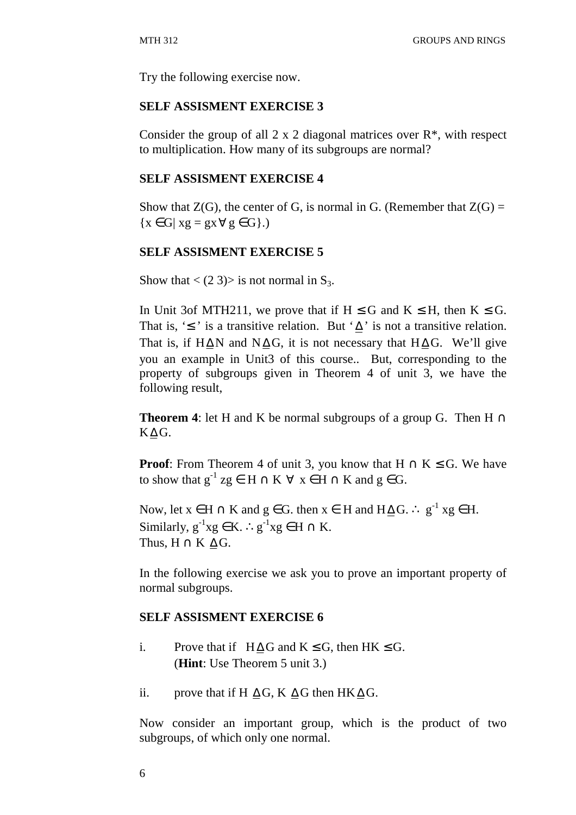Try the following exercise now.

#### **SELF ASSISMENT EXERCISE 3**

Consider the group of all  $2 \times 2$  diagonal matrices over  $\mathbb{R}^*$ , with respect to multiplication. How many of its subgroups are normal?

#### **SELF ASSISMENT EXERCISE 4**

Show that  $Z(G)$ , the center of G, is normal in G. (Remember that  $Z(G)$  =  ${x \in G | xg = gx \forall g \in G}.$ 

#### **SELF ASSISMENT EXERCISE 5**

Show that  $\langle$  (2 3) is not normal in S<sub>3</sub>.

In Unit 3of MTH211, we prove that if  $H \leq G$  and  $K \leq H$ , then  $K \leq G$ . That is, ' $\leq$ ' is a transitive relation. But ' $\Delta$ ' is not a transitive relation. That is, if H∆N and N∆G, it is not necessary that H∆G. We'll give you an example in Unit3 of this course.. But, corresponding to the property of subgroups given in Theorem 4 of unit 3, we have the following result,

**Theorem 4**: let H and K be normal subgroups of a group G. Then  $H \cap$ K∆ G.

**Proof:** From Theorem 4 of unit 3, you know that  $H \cap K \leq G$ . We have to show that  $g^{-1}$  zg  $\in$  H  $\cap$  K  $\forall$  x  $\in$  H  $\cap$  K and g  $\in$  G.

Now, let  $x \in H \cap K$  and  $g \in G$ . then  $x \in H$  and  $H \Delta G$ . ∴  $g^{-1} x g \in H$ . Similarly,  $g^{-1}xg \in K$ . ∴  $g^{-1}xg \in H \cap K$ . Thus,  $H \cap K \trianglelefteq G$ .

In the following exercise we ask you to prove an important property of normal subgroups.

#### **SELF ASSISMENT EXERCISE 6**

- i. Prove that if  $H \Delta G$  and  $K \leq G$ , then  $HK \leq G$ . (**Hint**: Use Theorem 5 unit 3.)
- ii. prove that if H  $\Delta G$ , K  $\Delta G$  then HK  $\Delta G$ .

Now consider an important group, which is the product of two subgroups, of which only one normal.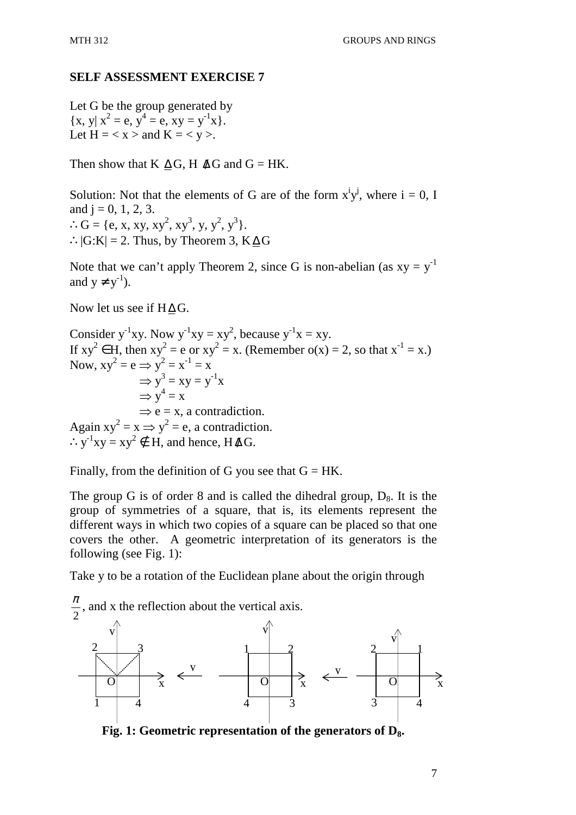#### **SELF ASSESSMENT EXERCISE 7**

Let G be the group generated by  $\{x, y | x^2 = e, y^4 = e, xy = y^{-1}x\}.$ Let  $H = < x >$  and  $K = < y >$ .

Then show that K  $\Delta G$ , H  $\Delta G$  and G = HK.

Solution: Not that the elements of G are of the form  $x^i y^j$ , where  $i = 0, I$ and  $j = 0, 1, 2, 3$ . ∴ G = {e, x, xy, xy<sup>2</sup>, xy<sup>3</sup>, y, y<sup>2</sup>, y<sup>3</sup>}. ∴ $|G:K| = 2$ . Thus, by Theorem 3,  $K \Delta G$ 

Note that we can't apply Theorem 2, since G is non-abelian (as  $xy = y^{-1}$ ) and  $y \neq y^{-1}$ ).

Now let us see if  $H \Delta G$ .

Consider y<sup>-1</sup>xy. Now y<sup>-1</sup>xy = xy<sup>2</sup>, because y<sup>-1</sup>x = xy. If  $xy^2 \in H$ , then  $xy^2 = e$  or  $xy^2 = x$ . (Remember  $o(x) = 2$ , so that  $x^{-1} = x$ .) Now,  $xy^2 = e \implies y^2 = x^{-1} = x$  $\Rightarrow$  y<sup>3</sup> = xy = y<sup>-1</sup>x  $\Rightarrow$  y<sup>4</sup> = x  $\Rightarrow$  e = x, a contradiction. Again  $xy^2 = x \implies y^2 = e$ , a contradiction.  $\therefore$  y<sup>-1</sup>xy = xy<sup>2</sup> ∉ H, and hence, H  $\triangle G$ .

Finally, from the definition of G you see that  $G = HK$ .

The group G is of order 8 and is called the dihedral group,  $D_8$ . It is the group of symmetries of a square, that is, its elements represent the different ways in which two copies of a square can be placed so that one covers the other. A geometric interpretation of its generators is the following (see Fig. 1):

Take y to be a rotation of the Euclidean plane about the origin through



**Fig. 1: Geometric representation of the generators of D8.**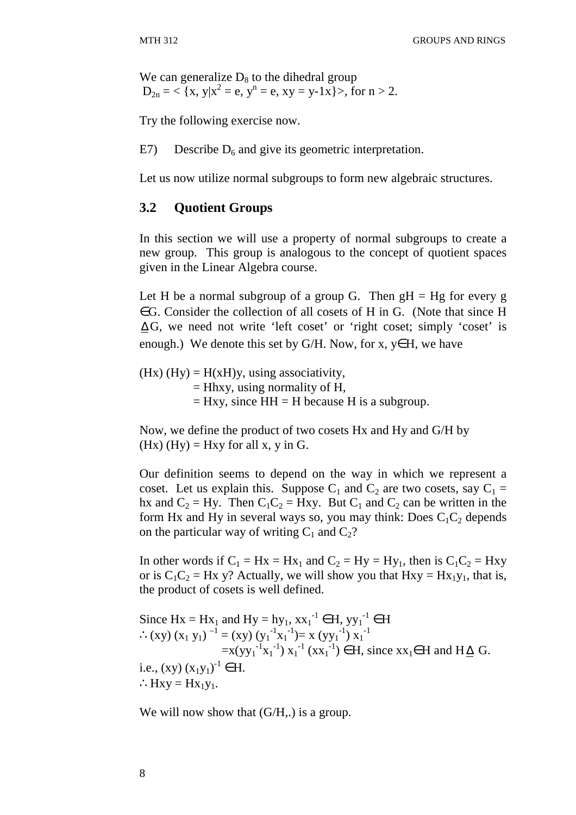We can generalize  $D_8$  to the dihedral group  $D_{2n} = \langle x, y | x^2 = e, y^n = e, xy = y-1x \rangle$ , for  $n > 2$ .

Try the following exercise now.

E7) Describe  $D_6$  and give its geometric interpretation.

Let us now utilize normal subgroups to form new algebraic structures.

## **3.2 Quotient Groups**

In this section we will use a property of normal subgroups to create a new group. This group is analogous to the concept of quotient spaces given in the Linear Algebra course.

Let H be a normal subgroup of a group G. Then  $gH = Hg$  for every g ∈G. Consider the collection of all cosets of H in G. (Note that since H ∆ G, we need not write 'left coset' or 'right coset; simply 'coset' is enough.) We denote this set by G/H. Now, for x,  $y \in H$ , we have

(Hx) (Hy) =  $H(xH)y$ , using associativity,  $=$  Hhxy, using normality of H,  $=$  Hxy, since HH  $=$  H because H is a subgroup.

Now, we define the product of two cosets Hx and Hy and G/H by (Hx) (Hy)  $=$  Hxy for all x, y in G.

Our definition seems to depend on the way in which we represent a coset. Let us explain this. Suppose  $C_1$  and  $C_2$  are two cosets, say  $C_1$  = hx and  $C_2 = Hy$ . Then  $C_1C_2 = Hxy$ . But  $C_1$  and  $C_2$  can be written in the form Hx and Hy in several ways so, you may think: Does  $C_1C_2$  depends on the particular way of writing  $C_1$  and  $C_2$ ?

In other words if  $C_1 = Hx = Hx_1$  and  $C_2 = Hy = Hy_1$ , then is  $C_1C_2 = Hxy$ or is  $C_1C_2 = Hx$  y? Actually, we will show you that  $Hxy = Hx_1y_1$ , that is, the product of cosets is well defined.

Since  $Hx = Hx_1$  and  $Hy = hy_1, xx_1^{-1} \in H, yy_1^{-1} \in H$ ∴(xy) (x<sub>1</sub> y<sub>1</sub>)<sup>-1</sup> = (xy) (y<sub>1</sub><sup>-1</sup>x<sub>1</sub><sup>-1</sup>)= x (yy<sub>1</sub><sup>-1</sup>) x<sub>1</sub><sup>-1</sup>  $=x(yy_1^{-1}x_1^{-1})x_1^{-1} (xx_1^{-1}) \in H$ , since  $xx_1 \in H$  and  $H \triangleq G$ . i.e.,  $(xy) (x_1y_1)^{-1} \in H$ .  $:$ Hxy = Hx<sub>1</sub>y<sub>1</sub>.

We will now show that  $(G/H)$ , is a group.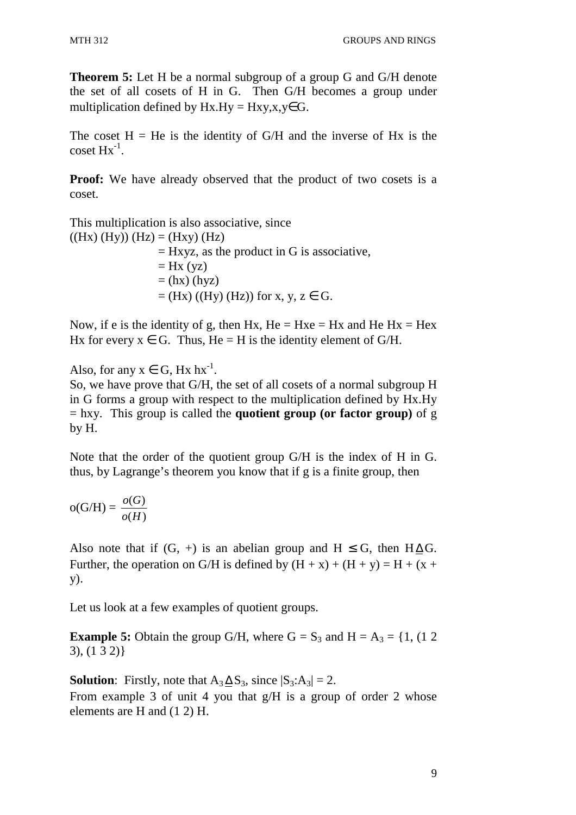**Theorem 5:** Let H be a normal subgroup of a group G and G/H denote the set of all cosets of H in G. Then G/H becomes a group under multiplication defined by  $Hx.Hy = Hxy, x, y \in G$ .

The coset  $H = He$  is the identity of  $G/H$  and the inverse of  $Hx$  is the  $\cos{\mathrm{et}} \, \mathrm{Hx}^{-1}$ .

**Proof:** We have already observed that the product of two cosets is a coset.

This multiplication is also associative, since  $((\text{Hx}) (\text{Hy})) (\text{Hz}) = (\text{Hxy}) (\text{Hz})$  $=$  Hxyz, as the product in G is associative,  $=$  Hx (yz)  $=$  (hx) (hyz)

 $=(Hx) ((Hy) (Hz))$  for x, y,  $z \in G$ .

Now, if e is the identity of g, then Hx,  $He = Hxe = Hx$  and  $He Hx = Hex$ Hx for every  $x \in G$ . Thus, He = H is the identity element of G/H.

## Also, for any  $x \in G$ , Hx  $hx^{-1}$ .

So, we have prove that G/H, the set of all cosets of a normal subgroup H in G forms a group with respect to the multiplication defined by Hx.Hy = hxy. This group is called the **quotient group (or factor group)** of g by H.

Note that the order of the quotient group G/H is the index of H in G. thus, by Lagrange's theorem you know that if g is a finite group, then

$$
\mathrm{o}(G/H) = \frac{o(G)}{o(H)}
$$

Also note that if  $(G, +)$  is an abelian group and  $H \leq G$ , then  $H \Delta G$ . Further, the operation on G/H is defined by  $(H + x) + (H + y) = H + (x + y)$ y).

Let us look at a few examples of quotient groups.

**Example 5:** Obtain the group G/H, where  $G = S_3$  and  $H = A_3 = \{1, (1 \ 2 \ 1)$ 3), (1 3 2)}

**Solution**: Firstly, note that  $A_3 \Delta S_3$ , since  $|S_3: A_3| = 2$ .

From example 3 of unit 4 you that g/H is a group of order 2 whose elements are H and (1 2) H.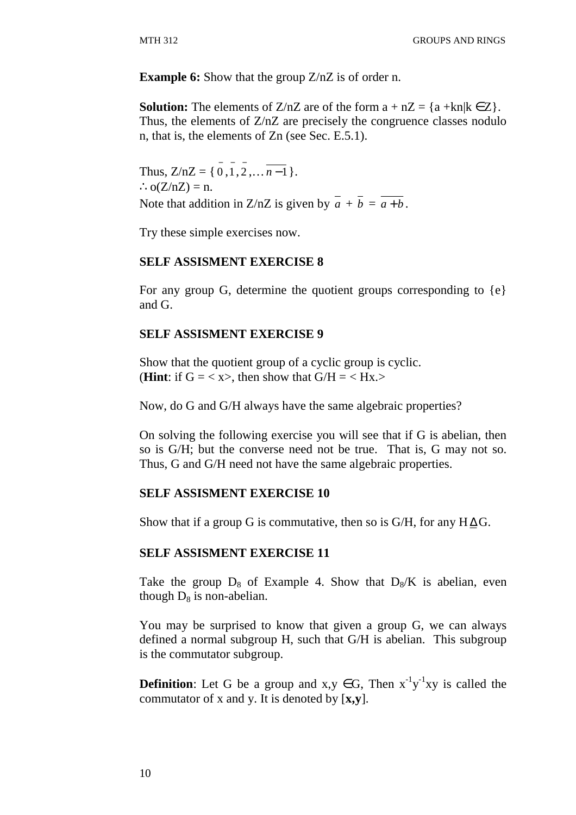**Example 6:** Show that the group  $Z/nZ$  is of order n.

**Solution:** The elements of Z/nZ are of the form  $a + nZ = \{a + kn | k \in Z\}$ . Thus, the elements of Z/nZ are precisely the congruence classes nodulo n, that is, the elements of Zn (see Sec. E.5.1).

Thus,  $Z/nZ = \{ 0, 1, 2, \dots, n-1 \}.$  $\therefore$  o(Z/nZ) = n. Note that addition in Z/nZ is given by  $\overline{a} + \overline{b} = \overline{a+b}$ .

Try these simple exercises now.

#### **SELF ASSISMENT EXERCISE 8**

For any group G, determine the quotient groups corresponding to {e} and G.

#### **SELF ASSISMENT EXERCISE 9**

Show that the quotient group of a cyclic group is cyclic. (**Hint**: if  $G = \langle x \rangle$ , then show that  $G/H = \langle Hx \rangle$ 

Now, do G and G/H always have the same algebraic properties?

On solving the following exercise you will see that if G is abelian, then so is G/H; but the converse need not be true. That is, G may not so. Thus, G and G/H need not have the same algebraic properties.

#### **SELF ASSISMENT EXERCISE 10**

Show that if a group G is commutative, then so is G/H, for any  $H \Delta G$ .

#### **SELF ASSISMENT EXERCISE 11**

Take the group  $D_8$  of Example 4. Show that  $D_8/K$  is abelian, even though  $D_8$  is non-abelian.

You may be surprised to know that given a group G, we can always defined a normal subgroup H, such that G/H is abelian. This subgroup is the commutator subgroup.

**Definition**: Let G be a group and  $x, y \in G$ , Then  $x^{-1}y^{-1}xy$  is called the commutator of x and y. It is denoted by [**x,y**].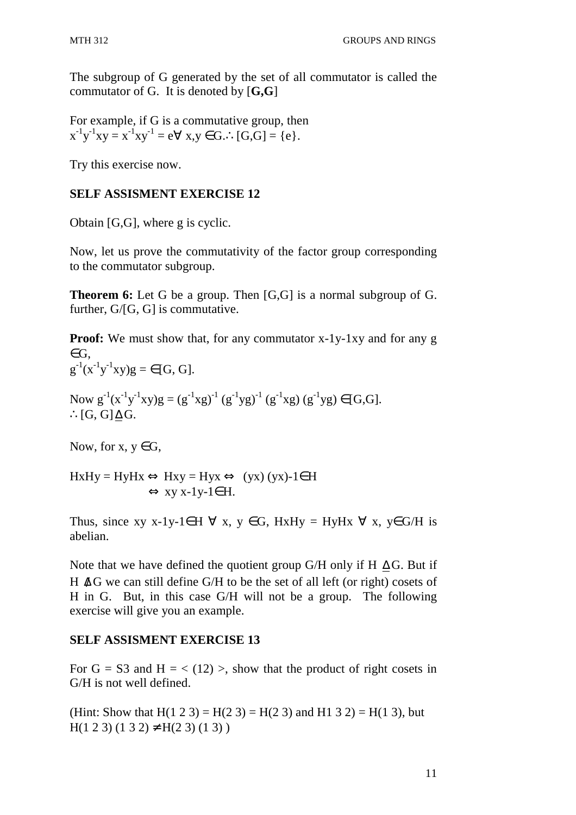The subgroup of G generated by the set of all commutator is called the commutator of G. It is denoted by [**G,G**]

For example, if G is a commutative group, then  $x^{-1}y^{-1}xy = x^{-1}xy^{-1} = e \forall x, y \in G.$   $\therefore [G,G] = \{e\}.$ 

Try this exercise now.

#### **SELF ASSISMENT EXERCISE 12**

Obtain [G,G], where g is cyclic.

Now, let us prove the commutativity of the factor group corresponding to the commutator subgroup.

**Theorem 6:** Let G be a group. Then [G,G] is a normal subgroup of G. further, G/[G, G] is commutative.

**Proof:** We must show that, for any commutator x-1y-1xy and for any g  $\in$  G.  $g^{-1}(x^{-1}y^{-1}xy)g = \in [G, G].$ 

Now  $g^{-1}(x^{-1}y^{-1}xy)g = (g^{-1}xg)^{-1} (g^{-1}yg)^{-1} (g^{-1}xg) (g^{-1}yg) \in [G,G].$ ∴ $[G, G]$ ∆ $G$ .

Now, for  $x, y \in G$ ,

$$
HxHy = HyHx \Leftrightarrow Hxy = Hyx \Leftrightarrow (yx) (yx)-1 \in H
$$
  

$$
\Leftrightarrow xy x-1y-1 \in H.
$$

Thus, since xy x-1y-1∈H  $\forall$  x, y ∈G, HxHy = HyHx  $\forall$  x, y∈G/H is abelian.

Note that we have defined the quotient group G/H only if H  $\Delta$ G. But if H  $\Delta$ G we can still define G/H to be the set of all left (or right) cosets of H in G. But, in this case G/H will not be a group. The following exercise will give you an example.

## **SELF ASSISMENT EXERCISE 13**

For  $G = S3$  and  $H = \langle (12) \rangle$ , show that the product of right cosets in G/H is not well defined.

(Hint: Show that H(1 2 3) = H(2 3) = H(2 3) and H1 3 2) = H(1 3), but  $H(1\ 2\ 3)(1\ 3\ 2) \neq H(2\ 3)(1\ 3)$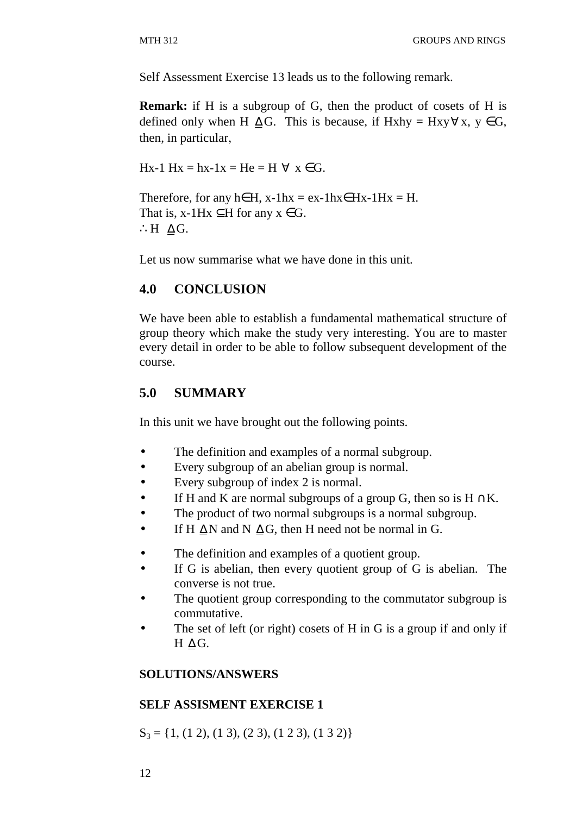Self Assessment Exercise 13 leads us to the following remark.

**Remark:** if H is a subgroup of G, then the product of cosets of H is defined only when H  $\Delta G$ . This is because, if Hxhy = Hxy∀x, y  $\in G$ , then, in particular,

Hx-1 Hx = hx-1x = He = H  $\forall$  x  $\in$  G.

Therefore, for any h∈H, x-1hx = ex-1hx  $\in$  Hx-1Hx = H. That is, x-1Hx  $\subseteq$ H for any  $x \in G$ . ∴H  $\Delta G$ .

Let us now summarise what we have done in this unit.

#### **4.0 CONCLUSION**

We have been able to establish a fundamental mathematical structure of group theory which make the study very interesting. You are to master every detail in order to be able to follow subsequent development of the course.

#### **5.0 SUMMARY**

In this unit we have brought out the following points.

- The definition and examples of a normal subgroup.
- Every subgroup of an abelian group is normal.
- Every subgroup of index 2 is normal.
- If H and K are normal subgroups of a group G, then so is  $H \cap K$ .
- The product of two normal subgroups is a normal subgroup.
- If H  $\Delta$ N and N  $\Delta$ G, then H need not be normal in G.
- The definition and examples of a quotient group.
- If G is abelian, then every quotient group of G is abelian. The converse is not true.
- The quotient group corresponding to the commutator subgroup is commutative.
- The set of left (or right) cosets of H in G is a group if and only if  $H \Delta G$ .

#### **SOLUTIONS/ANSWERS**

#### **SELF ASSISMENT EXERCISE 1**

 $S_3 = \{1, (1\ 2), (1\ 3), (2\ 3), (1\ 2\ 3), (1\ 3\ 2)\}\$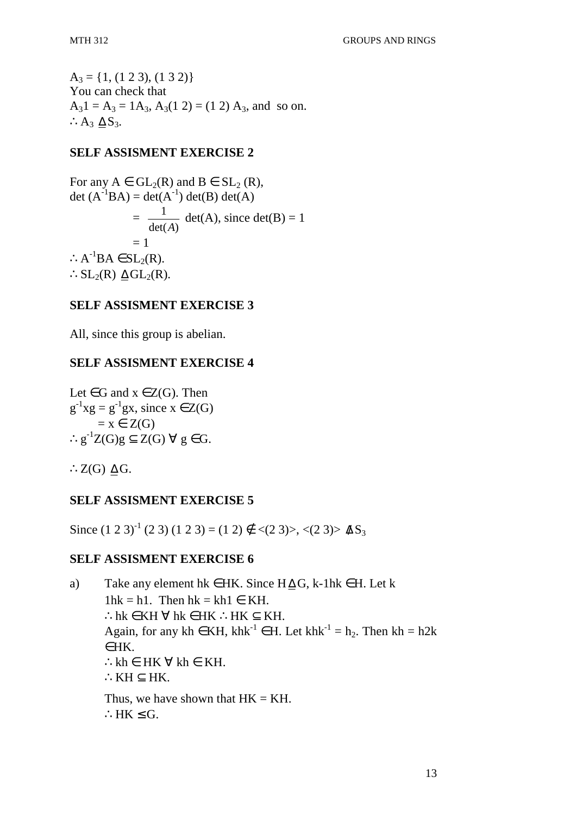$A_3 = \{1, (1\ 2\ 3), (1\ 3\ 2)\}\$ You can check that  $A_31 = A_3 = 1A_3$ ,  $A_3(1\ 2) = (1\ 2)A_3$ , and so on. ∴ $A_3$   $\Delta S_3$ .

#### **SELF ASSISMENT EXERCISE 2**

For any  $A \in GL_2(R)$  and  $B \in SL_2(R)$ , det  $(A^{-1}BA) = det(A^{-1}) det(B) det(A)$  $\sim$   $=$  $det(A)$ 1 *A*  $det(A)$ , since  $det(B) = 1$  $= 1$  $\therefore A^{-1}BA \in SL_2(R).$ ∴SL<sub>2</sub> $(R)$   $\Delta$ GL<sub>2</sub> $(R)$ .

#### **SELF ASSISMENT EXERCISE 3**

All, since this group is abelian.

#### **SELF ASSISMENT EXERCISE 4**

Let  $\in$  G and  $x \in Z(G)$ . Then  $g^{-1}xg = g^{-1}gx$ , since  $x \in Z(G)$  $= x \in Z(G)$ ∴g<sup>-1</sup>Z(G)g  $\subseteq$  Z(G)  $\forall$  g ∈ G.

∴Z $(G)$   $\Delta G$ .

#### **SELF ASSISMENT EXERCISE 5**

Since  $(1\ 2\ 3)^{-1} (2\ 3) (1\ 2\ 3) = (1\ 2) \notin \langle (2\ 3) \rangle, \langle (2\ 3) \rangle$   $\Delta S_3$ 

#### **SELF ASSISMENT EXERCISE 6**

a) Take any element hk ∈ HK. Since  $H \Delta G$ , k-1hk ∈ H. Let k  $1hk = h1$ . Then  $hk = kh1 \in KH$ . ∴hk ∈ KH  $\forall$  hk ∈ HK ∴HK ⊂ KH. Again, for any kh ∈ KH, khk<sup>-1</sup> ∈ H. Let khk<sup>-1</sup> = h<sub>2</sub>. Then kh = h2k  $∈HK$ ∴kh ∈ HK  $\forall$  kh ∈ KH. ∴K $H \subset HK$ . Thus, we have shown that  $HK = KH$ . ∴HK  $\le$  G.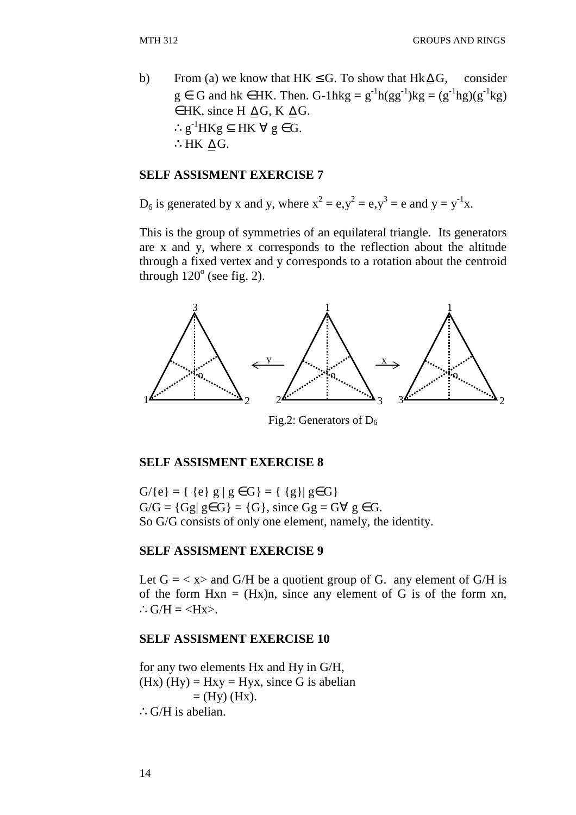b) From (a) we know that HK  $\le$  G. To show that Hk  $\Delta$  G, consider  $g \in G$  and hk  $\in HK$ . Then. G-1hkg =  $g^{-1}h(gg^{-1})kg = (g^{-1}hg)(g^{-1}kg)$  $\in$  HK, since H  $\Delta G$ , K  $\Delta G$ . ∴g<sup>-1</sup>HKg  $\subseteq$  HK  $\forall$  g  $\in$  G. ∴HK  $\Delta G$ .

#### **SELF ASSISMENT EXERCISE 7**

 $D_6$  is generated by x and y, where  $x^2 = e, y^2 = e, y^3 = e$  and  $y = y^{-1}x$ .

This is the group of symmetries of an equilateral triangle. Its generators are x and y, where x corresponds to the reflection about the altitude through a fixed vertex and y corresponds to a rotation about the centroid through  $120^\circ$  (see fig. 2).



Fig.2: Generators of  $D_6$ 

#### **SELF ASSISMENT EXERCISE 8**

 $G/{e}$  = {  ${e}$   $g | g \in G$ } = {  ${g}$ }  $g \in G$ }  $G/G = {Gg | g \in G} = {G},$  since  $Gg = G \forall g \in G$ . So G/G consists of only one element, namely, the identity.

#### **SELF ASSISMENT EXERCISE 9**

Let  $G = \langle x \rangle$  and  $G/H$  be a quotient group of G. any element of  $G/H$  is of the form  $Hxn = (Hx)n$ , since any element of G is of the form xn, ∴ $G/H = \langle Hx \rangle$ .

#### **SELF ASSISMENT EXERCISE 10**

for any two elements Hx and Hy in G/H, (Hx) (Hy) = Hxy = Hyx, since G is abelian  $=$  (Hy) (Hx). ∴G/H is abelian.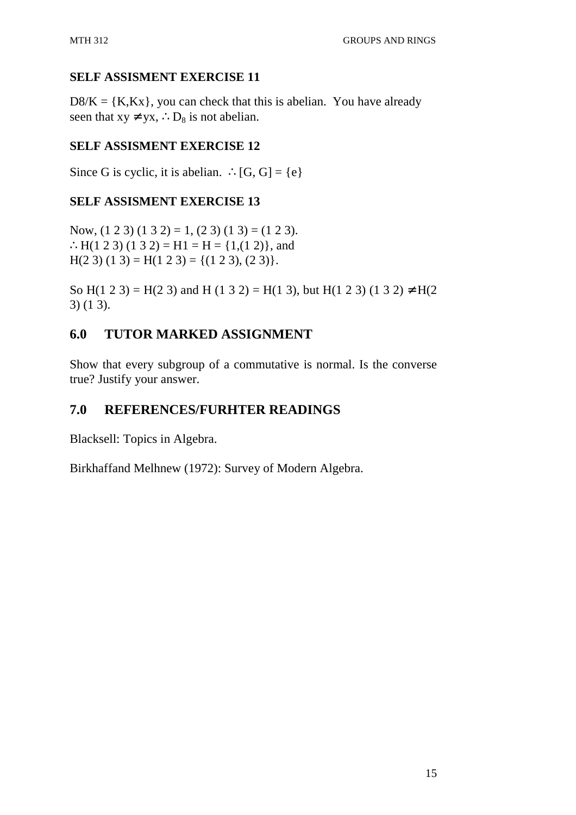## **SELF ASSISMENT EXERCISE 11**

 $D8/K = {K,Kx}$ , you can check that this is abelian. You have already seen that  $xy \neq yx$ , ∴D<sub>8</sub> is not abelian.

## **SELF ASSISMENT EXERCISE 12**

Since G is cyclic, it is abelian. ∴[G, G] = {e}

## **SELF ASSISMENT EXERCISE 13**

Now,  $(1 2 3) (1 3 2) = 1$ ,  $(2 3) (1 3) = (1 2 3)$ . ∴H(1 2 3) (1 3 2) = H1 = H = {1,(1 2)}, and  $H(2 3) (1 3) = H(1 2 3) = \{(1 2 3), (2 3)\}.$ 

So H(1 2 3) = H(2 3) and H (1 3 2) = H(1 3), but H(1 2 3) (1 3 2)  $\neq$  H(2 3) (1 3).

## **6.0 TUTOR MARKED ASSIGNMENT**

Show that every subgroup of a commutative is normal. Is the converse true? Justify your answer.

## **7.0 REFERENCES/FURHTER READINGS**

Blacksell: Topics in Algebra.

Birkhaffand Melhnew (1972): Survey of Modern Algebra.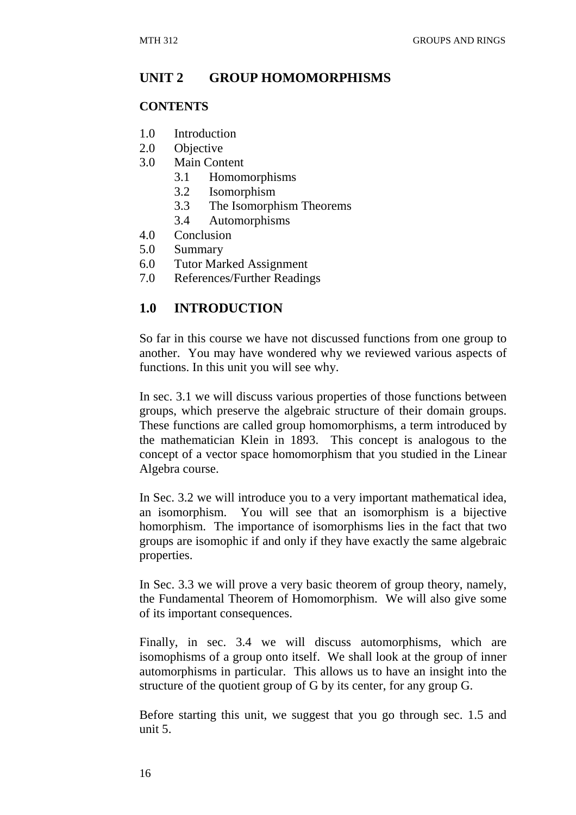#### **UNIT 2 GROUP HOMOMORPHISMS**

#### **CONTENTS**

- 1.0 Introduction
- 2.0 Objective
- 3.0 Main Content
	- 3.1 Homomorphisms
	- 3.2 Isomorphism
	- 3.3 The Isomorphism Theorems
	- 3.4 Automorphisms
- 4.0 Conclusion
- 5.0 Summary
- 6.0 Tutor Marked Assignment
- 7.0 References/Further Readings

#### **1.0 INTRODUCTION**

So far in this course we have not discussed functions from one group to another. You may have wondered why we reviewed various aspects of functions. In this unit you will see why.

In sec. 3.1 we will discuss various properties of those functions between groups, which preserve the algebraic structure of their domain groups. These functions are called group homomorphisms, a term introduced by the mathematician Klein in 1893. This concept is analogous to the concept of a vector space homomorphism that you studied in the Linear Algebra course.

In Sec. 3.2 we will introduce you to a very important mathematical idea, an isomorphism. You will see that an isomorphism is a bijective homorphism. The importance of isomorphisms lies in the fact that two groups are isomophic if and only if they have exactly the same algebraic properties.

In Sec. 3.3 we will prove a very basic theorem of group theory, namely, the Fundamental Theorem of Homomorphism. We will also give some of its important consequences.

Finally, in sec. 3.4 we will discuss automorphisms, which are isomophisms of a group onto itself. We shall look at the group of inner automorphisms in particular. This allows us to have an insight into the structure of the quotient group of G by its center, for any group G.

Before starting this unit, we suggest that you go through sec. 1.5 and unit 5.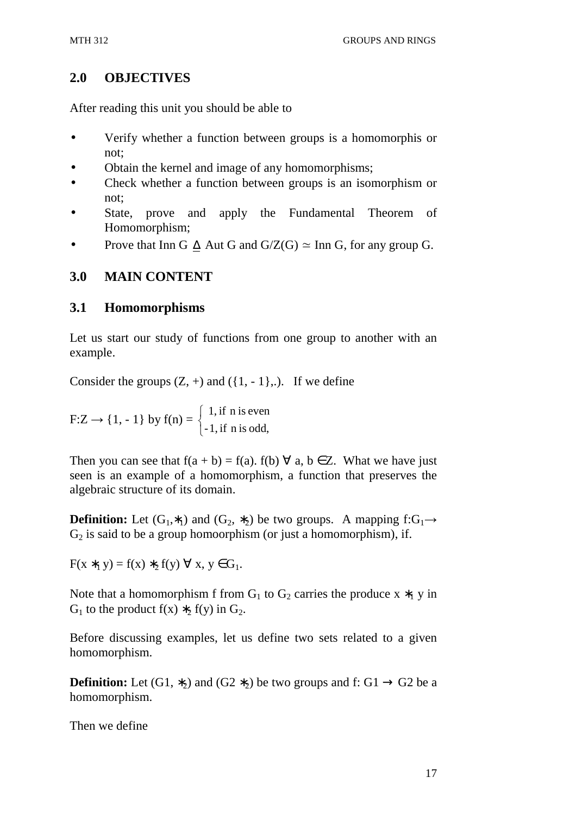## **2.0 OBJECTIVES**

After reading this unit you should be able to

- Verify whether a function between groups is a homomorphis or not;
- Obtain the kernel and image of any homomorphisms;
- Check whether a function between groups is an isomorphism or not;
- State, prove and apply the Fundamental Theorem of Homomorphism;
- Prove that Inn G  $\Delta$  Aut G and G/Z(G)  $\simeq$  Inn G, for any group G.

## **3.0 MAIN CONTENT**

## **3.1 Homomorphisms**

Let us start our study of functions from one group to another with an example.

Consider the groups  $(Z, +)$  and  $({1, -1},...)$ . If we define

 $F:Z \to \{1, -1\}$  by  $f(n) =$  $\overline{\mathcal{L}}$ ∤  $\int$  $-1$ , if n is odd,  $1$ , if n is even

Then you can see that  $f(a + b) = f(a)$ .  $f(b) \forall a, b \in \mathbb{Z}$ . What we have just seen is an example of a homomorphism, a function that preserves the algebraic structure of its domain.

**Definition:** Let  $(G_1, *_1)$  and  $(G_2, *_2)$  be two groups. A mapping  $f:G_1\rightarrow$  $G<sub>2</sub>$  is said to be a group homoorphism (or just a homomorphism), if.

 $F(x *_{1} y) = f(x) *_{2} f(y) \; \forall \; x, y \in G_{1}.$ 

Note that a homomorphism f from  $G_1$  to  $G_2$  carries the produce x  $*_1$  y in G<sub>1</sub> to the product f(x)  $*_2$  f(y) in G<sub>2</sub>.

Before discussing examples, let us define two sets related to a given homomorphism.

**Definition:** Let  $(G1, *_{2})$  and  $(G2 *_{2})$  be two groups and f:  $G1 \rightarrow G2$  be a homomorphism.

Then we define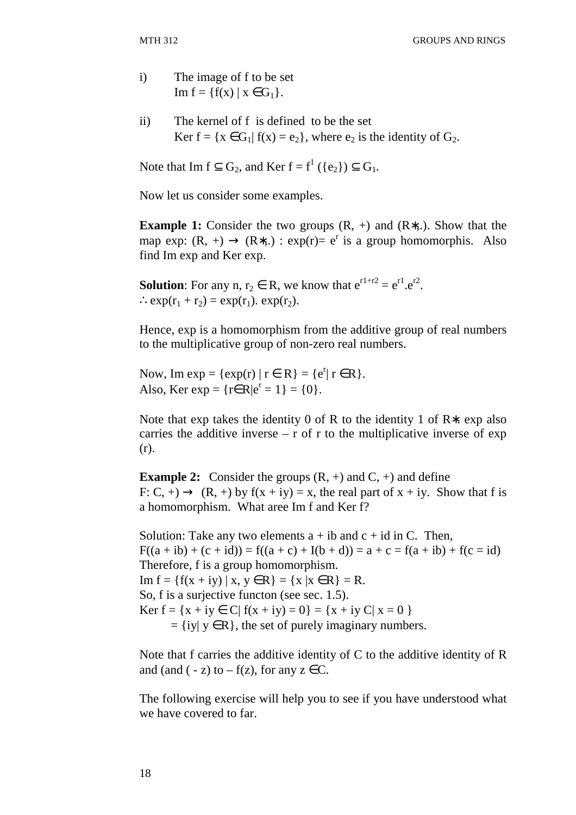- i) The image of f to be set Im  $f = \{f(x) \mid x \in G_1\}.$
- ii) The kernel of f is defined to be the set Ker  $f = \{x \in G_1 | f(x) = e_2\}$ , where  $e_2$  is the identity of  $G_2$ .

Note that Im  $f \subseteq G_2$ , and Ker  $f = f^1(\{e_2\}) \subseteq G_1$ .

Now let us consider some examples.

**Example 1:** Consider the two groups (R, +) and (R∗,.). Show that the map exp:  $(R, +) \rightarrow (R*,.) : exp(r) = e^r$  is a group homomorphis. Also find Im exp and Ker exp.

**Solution**: For any n,  $r_2 \in R$ , we know that  $e^{r1+r2} = e^{r1} \cdot e^{r2}$ .  $\therefore \exp(r_1 + r_2) = \exp(r_1) \cdot \exp(r_2).$ 

Hence, exp is a homomorphism from the additive group of real numbers to the multiplicative group of non-zero real numbers.

Now, Im  $exp = \{ exp(r) | r \in R \} = \{ e^{r} | r \in R \}.$ Also, Ker exp = { $r \in R | e^r = 1$ } = {0}.

Note that exp takes the identity 0 of R to the identity 1 of R∗. exp also carries the additive inverse  $- r$  of r to the multiplicative inverse of exp (r).

**Example 2:** Consider the groups  $(R, +)$  and  $C, +$ ) and define F: C, +)  $\rightarrow$  (R, +) by f(x + iy) = x, the real part of x + iy. Show that f is a homomorphism. What aree Im f and Ker f?

Solution: Take any two elements  $a + ib$  and  $c + id$  in C. Then,  $F((a + ib) + (c + id)) = f((a + c) + I(b + d)) = a + c = f(a + ib) + f(c = id)$ Therefore, f is a group homomorphism. Im  $f = \{f(x + iy) | x, y \in R\} = \{x | x \in R\} = R$ . So, f is a surjective functon (see sec. 1.5). Ker  $f = \{x + iy \in C | f(x + iy) = 0\} = \{x + iy C | x = 0\}$  $= \{ iy | y \in R \}$ , the set of purely imaginary numbers.

Note that f carries the additive identity of C to the additive identity of R and (and ( $- z$ ) to  $- f(z)$ , for any  $z \in \mathbb{C}$ .

The following exercise will help you to see if you have understood what we have covered to far.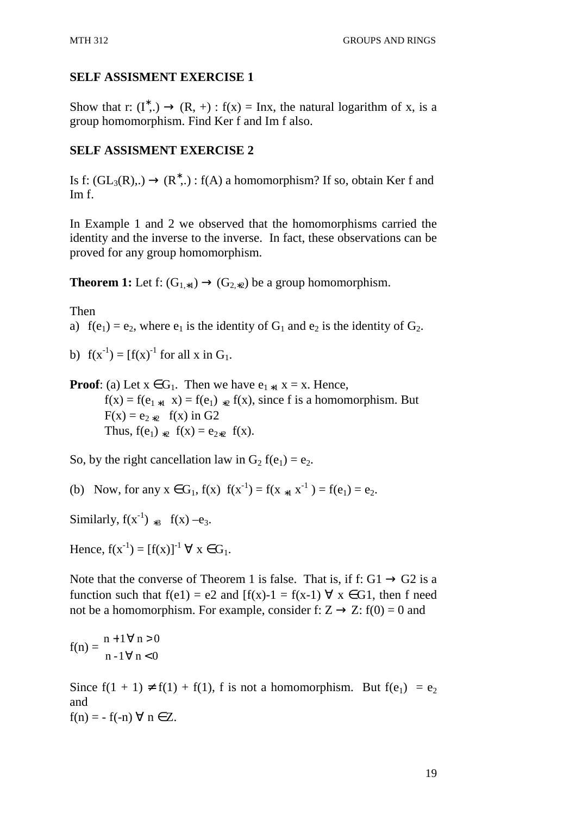## **SELF ASSISMENT EXERCISE 1**

Show that r:  $(I^*,.) \rightarrow (R, +)$ :  $f(x) = \text{Inx}$ , the natural logarithm of x, is a group homomorphism. Find Ker f and Im f also.

## **SELF ASSISMENT EXERCISE 2**

Is f:  $(GL_3(R),.) \rightarrow (R^*,.)$ : f(A) a homomorphism? If so, obtain Ker f and Im f.

In Example 1 and 2 we observed that the homomorphisms carried the identity and the inverse to the inverse. In fact, these observations can be proved for any group homomorphism.

**Theorem 1:** Let f:  $(G_{1*1}) \rightarrow (G_{2*2})$  be a group homomorphism.

Then

a)  $f(e_1) = e_2$ , where  $e_1$  is the identity of  $G_1$  and  $e_2$  is the identity of  $G_2$ .

b)  $f(x^{-1}) = [f(x)^{-1} \text{ for all } x \text{ in } G_1$ .

**Proof**: (a) Let  $x \in G_1$ . Then we have  $e_{1*1} x = x$ . Hence,  $f(x) = f(e_{1*1} x) = f(e_1) * f(x)$ , since f is a homomorphism. But  $F(x) = e_{2*2}$  f(x) in G2 Thus,  $f(e_1)_{2}$   $f(x) = e_{2}2} f(x)$ .

So, by the right cancellation law in  $G_2 f(e_1) = e_2$ .

(b) Now, for any  $x \in G_1$ ,  $f(x)$   $f(x^{-1}) = f(x_{*1} x^{-1}) = f(e_1) = e_2$ .

Similarly,  $f(x^{-1})_{*3}$   $f(x) -e_3$ .

Hence,  $f(x^{-1}) = [f(x)]^{-1} \forall x \in G_1$ .

Note that the converse of Theorem 1 is false. That is, if f:  $G1 \rightarrow G2$  is a function such that  $f(e1) = e2$  and  $[f(x)-1] = f(x-1) \forall x \in G1$ , then f need not be a homomorphism. For example, consider f:  $Z \rightarrow Z$ : f(0) = 0 and

$$
f(n) = \frac{n+1 \,\forall \, n > 0}{n-1 \,\forall \, n < 0}
$$

Since  $f(1 + 1) \neq f(1) + f(1)$ , f is not a homomorphism. But  $f(e_1) = e_2$ and  $f(n) = -f(-n) \forall n \in \mathbb{Z}$ .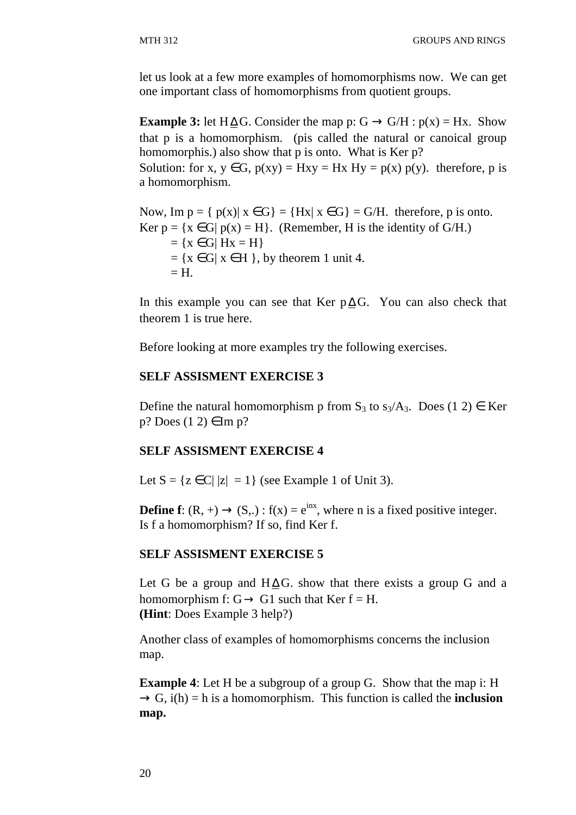let us look at a few more examples of homomorphisms now. We can get one important class of homomorphisms from quotient groups.

**Example 3:** let H $\Delta G$ . Consider the map p: G  $\rightarrow$  G/H :  $p(x) = Hx$ . Show that p is a homomorphism. (pis called the natural or canoical group homomorphis.) also show that p is onto. What is Ker p?

Solution: for x,  $y \in G$ ,  $p(xy) = Hxy = Hx$   $Hy = p(x) p(y)$ . therefore, p is a homomorphism.

Now, Im  $p = \{ p(x) | x \in G \} = \{ Hx | x \in G \} = G/H$ . therefore, p is onto. Ker  $p = \{x \in G | p(x) = H\}$ . (Remember, H is the identity of G/H.)  $= \{x \in G | Hx = H\}$  $= \{x \in G | x \in H \}$ , by theorem 1 unit 4.  $=$  H.

In this example you can see that Ker  $p \Delta G$ . You can also check that theorem 1 is true here.

Before looking at more examples try the following exercises.

#### **SELF ASSISMENT EXERCISE 3**

Define the natural homomorphism p from  $S_3$  to  $s_3/A_3$ . Does (1 2)  $\in$  Ker  $p?$  Does  $(1\ 2) \in \text{Im } p?$ 

## **SELF ASSISMENT EXERCISE 4**

Let  $S = \{z \in C | |z| = 1\}$  (see Example 1 of Unit 3).

**Define f**:  $(R, +) \rightarrow (S,.)$ :  $f(x) = e^{inx}$ , where n is a fixed positive integer. Is f a homomorphism? If so, find Ker f.

#### **SELF ASSISMENT EXERCISE 5**

Let G be a group and  $H \Delta G$ . show that there exists a group G and a homomorphism f:  $G \rightarrow G1$  such that Ker  $f = H$ . **(Hint**: Does Example 3 help?)

Another class of examples of homomorphisms concerns the inclusion map.

**Example 4**: Let H be a subgroup of a group G. Show that the map i: H  $\rightarrow$  G, i(h) = h is a homomorphism. This function is called the **inclusion map.**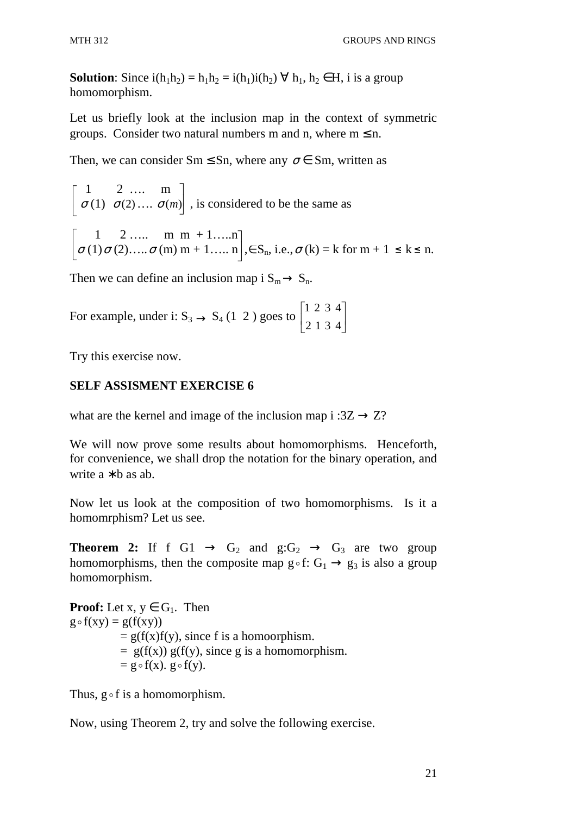**Solution**: Since  $i(h_1h_2) = h_1h_2 = i(h_1)i(h_2) \forall h_1, h_2 \in H$ , i is a group homomorphism.

Let us briefly look at the inclusion map in the context of symmetric groups. Consider two natural numbers m and n, where  $m \leq n$ .

Then, we can consider  $Sm \le Sn$ , where any  $\sigma \in Sm$ , written as

$$
\begin{bmatrix} 1 & 2 & \dots & m \\ \sigma(1) & \sigma(2) & \dots & \sigma(m) \end{bmatrix}
$$
, is considered to be the same as  

$$
\begin{bmatrix} 1 & 2 & \dots & m & m+1 & \dots & n \\ \sigma(1)\sigma(2) & \dots & \sigma(m) & m+1 & \dots & n \end{bmatrix}
$$
,  $\in S_n$ , i.e.,  $\sigma(k) = k$  for  $m + 1 \le k \le n$ .

Then we can define an inclusion map i  $S_m \rightarrow S_n$ .

For example, under i:  $S_3 \rightarrow S_4$  (1 2 ) goes to  $\begin{bmatrix} 1 & 2 & 3 \\ 2 & 1 & 2 \\ 3 & 1 & 3 \end{bmatrix}$  $\overline{\phantom{a}}$ ⅂  $\mathbf{r}$ L Γ 2 1 3 4 1 2 3 4

Try this exercise now.

## **SELF ASSISMENT EXERCISE 6**

what are the kernel and image of the inclusion map i : $3Z \rightarrow Z$ ?

We will now prove some results about homomorphisms. Henceforth, for convenience, we shall drop the notation for the binary operation, and write  $a * b$  as ab.

Now let us look at the composition of two homomorphisms. Is it a homomrphism? Let us see.

**Theorem 2:** If f G1  $\rightarrow$  G<sub>2</sub> and g:G<sub>2</sub>  $\rightarrow$  G<sub>3</sub> are two group homomorphisms, then the composite map  $g \circ f: G_1 \to g_3$  is also a group homomorphism.

**Proof:** Let  $x, y \in G_1$ . Then  $g \circ f(xy) = g(f(xy))$  $= g(f(x)f(y))$ , since f is a homoorphism.  $= g(f(x)) g(f(y))$ , since g is a homomorphism.  $= g \circ f(x)$ .  $g \circ f(y)$ .

Thus,  $g \circ f$  is a homomorphism.

Now, using Theorem 2, try and solve the following exercise.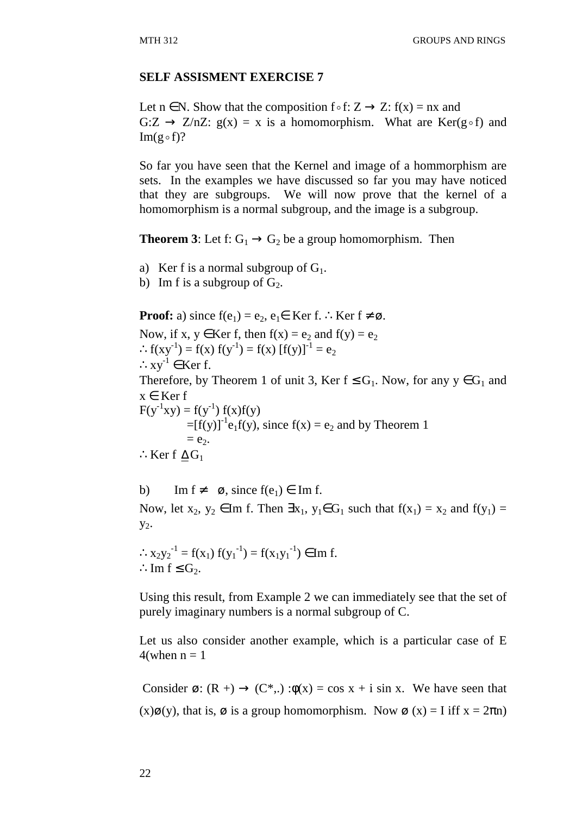#### **SELF ASSISMENT EXERCISE 7**

Let  $n \in N$ . Show that the composition  $f \circ f: Z \to Z$ :  $f(x) = nx$  and  $G:Z \to Z/nZ$ :  $g(x) = x$  is a homomorphism. What are Ker(g of) and  $Im(g \circ f)$ ?

So far you have seen that the Kernel and image of a hommorphism are sets. In the examples we have discussed so far you may have noticed that they are subgroups. We will now prove that the kernel of a homomorphism is a normal subgroup, and the image is a subgroup.

**Theorem 3**: Let f:  $G_1 \rightarrow G_2$  be a group homomorphism. Then

a) Ker f is a normal subgroup of  $G_1$ .

b) Im f is a subgroup of  $G_2$ .

**Proof:** a) since  $f(e_1) = e_2, e_1 \in \text{Ker } f$ . ∴ Ker  $f \neq \emptyset$ . Now, if x,  $y \in \text{Ker } f$ , then  $f(x) = e_2$  and  $f(y) = e_2$ ∴  $f(xy^{-1}) = f(x) f(y^{-1}) = f(x) [f(y)]^{-1} = e_2$  $:xy^{-1} \in \text{Ker } f.$ Therefore, by Theorem 1 of unit 3, Ker  $f \leq G_1$ . Now, for any  $y \in G_1$  and  $x \in \text{Ker } f$  $F(y^{-1}xy) = f(y^{-1}) f(x)f(y)$  $=[f(y)]^{-1}e_1f(y)$ , since  $f(x) = e_2$  and by Theorem 1  $= e_2$ . ∴Ker f  $\Delta G_1$ 

b) Im  $f \neq \emptyset$ , since  $f(e_1) \in \text{Im } f$ . Now, let  $x_2, y_2 \in \text{Im } f$ . Then  $\exists x_1, y_1 \in G_1$  such that  $f(x_1) = x_2$  and  $f(y_1) =$  $y_2$ .

∴  $x_2y_2^{-1} = f(x_1) f(y_1^{-1}) = f(x_1y_1^{-1}) \in \text{Im } f.$ ∴Im  $f \leq G_2$ .

Using this result, from Example 2 we can immediately see that the set of purely imaginary numbers is a normal subgroup of C.

Let us also consider another example, which is a particular case of E  $4$ (when  $n = 1$ 

Consider  $\varnothing$ :  $(R +) \rightarrow (C^*,.)$ : $\phi(x) = \cos x + i \sin x$ . We have seen that  $(x)\mathcal{O}(y)$ , that is,  $\mathcal O$  is a group homomorphism. Now  $\mathcal O(x) = I$  iff  $x = 2\pi n$ )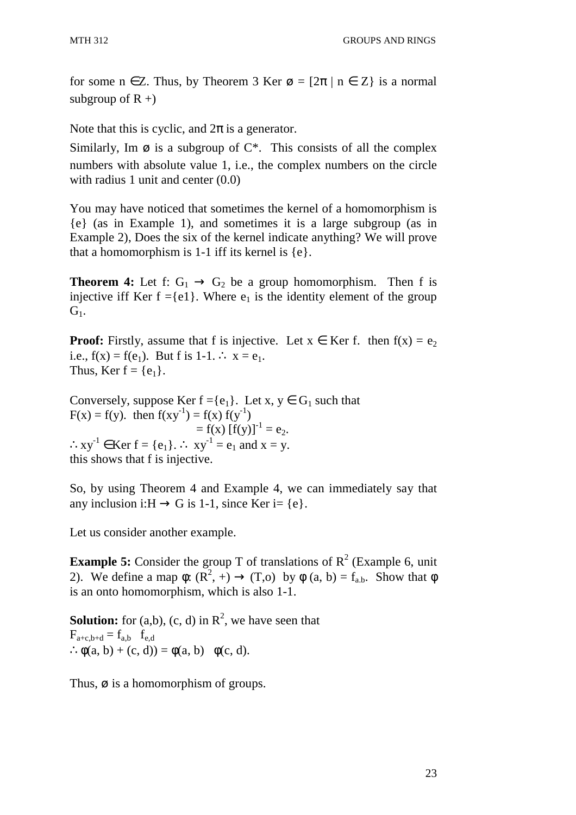for some  $n \in \mathbb{Z}$ . Thus, by Theorem 3 Ker  $\varnothing = [2\pi | n \in \mathbb{Z}]$  is a normal subgroup of  $R +$ )

Note that this is cyclic, and  $2\pi$  is a generator.

Similarly, Im  $\emptyset$  is a subgroup of  $C^*$ . This consists of all the complex numbers with absolute value 1, i.e., the complex numbers on the circle with radius 1 unit and center  $(0.0)$ 

You may have noticed that sometimes the kernel of a homomorphism is {e} (as in Example 1), and sometimes it is a large subgroup (as in Example 2), Does the six of the kernel indicate anything? We will prove that a homomorphism is 1-1 iff its kernel is  $\{e\}$ .

**Theorem 4:** Let f:  $G_1 \rightarrow G_2$  be a group homomorphism. Then f is injective iff Ker  $f = \{e1\}$ . Where  $e_1$  is the identity element of the group  $G_1$ .

**Proof:** Firstly, assume that f is injective. Let  $x \in \text{Ker f.}$  then  $f(x) = e_2$ i.e.,  $f(x) = f(e_1)$ . But f is 1-1. ∴  $x = e_1$ . Thus, Ker  $f = \{e_1\}$ .

Conversely, suppose Ker  $f = \{e_1\}$ . Let  $x, y \in G_1$  such that  $F(x) = f(y)$ . then  $f(xy^{-1}) = f(x) f(y^{-1})$  $= f(x) [f(y)]^{-1} = e_2.$  $\therefore xy^{-1} \in \text{Ker } f = \{e_1\}.$   $\therefore xy^{-1} = e_1$  and  $x = y$ . this shows that f is injective.

So, by using Theorem 4 and Example 4, we can immediately say that any inclusion i: $H \rightarrow G$  is 1-1, since Ker i= {e}.

Let us consider another example.

**Example 5:** Consider the group T of translations of  $R^2$  (Example 6, unit 2). We define a map  $\phi: (R^2, +) \to (T, \infty)$  by  $\phi$   $(a, b) = f_{a,b}$ . Show that  $\phi$ is an onto homomorphism, which is also 1-1.

**Solution:** for  $(a,b)$ ,  $(c, d)$  in  $R^2$ , we have seen that  $F_{a+c,b+d} = f_{a,b}$   $f_{e,d}$  $\therefore \phi(a, b) + (c, d)) = \phi(a, b) \quad \phi(c, d).$ 

Thus,  $\varnothing$  is a homomorphism of groups.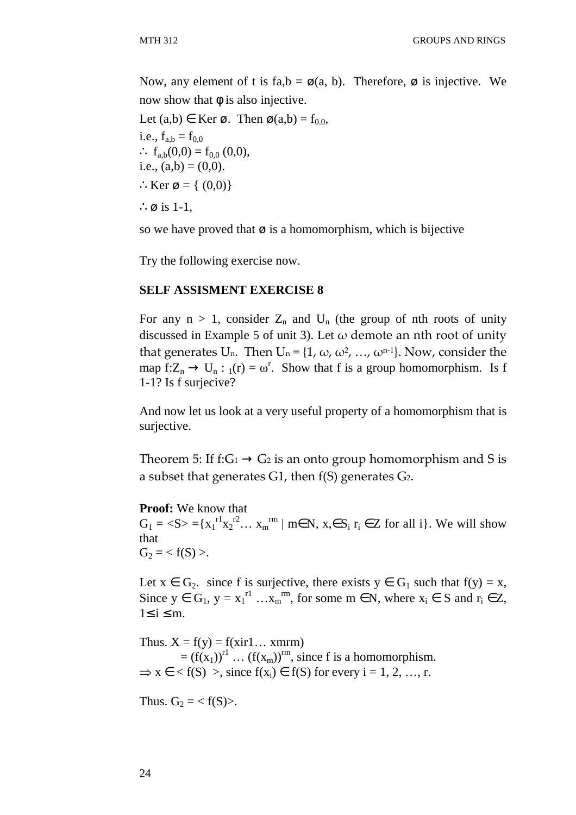Now, any element of t is fa,b =  $\varnothing$ (a, b). Therefore,  $\varnothing$  is injective. We now show that  $φ$  is also injective.

```
Let (a,b) \in \text{Ker } \emptyset. Then \emptyset(a,b) = f_{0,0},
i.e., f_{a,b} = f_{0,0}∴ f_{a,b}(0,0) = f_{0,0}(0,0),
i.e., (a,b) = (0,0).
∴Ker ø = { (0,0)}
∴ø is 1-1,
```
so we have proved that  $\varnothing$  is a homomorphism, which is bijective

Try the following exercise now.

#### **SELF ASSISMENT EXERCISE 8**

For any  $n > 1$ , consider  $Z_n$  and  $U_n$  (the group of nth roots of unity discussed in Example 5 of unit 3). Let  $\omega$  demote an nth root of unity that generates U<sub>n</sub>. Then U<sub>n</sub> = {1,  $\omega$ ,  $\omega^2$ , ...,  $\omega^{n-1}$ }. Now, consider the map  $f:Z_n \to U_n : {}_1(r) = \omega^r$ . Show that f is a group homomorphism. Is f 1-1? Is f surjecive?

And now let us look at a very useful property of a homomorphism that is surjective.

Theorem 5: If f: $G_1 \rightarrow G_2$  is an onto group homomorphism and S is a subset that generates G1, then f(S) generates G2.

#### **Proof:** We know that

 $G_1 = \langle S \rangle = \{x_1^{r1}x_2^{r2}... x_m^{r m} \mid m \in N, x \in S_i \}$  r<sub>i</sub>  $\in \mathbb{Z}$  for all i}. We will show that  $G_2 = .$ 

Let  $x \in G_2$ , since f is surjective, there exists  $y \in G_1$  such that  $f(y) = x$ , Since  $y \in G_1$ ,  $y = x_1^{r1} \dots x_m^{rm}$ , for some  $m \in N$ , where  $x_i \in S$  and  $r_i \in Z$ ,  $1≤ i ≤ m$ .

Thus.  $X = f(y) = f(xir1... xmrm)$  $=(f(x_1))^{r_1}$  …  $(f(x_m))^{r_m}$ , since f is a homomorphism.  $\Rightarrow$  x  $\in$  < f(S) >, since f(x<sub>i</sub>)  $\in$  f(S) for every i = 1, 2, ..., r.

Thus.  $G_2 = \langle f(S) \rangle$ .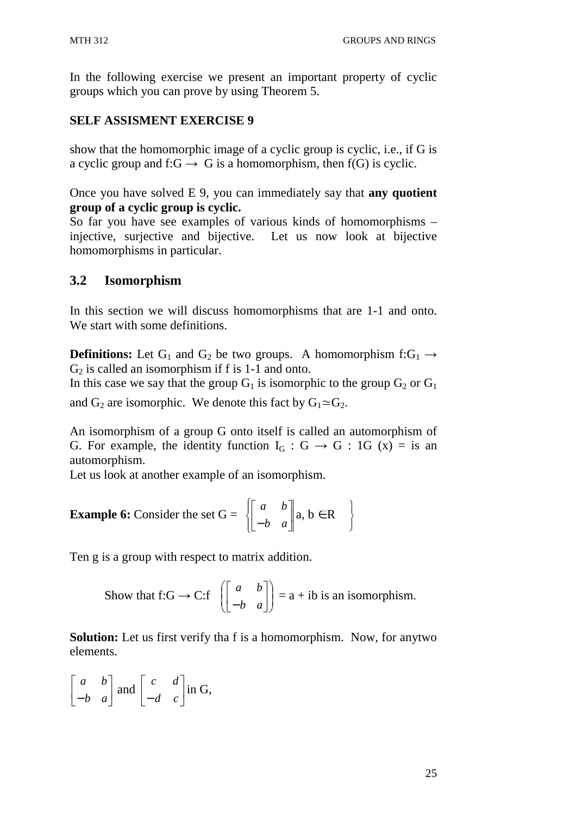In the following exercise we present an important property of cyclic groups which you can prove by using Theorem 5.

## **SELF ASSISMENT EXERCISE 9**

show that the homomorphic image of a cyclic group is cyclic, i.e., if G is a cyclic group and f: $G \rightarrow G$  is a homomorphism, then f(G) is cyclic.

Once you have solved E 9, you can immediately say that **any quotient group of a cyclic group is cyclic.** 

So far you have see examples of various kinds of homomorphisms – injective, surjective and bijective. Let us now look at bijective homomorphisms in particular.

## **3.2 Isomorphism**

In this section we will discuss homomorphisms that are 1-1 and onto. We start with some definitions.

**Definitions:** Let G<sub>1</sub> and G<sub>2</sub> be two groups. A homomorphism f:G<sub>1</sub>  $\rightarrow$  $G_2$  is called an isomorphism if f is 1-1 and onto.

In this case we say that the group  $G_1$  is isomorphic to the group  $G_2$  or  $G_1$ 

and  $G_2$  are isomorphic. We denote this fact by  $G_1 \simeq G_2$ .

An isomorphism of a group G onto itself is called an automorphism of G. For example, the identity function  $I_G : G \to G : 1G (x) = is an$ automorphism.

> 1  $\left\{ \right\}$ J

Let us look at another example of an isomorphism.

**Example 6:** Consider the set 
$$
G = \begin{bmatrix} a & b \ -b & a \end{bmatrix} a, b \in R
$$

Ten g is a group with respect to matrix addition.

Show that f:G 
$$
\rightarrow
$$
 C: f  $\begin{bmatrix} a & b \\ -b & a \end{bmatrix}$  = a + ib is an isomorphism.

**Solution:** Let us first verify tha f is a homomorphism. Now, for anytwo elements.

$$
\begin{bmatrix} a & b \\ -b & a \end{bmatrix}
$$
 and 
$$
\begin{bmatrix} c & d \\ -d & c \end{bmatrix}
$$
 in G,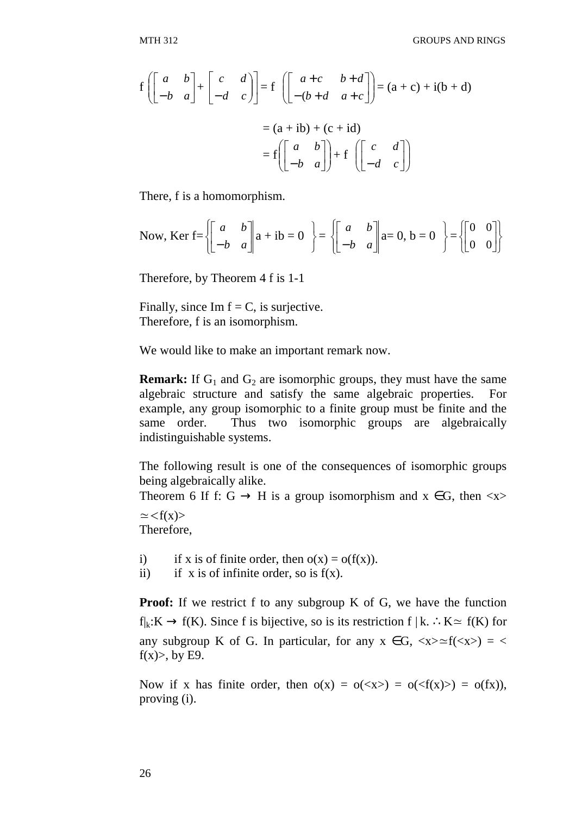$$
f\left(\begin{bmatrix} a & b \\ -b & a \end{bmatrix} + \begin{bmatrix} c & d \\ -d & c \end{bmatrix}\right) = f\left(\begin{bmatrix} a+c & b+d \\ -(b+d & a+c \end{bmatrix}\right) = (a+c) + i(b+d)
$$

$$
= (a+ib) + (c+id)
$$

$$
= f\left(\begin{bmatrix} a & b \\ -b & a \end{bmatrix}\right) + f\left(\begin{bmatrix} c & d \\ -d & c \end{bmatrix}\right)
$$

There, f is a homomorphism.

Now, Ker 
$$
f = \left\{ \begin{bmatrix} a & b \\ -b & a \end{bmatrix} a + ib = 0 \right\} = \left\{ \begin{bmatrix} a & b \\ -b & a \end{bmatrix} a = 0, b = 0 \right\} = \left\{ \begin{bmatrix} 0 & 0 \\ 0 & 0 \end{bmatrix} \right\}
$$

Therefore, by Theorem 4 f is 1-1

Finally, since Im  $f = C$ , is surjective. Therefore, f is an isomorphism.

We would like to make an important remark now.

**Remark:** If  $G_1$  and  $G_2$  are isomorphic groups, they must have the same algebraic structure and satisfy the same algebraic properties. For example, any group isomorphic to a finite group must be finite and the same order. Thus two isomorphic groups are algebraically indistinguishable systems.

The following result is one of the consequences of isomorphic groups being algebraically alike.

Theorem 6 If f: G  $\rightarrow$  H is a group isomorphism and x  $\in$  G, then  $\langle x \rangle$ 

 $\approx$  <f(x)> Therefore,

- i) if x is of finite order, then  $o(x) = o(f(x))$ .
- ii) if x is of infinite order, so is  $f(x)$ .

**Proof:** If we restrict f to any subgroup K of G, we have the function  $f_k:K \to f(K)$ . Since f is bijective, so is its restriction f | k. ∴K≃ f(K) for any subgroup K of G. In particular, for any  $x \in G$ ,  $\langle x \rangle \cong f(\langle x \rangle) = \langle x \rangle$  $f(x)$ , by E9.

Now if x has finite order, then  $o(x) = o(\langle x \rangle) = o(\langle f(x) \rangle) = o(f(x)),$ proving (i).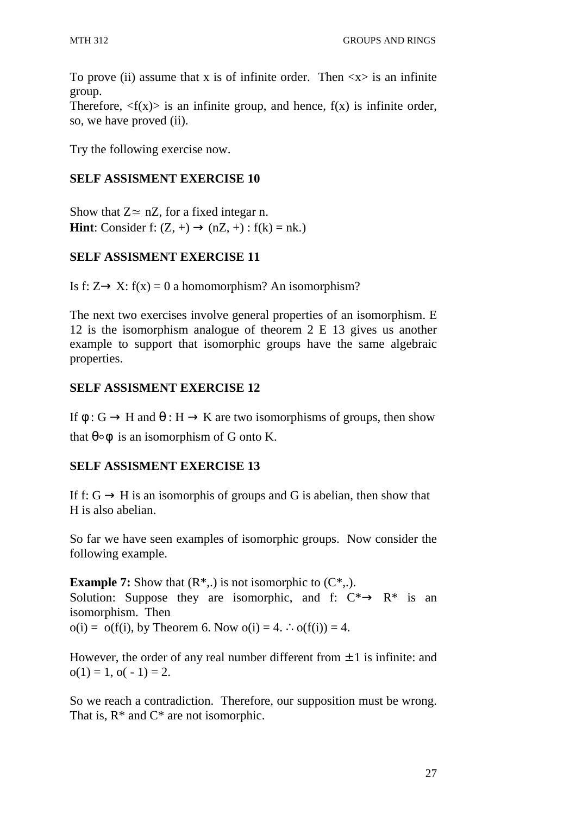To prove (ii) assume that x is of infinite order. Then  $\langle x \rangle$  is an infinite group.

Therefore,  $\langle f(x) \rangle$  is an infinite group, and hence,  $f(x)$  is infinite order, so, we have proved (ii).

Try the following exercise now.

# **SELF ASSISMENT EXERCISE 10**

Show that  $Z \approx nZ$ , for a fixed integar n. **Hint**: Consider f:  $(Z, +) \rightarrow (nZ, +)$ :  $f(k) = nk$ .)

# **SELF ASSISMENT EXERCISE 11**

Is f:  $Z \rightarrow X$ : f(x) = 0 a homomorphism? An isomorphism?

The next two exercises involve general properties of an isomorphism. E 12 is the isomorphism analogue of theorem 2 E 13 gives us another example to support that isomorphic groups have the same algebraic properties.

# **SELF ASSISMENT EXERCISE 12**

If  $\phi$ : G  $\rightarrow$  H and  $\theta$ : H  $\rightarrow$  K are two isomorphisms of groups, then show

that  $\theta \circ \phi$  is an isomorphism of G onto K.

# **SELF ASSISMENT EXERCISE 13**

If f:  $G \rightarrow H$  is an isomorphis of groups and G is abelian, then show that H is also abelian.

So far we have seen examples of isomorphic groups. Now consider the following example.

**Example 7:** Show that  $(R^*,.)$  is not isomorphic to  $(C^*,.)$ . Solution: Suppose they are isomorphic, and f:  $C^* \rightarrow R^*$  is an isomorphism. Then o(i) =  $o(f(i))$ , by Theorem 6. Now  $o(i) = 4$ .  $\therefore o(f(i)) = 4$ .

However, the order of any real number different from  $\pm 1$  is infinite: and  $o(1) = 1, o(-1) = 2.$ 

So we reach a contradiction. Therefore, our supposition must be wrong. That is,  $R^*$  and  $C^*$  are not isomorphic.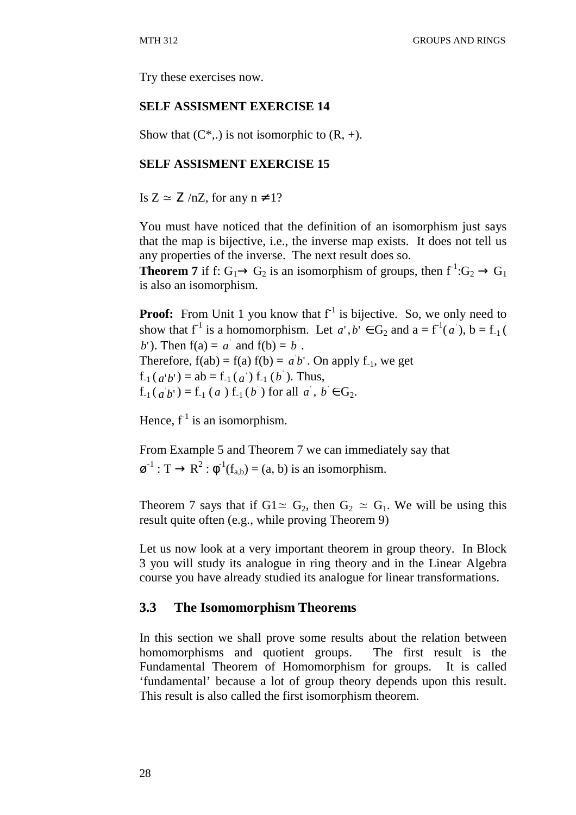Try these exercises now.

#### **SELF ASSISMENT EXERCISE 14**

Show that  $(C^*,.)$  is not isomorphic to  $(R, +)$ .

## **SELF ASSISMENT EXERCISE 15**

Is  $Z \simeq Z / nZ$ , for any  $n \neq 1$ ?

You must have noticed that the definition of an isomorphism just says that the map is bijective, i.e., the inverse map exists. It does not tell us any properties of the inverse. The next result does so.

**Theorem 7** if f:  $G_1 \rightarrow G_2$  is an isomorphism of groups, then  $f^{-1}: G_2 \rightarrow G_1$ is also an isomorphism.

**Proof:** From Unit 1 you know that  $f^{-1}$  is bijective. So, we only need to show that  $f^{-1}$  is a homomorphism. Let  $a', b' \in G_2$  and  $a = f^{-1}(a')$ ,  $b = f_{-1}(a')$ *b*'). Then  $f(a) = a'$  and  $f(b) = b'$ . Therefore,  $f(ab) = f(a) f(b) = a'b'$ . On apply  $f_{-1}$ , we get  $f_{-1}(a'b') = ab = f_{-1}(a') f_{-1}(b')$ . Thus,  $f_{-1}(a b') = f_{-1}(a) f_{-1}(b)$  for all  $a, b \in G_2$ .

Hence,  $f^{-1}$  is an isomorphism.

From Example 5 and Theorem 7 we can immediately say that  $\boldsymbol{\varnothing}^{-1} : \mathsf{T} \to \mathsf{R}^2 : \phi^{-1}(f_{a,b}) = (a, b)$  is an isomorphism.

Theorem 7 says that if G1≃ G<sub>2</sub>, then G<sub>2</sub> ≃ G<sub>1</sub>. We will be using this result quite often (e.g., while proving Theorem 9)

Let us now look at a very important theorem in group theory. In Block 3 you will study its analogue in ring theory and in the Linear Algebra course you have already studied its analogue for linear transformations.

### **3.3 The Isomomorphism Theorems**

In this section we shall prove some results about the relation between homomorphisms and quotient groups. The first result is the Fundamental Theorem of Homomorphism for groups. It is called 'fundamental' because a lot of group theory depends upon this result. This result is also called the first isomorphism theorem.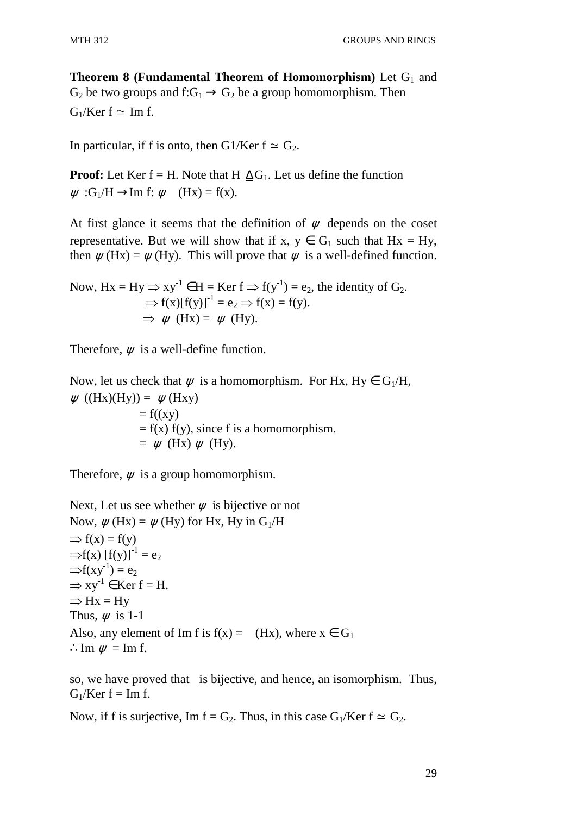**Theorem 8 (Fundamental Theorem of Homomorphism)** Let  $G_1$  and  $G_2$  be two groups and  $f:G_1 \to G_2$  be a group homomorphism. Then  $G_1/Ker f \simeq Im f$ .

In particular, if f is onto, then G1/Ker  $f \approx G_2$ .

**Proof:** Let Ker f = H. Note that H  $\Delta G_1$ . Let us define the function  $\psi$ : G<sub>1</sub>/H  $\rightarrow$ Im f:  $\psi$  (Hx) = f(x).

At first glance it seems that the definition of  $\psi$  depends on the coset representative. But we will show that if x,  $y \in G_1$  such that  $Hx = Hy$ , then  $\psi$  (Hx) =  $\psi$  (Hy). This will prove that  $\psi$  is a well-defined function.

Now, 
$$
Hx = Hy \Rightarrow xy^{-1} \in H = \text{Ker } f \Rightarrow f(y^{-1}) = e_2
$$
, the identity of  $G_2$ .  $\Rightarrow f(x)[f(y)]^{-1} = e_2 \Rightarrow f(x) = f(y)$ .  $\Rightarrow \psi$  (Hz) =  $\psi$  (Hy).

Therefore,  $\psi$  is a well-define function.

Now, let us check that  $\psi$  is a homomorphism. For Hx, Hy  $\in G_1/H$ ,  $\psi$  ((Hx)(Hy)) =  $\psi$ (Hxy)  $= f((xy))$  $= f(x) f(y)$ , since f is a homomorphism.  $= \psi$  (Hx)  $\psi$  (Hy).

Therefore,  $\psi$  is a group homomorphism.

Next, Let us see whether  $\psi$  is bijective or not Now,  $\psi$  (Hx) =  $\psi$  (Hy) for Hx, Hy in G<sub>1</sub>/H  $\Rightarrow$  f(x) = f(y)  $\Rightarrow$ f(x) [f(y)]<sup>-1</sup> = e<sub>2</sub>  $\Rightarrow f(xy^{-1}) = e_2$  $\Rightarrow xy^{-1} \in \text{Ker } f = H.$  $\Rightarrow$  Hx = Hy Thus,  $\psi$  is 1-1 Also, any element of Im f is  $f(x) = (Hx)$ , where  $x \in G_1$ ∴Im  $\psi$  = Im f.

so, we have proved that is bijective, and hence, an isomorphism. Thus,  $G_1/Ker f = Im f.$ 

Now, if f is surjective, Im  $f = G_2$ . Thus, in this case  $G_1/Ker f \approx G_2$ .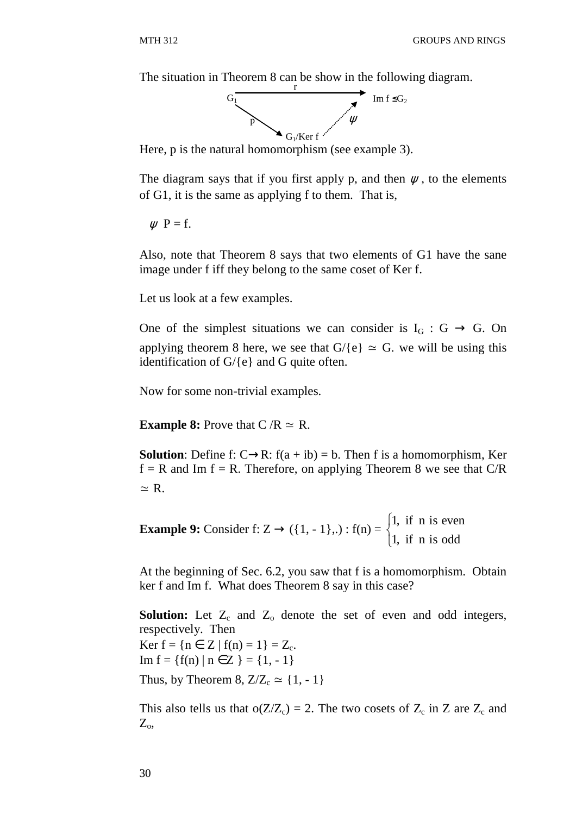The situation in Theorem 8 can be show in the following diagram.



Here, p is the natural homomorphism (see example 3).

The diagram says that if you first apply p, and then  $\psi$ , to the elements of G1, it is the same as applying f to them. That is,

 $\psi$  P = f.

Also, note that Theorem 8 says that two elements of G1 have the sane image under f iff they belong to the same coset of Ker f.

Let us look at a few examples.

One of the simplest situations we can consider is  $I_G : G \to G$ . On applying theorem 8 here, we see that  $G/\{e\} \simeq G$ . we will be using this identification of G/{e} and G quite often.

Now for some non-trivial examples.

**Example 8:** Prove that  $C/R \approx R$ .

**Solution**: Define f: C→R:  $f(a + ib) = b$ . Then f is a homomorphism, Ker  $f = R$  and Im  $f = R$ . Therefore, on applying Theorem 8 we see that C/R  $\simeq$  R.

**Example 9:** Consider f:  $Z \rightarrow (\{1, -1\},.) : f(n) =$ 1, if n is even 1, if n is odd  $\int$ ∤  $\overline{\mathcal{L}}$ 

At the beginning of Sec. 6.2, you saw that f is a homomorphism. Obtain ker f and Im f. What does Theorem 8 say in this case?

**Solution:** Let  $Z_c$  and  $Z_o$  denote the set of even and odd integers, respectively. Then Ker  $f = \{ n \in Z \mid f(n) = 1 \} = Z_c$ . Im  $f = \{f(n) | n \in Z \} = \{1, -1\}$ Thus, by Theorem 8,  $Z/Z_c \simeq \{1, -1\}$ 

This also tells us that  $o(Z/Z_c) = 2$ . The two cosets of  $Z_c$  in  $Z$  are  $Z_c$  and  $Z_{\rm o}$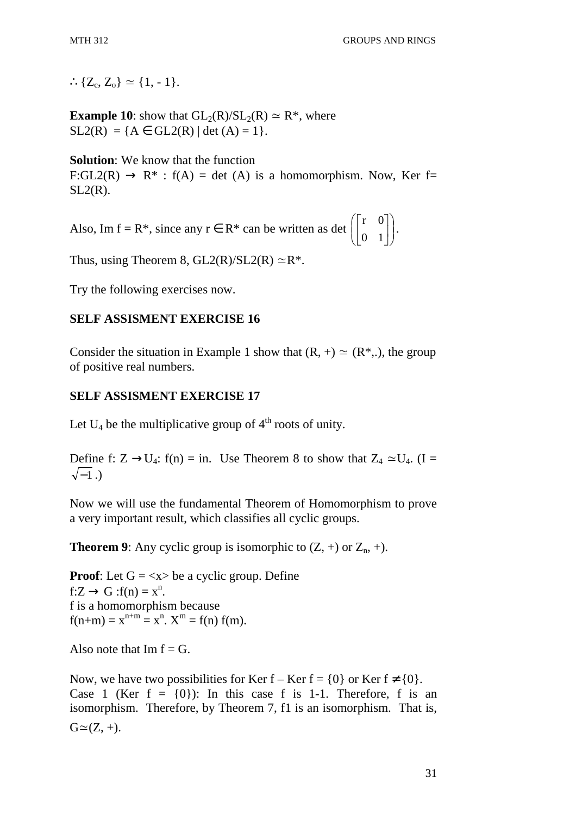∴{ $Z_c$ ,  $Z_o$ } ≃ {1, - 1}.

**Example 10**: show that  $GL_2(R)/SL_2(R) \simeq R^*$ , where  $SL2(R) = {A \in GL2(R) | \det(A) = 1}.$ 

**Solution**: We know that the function  $F:GL2(R) \to R^*$ :  $f(A) = det (A)$  is a homomorphism. Now, Ker f=  $SL2(R)$ .

Also, Im  $f = R^*$ , since any  $r \in R^*$  can be written as det  $\begin{bmatrix} 1 & 0 \\ 0 & 1 \end{bmatrix}$ J  $\backslash$  $\overline{\phantom{a}}$ l ſ  $\overline{\phantom{a}}$  $\rfloor$ 1  $\mathbf{r}$ L Γ 0 1 r 0 .

Thus, using Theorem 8,  $GL2(R)/SL2(R) \simeq R^*$ .

Try the following exercises now.

## **SELF ASSISMENT EXERCISE 16**

Consider the situation in Example 1 show that  $(R, +) \simeq (R^*, )$ , the group of positive real numbers.

## **SELF ASSISMENT EXERCISE 17**

Let  $U_4$  be the multiplicative group of  $4<sup>th</sup>$  roots of unity.

Define f:  $Z \rightarrow U_4$ : f(n) = in. Use Theorem 8 to show that  $Z_4 \simeq U_4$ . (I =  $\sqrt{-1}$ .)

Now we will use the fundamental Theorem of Homomorphism to prove a very important result, which classifies all cyclic groups.

**Theorem 9**: Any cyclic group is isomorphic to  $(Z, +)$  or  $Z_n, +$ ).

**Proof:** Let  $G = \langle x \rangle$  be a cyclic group. Define  $f:Z \to G$ :  $f(n) = x^n$ . f is a homomorphism because  $f(n+m) = x^{n+m} = x^n$ .  $X^m = f(n) f(m)$ .

Also note that  $Im f = G$ .

Now, we have two possibilities for Ker f – Ker f =  $\{0\}$  or Ker f  $\neq \{0\}$ . Case 1 (Ker  $f = \{0\}$ ): In this case f is 1-1. Therefore, f is an isomorphism. Therefore, by Theorem 7, f1 is an isomorphism. That is,  $G \simeq (Z, +).$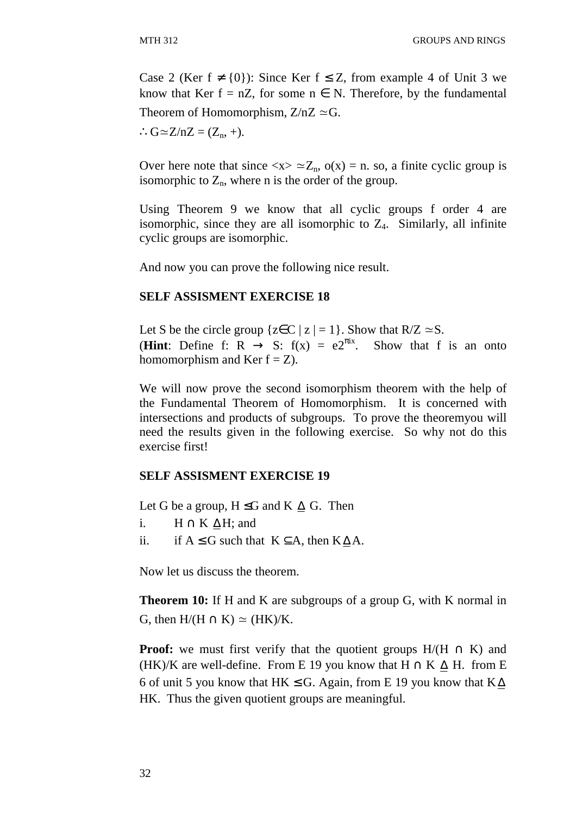Case 2 (Ker  $f \neq \{0\}$ ): Since Ker  $f \leq Z$ , from example 4 of Unit 3 we know that Ker f = nZ, for some  $n \in N$ . Therefore, by the fundamental Theorem of Homomorphism,  $Z/nZ \simeq G$ .

 $\therefore G \cong Z/nZ = (Z_n, +).$ 

Over here note that since  $\langle x \rangle \simeq Z_n$ ,  $o(x) = n$ . so, a finite cyclic group is isomorphic to  $Z_n$ , where n is the order of the group.

Using Theorem 9 we know that all cyclic groups f order 4 are isomorphic, since they are all isomorphic to  $Z_4$ . Similarly, all infinite cyclic groups are isomorphic.

And now you can prove the following nice result.

## **SELF ASSISMENT EXERCISE 18**

Let S be the circle group { $z \in C | z | = 1$ }. Show that  $R/Z \simeq S$ . (**Hint**: Define f: R  $\rightarrow$  S: f(x) = e2<sup> $\pi$ ix</sup>. Show that f is an onto homomorphism and Ker  $f = Z$ ).

We will now prove the second isomorphism theorem with the help of the Fundamental Theorem of Homomorphism. It is concerned with intersections and products of subgroups. To prove the theoremyou will need the results given in the following exercise. So why not do this exercise first!

## **SELF ASSISMENT EXERCISE 19**

Let G be a group,  $H \leq G$  and  $K \triangle G$ . Then

- i.  $H \cap K \Delta H$ ; and
- ii. if  $A \leq G$  such that  $K \subseteq A$ , then  $K \triangle A$ .

Now let us discuss the theorem.

**Theorem 10:** If H and K are subgroups of a group G, with K normal in G, then  $H/(H \cap K) \simeq (HK)/K$ .

**Proof:** we must first verify that the quotient groups  $H/(H \cap K)$  and (HK)/K are well-define. From E 19 you know that  $H \cap K \Delta H$ . from E 6 of unit 5 you know that HK  $\le$  G. Again, from E 19 you know that K $\Delta$ HK. Thus the given quotient groups are meaningful.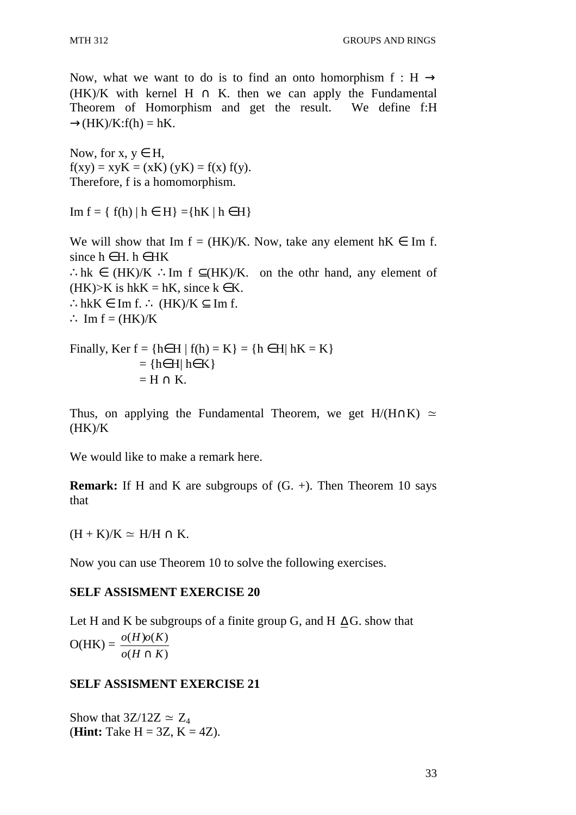Now, what we want to do is to find an onto homorphism f : H  $\rightarrow$ (HK)/K with kernel H  $\cap$  K, then we can apply the Fundamental Theorem of Homorphism and get the result. We define f:H  $\rightarrow$ (HK)/K:f(h) = hK.

Now, for  $x, y \in H$ ,  $f(xy) = xyK = (xK)(yK) = f(x) f(y).$ Therefore, f is a homomorphism.

Im f = { f(h) | h ∈ H } ={hK | h ∈ H }

We will show that Im  $f = (HK)/K$ . Now, take any element  $hK \in \text{Im } f$ . since  $h \in H$ .  $h \in HK$ ∴hk ∈ (HK)/K ∴Im f  $\subseteq$ (HK)/K. on the othr hand, any element of  $(HK)$ >K is hkK = hK, since k  $\in$  K. ∴hkK  $\in$  Im f. ∴ (HK)/K  $\subset$  Im f.  $\therefore$  Im f = (HK)/K

Finally, Ker 
$$
f = \{h \in H | f(h) = K\} = \{h \in H | hK = K\}
$$
  
= { $h \in H | h \in K$ }  
= H  $\cap K$ .

Thus, on applying the Fundamental Theorem, we get H/(H∩K)  $\simeq$  $(HK)/K$ 

We would like to make a remark here.

**Remark:** If H and K are subgroups of  $(G, +)$ . Then Theorem 10 says that

 $(H + K)/K \simeq H/H \cap K$ .

Now you can use Theorem 10 to solve the following exercises.

### **SELF ASSISMENT EXERCISE 20**

Let H and K be subgroups of a finite group G, and H  $\Delta$ G, show that  $O(HK) =$  $(H \cap K)$  $(H) o(K)$  $o(H \cap K)$  $o(H)o(K)$ ∩

## **SELF ASSISMENT EXERCISE 21**

Show that  $3Z/12Z \simeq Z_4$ (**Hint:** Take  $H = 3Z$ ,  $K = 4Z$ ).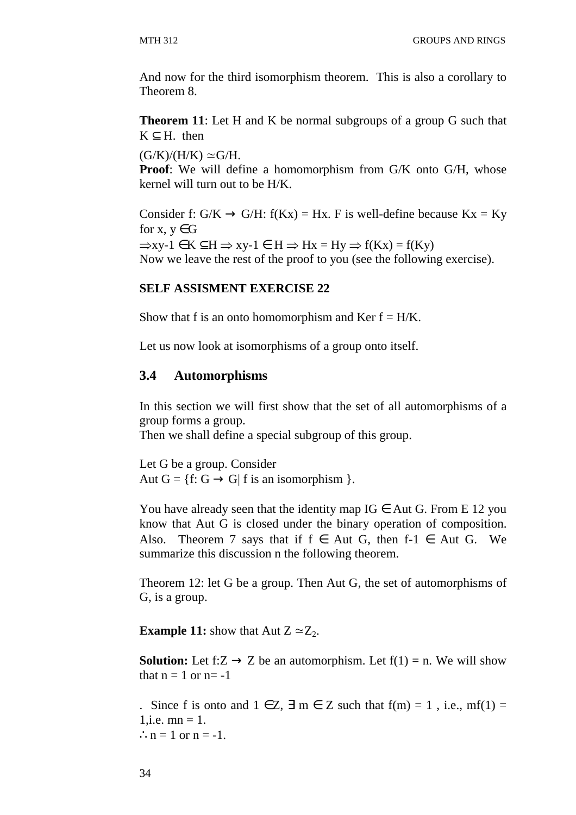And now for the third isomorphism theorem. This is also a corollary to Theorem 8.

**Theorem 11:** Let H and K be normal subgroups of a group G such that  $K \subseteq H$ . then

 $(G/K)/(H/K) \simeq G/H$ .

**Proof**: We will define a homomorphism from G/K onto G/H, whose kernel will turn out to be H/K.

Consider f:  $G/K \rightarrow G/H$ :  $f(Kx) = Hx$ . F is well-define because  $Kx = Ky$ for x,  $y \in G$  $\Rightarrow$ xy-1  $\in$  K  $\subseteq$ H  $\Rightarrow$  xy-1  $\in$  H  $\Rightarrow$  Hx = Hy  $\Rightarrow$  f(Kx) = f(Ky) Now we leave the rest of the proof to you (see the following exercise).

## **SELF ASSISMENT EXERCISE 22**

Show that f is an onto homomorphism and Ker  $f = H/K$ .

Let us now look at isomorphisms of a group onto itself.

## **3.4 Automorphisms**

In this section we will first show that the set of all automorphisms of a group forms a group.

Then we shall define a special subgroup of this group.

Let G be a group. Consider Aut  $G = \{f: G \rightarrow G | f \text{ is an isomorphism } \}.$ 

You have already seen that the identity map  $IG \in Aut G$ . From E 12 you know that Aut G is closed under the binary operation of composition. Also. Theorem 7 says that if  $f \in Aut G$ , then  $f-1 \in Aut G$ . We summarize this discussion n the following theorem.

Theorem 12: let G be a group. Then Aut G, the set of automorphisms of G, is a group.

**Example 11:** show that Aut  $Z \simeq Z_2$ .

**Solution:** Let f: $Z \rightarrow Z$  be an automorphism. Let  $f(1) = n$ . We will show that  $n = 1$  or  $n = -1$ 

. Since f is onto and  $1 \in \mathbb{Z}$ ,  $\exists m \in \mathbb{Z}$  such that  $f(m) = 1$ , i.e.,  $mf(1) =$ 1, i.e.  $mn = 1$ .  $\therefore$  n = 1 or n = -1.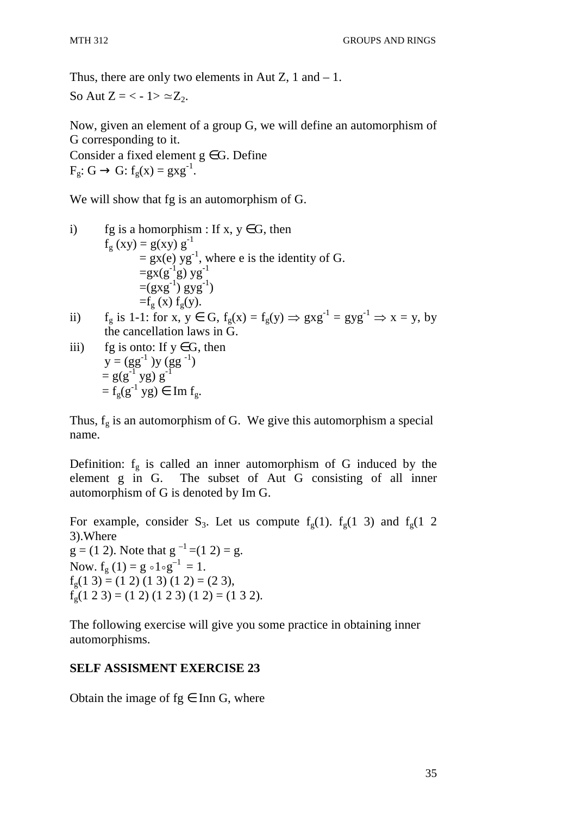Thus, there are only two elements in Aut  $Z$ , 1 and  $-1$ . So Aut  $Z = \langle -1 \rangle \simeq Z_2$ .

Now, given an element of a group G, we will define an automorphism of G corresponding to it. Consider a fixed element  $g \in G$ . Define  $F_g: G \to G: f_g(x) = g x g^{-1}.$ 

We will show that fg is an automorphism of G.

i) fg is a homorphism : If x, y ∈ G, then  
\n
$$
f_g(xy) = g(xy) g^{-1}
$$
  
\n $= gx(e) yg^{-1}$ , where e is the identity of G.  
\n $= gx(g^{-1}g) yg^{-1}$   
\n $= (gxg^{-1}) gyg^{-1}$   
\n $= f_g(x) f_g(y)$ .

ii)  $f_g$  is 1-1: for  $x, y \in G$ ,  $f_g(x) = f_g(y) \Rightarrow g x g^{-1} = g y g^{-1} \Rightarrow x = y$ , by the cancellation laws in G.

iii) fg is onto: If 
$$
y \in G
$$
, then  
\n
$$
y = (gg^{-1})y (gg^{-1})
$$
\n
$$
= g(g^{-1}yg)g^{-1}
$$
\n
$$
= f_g(g^{-1}yg) \in \text{Im } f_g.
$$

Thus,  $f_g$  is an automorphism of G. We give this automorphism a special name.

Definition:  $f_g$  is called an inner automorphism of G induced by the element g in G. The subset of Aut G consisting of all inner automorphism of G is denoted by Im G.

For example, consider S<sub>3</sub>. Let us compute  $f<sub>g</sub>(1)$ .  $f<sub>g</sub>(1)$  3) and  $f<sub>g</sub>(1)$  2 3).Where  $g = (1 2)$ . Note that  $g^{-1} = (1 2) = g$ . Now.  $f_g(1) = g \circ 1 \circ g^{-1} = 1$ .  $f_g(1\ 3) = (1\ 2)(1\ 3)(1\ 2) = (2\ 3),$  $f<sub>g</sub>(1 2 3) = (1 2) (1 2 3) (1 2) = (1 3 2).$ 

The following exercise will give you some practice in obtaining inner automorphisms.

# **SELF ASSISMENT EXERCISE 23**

Obtain the image of  $fg \in Inn G$ , where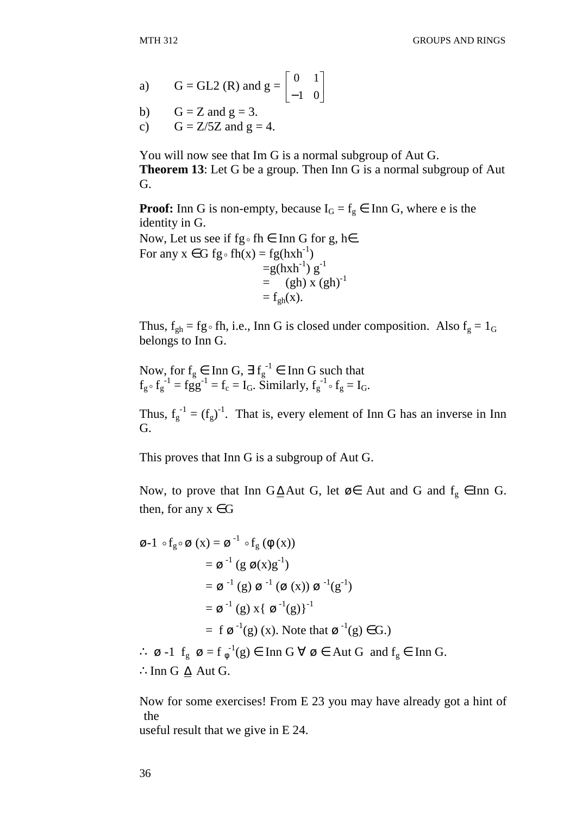- a)  $G = GL2 (R)$  and  $g = \begin{bmatrix} 0 & 1 \\ 1 & 0 \end{bmatrix}$ 」 1  $\mathbf{r}$ L Γ −1 0 0 1
- b)  $G = Z$  and  $g = 3$ .
- c)  $G = Z/5Z$  and  $g = 4$ .

You will now see that Im G is a normal subgroup of Aut G. **Theorem 13**: Let G be a group. Then Inn G is a normal subgroup of Aut G.

**Proof:** Inn G is non-empty, because  $I_G = f_g \in \text{Inn } G$ , where e is the identity in G.

Now, Let us see if  $fg \circ fh \in Inn G$  for  $g, h \in$ . For any  $x \in G$  fg $\circ$  fh $(x) = fg(hxh^{-1})$  $=$ g(hxh<sup>-1</sup>) g<sup>-1</sup>  $=$  (gh) x (gh)<sup>-1</sup>

 $=f_{gh}(x)$ .

Thus,  $f_{gh} = fg \circ fh$ , i.e., Inn G is closed under composition. Also  $f_g = 1_G$ belongs to Inn G.

Now, for  $f_g \in \text{Inn } G$ ,  $\exists f_g^{-1} \in \text{Inn } G$  such that  $f_g \circ f_g^{-1} = f_g g^{-1} = f_c = I_G$ . Similarly,  $f_g^{-1} \circ f_g = I_G$ .

Thus,  $f_g^{-1} = (f_g)^{-1}$ . That is, every element of Inn G has an inverse in Inn G.

This proves that Inn G is a subgroup of Aut G.

Now, to prove that Inn G $\triangle$ Aut G, let ø∈ Aut and G and  $f_g$  ∈Inn G. then, for any  $x \in G$ 

$$
\begin{aligned}\n\mathbf{\emptyset} \text{-} 1 \circ f_{g} \circ \mathbf{\emptyset} (x) &= \mathbf{\emptyset}^{-1} \circ f_{g} (\phi (x)) \\
&= \mathbf{\emptyset}^{-1} (g \mathbf{\emptyset} (x) g^{-1}) \\
&= \mathbf{\emptyset}^{-1} (g) \mathbf{\emptyset}^{-1} (\mathbf{\emptyset} (x)) \mathbf{\emptyset}^{-1} (g^{-1}) \\
&= \mathbf{\emptyset}^{-1} (g) x \{ \mathbf{\emptyset}^{-1} (g) \}^{-1} \\
&= f \mathbf{\emptyset}^{-1} (g) (x). \text{ Note that } \mathbf{\emptyset}^{-1} (g) \in G.) \\
\therefore \mathbf{\emptyset} \text{-} 1 \quad f_{g} \mathbf{\emptyset} &= f_{\phi}^{-1} (g) \in \text{Inn } G \; \forall \; \mathbf{\emptyset} \in \text{Aut } G \; \text{and } f_{g} \in \text{Inn } G.\n\end{aligned}
$$

∴Inn G  $\Delta$  Aut G.

Now for some exercises! From E 23 you may have already got a hint of the

useful result that we give in E 24.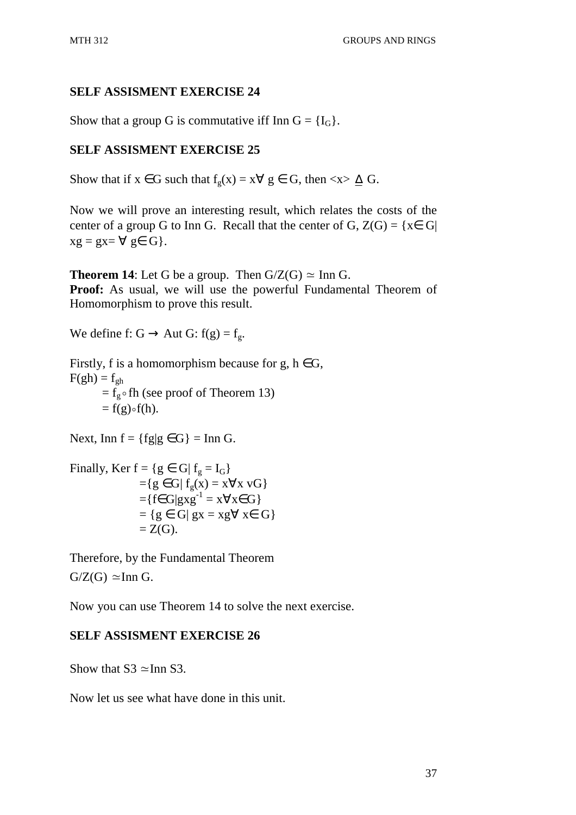Show that a group G is commutative iff Inn  $G = \{I_G\}.$ 

# **SELF ASSISMENT EXERCISE 25**

Show that if  $x \in G$  such that  $f_g(x) = x \forall g \in G$ , then  $\langle x \rangle \trianglelefteq G$ .

Now we will prove an interesting result, which relates the costs of the center of a group G to Inn G. Recall that the center of G,  $Z(G) = \{x \in G |$  $xg = gx = \forall g \in G$ .

**Theorem 14:** Let G be a group. Then  $G/Z(G) \simeq \text{Inn } G$ . **Proof:** As usual, we will use the powerful Fundamental Theorem of Homomorphism to prove this result.

We define f:  $G \rightarrow$  Aut  $G$ :  $f(g) = f_{\alpha}$ .

Firstly, f is a homomorphism because for g,  $h \in G$ ,  $F(gh) = f_{oh}$  $=$   $\tilde{f}_{g}$  of the fheorem 13)  $=f(g) \circ f(h)$ .

Next, Inn  $f = \{fg | g \in G\} = \text{Inn } G$ .

Finally, Ker  $f = \{g \in G | f_g = I_G\}$  $=\{g \in G \mid f_{\varrho}(x) = x \forall x \text{ vG}\}\$  $=\{f \in G | g x g^{-1} = x \forall x \in G\}$  $= \{ g \in G | gx = xg \forall x \in G \}$  $Z(G)$ .

Therefore, by the Fundamental Theorem  $G/Z(G) \simeq$ Inn G.

Now you can use Theorem 14 to solve the next exercise.

# **SELF ASSISMENT EXERCISE 26**

Show that  $S_3 \approx$ Inn S3.

Now let us see what have done in this unit.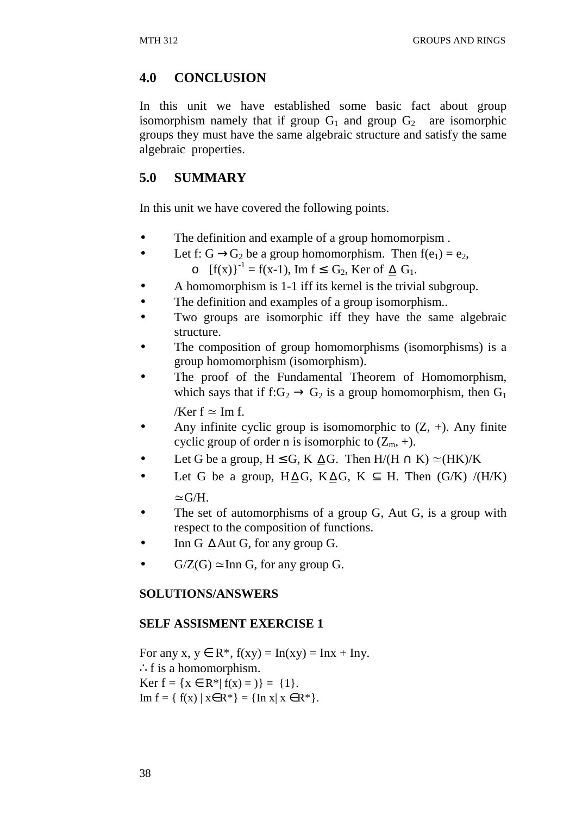# **4.0 CONCLUSION**

In this unit we have established some basic fact about group isomorphism namely that if group  $G_1$  and group  $G_2$  are isomorphic groups they must have the same algebraic structure and satisfy the same algebraic properties.

# **5.0 SUMMARY**

In this unit we have covered the following points.

- The definition and example of a group homomorpism.
- Let f: G  $\rightarrow$  G<sub>2</sub> be a group homomorphism. Then f(e<sub>1</sub>) = e<sub>2</sub>, o  $[f(x)]^{-1} = f(x-1)$ , Im f ≤ G<sub>2</sub>, Ker of  $\Delta$  G<sub>1</sub>.
- A homomorphism is 1-1 iff its kernel is the trivial subgroup.
- The definition and examples of a group isomorphism..
- Two groups are isomorphic iff they have the same algebraic structure.
- The composition of group homomorphisms (isomorphisms) is a group homomorphism (isomorphism).
- The proof of the Fundamental Theorem of Homomorphism, which says that if  $f:G_2 \to G_2$  is a group homomorphism, then  $G_1$ /Ker  $f \approx Im f$ .
- Any infinite cyclic group is isomomorphic to  $(Z, +)$ . Any finite cyclic group of order n is isomorphic to  $(Z_m, +)$ .
- Let G be a group,  $H \leq G$ , K  $\Delta G$ . Then  $H/(H \cap K) \simeq (HK)/K$
- Let G be a group, H $\Delta G$ , K $\Delta G$ , K  $\subseteq$  H. Then (G/K) /(H/K)  $\simeq$ G/H.
- The set of automorphisms of a group G, Aut G, is a group with respect to the composition of functions.
- Inn G  $\triangle$  Aut G, for any group G.
- $G/Z(G) \simeq \text{Inn } G$ , for any group G.

## **SOLUTIONS/ANSWERS**

## **SELF ASSISMENT EXERCISE 1**

For any x,  $y \in R^*$ ,  $f(xy) = \text{In}(xy) = \text{In}x + \text{In}y$ . ∴f is a homomorphism. Ker  $f = \{x \in \mathbb{R}^* | f(x) = 0\} = \{1\}.$ Im  $f = \{ f(x) | x \in R^* \} = \{ \text{In } x | x \in R^* \}.$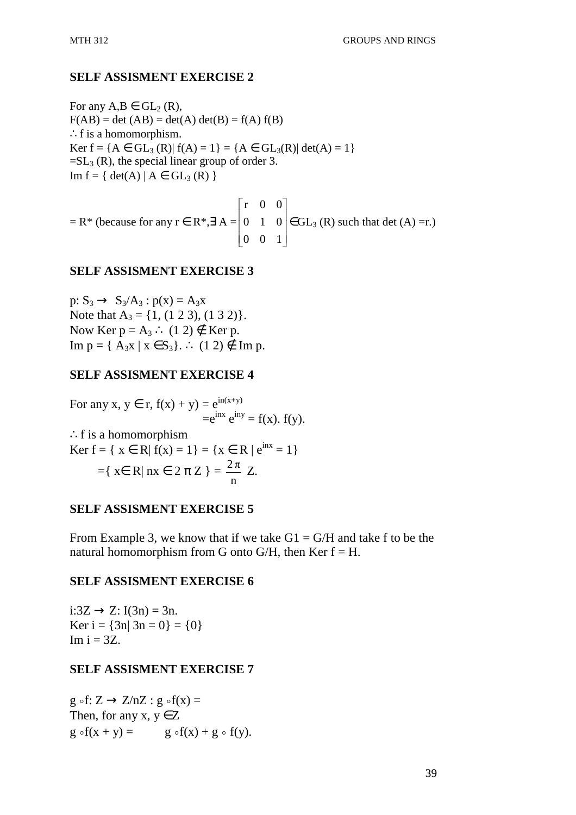For any  $A, B \in GL_2(R)$ ,  $F(AB) = det (AB) = det(A) det(B) = f(A) f(B)$ ∴f is a homomorphism. Ker  $f = \{A \in GL_3(R) | f(A) = 1\} = \{A \in GL_3(R) | \det(A) = 1\}$  $=SL_3(R)$ , the special linear group of order 3.  $Im f = \{ det(A) | A \in GL_3(R) \}$ 

 $=$  R<sup>\*</sup> (because for any  $r \in R^*$ , $\exists A =$  $\overline{\phantom{a}}$  $\overline{\phantom{a}}$  $\overline{\phantom{a}}$  $\rfloor$ 1  $\mathbf{r}$  $\mathbf{r}$ L L Г 0 0 1 0 1 0 r 0 0  $\in$  GL<sub>3</sub> (R) such that det (A) = r.)

### **SELF ASSISMENT EXERCISE 3**

p:  $S_3 \rightarrow S_3/A_3$ :  $p(x) = A_3x$ Note that  $A_3 = \{1, (1 \ 2 \ 3), (1 \ 3 \ 2)\}.$ Now Ker  $p = A_3$  ∴ (1 2)  $\notin$  Ker p. Im  $p = \{ A_3x \mid x \in S_3 \}$ . ∴ (1 2) ∉ Im p.

### **SELF ASSISMENT EXERCISE 4**

For any x,  $y \in r$ ,  $f(x) + y$ ) =  $e^{in(x+y)}$  $=e^{inx} e^{iny} = f(x)$ .  $f(y)$ . ∴f is a homomorphism Ker  $f = \{ x \in R | f(x) = 1 \} = \{ x \in R | e^{inx} = 1 \}$  $=\{ x \in R | n x \in 2 \pi Z \}$  = n  $\frac{2\pi}{\pi}$  Z.

### **SELF ASSISMENT EXERCISE 5**

From Example 3, we know that if we take  $G1 = G/H$  and take f to be the natural homomorphism from G onto G/H, then Ker  $f = H$ .

### **SELF ASSISMENT EXERCISE 6**

 $i:3Z \rightarrow Z$ : I(3n) = 3n. Ker  $i = \{3n | 3n = 0\} = \{0\}$  $Im i = 3Z$ .

### **SELF ASSISMENT EXERCISE 7**

g ∘f:  $Z \rightarrow Z/nZ$ : g ∘f(x) = Then, for any  $x, y \in Z$  $g \circ f(x + y) =$  g $\circ f(x) + g \circ f(y)$ .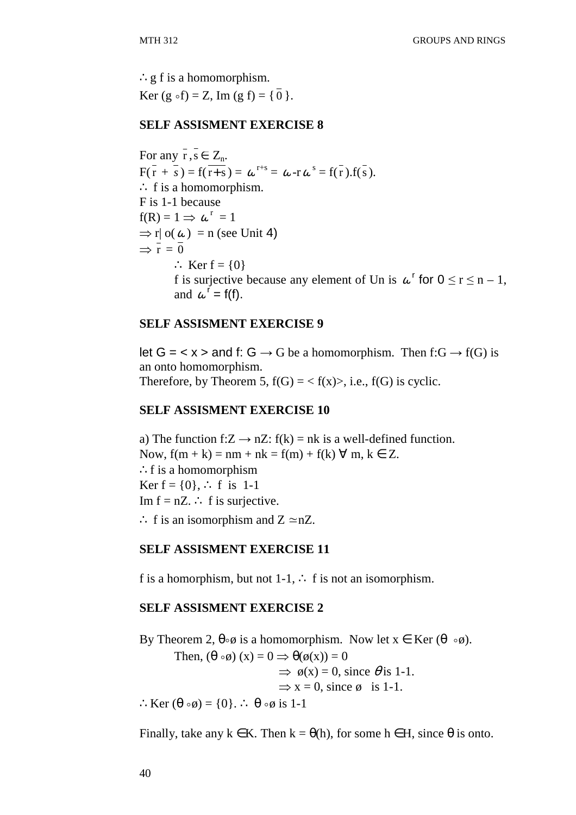∴g f is a homomorphism. Ker (g ∘f) = Z, Im (g f) = { $\frac{0}{0}$  }.

#### **SELF ASSISMENT EXERCISE 8**

For any  $r, s \in Z_n$ .  $F(\overline{r} + \overline{s}) = f(\overline{r+s}) = \omega^{r+s} = \omega - r\omega^s = f(\overline{r}).f(\overline{s}).$ ∴ f is a homomorphism. F is 1-1 because  $f(R) = 1 \implies \omega^r = 1$  $\Rightarrow$  r| o( $\omega$ ) = n (see Unit 4)  $\Rightarrow \bar{r} = \bar{0}$ ∴ Ker  $f = \{0\}$ f is surjective because any element of Un is  $\omega^r$  for  $0 \le r \le n - 1$ , and  $\omega^r = f(f)$ .

### **SELF ASSISMENT EXERCISE 9**

let  $G = \langle x \rangle$  and f:  $G \rightarrow G$  be a homomorphism. Then f:  $G \rightarrow f(G)$  is an onto homomorphism. Therefore, by Theorem 5,  $f(G) = \langle f(x) \rangle$ , i.e.,  $f(G)$  is cyclic.

### **SELF ASSISMENT EXERCISE 10**

a) The function f: $Z \rightarrow nZ$ : f(k) = nk is a well-defined function. Now,  $f(m + k) = nm + nk = f(m) + f(k) \forall m, k \in Z$ . ∴f is a homomorphism Ker  $f = \{0\},$  ∴ f is 1-1 Im  $f = nZ$ . ∴ f is surjective. ∴ f is an isomorphism and  $Z \approx nZ$ .

### **SELF ASSISMENT EXERCISE 11**

f is a homorphism, but not 1-1,  $\therefore$  f is not an isomorphism.

### **SELF ASSISMENT EXERCISE 2**

By Theorem 2,  $\theta \circ \phi$  is a homomorphism. Now let  $x \in \text{Ker}(\theta \circ \phi)$ . Then,  $(\theta \circ \phi)(x) = 0 \implies \theta(\phi(x)) = 0$  $\Rightarrow$   $\phi(x) = 0$ , since  $\theta$  is 1-1.  $\Rightarrow$  x = 0, since  $\phi$  is 1-1. ∴Ker  $(\theta \circ \emptyset) = \{0\}$ . ∴  $\theta \circ \emptyset$  is 1-1

Finally, take any  $k \in K$ . Then  $k = \theta(h)$ , for some  $h \in H$ , since  $\theta$  is onto.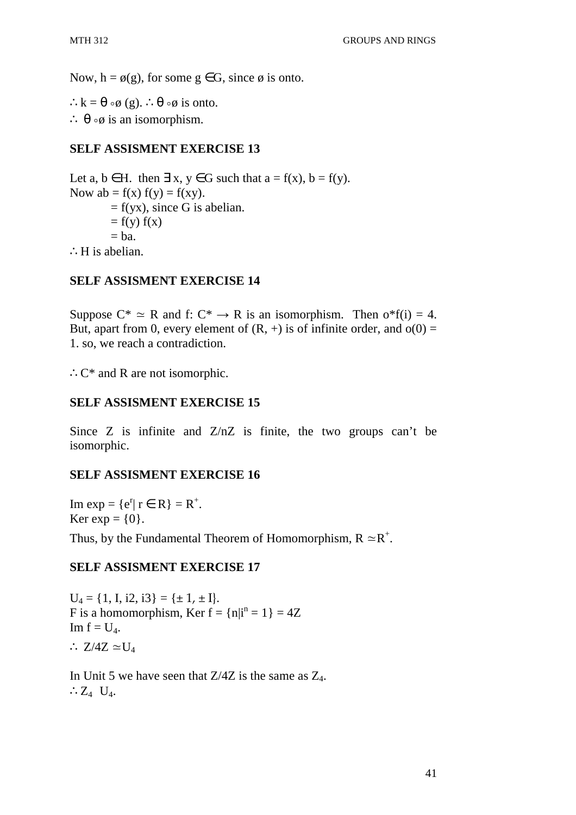Now,  $h = \phi(g)$ , for some  $g \in G$ , since  $\phi$  is onto.

∴k =  $\theta \circ \phi$  (g). ∴  $\theta \circ \phi$  is onto. ∴  $\theta \circ \phi$  is an isomorphism.

## **SELF ASSISMENT EXERCISE 13**

Let a,  $b \in H$ . then  $\exists x, y \in G$  such that  $a = f(x), b = f(y)$ . Now  $ab = f(x) f(y) = f(xy)$ .  $= f(yx)$ , since G is abelian.  $= f(y) f(x)$  $=$  ba. ∴H is abelian.

## **SELF ASSISMENT EXERCISE 14**

Suppose  $C^* \simeq R$  and f:  $C^* \rightarrow R$  is an isomorphism. Then  $o^*f(i) = 4$ . But, apart from 0, every element of  $(R, +)$  is of infinite order, and  $o(0) =$ 1. so, we reach a contradiction.

∴C\* and R are not isomorphic.

## **SELF ASSISMENT EXERCISE 15**

Since Z is infinite and  $Z/nZ$  is finite, the two groups can't be isomorphic.

## **SELF ASSISMENT EXERCISE 16**

Im  $\exp = \{e^r | r \in R\} = R^+$ . Ker exp =  $\{0\}$ . Thus, by the Fundamental Theorem of Homomorphism,  $R \simeq R^+$ .

### **SELF ASSISMENT EXERCISE 17**

 $U_4 = \{1, I, i2, i3\} = \{\pm 1, \pm I\}.$ F is a homomorphism, Ker  $f = \{n | i^n = 1\} = 4Z$ Im  $f = U_4$ . ∴ Z/4Z  $\simeq$ U<sub>4</sub>

In Unit 5 we have seen that  $Z/4Z$  is the same as  $Z_4$ . ∴ $Z_4$   $U_4$ .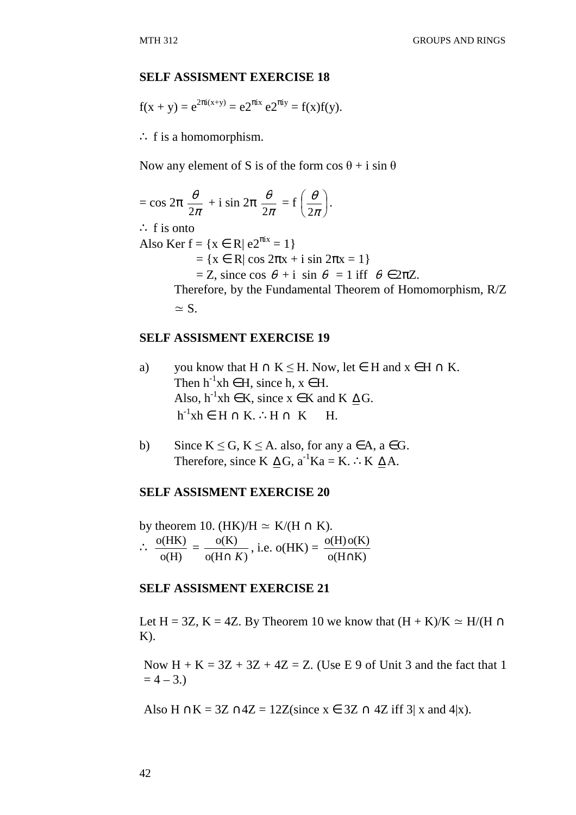$$
f(x + y) = e^{2\pi i(x+y)} = e^{2\pi ix} e^{2\pi iy} = f(x)f(y).
$$

∴ f is a homomorphism.

Now any element of S is of the form  $\cos \theta + i \sin \theta$ 

$$
= \cos 2\pi \frac{\theta}{2\pi} + i \sin 2\pi \frac{\theta}{2\pi} = f\left(\frac{\theta}{2\pi}\right).
$$
  
\n
$$
\therefore f \text{ is onto}
$$
  
\nAlso Ker  $f = \{x \in R | e2^{\pi ix} = 1\}$   
\n
$$
= \{x \in R | \cos 2\pi x + i \sin 2\pi x = 1\}
$$
  
\n
$$
= Z, \text{ since } \cos \theta + i \sin \theta = 1 \text{ iff } \theta \in 2\pi Z.
$$
  
\nTherefore, by the Fundamental Theorem of Homomorphism, R/Z  
\n
$$
\approx S.
$$

### **SELF ASSISMENT EXERCISE 19**

- a) you know that  $H \cap K \leq H$ . Now, let  $\in$  H and  $x \in H \cap K$ . Then  $h^{-1}xh \in H$ , since  $h, x \in H$ . Also,  $h^{-1}xh \in K$ , since  $x \in K$  and  $K \Delta G$ .  $h^{-1}xh \in H \cap K$ . ∴ $H \cap K$  H.
- b) Since  $K \le G$ ,  $K \le A$ . also, for any  $a \in A$ ,  $a \in G$ . Therefore, since K  $\Delta G$ ,  $a^{-1}Ka = K$ . ∴K  $\Delta A$ .

### **SELF ASSISMENT EXERCISE 20**

by theorem 10. (HK)/H  $\simeq$  K/(H  $\cap$  K). ∴ o(H)  $\frac{o(HK)}{gF} =$  $o(H \cap K)$ o(K) ∩ *K* , i.e.  $o(HK) =$  $o(H \cap K)$  $o(H) o(K)$ ∩

### **SELF ASSISMENT EXERCISE 21**

Let H = 3Z, K = 4Z. By Theorem 10 we know that  $(H + K)/K \simeq H/(H \cap$  $K$ ).

Now  $H + K = 3Z + 3Z + 4Z = Z$ . (Use E 9 of Unit 3 and the fact that 1  $= 4 - 3.$ 

Also H ∩K = 3Z ∩4Z = 12Z(since  $x \in 3Z \cap 4Z$  iff 3| x and 4|x).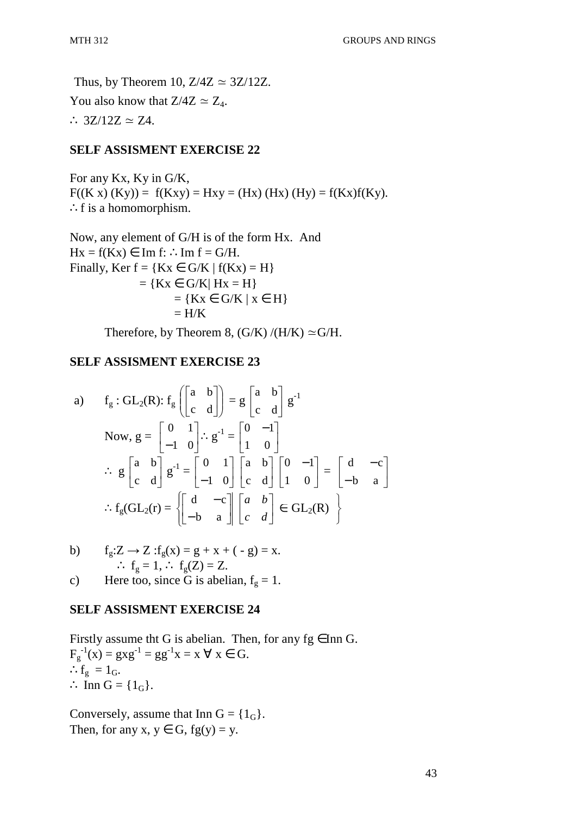Thus, by Theorem 10,  $Z/4Z \approx 3Z/12Z$ . You also know that  $Z/4Z \simeq Z_4$ . ∴  $3Z/12Z \simeq Z4$ .

## **SELF ASSISMENT EXERCISE 22**

For any Kx, Ky in G/K,  $F((K x) (Ky)) = f(Kxy) = Hxy = (Hx) (Hx) (Hy) = f(Kx)f(Ky).$ ∴f is a homomorphism.

Now, any element of G/H is of the form Hx. And  $Hx = f(Kx) \in \text{Im } f: \therefore \text{Im } f = G/H.$ Finally, Ker  $f = \{Kx \in G/K \mid f(Kx) = H\}$  $=$  {Kx  $\in$  G/K| Hx  $=$  H}  $= \{Kx \in G/K \mid x \in H\}$  $=$  H/K

Therefore, by Theorem 8,  $(G/K)/(H/K) \simeq G/H$ .

## **SELF ASSISMENT EXERCISE 23**

a) 
$$
f_g: GL_2(R): f_g \begin{bmatrix} a & b \ c & d \end{bmatrix} = g \begin{bmatrix} a & b \ c & d \end{bmatrix} g^{-1}
$$
  
\nNow,  $g = \begin{bmatrix} 0 & 1 \ -1 & 0 \end{bmatrix} : g^{-1} = \begin{bmatrix} 0 & -1 \ 1 & 0 \end{bmatrix}$   
\n $\therefore g \begin{bmatrix} a & b \ c & d \end{bmatrix} g^{-1} = \begin{bmatrix} 0 & 1 \ -1 & 0 \end{bmatrix} \begin{bmatrix} a & b \ c & d \end{bmatrix} \begin{bmatrix} 0 & -1 \ 1 & 0 \end{bmatrix} = \begin{bmatrix} d & -c \ -b & a \end{bmatrix}$   
\n $\therefore f_g(GL_2(r) = \left\{ \begin{bmatrix} d & -c \ -b & a \end{bmatrix} \begin{bmatrix} a & b \ c & d \end{bmatrix} \in GL_2(R) \right\}$ 

b) 
$$
f_g: Z \to Z : f_g(x) = g + x + (-g) = x.
$$
  
  $\therefore f_g = 1, \therefore f_g(Z) = Z.$ 

c) Here too, since G is abelian,  $f_g = 1$ .

## **SELF ASSISMENT EXERCISE 24**

Firstly assume tht G is abelian. Then, for any fg  $\in$  Inn G.  $F_g^{-1}(x) = g x g^{-1} = g g^{-1} x = x \ \forall \ x \in G.$ ∴ $f_g = 1_G$ .  $\therefore$  Inn G = {1<sub>G</sub>}.

Conversely, assume that Inn  $G = \{1_G\}.$ Then, for any  $x, y \in G$ ,  $fg(y) = y$ .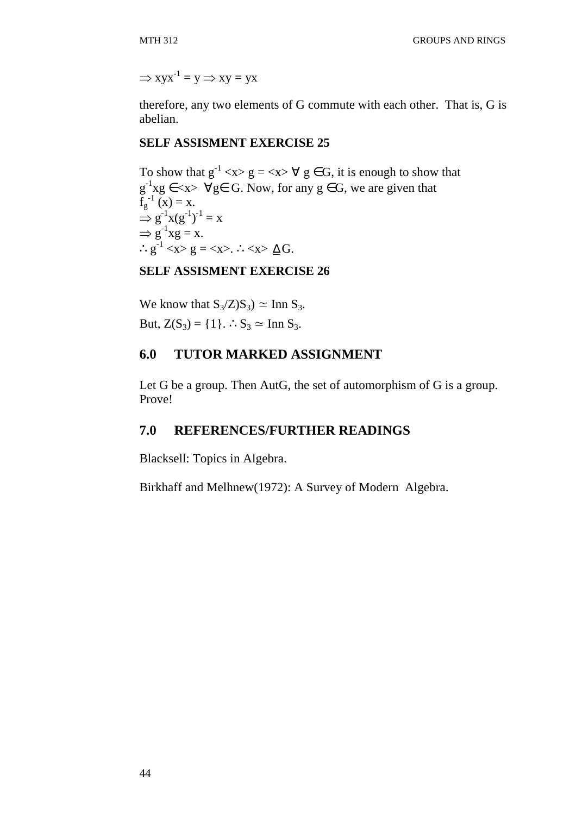$\Rightarrow$  xyx<sup>-1</sup> = y  $\Rightarrow$  xy = yx

therefore, any two elements of G commute with each other. That is, G is abelian.

### **SELF ASSISMENT EXERCISE 25**

To show that  $g^{-1}$  <x>  $g = \langle x \rangle \forall g \in G$ , it is enough to show that  $g^{-1}xg \in \langle x \rangle$   $\forall g \in G$ . Now, for any  $g \in G$ , we are given that  $f_g^{-1}(x) = x.$  $\Rightarrow$  g<sup>-1</sup>x(g<sup>-1</sup>)<sup>-1</sup> = x  $\Rightarrow$   $g^{-1}xg = x$ . ∴g<sup>-1</sup> <x> g = <x>. ∴<x>  $\Delta G$ .

## **SELF ASSISMENT EXERCISE 26**

We know that  $S_3/Z/S_3$ )  $\simeq$  Inn  $S_3$ . But,  $Z(S_3) = \{1\}$ . ∴S<sub>3</sub> ≃ Inn S<sub>3</sub>.

# **6.0 TUTOR MARKED ASSIGNMENT**

Let G be a group. Then AutG, the set of automorphism of G is a group. Prove!

# **7.0 REFERENCES/FURTHER READINGS**

Blacksell: Topics in Algebra.

Birkhaff and Melhnew(1972): A Survey of Modern Algebra.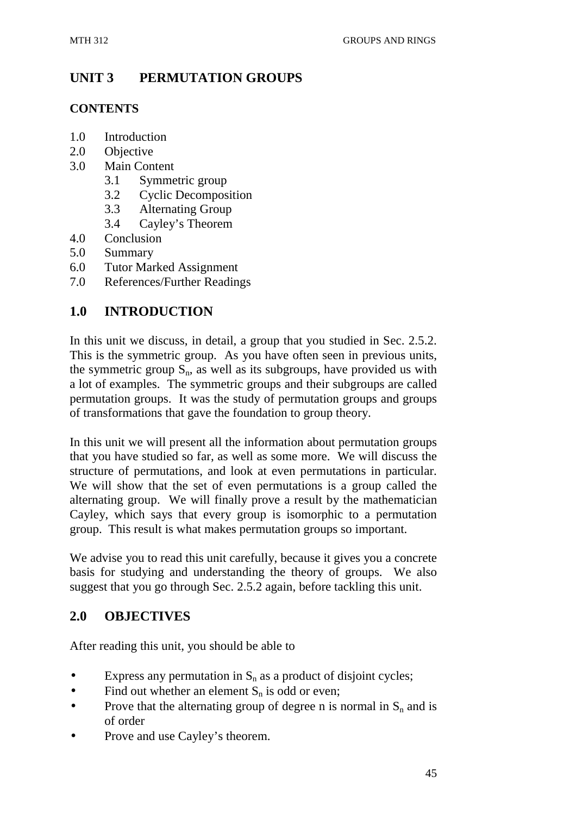# **UNIT 3 PERMUTATION GROUPS**

# **CONTENTS**

- 1.0 Introduction
- 2.0 Objective
- 3.0 Main Content
	- 3.1 Symmetric group
	- 3.2 Cyclic Decomposition
	- 3.3 Alternating Group
	- 3.4 Cayley's Theorem
- 4.0 Conclusion
- 5.0 Summary
- 6.0 Tutor Marked Assignment
- 7.0 References/Further Readings

# **1.0 INTRODUCTION**

In this unit we discuss, in detail, a group that you studied in Sec. 2.5.2. This is the symmetric group. As you have often seen in previous units, the symmetric group  $S_n$ , as well as its subgroups, have provided us with a lot of examples. The symmetric groups and their subgroups are called permutation groups. It was the study of permutation groups and groups of transformations that gave the foundation to group theory.

In this unit we will present all the information about permutation groups that you have studied so far, as well as some more. We will discuss the structure of permutations, and look at even permutations in particular. We will show that the set of even permutations is a group called the alternating group. We will finally prove a result by the mathematician Cayley, which says that every group is isomorphic to a permutation group. This result is what makes permutation groups so important.

We advise you to read this unit carefully, because it gives you a concrete basis for studying and understanding the theory of groups. We also suggest that you go through Sec. 2.5.2 again, before tackling this unit.

# **2.0 OBJECTIVES**

After reading this unit, you should be able to

- Express any permutation in  $S_n$  as a product of disjoint cycles;
- Find out whether an element  $S_n$  is odd or even;
- Prove that the alternating group of degree n is normal in  $S_n$  and is of order
- Prove and use Cayley's theorem.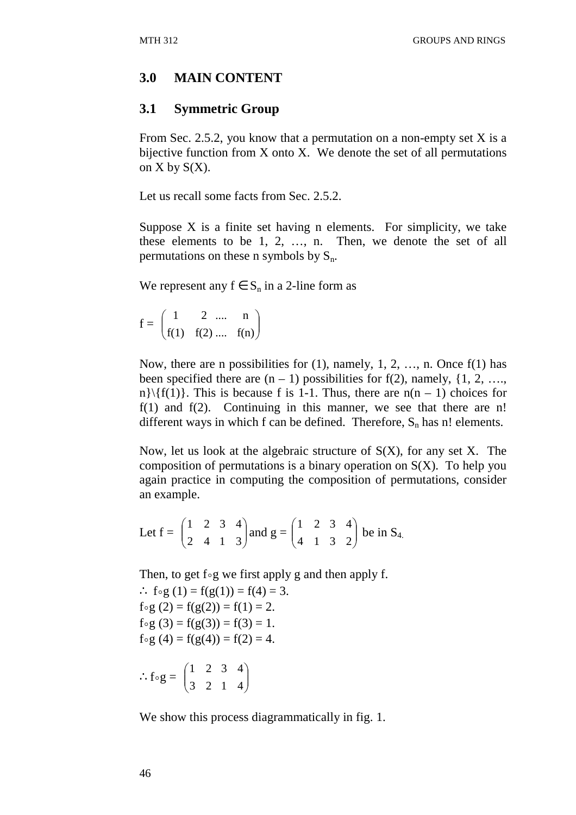## **3.0 MAIN CONTENT**

## **3.1 Symmetric Group**

From Sec. 2.5.2, you know that a permutation on a non-empty set X is a bijective function from  $X$  onto  $X$ . We denote the set of all permutations on  $X$  by  $S(X)$ .

Let us recall some facts from Sec. 2.5.2.

Suppose X is a finite set having n elements. For simplicity, we take these elements to be 1, 2, …, n. Then, we denote the set of all permutations on these n symbols by  $S_n$ .

We represent any  $f \in S_n$  in a 2-line form as

 $f = |$ l ſ  $f(1) f(2)$ 1 2  $\overline{\phantom{a}}$ J  $\backslash$ .... f(n) .... n

Now, there are n possibilities for  $(1)$ , namely,  $1, 2, \ldots$ , n. Once  $f(1)$  has been specified there are  $(n - 1)$  possibilities for f(2), namely, {1, 2, …, n}\{f(1)}. This is because f is 1-1. Thus, there are  $n(n - 1)$  choices for f(1) and f(2). Continuing in this manner, we see that there are n! different ways in which f can be defined. Therefore,  $S_n$  has n! elements.

Now, let us look at the algebraic structure of  $S(X)$ , for any set X. The composition of permutations is a binary operation on  $S(X)$ . To help you again practice in computing the composition of permutations, consider an example.

Let 
$$
f = \begin{pmatrix} 1 & 2 & 3 & 4 \\ 2 & 4 & 1 & 3 \end{pmatrix}
$$
 and  $g = \begin{pmatrix} 1 & 2 & 3 & 4 \\ 4 & 1 & 3 & 2 \end{pmatrix}$  be in S<sub>4</sub>.

Then, to get f∘g we first apply g and then apply f.

∴  $f \circ g(1) = f(g(1)) = f(4) = 3$ . f∘g (2) = f(g(2)) = f(1) = 2. f∘g (3) = f(g(3)) = f(3) = 1. f∘g (4) = f(g(4)) = f(2) = 4.

$$
\therefore f \circ g = \begin{pmatrix} 1 & 2 & 3 & 4 \\ 3 & 2 & 1 & 4 \end{pmatrix}
$$

We show this process diagrammatically in fig. 1.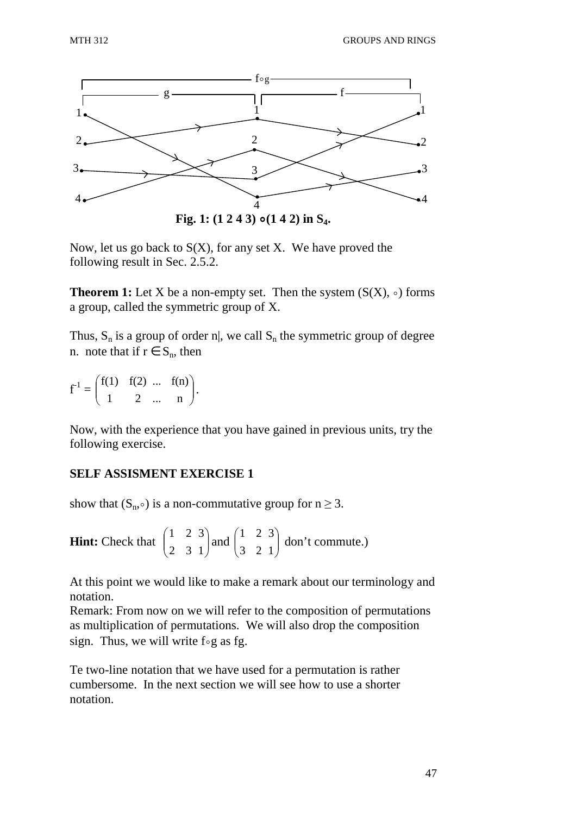

Now, let us go back to  $S(X)$ , for any set X. We have proved the following result in Sec. 2.5.2.

**Theorem 1:** Let X be a non-empty set. Then the system  $(S(X), \circ)$  forms a group, called the symmetric group of X.

Thus,  $S_n$  is a group of order n|, we call  $S_n$  the symmetric group of degree n. note that if  $r \in S_n$ , then

 $f^{-1} =$  $\setminus$ ſ 1 2  $f(1) f(2)$  $\overline{\phantom{a}}$ J  $\backslash$ ... n ... f(n) .

Now, with the experience that you have gained in previous units, try the following exercise.

## **SELF ASSISMENT EXERCISE 1**

show that  $(S_n, \circ)$  is a non-commutative group for  $n \geq 3$ .

**Hint:** Check that | l ſ 2 3 1 2  $\overline{\phantom{a}}$ J  $\backslash$ 1 3 and  $\vert$ l ſ 3 2 1 2  $\overline{\phantom{a}}$ J  $\backslash$ 1 3 don't commute.)

At this point we would like to make a remark about our terminology and notation.

Remark: From now on we will refer to the composition of permutations as multiplication of permutations. We will also drop the composition sign. Thus, we will write f∘g as fg.

Te two-line notation that we have used for a permutation is rather cumbersome. In the next section we will see how to use a shorter notation.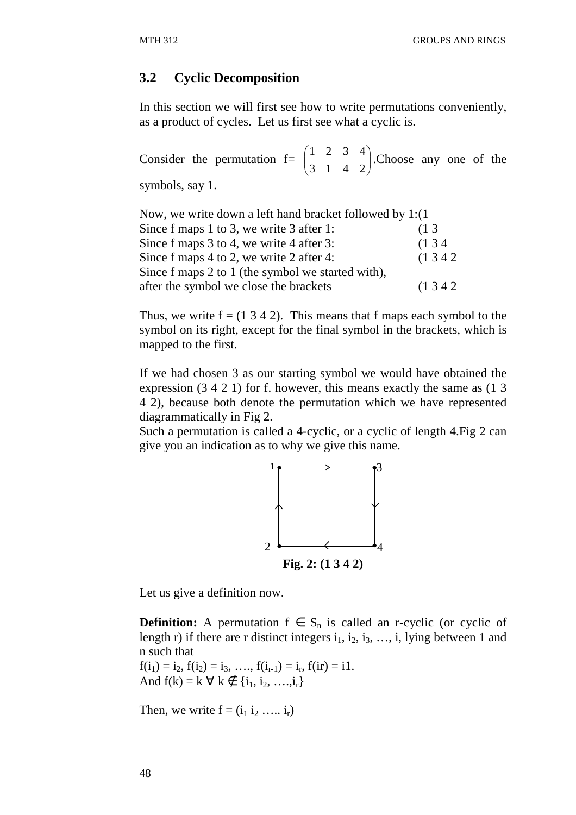### **3.2 Cyclic Decomposition**

In this section we will first see how to write permutations conveniently, as a product of cycles. Let us first see what a cyclic is.

Consider the permutation  $f = \left| \right|$ l ſ 3 1 1 2  $\overline{\phantom{a}}$ J  $\backslash$ 4 2 3 4 .Choose any one of the symbols, say 1.

| Now, we write down a left hand bracket followed by $1:(1)$ |        |
|------------------------------------------------------------|--------|
| Since f maps 1 to 3, we write 3 after 1:                   | (13)   |
| Since f maps 3 to 4, we write 4 after 3:                   | (134)  |
| Since f maps 4 to 2, we write 2 after 4:                   | (1342) |
| Since f maps 2 to 1 (the symbol we started with),          |        |
| after the symbol we close the brackets                     | (1342) |

Thus, we write  $f = (1 \ 3 \ 4 \ 2)$ . This means that f maps each symbol to the symbol on its right, except for the final symbol in the brackets, which is mapped to the first.

If we had chosen 3 as our starting symbol we would have obtained the expression (3 4 2 1) for f. however, this means exactly the same as (1 3 4 2), because both denote the permutation which we have represented diagrammatically in Fig 2.

Such a permutation is called a 4-cyclic, or a cyclic of length 4.Fig 2 can give you an indication as to why we give this name.



Let us give a definition now.

**Definition:** A permutation  $f \in S_n$  is called an r-cyclic (or cyclic of length r) if there are r distinct integers  $i_1$ ,  $i_2$ ,  $i_3$ , ..., i, lying between 1 and n such that

 $f(i_1) = i_2, f(i_2) = i_3, \ldots, f(i_{r-1}) = i_r, f(ir) = i1.$ And  $f(k) = k \; \forall \; k \notin \{i_1, i_2, \ldots, i_r\}$ 

Then, we write  $f = (i_1 i_2 \ldots i_r)$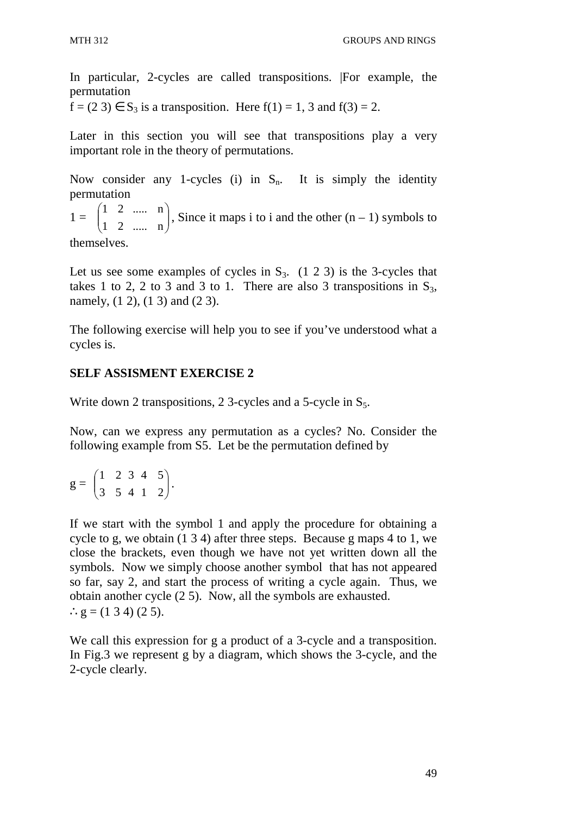In particular, 2-cycles are called transpositions. |For example, the permutation

 $f = (2 \ 3) \in S_3$  is a transposition. Here  $f(1) = 1$ , 3 and  $f(3) = 2$ .

Later in this section you will see that transpositions play a very important role in the theory of permutations.

Now consider any 1-cycles (i) in  $S_n$ . It is simply the identity permutation

 $1 =$ l ſ 1 2 1 2 J  $\backslash$ ..... n ..... n , Since it maps i to i and the other  $(n - 1)$  symbols to

themselves.

Let us see some examples of cycles in  $S_3$ . (1 2 3) is the 3-cycles that takes 1 to 2, 2 to 3 and 3 to 1. There are also 3 transpositions in  $S_3$ , namely, (1 2), (1 3) and (2 3).

The following exercise will help you to see if you've understood what a cycles is.

# **SELF ASSISMENT EXERCISE 2**

Write down 2 transpositions, 2 3-cycles and a 5-cycle in  $S_5$ .

Now, can we express any permutation as a cycles? No. Consider the following example from S5. Let be the permutation defined by

$$
g = \begin{pmatrix} 1 & 2 & 3 & 4 & 5 \\ 3 & 5 & 4 & 1 & 2 \end{pmatrix}.
$$

If we start with the symbol 1 and apply the procedure for obtaining a cycle to g, we obtain (1 3 4) after three steps. Because g maps 4 to 1, we close the brackets, even though we have not yet written down all the symbols. Now we simply choose another symbol that has not appeared so far, say 2, and start the process of writing a cycle again. Thus, we obtain another cycle (2 5). Now, all the symbols are exhausted. ∴g =  $(1 3 4) (2 5)$ .

We call this expression for g a product of a 3-cycle and a transposition. In Fig.3 we represent g by a diagram, which shows the 3-cycle, and the 2-cycle clearly.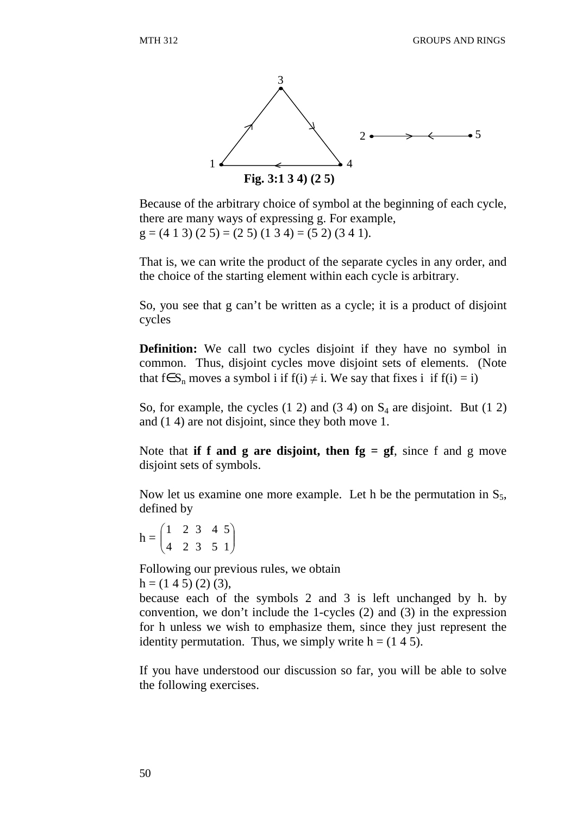

Because of the arbitrary choice of symbol at the beginning of each cycle, there are many ways of expressing g. For example,  $g = (4 1 3) (2 5) = (2 5) (1 3 4) = (5 2) (3 4 1).$ 

That is, we can write the product of the separate cycles in any order, and the choice of the starting element within each cycle is arbitrary.

So, you see that g can't be written as a cycle; it is a product of disjoint cycles

**Definition:** We call two cycles disjoint if they have no symbol in common. Thus, disjoint cycles move disjoint sets of elements. (Note that f∈S<sub>n</sub> moves a symbol i if f(i)  $\neq$  i. We say that fixes i if f(i) = i)

So, for example, the cycles  $(1\ 2)$  and  $(3\ 4)$  on  $S_4$  are disjoint. But  $(1\ 2)$ and (1 4) are not disjoint, since they both move 1.

Note that **if f and g are disjoint, then**  $fg = gf$ , since f and g move disjoint sets of symbols.

Now let us examine one more example. Let h be the permutation in  $S_5$ , defined by

 $h = |$ J ſ 4 2 1 2 3 5 3 4  $\overline{\phantom{a}}$ J  $\backslash$ 1 5

Following our previous rules, we obtain  $h = (1 4 5) (2) (3),$ 

because each of the symbols 2 and 3 is left unchanged by h. by convention, we don't include the 1-cycles (2) and (3) in the expression for h unless we wish to emphasize them, since they just represent the identity permutation. Thus, we simply write  $h = (1 4 5)$ .

If you have understood our discussion so far, you will be able to solve the following exercises.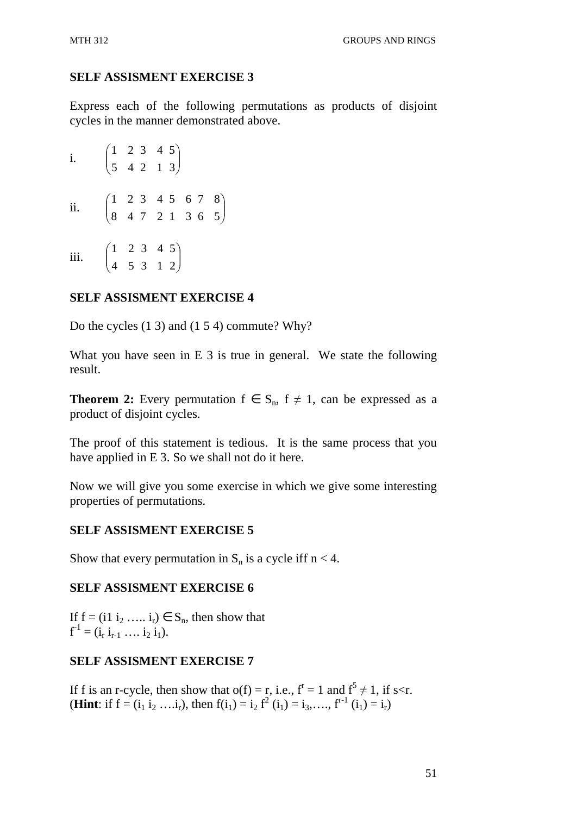Express each of the following permutations as products of disjoint cycles in the manner demonstrated above.

i. l ſ 5 4 1 2 2 1 3 4  $\overline{\phantom{a}}$ J  $\backslash$ 3 5 ii. l ſ 8 4 1 2 7 2 3 4 1 3 5 6  $\overline{\phantom{a}}$ J  $\backslash$ 6 5 7 8 iii. l ſ 4 5 1 2 3 1 3 4  $\overline{\phantom{a}}$ J  $\backslash$ 2 5

# **SELF ASSISMENT EXERCISE 4**

Do the cycles (1 3) and (1 5 4) commute? Why?

What you have seen in E 3 is true in general. We state the following result.

**Theorem 2:** Every permutation  $f \in S_n$ ,  $f \neq 1$ , can be expressed as a product of disjoint cycles.

The proof of this statement is tedious. It is the same process that you have applied in E 3. So we shall not do it here.

Now we will give you some exercise in which we give some interesting properties of permutations.

# **SELF ASSISMENT EXERCISE 5**

Show that every permutation in  $S_n$  is a cycle iff  $n < 4$ .

## **SELF ASSISMENT EXERCISE 6**

If  $f = (i1 i_2 \ldots i_r) \in S_n$ , then show that  $f^{-1} = (i_r i_{r-1} \ldots i_2 i_1).$ 

# **SELF ASSISMENT EXERCISE 7**

If f is an r-cycle, then show that  $o(f) = r$ , i.e.,  $f^r = 1$  and  $f^5 \neq 1$ , if s<r. **(Hint**: if  $f = (i_1 i_2 ... i_r)$ , then  $f(i_1) = i_2 f^2(i_1) = i_3,..., f^{r-1}(i_1) = i_r$ )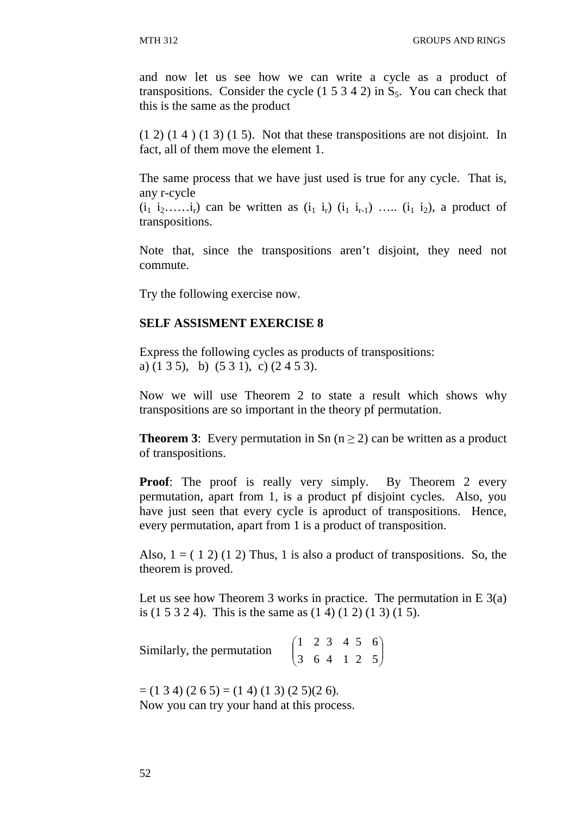and now let us see how we can write a cycle as a product of transpositions. Consider the cycle  $(1 5 3 4 2)$  in  $S_5$ . You can check that this is the same as the product

 $(1\ 2)$   $(1\ 4)$   $(1\ 3)$   $(1\ 5)$ . Not that these transpositions are not disjoint. In fact, all of them move the element 1.

The same process that we have just used is true for any cycle. That is, any r-cycle

 $(i_1 i_2, \ldots, i_r)$  can be written as  $(i_1 i_r)$   $(i_1 i_{r-1})$  …..  $(i_1 i_2)$ , a product of transpositions.

Note that, since the transpositions aren't disjoint, they need not commute.

Try the following exercise now.

## **SELF ASSISMENT EXERCISE 8**

Express the following cycles as products of transpositions: a) (1 3 5), b) (5 3 1), c) (2 4 5 3).

Now we will use Theorem 2 to state a result which shows why transpositions are so important in the theory pf permutation.

**Theorem 3:** Every permutation in Sn ( $n \ge 2$ ) can be written as a product of transpositions.

**Proof:** The proof is really very simply. By Theorem 2 every permutation, apart from 1, is a product pf disjoint cycles. Also, you have just seen that every cycle is aproduct of transpositions. Hence, every permutation, apart from 1 is a product of transposition.

Also,  $1 = (1 2) (1 2)$  Thus, 1 is also a product of transpositions. So, the theorem is proved.

Let us see how Theorem 3 works in practice. The permutation in  $E(3(a))$ is (1 5 3 2 4). This is the same as (1 4) (1 2) (1 3) (1 5).

Similarly, the permutation  $\overline{\phantom{a}}$  $\setminus$ ſ 3 6 1 2 4 1 3 4  $\overline{\phantom{a}}$ J  $\backslash$ 2 5 5 6

 $=$  (1 3 4) (2 6 5)  $=$  (1 4) (1 3) (2 5)(2 6). Now you can try your hand at this process.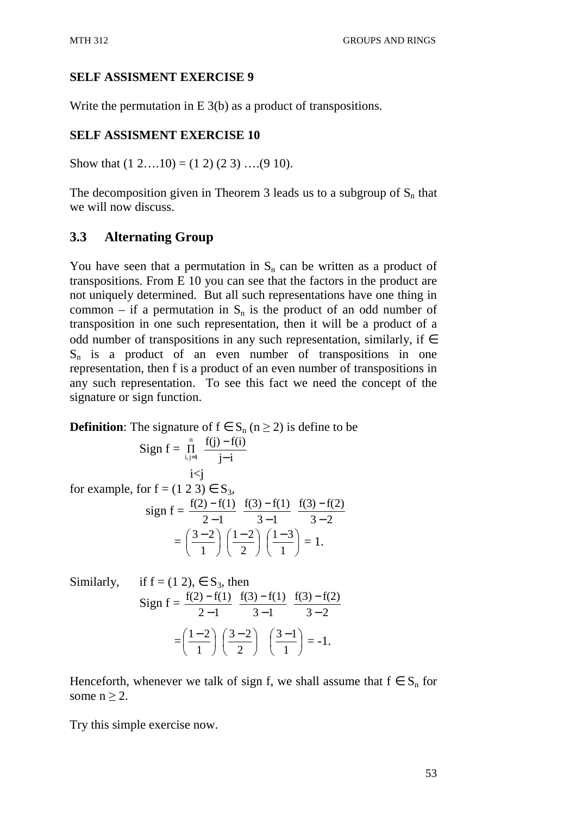Write the permutation in E 3(b) as a product of transpositions.

# **SELF ASSISMENT EXERCISE 10**

Show that  $(1 2...10) = (1 2) (2 3) ... (9 10)$ .

The decomposition given in Theorem 3 leads us to a subgroup of  $S_n$  that we will now discuss.

# **3.3 Alternating Group**

You have seen that a permutation in  $S_n$  can be written as a product of transpositions. From E 10 you can see that the factors in the product are not uniquely determined. But all such representations have one thing in common – if a permutation in  $S_n$  is the product of an odd number of transposition in one such representation, then it will be a product of a odd number of transpositions in any such representation, similarly, if  $\in$  $S_n$  is a product of an even number of transpositions in one representation, then f is a product of an even number of transpositions in any such representation. To see this fact we need the concept of the signature or sign function.

**Definition**: The signature of  $f \in S_n$  ( $n \ge 2$ ) is define to be

$$
\text{Sign } f = \prod_{i,j=1}^{n} \frac{f(j) - f(i)}{j - i}
$$
\n
$$
\text{i} < j
$$

for example, for  $f = (1\ 2\ 3) \in S_3$ ,  $sign f =$  $2 - 1$  $f(2) - f(1)$ − −  $3 - 1$  $f(3) - f(1)$ − −  $3 - 2$  $f(3) - f(2)$ − −  $=\left(\frac{3-2}{4}\right)$ J  $\left(\frac{3-2}{2}\right)$ J  $(3-$ 1  $\left(\frac{3-2}{2}\right)\left(\frac{1-2}{2}\right)$ J  $\left(\frac{1-2}{2}\right)$  $\setminus$  $(1-$ 2  $\left(\frac{1-2}{2}\right)\left(\frac{1-3}{2}\right)$ J  $\left(\frac{1-3}{2}\right)$  $\setminus$  $(1-$ 1  $\left(\frac{1-3}{1}\right) = 1.$ 

Similarly, if f = (1 2), 
$$
\in
$$
 S<sub>3</sub>, then  
\nSign f = 
$$
\frac{f(2) - f(1)}{2 - 1} \frac{f(3) - f(1)}{3 - 1} \frac{f(3) - f(2)}{3 - 2}
$$

$$
= \left(\frac{1 - 2}{1}\right) \left(\frac{3 - 2}{2}\right) \left(\frac{3 - 1}{1}\right) = -1.
$$

Henceforth, whenever we talk of sign f, we shall assume that  $f \in S_n$  for some  $n > 2$ .

Try this simple exercise now.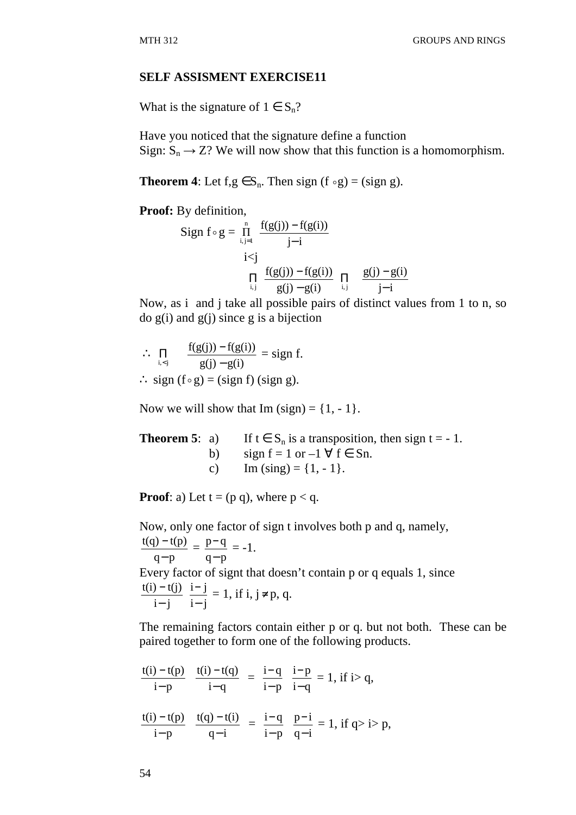What is the signature of  $1 \in S_n$ ?

Have you noticed that the signature define a function Sign:  $S_n \rightarrow Z$ ? We will now show that this function is a homomorphism.

**Theorem 4**: Let  $f, g \in S_n$ . Then sign  $(f \circ g) = (sign g)$ .

**Proof:** By definition,

Sign 
$$
f \circ g = \prod_{i,j=1}^{n} \frac{f(g(j)) - f(g(i))}{j-i}
$$
  
\n $i < j$   
\n $\prod_{i,j} \frac{f(g(j)) - f(g(i))}{g(j) - g(i)} \prod_{i,j} \frac{g(j) - g(i)}{j-i}$ 

Now, as i and j take all possible pairs of distinct values from 1 to n, so  $\log(i)$  and  $g(i)$  since g is a bijection

$$
\therefore \prod_{i < j} \qquad \frac{f(g(j)) - f(g(i))}{g(j) - g(i)} = \text{sign } f.
$$

∴ sign  $(f \circ g) = (sign f) (sign g)$ .

Now we will show that Im  $(sign) = \{1, -1\}.$ 

| <b>Theorem 5:</b> a) |                | If $t \in S_n$ is a transposition, then sign $t = -1$ . |
|----------------------|----------------|---------------------------------------------------------|
|                      |                | b) sign $f = 1$ or $-1 \forall f \in Sn$ .              |
|                      | $\mathbf{C}$ ) | Im $(sing) = \{1, -1\}.$                                |

**Proof**: a) Let  $t = (p q)$ , where  $p < q$ .

Now, only one factor of sign t involves both p and q, namely,

 $q-p$  $t(q) - t(p)$ −  $\frac{-t(p)}{=}$  =  $q-p$  $p - q$ −  $\frac{-q}{-q}$  = -1. Every factor of signt that doesn't contain p or q equals 1, since  $i - j$  $t(i) - t(j)$ − −  $i - j$  $i - j$ −  $\frac{-j}{i} = 1$ , if i, j≠p, q.

The remaining factors contain either p or q. but not both. These can be paired together to form one of the following products.

$$
\frac{t(i) - t(p)}{i - p} \quad \frac{t(i) - t(q)}{i - q} = \frac{i - q}{i - p} \quad \frac{i - p}{i - q} = 1, \text{ if } i > q,
$$
\n
$$
\frac{t(i) - t(p)}{i - p} \quad \frac{t(q) - t(i)}{q - i} = \frac{i - q}{i - p} \quad \frac{p - i}{q - i} = 1, \text{ if } q > i > p,
$$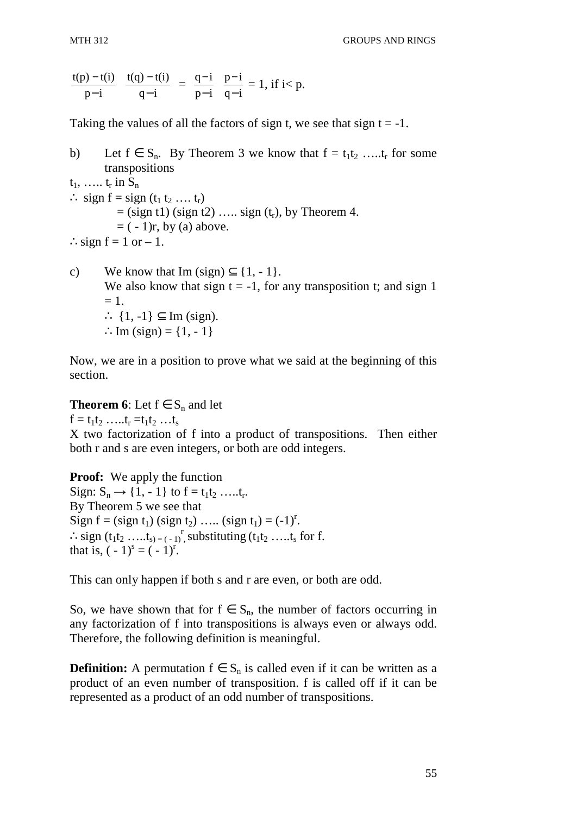$$
\frac{t(p)-t(i)}{p-i} \quad \frac{t(q)-t(i)}{q-i} \ = \ \frac{q-i}{p-i} \quad \frac{p-i}{q-i} = 1, \, \text{if $i < p$}.
$$

Taking the values of all the factors of sign t, we see that sign  $t = -1$ .

b) Let  $f \in S_n$ . By Theorem 3 we know that  $f = t_1 t_2 \dots t_r$  for some transpositions  $t_1, \ldots, t_r$  in  $S_n$  $\therefore$  sign f = sign (t<sub>1</sub> t<sub>2</sub> …. t<sub>r</sub>)  $=$  (sign t1) (sign t2) ….. sign  $(t_r)$ , by Theorem 4.  $= (-1)r$ , by (a) above.  $\therefore$  sign f = 1 or – 1.

c) We know that Im  $(sign) \subseteq \{1, -1\}.$ We also know that sign  $t = -1$ , for any transposition t; and sign 1  $= 1.$ ∴  $\{1, -1\} \subset \text{Im}$  (sign). ∴Im  $(sign) = \{1, -1\}$ 

Now, we are in a position to prove what we said at the beginning of this section.

**Theorem 6**: Let  $f \in S_n$  and let

 $f = t_1 t_2 \dots t_r = t_1 t_2 \dots t_s$ X two factorization of f into a product of transpositions. Then either both r and s are even integers, or both are odd integers.

**Proof:** We apply the function Sign:  $S_n \to \{1, -1\}$  to  $f = t_1 t_2 \dots t_r$ . By Theorem 5 we see that Sign  $f = (sign t_1) (sign t_2) .... (sign t_1) = (-1)^r$ .  $\therefore$  sign  $(t_1t_2 \dots t_{s}) = (-1)^r$ , substituting  $(t_1t_2 \dots t_s)$  for f. that is,  $(-1)^s = (-1)^r$ .

This can only happen if both s and r are even, or both are odd.

So, we have shown that for  $f \in S_n$ , the number of factors occurring in any factorization of f into transpositions is always even or always odd. Therefore, the following definition is meaningful.

**Definition:** A permutation  $f \in S_n$  is called even if it can be written as a product of an even number of transposition. f is called off if it can be represented as a product of an odd number of transpositions.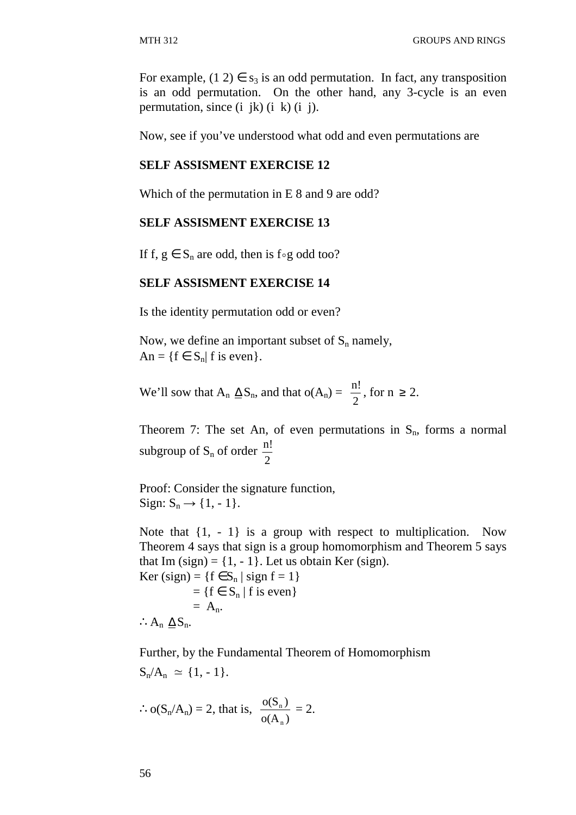For example,  $(1\ 2) \in s_3$  is an odd permutation. In fact, any transposition is an odd permutation. On the other hand, any 3-cycle is an even permutation, since  $(i jk)$   $(i k)$   $(i j)$ .

Now, see if you've understood what odd and even permutations are

## **SELF ASSISMENT EXERCISE 12**

Which of the permutation in E 8 and 9 are odd?

### **SELF ASSISMENT EXERCISE 13**

If f,  $g \in S_n$  are odd, then is f∘g odd too?

## **SELF ASSISMENT EXERCISE 14**

Is the identity permutation odd or even?

Now, we define an important subset of  $S_n$  namely,  $An = \{f \in S_n | f \text{ is even}\}.$ 

We'll sow that  $A_n \Delta S_n$ , and that  $o(A_n) =$ 2  $\frac{n!}{2}$ , for  $n \ge 2$ .

Theorem 7: The set An, of even permutations in  $S_n$ , forms a normal subgroup of  $S_n$  of order 2 n!

Proof: Consider the signature function, Sign:  $S_n \rightarrow \{1, -1\}.$ 

Note that  $\{1, -1\}$  is a group with respect to multiplication. Now Theorem 4 says that sign is a group homomorphism and Theorem 5 says that Im  $(sign) = \{1, -1\}$ . Let us obtain Ker  $(sign)$ .

Ker (sign) =  $\{f \in S_n \mid sign f = 1\}$  $=$  {f  $\in$  S<sub>n</sub> | f is even}  $= A_n$ . ∴ $A_n \triangleq S_n$ .

Further, by the Fundamental Theorem of Homomorphism  $\overline{a}$   $\overline{b}$   $\overline{c}$ 

$$
S_n/A_n \simeq \{1,-1\}.
$$

$$
\therefore o(S_n/A_n) = 2, \text{ that is, } \frac{o(S_n)}{o(A_n)} = 2.
$$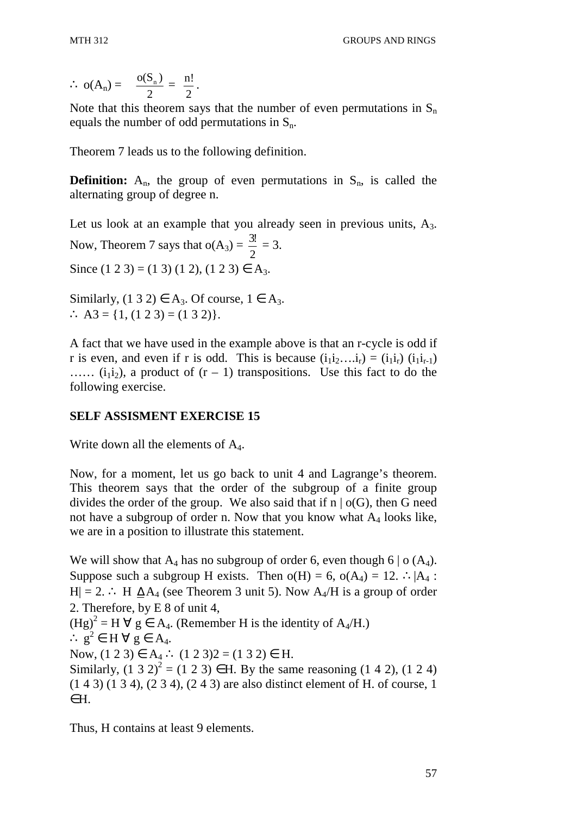$$
\therefore o(A_n) = \frac{o(S_n)}{2} = \frac{n!}{2}.
$$

Note that this theorem says that the number of even permutations in  $S_n$ equals the number of odd permutations in  $S_n$ .

Theorem 7 leads us to the following definition.

**Definition:**  $A_n$ , the group of even permutations in  $S_n$ , is called the alternating group of degree n.

Let us look at an example that you already seen in previous units,  $A_3$ . Now, Theorem 7 says that  $o(A_3) =$ 2  $\frac{3!}{2} = 3.$ Since  $(1\ 2\ 3) = (1\ 3)\ (1\ 2), (1\ 2\ 3) \in A_3$ .

Similarly,  $(1\ 3\ 2) \in A_3$ . Of course,  $1 \in A_3$ . ∴ A3 = {1, (1 2 3) = (1 3 2)}.

A fact that we have used in the example above is that an r-cycle is odd if r is even, and even if r is odd. This is because  $(i_1 i_2 \ldots i_r) = (i_1 i_r) (i_1 i_{r-1})$  $\ldots$  (i<sub>1</sub>i<sub>2</sub>), a product of  $(r - 1)$  transpositions. Use this fact to do the following exercise.

# **SELF ASSISMENT EXERCISE 15**

Write down all the elements of  $A_4$ .

Now, for a moment, let us go back to unit 4 and Lagrange's theorem. This theorem says that the order of the subgroup of a finite group divides the order of the group. We also said that if  $n \mid o(G)$ , then G need not have a subgroup of order n. Now that you know what  $A_4$  looks like, we are in a position to illustrate this statement.

We will show that  $A_4$  has no subgroup of order 6, even though 6 | o (A<sub>4</sub>). Suppose such a subgroup H exists. Then  $o(H) = 6$ ,  $o(A_4) = 12$ .  $\therefore |A_4|$ : H| = 2. ∴ H  $\Delta A_4$  (see Theorem 3 unit 5). Now A<sub>4</sub>/H is a group of order 2. Therefore, by E 8 of unit 4,  $(Hg)^2 = H \,\forall\ g \in A_4$ . (Remember H is the identity of  $A_4/H$ .) ∴  $g^2$  ∈ H  $\forall$  g ∈ A<sub>4</sub>. Now,  $(1 2 3) \in A_4$  ∴  $(1 2 3)2 = (1 3 2) \in H$ . Similarly,  $(1\ 3\ 2)^2 = (1\ 2\ 3) \in H$ . By the same reasoning  $(1\ 4\ 2)$ ,  $(1\ 2\ 4)$ (1 4 3) (1 3 4), (2 3 4), (2 4 3) are also distinct element of H. of course, 1 ∈H.

Thus, H contains at least 9 elements.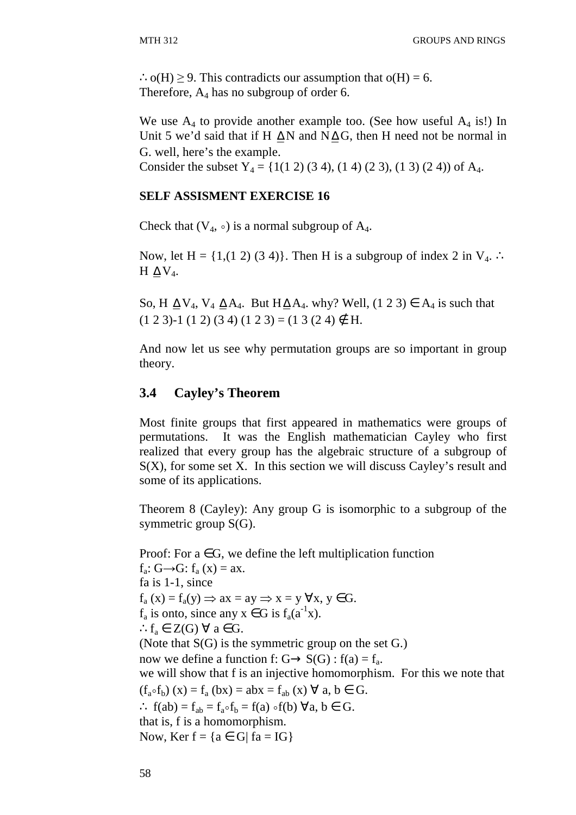∴o(H) ≥ 9. This contradicts our assumption that o(H) = 6. Therefore,  $A_4$  has no subgroup of order 6.

We use  $A_4$  to provide another example too. (See how useful  $A_4$  is!) In Unit 5 we'd said that if H  $\triangle N$  and N $\triangle G$ , then H need not be normal in G. well, here's the example.

Consider the subset  $Y_4 = \{1(1\ 2)\ (3\ 4), (1\ 4)\ (2\ 3), (1\ 3)\ (2\ 4)\}\$  of A<sub>4</sub>.

## **SELF ASSISMENT EXERCISE 16**

Check that  $(V_4, \circ)$  is a normal subgroup of A<sub>4</sub>.

Now, let H =  $\{1,(1\ 2)\ (3\ 4)\}$ . Then H is a subgroup of index 2 in V<sub>4</sub>. ∴ H  $\Delta$  V<sub>4</sub>.

So, H  $\Delta V_4$ , V<sub>4</sub>  $\Delta A_4$ . But H $\Delta A_4$ . why? Well, (1 2 3)  $\in$  A<sub>4</sub> is such that  $(1 2 3)$ -1  $(1 2) (3 4) (1 2 3) = (1 3 (2 4) \notin H$ .

And now let us see why permutation groups are so important in group theory.

## **3.4 Cayley's Theorem**

Most finite groups that first appeared in mathematics were groups of permutations. It was the English mathematician Cayley who first realized that every group has the algebraic structure of a subgroup of  $S(X)$ , for some set X. In this section we will discuss Cayley's result and some of its applications.

Theorem 8 (Cayley): Any group G is isomorphic to a subgroup of the symmetric group S(G).

Proof: For  $a \in G$ , we define the left multiplication function  $f_a: G \rightarrow G: f_a(x) = ax.$ fa is 1-1, since  $f_a(x) = f_a(y) \implies ax = ay \implies x = y \forall x, y \in G.$  $f_a$  is onto, since any  $x \in G$  is  $f_a(a^{-1}x)$ . ∴ $f_a \in Z(G)$   $\forall$  a ∈ G. (Note that S(G) is the symmetric group on the set G.) now we define a function f:  $G \rightarrow S(G)$  :  $f(a) = f_a$ . we will show that f is an injective homomorphism. For this we note that  $(f_a \circ f_b)$  (x) =  $f_a$  (bx) = abx =  $f_{ab}$  (x)  $\forall$  a, b  $\in$  G. ∴ f(ab) =  $f_{ab} = f_{a} \circ f_b = f(a) \circ f(b) \forall a, b \in G$ . that is, f is a homomorphism. Now, Ker  $f = \{a \in G | fa = IG\}$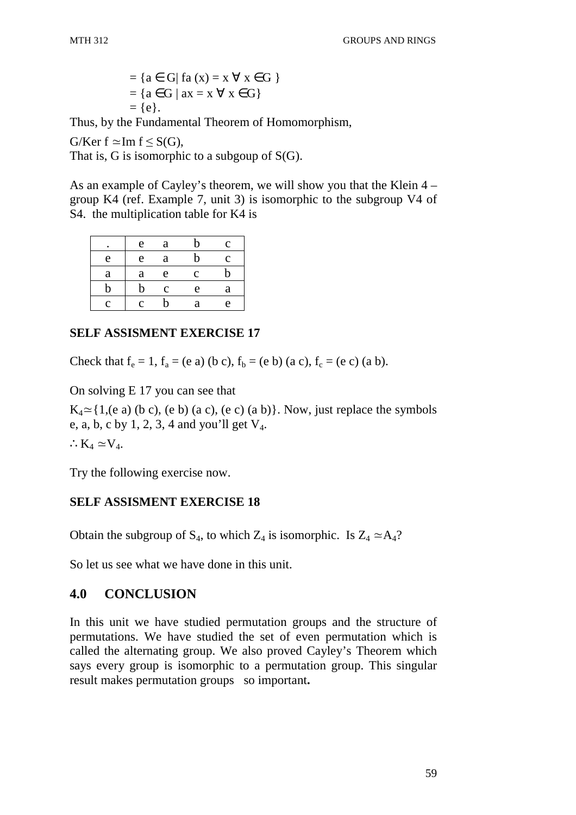$$
= \{a \in G | \text{ fa } (x) = x \forall x \in G \}
$$

$$
= \{a \in G | \text{ ax} = x \forall x \in G\}
$$

$$
= \{e\}.
$$

Thus, by the Fundamental Theorem of Homomorphism,

G/Ker f  $\simeq$  Im f  $\leq$  S(G),

That is, G is isomorphic to a subgoup of S(G).

As an example of Cayley's theorem, we will show you that the Klein 4 – group K4 (ref. Example 7, unit 3) is isomorphic to the subgroup V4 of S4. the multiplication table for K4 is

|   | e | a             | b           | c |
|---|---|---------------|-------------|---|
| e | e | a             | $\mathbf b$ | Ċ |
| a | a | e             | $\mathbf c$ | b |
| h | b | $\mathcal{C}$ | e           | a |
| Č | Ċ | h             | а           | e |

# **SELF ASSISMENT EXERCISE 17**

Check that  $f_e = 1$ ,  $f_a = (e \ a)$  (b c),  $f_b = (e \ b)$  (a c),  $f_c = (e \ c)$  (a b).

On solving E 17 you can see that

 $K_4 \simeq$  {1,(e a) (b c), (e b) (a c), (e c) (a b)}. Now, just replace the symbols e, a, b, c by 1, 2, 3, 4 and you'll get  $V_4$ .

∴ $K_4 \simeq V_4$ .

Try the following exercise now.

# **SELF ASSISMENT EXERCISE 18**

Obtain the subgroup of  $S_4$ , to which  $Z_4$  is isomorphic. Is  $Z_4 \simeq A_4$ ?

So let us see what we have done in this unit.

# **4.0 CONCLUSION**

In this unit we have studied permutation groups and the structure of permutations. We have studied the set of even permutation which is called the alternating group. We also proved Cayley's Theorem which says every group is isomorphic to a permutation group. This singular result makes permutation groups so important**.**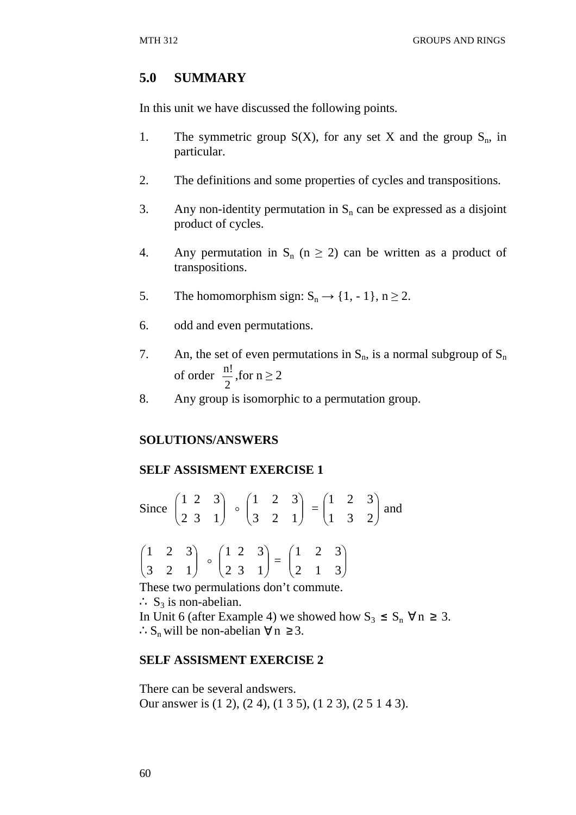### **5.0 SUMMARY**

In this unit we have discussed the following points.

- 1. The symmetric group  $S(X)$ , for any set X and the group  $S_n$ , in particular.
- 2. The definitions and some properties of cycles and transpositions.
- 3. Any non-identity permutation in  $S_n$  can be expressed as a disjoint product of cycles.
- 4. Any permutation in  $S_n$  (n  $\geq$  2) can be written as a product of transpositions.
- 5. The homomorphism sign:  $S_n \rightarrow \{1, -1\}$ ,  $n \ge 2$ .
- 6. odd and even permutations.
- 7. An, the set of even permutations in  $S_n$ , is a normal subgroup of  $S_n$ of order 2  $\frac{n!}{2}$ , for  $n \ge 2$
- 8. Any group is isomorphic to a permutation group.

### **SOLUTIONS/ANSWERS**

### **SELF ASSISMENT EXERCISE 1**

Since  $\vert$ L ſ 2 1  $\overline{\phantom{a}}$ J  $\backslash$ 3 1 2 3  $\begin{bmatrix} 1 & 2 & 3 \\ 2 & 2 & 1 \end{bmatrix}$ J  $\backslash$  $\overline{\phantom{a}}$ L ſ 3 2 1 1 2 3  $=\begin{vmatrix} 1 & 2 & 3 \\ 1 & 3 & 2 \end{vmatrix}$ J  $\backslash$  $\overline{\phantom{a}}$ l ſ 1 3 2 1 2 3 and

$$
\begin{pmatrix} 1 & 2 & 3 \\ 3 & 2 & 1 \end{pmatrix} \circ \begin{pmatrix} 1 & 2 & 3 \\ 2 & 3 & 1 \end{pmatrix} = \begin{pmatrix} 1 & 2 & 3 \\ 2 & 1 & 3 \end{pmatrix}
$$

These two permulations don't commute.

∴  $S_3$  is non-abelian.

In Unit 6 (after Example 4) we showed how  $S_3 \le S_n \,\forall n \ge 3$ . ∴S<sub>n</sub> will be non-abelian  $\forall$  n ≥ 3.

### **SELF ASSISMENT EXERCISE 2**

There can be several andswers. Our answer is (1 2), (2 4), (1 3 5), (1 2 3), (2 5 1 4 3).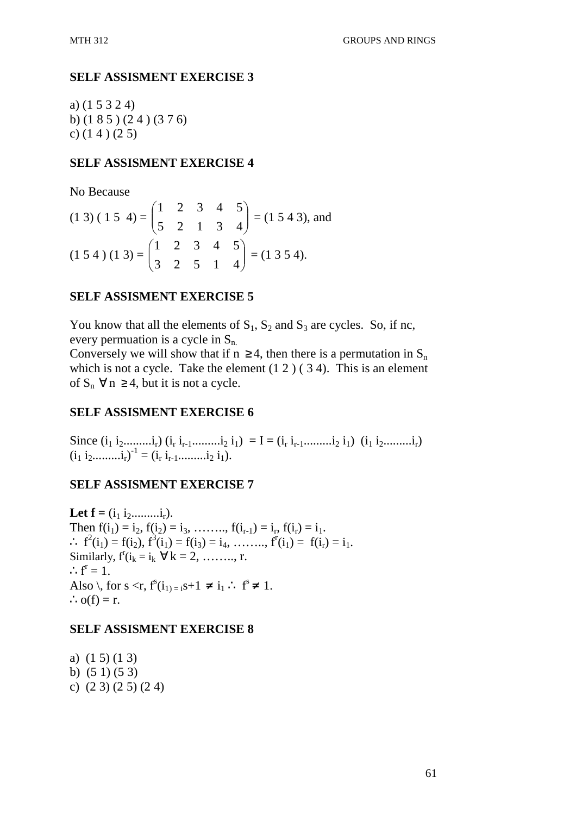a) (1 5 3 2 4) b) (1 8 5 ) (2 4 ) (3 7 6) c) (1 4 ) (2 5)

## **SELF ASSISMENT EXERCISE 4**

No Because

$$
(1\ 3)\ (1\ 5\ 4) = \begin{pmatrix} 1 & 2 & 3 & 4 & 5 \\ 5 & 2 & 1 & 3 & 4 \end{pmatrix} = (1\ 5\ 4\ 3), \text{ and}
$$

$$
(1\ 5\ 4)\ (1\ 3) = \begin{pmatrix} 1 & 2 & 3 & 4 & 5 \\ 3 & 2 & 5 & 1 & 4 \end{pmatrix} = (1\ 3\ 5\ 4).
$$

## **SELF ASSISMENT EXERCISE 5**

You know that all the elements of  $S_1$ ,  $S_2$  and  $S_3$  are cycles. So, if nc, every permuation is a cycle in  $S_n$ .

Conversely we will show that if  $n \ge 4$ , then there is a permutation in  $S_n$ which is not a cycle. Take the element  $(1\ 2)$  (34). This is an element of  $S_n$   $\forall n \geq 4$ , but it is not a cycle.

# **SELF ASSISMENT EXERCISE 6**

Since  $(i_1 i_2... i_r) (i_r i_{r-1}...i_2 i_1) = I = (i_r i_{r-1}...i_2 i_1) (i_1 i_2...i_r)$  $(i_1 i_2...........,i_r)^{-1} = (i_r i_{r-1}...........i_2 i_1).$ 

# **SELF ASSISMENT EXERCISE 7**

Let  $f = (i_1 i_2 \dots i_r).$ Then  $f(i_1) = i_2, f(i_2) = i_3, \dots, f(i_{r-1}) = i_r, f(i_r) = i_1.$  $\therefore$   $f^2(i_1) = f(i_2), f^3(i_1) = f(i_3) = i_4, \dots, f^r(i_1) = f(i_r) = i_1.$ Similarly,  $f'(i_k = i_k \ \forall k = 2, \dots, r$ .  $\therefore f^r = 1.$ Also  $\setminus$ , for s <r,  $f^{s}(i_{1})_{1} = s+1 \neq i_{1} : f^{s} \neq 1$ .  $\therefore$  o(f) = r.

## **SELF ASSISMENT EXERCISE 8**

a) (1 5) (1 3) b) (5 1) (5 3) c) (2 3) (2 5) (2 4)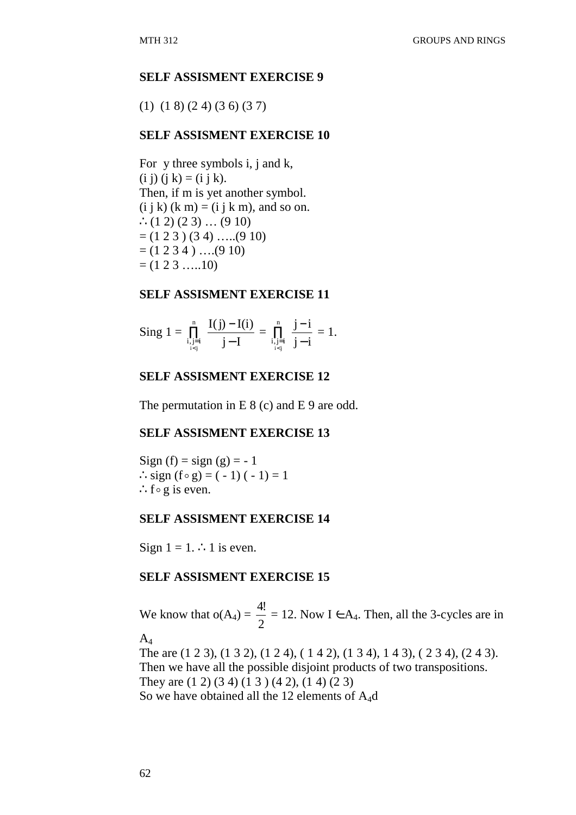(1) (1 8) (2 4) (3 6) (3 7)

## **SELF ASSISMENT EXERCISE 10**

For y three symbols i, j and k, (i j) (j k) = (i j k). Then, if m is yet another symbol.  $(i j k)$   $(k m) = (i j k m)$ , and so on. ∴ $(1 2) (2 3)$  …  $(9 10)$  $= (1 2 3) (3 4) \dots (9 10)$  $= (1 2 3 4) \dots (9 10)$  $= (1 2 3 ... 10)$ 

### **SELF ASSISMENT EXERCISE 11**

$$
Sing\ 1=\prod_{\stackrel{i,j=i}{i
$$

## **SELF ASSISMENT EXERCISE 12**

The permutation in E 8 (c) and E 9 are odd.

### **SELF ASSISMENT EXERCISE 13**

Sign (f) =  $sign(g) = -1$ ∴sign  $(f \circ g) = (-1) (-1) = 1$ ∴f $\circ$  g is even.

### **SELF ASSISMENT EXERCISE 14**

Sign  $1 = 1$ . ∴ 1 is even.

### **SELF ASSISMENT EXERCISE 15**

We know that  $o(A_4) =$ 2 4!  $= 12$ . Now I  $\in$  A<sub>4</sub>. Then, all the 3-cycles are in  $A_4$ 

The are (1 2 3), (1 3 2), (1 2 4), ( 1 4 2), (1 3 4), 1 4 3), ( 2 3 4), (2 4 3). Then we have all the possible disjoint products of two transpositions. They are (1 2) (3 4) (1 3 ) (4 2), (1 4) (2 3) So we have obtained all the 12 elements of A4d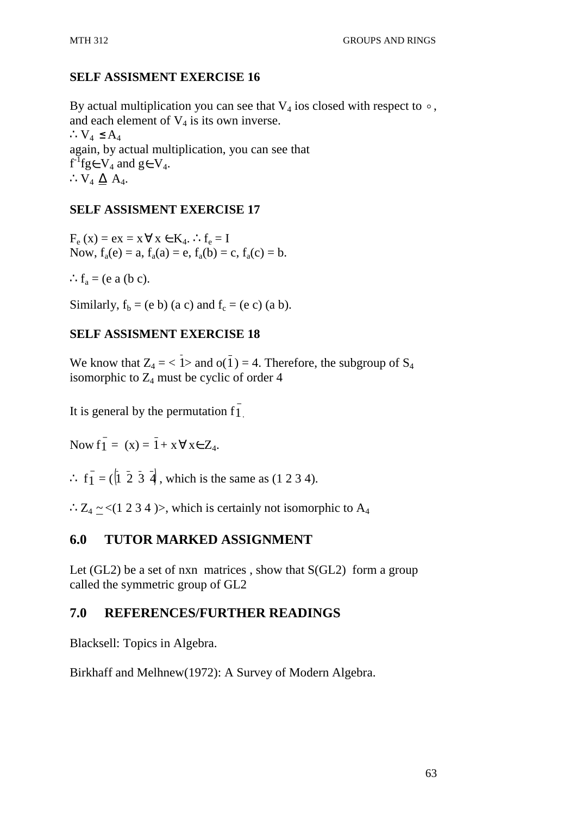## **SELF ASSISMENT EXERCISE 16**

By actual multiplication you can see that  $V_4$  ios closed with respect to  $\circ$ , and each element of  $V_4$  is its own inverse. ∴ $V_4$  ≤ A<sub>4</sub> again, by actual multiplication, you can see that  $f^T f g \in V_4$  and  $g \in V_4$ . ∴V<sub>4</sub>  $\Delta$  A<sub>4</sub>.

### **SELF ASSISMENT EXERCISE 17**

 $F_e(x) = ex = x \,\forall x \in K_4$ . ∴  $f_e = I$ Now,  $f_a(e) = a$ ,  $f_a(a) = e$ ,  $f_a(b) = c$ ,  $f_a(c) = b$ .

:  $f_a = (e \ a \ (b \ c).$ 

Similarly,  $f_b = (e \ b)$  (a c) and  $f_c = (e \ c)$  (a b).

## **SELF ASSISMENT EXERCISE 18**

We know that  $Z_4 = \langle \overline{1} \rangle$  and  $o(\overline{1}) = 4$ . Therefore, the subgroup of  $S_4$ isomorphic to  $Z_4$  must be cyclic of order 4

It is general by the permutation  $\overline{f}_1$ .

Now  $f_1 = (x) = \overline{1} + x \,\forall x \in Z_4$ .

 $\therefore$  f<sub>1</sub> = ( $\overline{1}$   $\overline{2}$   $\overline{3}$   $\overline{4}$ , which is the same as (1 2 3 4).

∴Z<sub>4</sub> ~ <(1 2 3 4 )>, which is certainly not isomorphic to A<sub>4</sub>

# **6.0 TUTOR MARKED ASSIGNMENT**

Let  $(GL2)$  be a set of nxn matrices, show that  $S(GL2)$  form a group called the symmetric group of GL2

### **7.0 REFERENCES/FURTHER READINGS**

Blacksell: Topics in Algebra.

Birkhaff and Melhnew(1972): A Survey of Modern Algebra.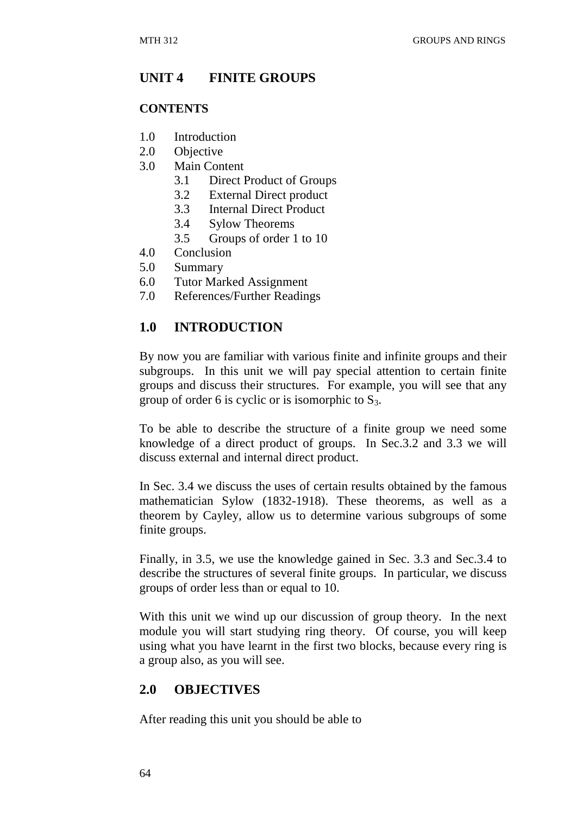# **UNIT 4 FINITE GROUPS**

#### **CONTENTS**

- 1.0 Introduction
- 2.0 Objective
- 3.0 Main Content
	- 3.1 Direct Product of Groups
	- 3.2 External Direct product
	- 3.3 Internal Direct Product
	- 3.4 Sylow Theorems
	- 3.5 Groups of order 1 to 10
- 4.0 Conclusion
- 5.0 Summary
- 6.0 Tutor Marked Assignment
- 7.0 References/Further Readings

## **1.0 INTRODUCTION**

By now you are familiar with various finite and infinite groups and their subgroups. In this unit we will pay special attention to certain finite groups and discuss their structures. For example, you will see that any group of order 6 is cyclic or is isomorphic to  $S_3$ .

To be able to describe the structure of a finite group we need some knowledge of a direct product of groups. In Sec.3.2 and 3.3 we will discuss external and internal direct product.

In Sec. 3.4 we discuss the uses of certain results obtained by the famous mathematician Sylow (1832-1918). These theorems, as well as a theorem by Cayley, allow us to determine various subgroups of some finite groups.

Finally, in 3.5, we use the knowledge gained in Sec. 3.3 and Sec.3.4 to describe the structures of several finite groups. In particular, we discuss groups of order less than or equal to 10.

With this unit we wind up our discussion of group theory. In the next module you will start studying ring theory. Of course, you will keep using what you have learnt in the first two blocks, because every ring is a group also, as you will see.

# **2.0 OBJECTIVES**

After reading this unit you should be able to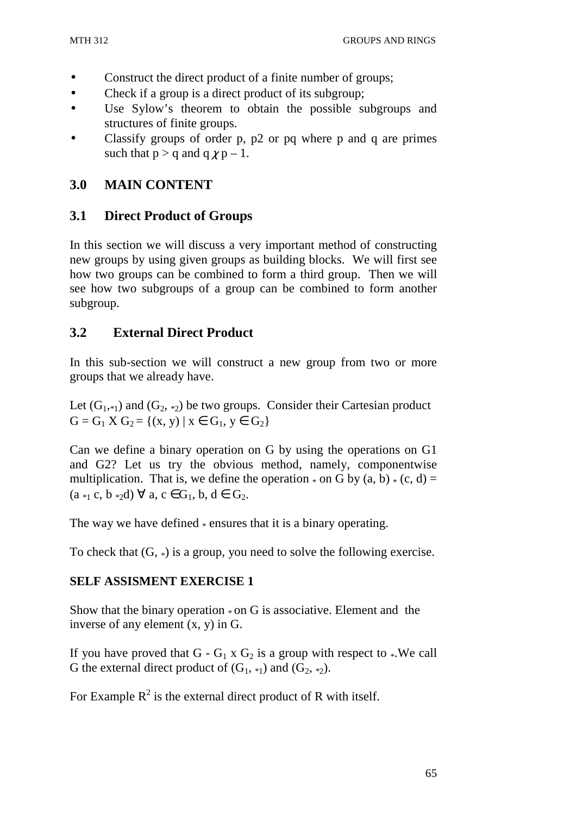- Construct the direct product of a finite number of groups;
- Check if a group is a direct product of its subgroup;
- Use Sylow's theorem to obtain the possible subgroups and structures of finite groups.
- Classify groups of order p, p2 or pq where p and q are primes such that  $p > q$  and  $q \chi p - 1$ .

# **3.0 MAIN CONTENT**

# **3.1 Direct Product of Groups**

In this section we will discuss a very important method of constructing new groups by using given groups as building blocks. We will first see how two groups can be combined to form a third group. Then we will see how two subgroups of a group can be combined to form another subgroup.

# **3.2 External Direct Product**

In this sub-section we will construct a new group from two or more groups that we already have.

Let  $(G_1, *_1)$  and  $(G_2, *_2)$  be two groups. Consider their Cartesian product  $G = G_1 X G_2 = \{(x, y) | x \in G_1, y \in G_2\}$ 

Can we define a binary operation on G by using the operations on G1 and G2? Let us try the obvious method, namely, componentwise multiplication. That is, we define the operation  $*$  on G by (a, b)  $*$  (c, d) =  $(a_{*1} c, b_{*2} d) \forall a, c \in G_1, b, d \in G_2$ .

The way we have defined  $*$  ensures that it is a binary operating.

To check that  $(G, *)$  is a group, you need to solve the following exercise.

### **SELF ASSISMENT EXERCISE 1**

Show that the binary operation  $*$  on G is associative. Element and the inverse of any element (x, y) in G.

If you have proved that  $G - G_1 \times G_2$  is a group with respect to \*. We call G the external direct product of  $(G_1, *_1)$  and  $(G_2, *_2)$ .

For Example  $R^2$  is the external direct product of R with itself.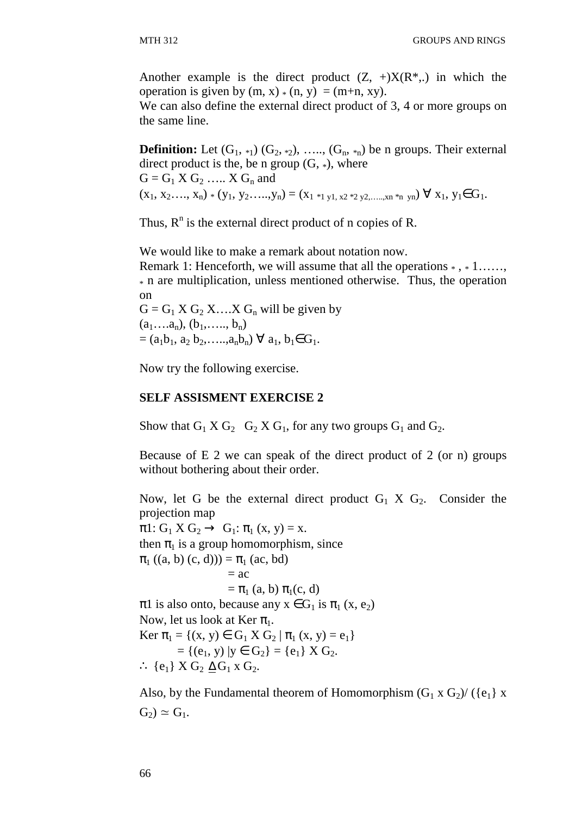Another example is the direct product  $(Z, +)X(R^*,)$  in which the operation is given by  $(m, x) * (n, y) = (m+n, xy)$ .

We can also define the external direct product of 3, 4 or more groups on the same line.

**Definition:** Let  $(G_1, *_1)$   $(G_2, *_2)$ , .....,  $(G_n, *_n)$  be n groups. Their external direct product is the, be n group  $(G, *),$  where  $G = G_1 X G_2 \dots X G_n$  and  $(x_1, x_2, \ldots, x_n) * (y_1, y_2, \ldots, y_n) = (x_1 *_{1} y_1, x_2 *_{2} y_2, \ldots, x_n *_{n} y_n) \; \forall \; x_1, y_1 \in G_1.$ 

Thus,  $R<sup>n</sup>$  is the external direct product of n copies of R.

We would like to make a remark about notation now.

Remark 1: Henceforth, we will assume that all the operations  $*, *1, \ldots,$ \* n are multiplication, unless mentioned otherwise. Thus, the operation on

 $G = G_1 X G_2 X \dots X G_n$  will be given by  $(a_1...a_n), (b_1,..., b_n)$  $=(a_1b_1, a_2 b_2, \ldots, a_nb_n) \; \forall \; a_1, b_1 \in G_1.$ 

Now try the following exercise.

#### **SELF ASSISMENT EXERCISE 2**

Show that  $G_1 X G_2 G_2 X G_1$ , for any two groups  $G_1$  and  $G_2$ .

Because of E 2 we can speak of the direct product of 2 (or n) groups without bothering about their order.

Now, let G be the external direct product  $G_1$  X  $G_2$ . Consider the projection map

 $\pi$ 1: G<sub>1</sub> X G<sub>2</sub>  $\rightarrow$  G<sub>1</sub>:  $\pi$ <sub>1</sub> (x, y) = x. then  $\pi_1$  is a group homomorphism, since  $\pi_1$  ((a, b) (c, d))) =  $\pi_1$  (ac, bd)  $= ac$  $=\pi_1$  (a, b)  $\pi_1(c, d)$  $\pi$ 1 is also onto, because any  $x \in G_1$  is  $\pi_1(x, e_2)$ Now, let us look at Ker  $\pi_1$ . Ker  $\pi_1 = \{(x, y) \in G_1 \times G_2 \mid \pi_1(x, y) = e_1\}$  $= \{(e_1, y) | y \in G_2\} = \{e_1\} X G_2.$ ∴  ${e_1}$   $X G_2 \Delta G_1 X G_2$ .

Also, by the Fundamental theorem of Homomorphism  $(G_1 \times G_2) / (\{e_1\} \times G_1)$  $G_2$ ) ≃  $G_1$ .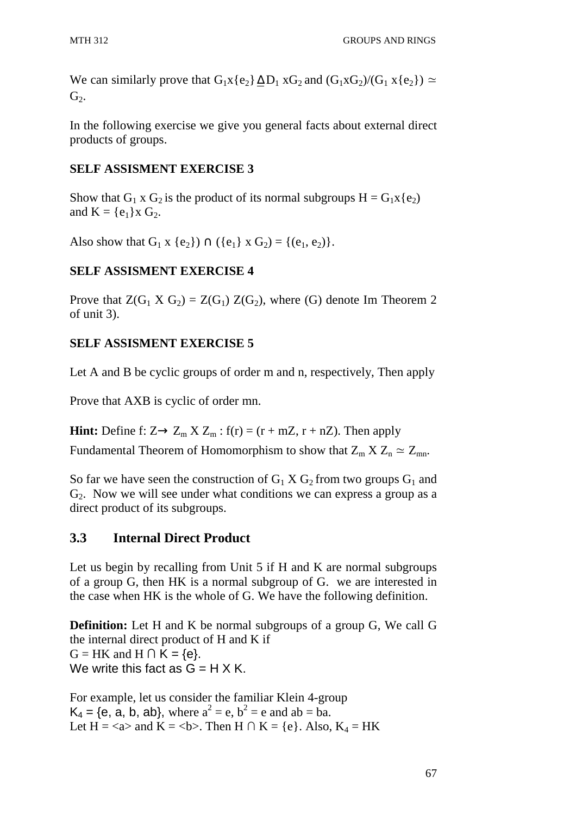We can similarly prove that  $G_1x\{e_2\}\Delta D_1 xG_2$  and  $(G_1xG_2)/(G_1 x\{e_2\}) \simeq$  $G<sub>2</sub>$ .

In the following exercise we give you general facts about external direct products of groups.

### **SELF ASSISMENT EXERCISE 3**

Show that  $G_1$  x  $G_2$  is the product of its normal subgroups  $H = G_1x \{e_2\}$ and  $K = \{e_1\}x G_2$ .

Also show that  $G_1 x \{e_2\} \cap (\{e_1\} \times G_2) = \{(e_1, e_2)\}.$ 

# **SELF ASSISMENT EXERCISE 4**

Prove that  $Z(G_1 \times G_2) = Z(G_1) Z(G_2)$ , where (G) denote Im Theorem 2 of unit 3).

## **SELF ASSISMENT EXERCISE 5**

Let A and B be cyclic groups of order m and n, respectively, Then apply

Prove that AXB is cyclic of order mn.

**Hint:** Define f:  $Z \rightarrow Z_m X Z_m$ :  $f(r) = (r + mZ, r + nZ)$ . Then apply Fundamental Theorem of Homomorphism to show that  $Z_m X Z_n \simeq Z_{mn}$ .

So far we have seen the construction of  $G_1 X G_2$  from two groups  $G_1$  and  $G<sub>2</sub>$ . Now we will see under what conditions we can express a group as a direct product of its subgroups.

# **3.3 Internal Direct Product**

Let us begin by recalling from Unit 5 if H and K are normal subgroups of a group G, then HK is a normal subgroup of G. we are interested in the case when HK is the whole of G. We have the following definition.

**Definition:** Let H and K be normal subgroups of a group G, We call G the internal direct product of H and K if  $G = HK$  and  $H \cap K = \{e\}.$ We write this fact as  $G = H \times K$ .

For example, let us consider the familiar Klein 4-group  $K_4 = \{e, a, b, ab\}$ , where  $a^2 = e, b^2 = e$  and  $ab = ba$ . Let  $H = \langle a \rangle$  and  $K = \langle b \rangle$ . Then  $H \cap K = \{e\}$ . Also,  $K_4 = HK$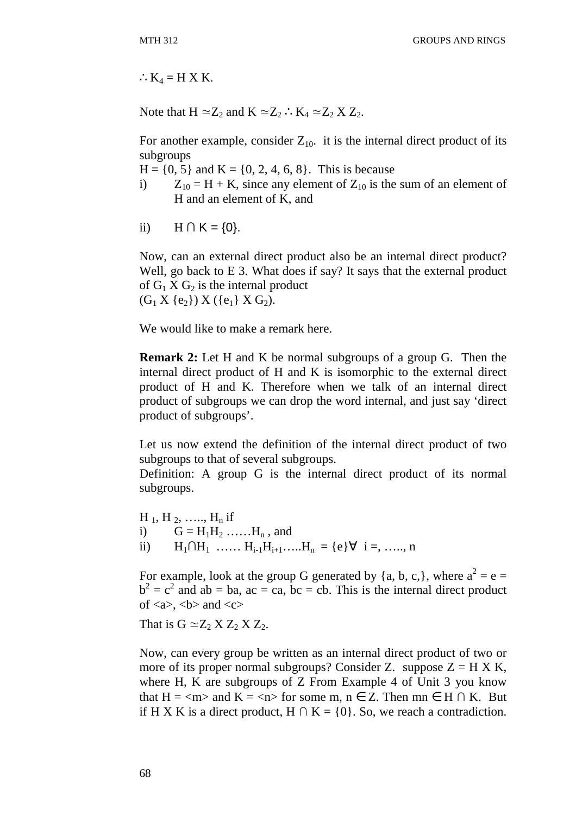$:K_4 = H X K.$ 

Note that  $H \simeq Z_2$  and  $K \simeq Z_2$  ∴  $K_4 \simeq Z_2 X Z_2$ .

For another example, consider  $Z_{10}$ , it is the internal direct product of its subgroups

 $H = \{0, 5\}$  and  $K = \{0, 2, 4, 6, 8\}$ . This is because

- i)  $Z_{10} = H + K$ , since any element of  $Z_{10}$  is the sum of an element of H and an element of K, and
- ii)  $H \cap K = \{0\}$ .

Now, can an external direct product also be an internal direct product? Well, go back to E 3. What does if say? It says that the external product of  $G_1$  X  $G_2$  is the internal product  $(G_1 X \{e_2\}) X (\{e_1\} X G_2).$ 

We would like to make a remark here.

**Remark 2:** Let H and K be normal subgroups of a group G. Then the internal direct product of H and K is isomorphic to the external direct product of H and K. Therefore when we talk of an internal direct product of subgroups we can drop the word internal, and just say 'direct product of subgroups'.

Let us now extend the definition of the internal direct product of two subgroups to that of several subgroups.

Definition: A group G is the internal direct product of its normal subgroups.

 $H_1, H_2, \ldots, H_n$  if i)  $G = H_1H_2 \dots H_n$ , and ii)  $H_1 ∩ H_1$  ……  $H_{i-1}H_{i+1}$ ……  $H_n = \{e\} ∇ i =$ , …… n

For example, look at the group G generated by  $\{a, b, c, \}$ , where  $a^2 = e =$  $b<sup>2</sup> = c<sup>2</sup>$  and ab = ba, ac = ca, bc = cb. This is the internal direct product of  $\langle a \rangle$ ,  $\langle b \rangle$  and  $\langle c \rangle$ 

That is  $G \simeq Z_2 X Z_2 X Z_2$ .

Now, can every group be written as an internal direct product of two or more of its proper normal subgroups? Consider Z. suppose  $Z = H X K$ , where H, K are subgroups of Z From Example 4 of Unit 3 you know that  $H = \langle m \rangle$  and  $K = \langle n \rangle$  for some m,  $n \in \mathbb{Z}$ . Then  $mn \in H \cap K$ . But if H X K is a direct product, H  $\cap$  K = {0}. So, we reach a contradiction.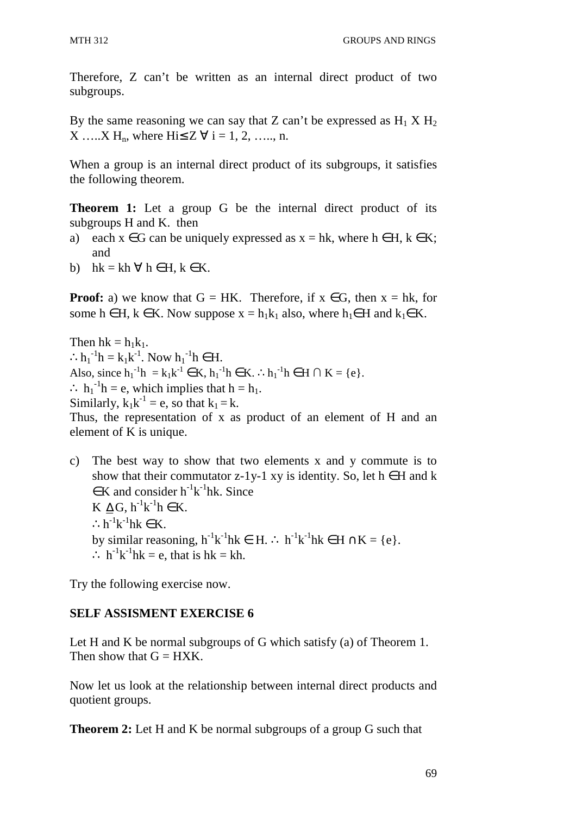Therefore, Z can't be written as an internal direct product of two subgroups.

By the same reasoning we can say that Z can't be expressed as  $H_1 X H_2$  $X$  ……X H<sub>n</sub>, where Hi $\leq Z \forall$  i = 1, 2, ……, n.

When a group is an internal direct product of its subgroups, it satisfies the following theorem.

**Theorem 1:** Let a group G be the internal direct product of its subgroups H and K. then

- a) each  $x \in G$  can be uniquely expressed as  $x = hk$ , where  $h \in H$ ,  $k \in K$ ; and
- b) hk = kh  $\forall$  h  $\in$  H, k  $\in$  K.

**Proof:** a) we know that  $G = HK$ . Therefore, if  $x \in G$ , then  $x = hk$ , for some h ∈ H, k ∈ K. Now suppose  $x = h_1k_1$  also, where  $h_1 \in H$  and  $k_1 \in K$ .

Then  $hk = h_1k_1$ . ∴ $h_1^{-1}h = k_1k^{-1}$ . Now  $h_1^{-1}h \in H$ . Also, since  $h_1^{-1}h = k_1k^{-1} \in K$ ,  $h_1^{-1}h \in K$ .  $\therefore h_1^{-1}h \in H \cap K = \{e\}$ .  $\therefore$  h<sub>1</sub><sup>-1</sup>h = e, which implies that h = h<sub>1</sub>. Similarly,  $k_1k^{-1} = e$ , so that  $k_1 = k$ .

Thus, the representation of x as product of an element of H and an element of K is unique.

c) The best way to show that two elements x and y commute is to show that their commutator z-1y-1 xy is identity. So, let  $h \in H$  and k  $\in$ K and consider h<sup>-1</sup>k<sup>-1</sup>hk. Since K  $\Delta G$ , h<sup>-1</sup>k<sup>-1</sup>h  $\in$  K.  $\therefore$  h<sup>-1</sup>k<sup>-1</sup>hk  $\in$  K. by similar reasoning,  $h^{-1}k^{-1}hk \in H$ . ∴  $h^{-1}k^{-1}hk \in H \cap K = \{e\}$ .  $\therefore$  h<sup>-1</sup>k<sup>-1</sup>hk = e, that is hk = kh.

Try the following exercise now.

### **SELF ASSISMENT EXERCISE 6**

Let H and K be normal subgroups of G which satisfy (a) of Theorem 1. Then show that  $G = HXK$ .

Now let us look at the relationship between internal direct products and quotient groups.

**Theorem 2:** Let H and K be normal subgroups of a group G such that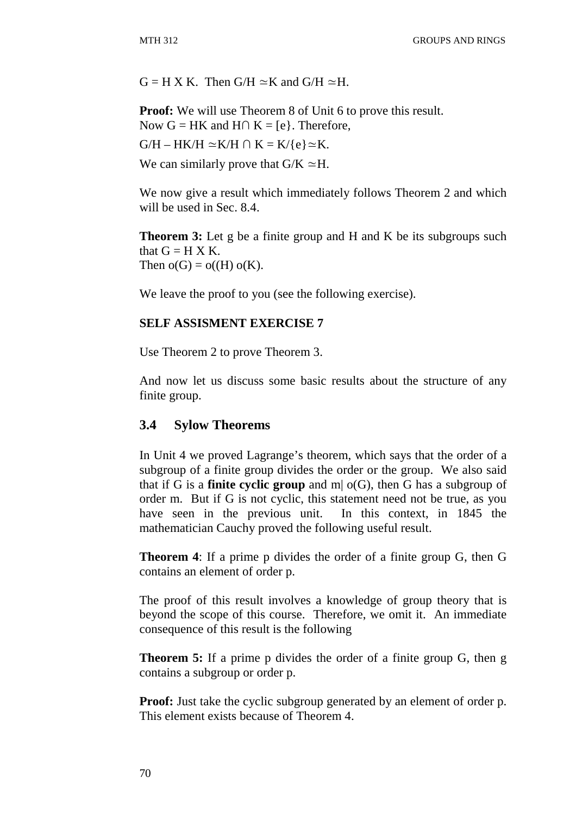$G = H X K$  Then  $G/H \simeq K$  and  $G/H \simeq H$ .

**Proof:** We will use Theorem 8 of Unit 6 to prove this result. Now  $G = HK$  and  $H \cap K = \{e\}$ . Therefore,

 $G/H - HK/H \simeq K/H \cap K = K/{e} \simeq K$ .

We can similarly prove that  $G/K \simeq H$ .

We now give a result which immediately follows Theorem 2 and which will be used in Sec. 8.4.

**Theorem 3:** Let g be a finite group and H and K be its subgroups such that  $G = H X K$ . Then  $o(G) = o((H) o(K))$ .

We leave the proof to you (see the following exercise).

#### **SELF ASSISMENT EXERCISE 7**

Use Theorem 2 to prove Theorem 3.

And now let us discuss some basic results about the structure of any finite group.

#### **3.4 Sylow Theorems**

In Unit 4 we proved Lagrange's theorem, which says that the order of a subgroup of a finite group divides the order or the group. We also said that if G is a **finite cyclic group** and m| o(G), then G has a subgroup of order m. But if G is not cyclic, this statement need not be true, as you have seen in the previous unit. In this context, in 1845 the mathematician Cauchy proved the following useful result.

**Theorem 4**: If a prime p divides the order of a finite group G, then G contains an element of order p.

The proof of this result involves a knowledge of group theory that is beyond the scope of this course. Therefore, we omit it. An immediate consequence of this result is the following

**Theorem 5:** If a prime p divides the order of a finite group G, then g contains a subgroup or order p.

**Proof:** Just take the cyclic subgroup generated by an element of order p. This element exists because of Theorem 4.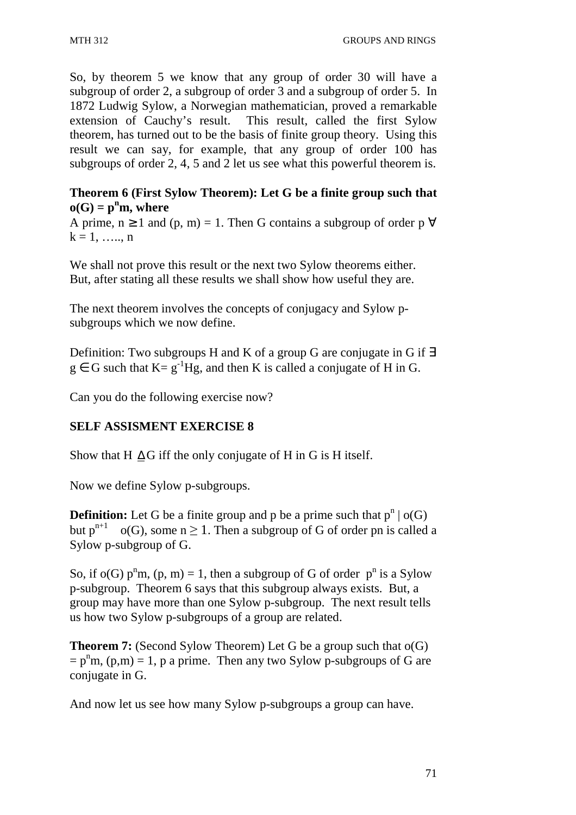So, by theorem 5 we know that any group of order 30 will have a subgroup of order 2, a subgroup of order 3 and a subgroup of order 5. In 1872 Ludwig Sylow, a Norwegian mathematician, proved a remarkable extension of Cauchy's result. This result, called the first Sylow theorem, has turned out to be the basis of finite group theory. Using this result we can say, for example, that any group of order 100 has subgroups of order 2, 4, 5 and 2 let us see what this powerful theorem is.

### **Theorem 6 (First Sylow Theorem): Let G be a finite group such that**   $o(G) = p^n m$ , where

A prime,  $n \ge 1$  and  $(p, m) = 1$ . Then G contains a subgroup of order p  $\forall$  $k = 1, \ldots, n$ 

We shall not prove this result or the next two Sylow theorems either. But, after stating all these results we shall show how useful they are.

The next theorem involves the concepts of conjugacy and Sylow psubgroups which we now define.

Definition: Two subgroups H and K of a group G are conjugate in G if ∃  $g \in G$  such that  $K = g^{-1}Hg$ , and then K is called a conjugate of H in G.

Can you do the following exercise now?

### **SELF ASSISMENT EXERCISE 8**

Show that H  $\Delta G$  iff the only conjugate of H in G is H itself.

Now we define Sylow p-subgroups.

**Definition:** Let G be a finite group and p be a prime such that  $p^n | o(G)$ but  $p^{n+1}$  o(G), some  $n \ge 1$ . Then a subgroup of G of order pn is called a Sylow p-subgroup of G.

So, if o(G)  $p<sup>n</sup>m$ ,  $(p, m) = 1$ , then a subgroup of G of order  $p<sup>n</sup>$  is a Sylow p-subgroup. Theorem 6 says that this subgroup always exists. But, a group may have more than one Sylow p-subgroup. The next result tells us how two Sylow p-subgroups of a group are related.

**Theorem 7:** (Second Sylow Theorem) Let G be a group such that o(G)  $= p<sup>n</sup>m$ , (p,m) = 1, p a prime. Then any two Sylow p-subgroups of G are conjugate in G.

And now let us see how many Sylow p-subgroups a group can have.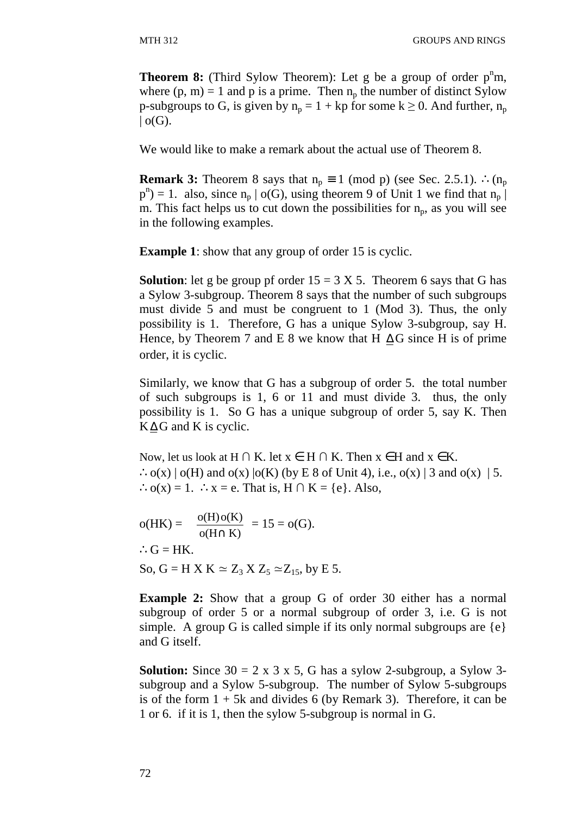**Theorem 8:** (Third Sylow Theorem): Let g be a group of order  $p^{\mu}m$ , where  $(p, m) = 1$  and p is a prime. Then  $n_p$  the number of distinct Sylow p-subgroups to G, is given by  $n_p = 1 + kp$  for some  $k \ge 0$ . And further,  $n_p$  $|$  o(G).

We would like to make a remark about the actual use of Theorem 8.

**Remark 3:** Theorem 8 says that  $n_p \equiv 1 \pmod{p}$  (see Sec. 2.5.1). ∴( $n_p$  $p^{n}$ ) = 1. also, since  $n_{p} | o(G)$ , using theorem 9 of Unit 1 we find that  $n_{p}$ m. This fact helps us to cut down the possibilities for  $n_p$ , as you will see in the following examples.

**Example 1**: show that any group of order 15 is cyclic.

**Solution**: let g be group pf order  $15 = 3 \text{ X } 5$ . Theorem 6 says that G has a Sylow 3-subgroup. Theorem 8 says that the number of such subgroups must divide 5 and must be congruent to 1 (Mod 3). Thus, the only possibility is 1. Therefore, G has a unique Sylow 3-subgroup, say H. Hence, by Theorem 7 and E 8 we know that H  $\Delta G$  since H is of prime order, it is cyclic.

Similarly, we know that G has a subgroup of order 5. the total number of such subgroups is 1, 6 or 11 and must divide 3. thus, the only possibility is 1. So G has a unique subgroup of order 5, say K. Then  $K\Delta G$  and K is cyclic.

Now, let us look at H ∩ K. let  $x \in H \cap K$ . Then  $x \in H$  and  $x \in K$ .  $\therefore$  o(x) | o(H) and o(x) | o(K) (by E 8 of Unit 4), i.e., o(x) | 3 and o(x) | 5. ∴o(x) = 1. ∴x = e. That is,  $H \cap K = \{e\}$ . Also,

o(HK) = 
$$
\frac{o(H) o(K)}{o(H \cap K)}
$$
 = 15 = o(G).  
∴ G = HK.  
So, G = H X K ≈ Z<sub>3</sub> X Z<sub>5</sub> ≈ Z<sub>15</sub>, by E 5.

**Example 2:** Show that a group G of order 30 either has a normal subgroup of order 5 or a normal subgroup of order 3, i.e. G is not simple. A group G is called simple if its only normal subgroups are  $\{e\}$ and G itself.

**Solution:** Since  $30 = 2 \times 3 \times 5$ , G has a sylow 2-subgroup, a Sylow 3subgroup and a Sylow 5-subgroup. The number of Sylow 5-subgroups is of the form  $1 + 5k$  and divides 6 (by Remark 3). Therefore, it can be 1 or 6. if it is 1, then the sylow 5-subgroup is normal in G.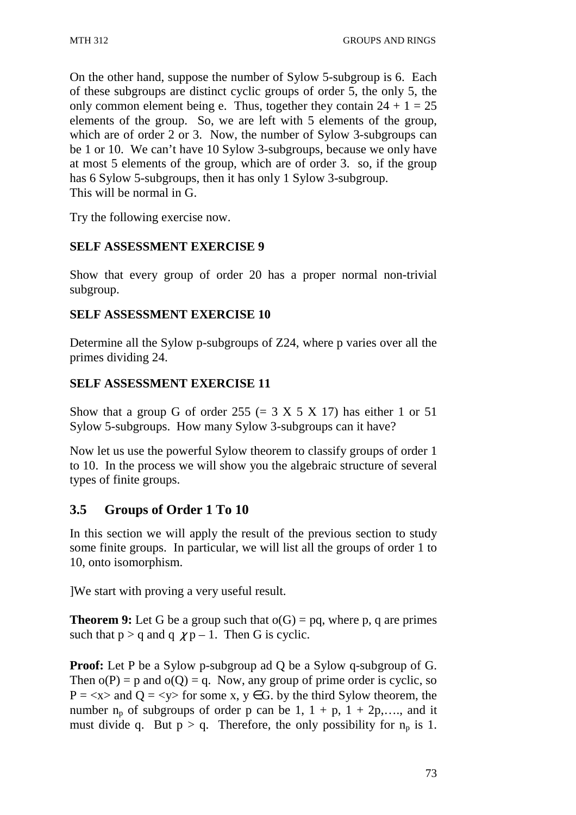On the other hand, suppose the number of Sylow 5-subgroup is 6. Each of these subgroups are distinct cyclic groups of order 5, the only 5, the only common element being e. Thus, together they contain  $24 + 1 = 25$ elements of the group. So, we are left with 5 elements of the group, which are of order 2 or 3. Now, the number of Sylow 3-subgroups can be 1 or 10. We can't have 10 Sylow 3-subgroups, because we only have at most 5 elements of the group, which are of order 3. so, if the group has 6 Sylow 5-subgroups, then it has only 1 Sylow 3-subgroup. This will be normal in G.

Try the following exercise now.

### **SELF ASSESSMENT EXERCISE 9**

Show that every group of order 20 has a proper normal non-trivial subgroup.

### **SELF ASSESSMENT EXERCISE 10**

Determine all the Sylow p-subgroups of Z24, where p varies over all the primes dividing 24.

# **SELF ASSESSMENT EXERCISE 11**

Show that a group G of order  $255 (= 3 X 5 X 17)$  has either 1 or 51 Sylow 5-subgroups. How many Sylow 3-subgroups can it have?

Now let us use the powerful Sylow theorem to classify groups of order 1 to 10. In the process we will show you the algebraic structure of several types of finite groups.

# **3.5 Groups of Order 1 To 10**

In this section we will apply the result of the previous section to study some finite groups. In particular, we will list all the groups of order 1 to 10, onto isomorphism.

]We start with proving a very useful result.

**Theorem 9:** Let G be a group such that  $o(G) = pa$ , where p, q are primes such that  $p > q$  and  $q \gamma p - 1$ . Then G is cyclic.

**Proof:** Let P be a Sylow p-subgroup ad Q be a Sylow q-subgroup of G. Then  $o(P) = p$  and  $o(Q) = q$ . Now, any group of prime order is cyclic, so  $P = \langle x \rangle$  and  $Q = \langle y \rangle$  for some x,  $y \in G$ , by the third Sylow theorem, the number  $n_p$  of subgroups of order p can be 1,  $1 + p$ ,  $1 + 2p$ ,..., and it must divide q. But  $p > q$ . Therefore, the only possibility for  $n_p$  is 1.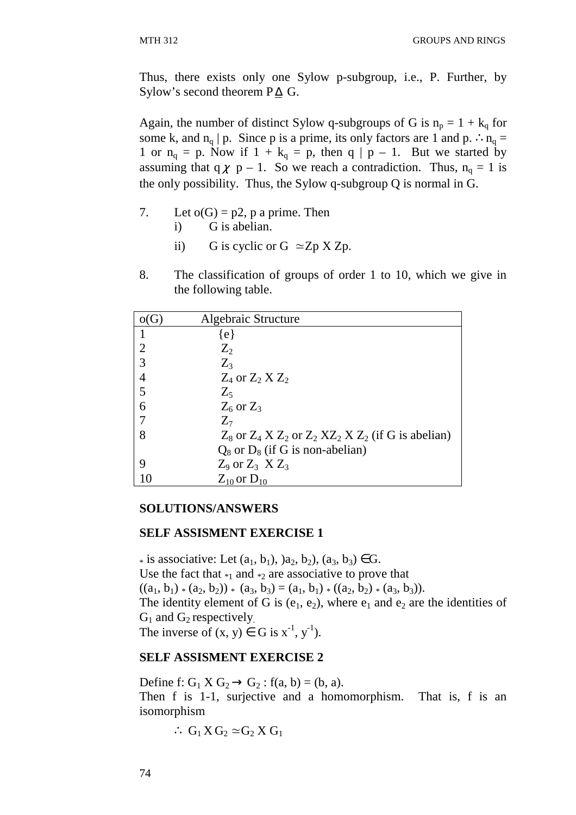Thus, there exists only one Sylow p-subgroup, i.e., P. Further, by Sylow's second theorem  $P\Delta$  G.

Again, the number of distinct Sylow q-subgroups of G is  $n_p = 1 + k_q$  for some k, and  $n_q | p$ . Since p is a prime, its only factors are 1 and p. ∴ $n_q =$ 1 or  $n_q = p$ . Now if  $1 + k_q = p$ , then  $q \mid p - 1$ . But we started by assuming that q  $\chi$  p – 1. So we reach a contradiction. Thus, n<sub>q</sub> = 1 is the only possibility. Thus, the Sylow q-subgroup Q is normal in G.

- 7. Let  $o(G) = p2$ , p a prime. Then i) G is abelian.
	- ii) G is cyclic or G  $\simeq$  Zp X Zp.
- 8. The classification of groups of order 1 to 10, which we give in the following table.

|                | Algebraic Structure                                               |
|----------------|-------------------------------------------------------------------|
|                | {e}                                                               |
| $\overline{2}$ | $Z_{2}$                                                           |
| 3              | $Z_{3}$                                                           |
| 4              | $Z_4$ or $Z_2$ $XZ_2$                                             |
| 5              | $Z_{5}$                                                           |
| 6              | $Z_6$ or $Z_3$                                                    |
|                | $Z_{\tau}$                                                        |
| 8              | $Z_8$ or $Z_4$ X $Z_2$ or $Z_2$ X $Z_2$ X $Z_2$ (if G is abelian) |
|                | $Q_8$ or $D_8$ (if G is non-abelian)                              |
| 9              | $Z_9$ or $Z_3$ $XZ_3$                                             |
|                | $Z_{10}$ or $D_{10}$                                              |

#### **SOLUTIONS/ANSWERS**

#### **SELF ASSISMENT EXERCISE 1**

\* is associative: Let  $(a_1, b_1)$ ,  $(a_2, b_2)$ ,  $(a_3, b_3) \in G$ . Use the fact that  $_{\ast_1}$  and  $_{\ast_2}$  are associative to prove that  $((a_1, b_1) * (a_2, b_2)) * (a_3, b_3) = (a_1, b_1) * ((a_2, b_2) * (a_3, b_3)).$ The identity element of G is  $(e_1, e_2)$ , where  $e_1$  and  $e_2$  are the identities of  $G_1$  and  $G_2$  respectively. The inverse of  $(x, y) \in G$  is  $x^{-1}$ ,  $y^{-1}$ ).

#### **SELF ASSISMENT EXERCISE 2**

Define f:  $G_1 X G_2 \rightarrow G_2 : f(a, b) = (b, a)$ . Then f is 1-1, surjective and a homomorphism. That is, f is an isomorphism

$$
\therefore G_1 X G_2 \simeq G_2 X G_1
$$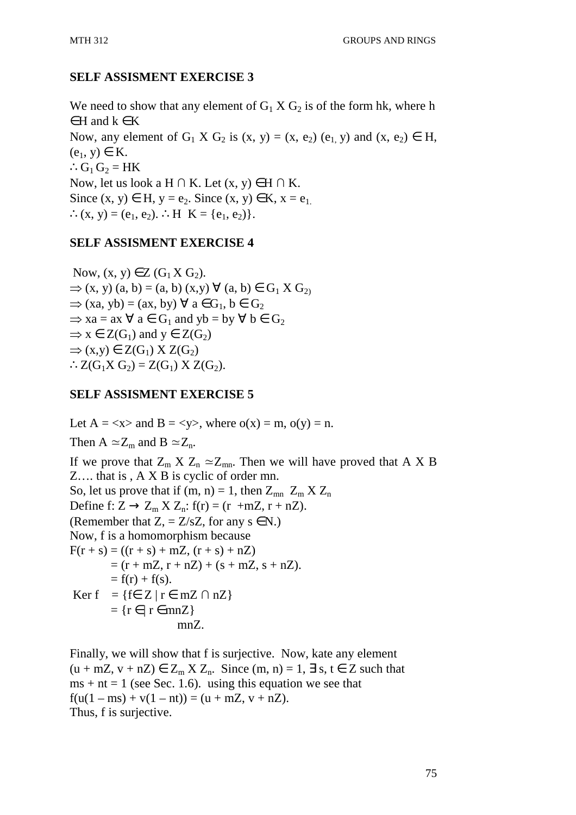# **SELF ASSISMENT EXERCISE 3**

We need to show that any element of  $G_1 X G_2$  is of the form hk, where h  $\in$  H and  $k \in K$ Now, any element of  $G_1$  X  $G_2$  is  $(x, y) = (x, e_2)$   $(e_1, y)$  and  $(x, e_2) \in H$ ,  $(e_1, y) \in K$ .  $\therefore$  G<sub>1</sub> G<sub>2</sub> = HK Now, let us look a H  $\cap$  K. Let  $(x, y) \in H \cap K$ . Since  $(x, y) \in H$ ,  $y = e_2$ . Since  $(x, y) \in K$ ,  $x = e_1$ . ∴(x, y) = (e<sub>1</sub>, e<sub>2</sub>). ∴H K = {e<sub>1</sub>, e<sub>2</sub>)}.

### **SELF ASSISMENT EXERCISE 4**

Now,  $(x, y) \in Z(G_1 X G_2)$ .  $\Rightarrow$  (x, y) (a, b) = (a, b) (x,y)  $\forall$  (a, b)  $\in$  G<sub>1</sub> X G<sub>2)</sub>  $\Rightarrow$  (xa, yb) = (ax, by)  $\forall$  a  $\in$  G<sub>1</sub>, b  $\in$  G<sub>2</sub>  $\Rightarrow$  xa = ax  $\forall$  a  $\in$  G<sub>1</sub> and yb = by  $\forall$  b  $\in$  G<sub>2</sub>  $\Rightarrow$  x  $\in Z(G_1)$  and y  $\in Z(G_2)$  $\Rightarrow$  (x,y)  $\in$  Z(G<sub>1</sub>) X Z(G<sub>2</sub>)  $\therefore Z(G_1X \ G_2) = Z(G_1) \ X \ Z(G_2).$ 

## **SELF ASSISMENT EXERCISE 5**

Let  $A = \langle x \rangle$  and  $B = \langle y \rangle$ , where  $o(x) = m$ ,  $o(y) = n$ . Then A  $\simeq Z_m$  and B  $\simeq Z_n$ . If we prove that  $Z_m X Z_n \simeq Z_{mn}$ . Then we will have proved that A X B Z…. that is , A X B is cyclic of order mn. So, let us prove that if (m, n) = 1, then  $Z_{mn}$   $Z_m$   $XZ_n$ Define f:  $Z \rightarrow Z_m X Z_n$ : f(r) = (r +mZ, r + nZ). (Remember that  $Z$ , =  $Z/sZ$ , for any  $s \in N$ .) Now, f is a homomorphism because  $F(r + s) = ((r + s) + mZ, (r + s) + nZ)$  $= (r + mZ, r + nZ) + (s + mZ, s + nZ).$  $= f(r) + f(s)$ . Ker f = {f= Z | r = mZ  $\cap$  nZ}  $= {r \in | r \in mnZ}$ mnZ.

Finally, we will show that f is surjective. Now, kate any element  $(u + mZ, v + nZ) \in Z_m X Z_n$ . Since  $(m, n) = 1, \exists s, t \in Z$  such that  $ms + nt = 1$  (see Sec. 1.6). using this equation we see that  $f(u(1 - ms) + v(1 - nt)) = (u + mZ, v + nZ).$ Thus, f is surjective.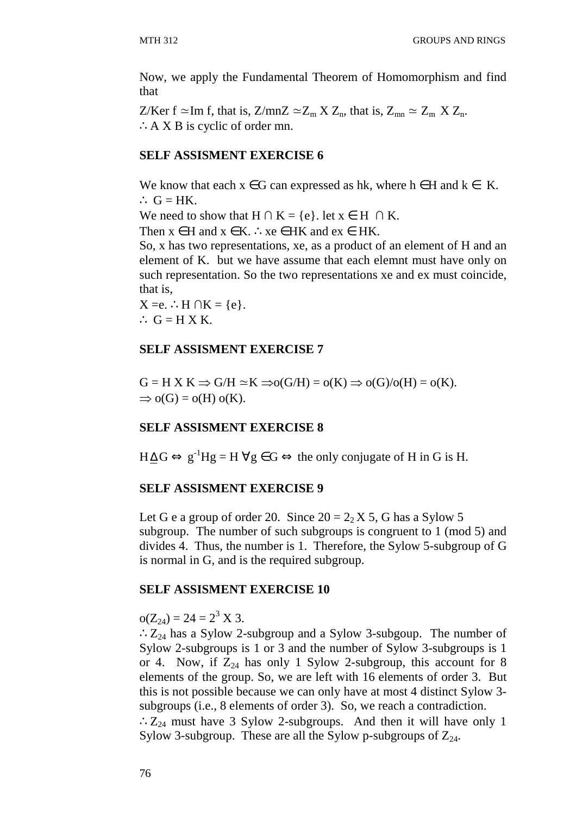Now, we apply the Fundamental Theorem of Homomorphism and find that

Z/Ker f ≃Im f, that is, Z/mnZ  $\simeq Z_m X Z_n$ , that is,  $Z_{mn} \simeq Z_m X Z_n$ . ∴A X B is cyclic of order mn.

#### **SELF ASSISMENT EXERCISE 6**

We know that each  $x \in G$  can expressed as hk, where  $h \in H$  and  $k \in K$ . ∴  $G = HK$ .

We need to show that H  $\cap$  K = {e}. let  $x \in$  H  $\cap$  K.

Then  $x \in H$  and  $x \in K$ . ∴  $xe \in HK$  and  $ex \in HK$ .

So, x has two representations, xe, as a product of an element of H and an element of K. but we have assume that each elemnt must have only on such representation. So the two representations xe and ex must coincide, that is,

 $X = e$ . ∴H  $\cap K = \{e\}$ .  $\therefore$  G = H X K.

#### **SELF ASSISMENT EXERCISE 7**

 $G = H X K \Rightarrow G/H \simeq K \Rightarrow o(G/H) = o(K) \Rightarrow o(G)/o(H) = o(K).$  $\Rightarrow$  o(G) = o(H) o(K).

#### **SELF ASSISMENT EXERCISE 8**

 $H \Delta G \Leftrightarrow g^{-1}Hg = H \,\forall g \in G \Leftrightarrow$  the only conjugate of H in G is H.

#### **SELF ASSISMENT EXERCISE 9**

Let G e a group of order 20. Since  $20 = 2<sub>2</sub> X 5$ , G has a Sylow 5 subgroup. The number of such subgroups is congruent to 1 (mod 5) and divides 4. Thus, the number is 1. Therefore, the Sylow 5-subgroup of G is normal in G, and is the required subgroup.

#### **SELF ASSISMENT EXERCISE 10**

 $o(Z_{24}) = 24 = 2^3$  X 3.

∴ $Z_{24}$  has a Sylow 2-subgroup and a Sylow 3-subgoup. The number of Sylow 2-subgroups is 1 or 3 and the number of Sylow 3-subgroups is 1 or 4. Now, if  $Z_{24}$  has only 1 Sylow 2-subgroup, this account for 8 elements of the group. So, we are left with 16 elements of order 3. But this is not possible because we can only have at most 4 distinct Sylow 3 subgroups (i.e., 8 elements of order 3). So, we reach a contradiction.

∴Z<sub>24</sub> must have 3 Sylow 2-subgroups. And then it will have only 1 Sylow 3-subgroup. These are all the Sylow p-subgroups of  $Z_{24}$ .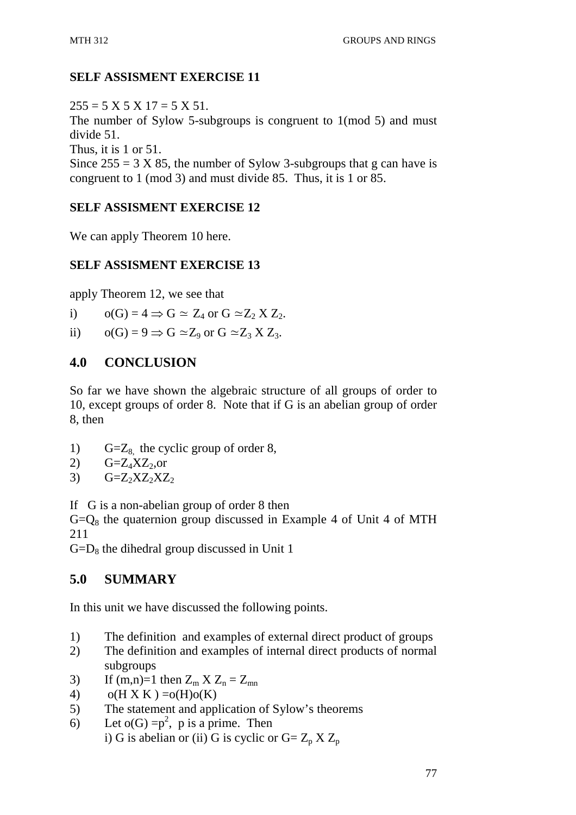# **SELF ASSISMENT EXERCISE 11**

 $255 = 5 \times 5 \times 17 = 5 \times 51$ . The number of Sylow 5-subgroups is congruent to 1(mod 5) and must divide 51. Thus, it is 1 or 51. Since  $255 = 3 \text{ X } 85$ , the number of Sylow 3-subgroups that g can have is

congruent to 1 (mod 3) and must divide 85. Thus, it is 1 or 85.

# **SELF ASSISMENT EXERCISE 12**

We can apply Theorem 10 here.

# **SELF ASSISMENT EXERCISE 13**

apply Theorem 12, we see that

i)  $o(G) = 4 \Rightarrow G \simeq Z_4$  or  $G \simeq Z_2 X Z_2$ .

ii)  $o(G) = 9 \implies G \simeq Z_9$  or  $G \simeq Z_3 X Z_3$ .

# **4.0 CONCLUSION**

So far we have shown the algebraic structure of all groups of order to 10, except groups of order 8. Note that if G is an abelian group of order 8, then

- 1) G= $Z_8$ , the cyclic group of order 8,
- 2)  $G=Z_4XZ_2$ , or
- 3)  $G=Z_2XZ_2XZ_2$

If G is a non-abelian group of order 8 then

 $G=Q_8$  the quaternion group discussed in Example 4 of Unit 4 of MTH 211

 $G=D_8$  the dihedral group discussed in Unit 1

# **5.0 SUMMARY**

In this unit we have discussed the following points.

- 1) The definition and examples of external direct product of groups
- 2) The definition and examples of internal direct products of normal subgroups
- 3) If  $(m,n)=1$  then  $Z_m X Z_n = Z_{mn}$
- 4)  $o(H X K) = o(H) o(K)$
- 5) The statement and application of Sylow's theorems
- 6) Let  $o(G) = p^2$ , p is a prime. Then i) G is abelian or (ii) G is cyclic or  $G = Z_p X Z_p$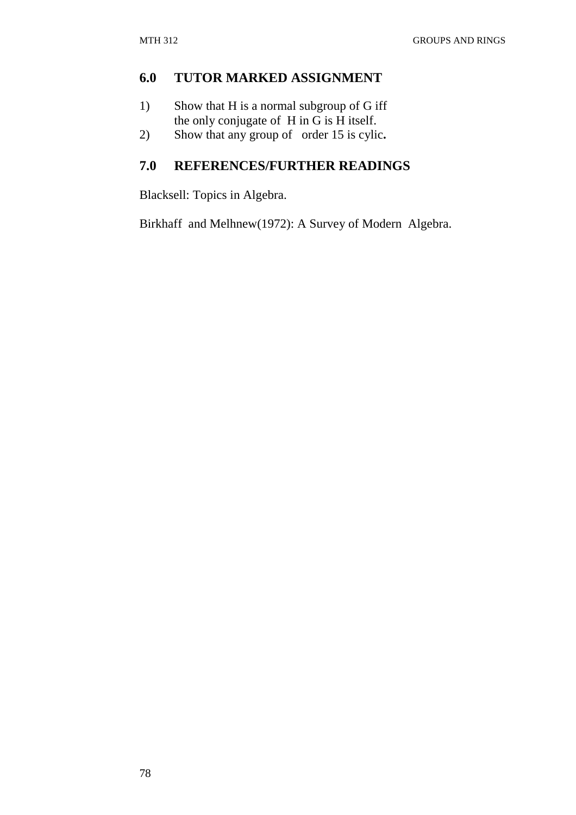## **6.0 TUTOR MARKED ASSIGNMENT**

- 1) Show that H is a normal subgroup of G iff the only conjugate of H in G is H itself.
- 2) Show that any group of order 15 is cylic**.**

# **7.0 REFERENCES/FURTHER READINGS**

Blacksell: Topics in Algebra.

Birkhaff and Melhnew(1972): A Survey of Modern Algebra.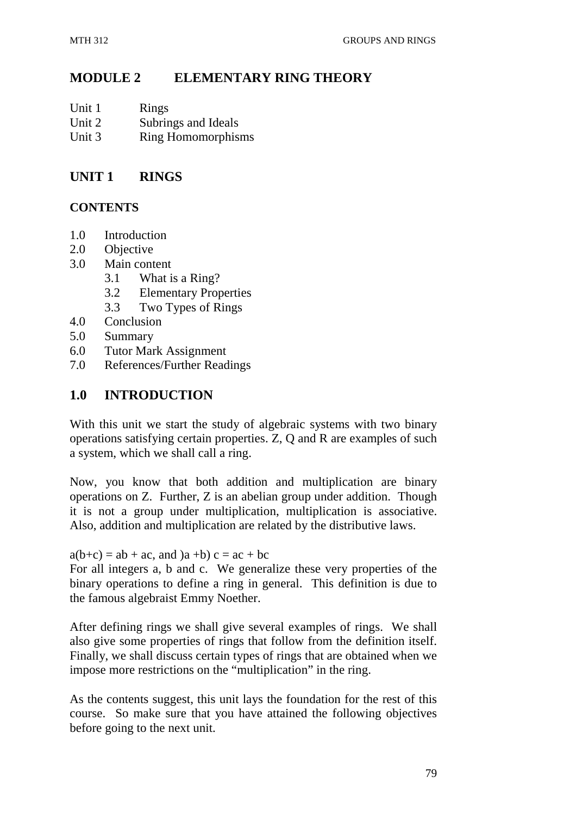## **MODULE 2 ELEMENTARY RING THEORY**

| Unit 1 | Rings                     |
|--------|---------------------------|
| Unit 2 | Subrings and Ideals       |
| Unit 3 | <b>Ring Homomorphisms</b> |

### **UNIT 1 RINGS**

#### **CONTENTS**

- 1.0 Introduction
- 2.0 Objective
- 3.0 Main content
	- 3.1 What is a Ring?
	- 3.2 Elementary Properties
	- 3.3 Two Types of Rings
- 4.0 Conclusion
- 5.0 Summary
- 6.0 Tutor Mark Assignment
- 7.0 References/Further Readings

#### **1.0 INTRODUCTION**

With this unit we start the study of algebraic systems with two binary operations satisfying certain properties. Z, Q and R are examples of such a system, which we shall call a ring.

Now, you know that both addition and multiplication are binary operations on Z. Further, Z is an abelian group under addition. Though it is not a group under multiplication, multiplication is associative. Also, addition and multiplication are related by the distributive laws.

 $a(b+c) = ab + ac$ , and  $(a + b)c = ac + bc$ 

For all integers a, b and c. We generalize these very properties of the binary operations to define a ring in general. This definition is due to the famous algebraist Emmy Noether.

After defining rings we shall give several examples of rings. We shall also give some properties of rings that follow from the definition itself. Finally, we shall discuss certain types of rings that are obtained when we impose more restrictions on the "multiplication" in the ring.

As the contents suggest, this unit lays the foundation for the rest of this course. So make sure that you have attained the following objectives before going to the next unit.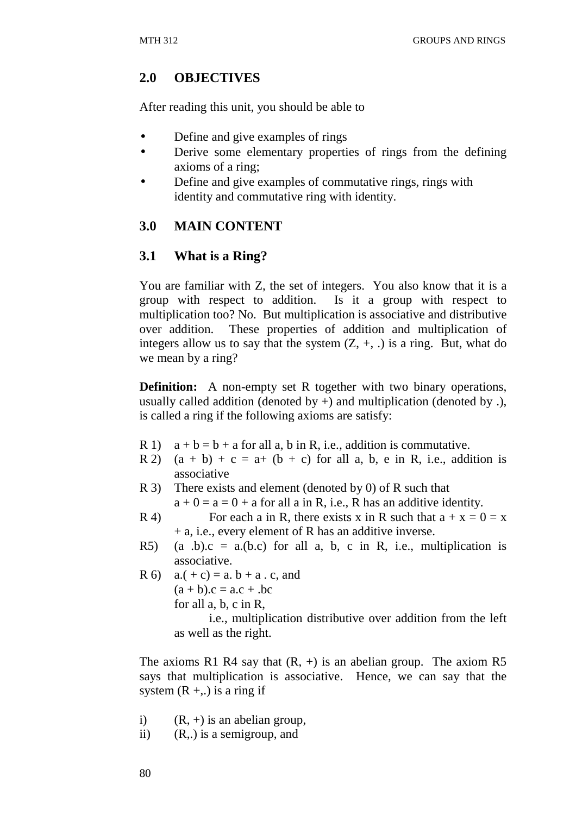## **2.0 OBJECTIVES**

After reading this unit, you should be able to

- Define and give examples of rings
- Derive some elementary properties of rings from the defining axioms of a ring;
- Define and give examples of commutative rings, rings with identity and commutative ring with identity.

## **3.0 MAIN CONTENT**

### **3.1 What is a Ring?**

You are familiar with Z, the set of integers. You also know that it is a group with respect to addition. Is it a group with respect to multiplication too? No. But multiplication is associative and distributive over addition. These properties of addition and multiplication of integers allow us to say that the system  $(Z, +, \cdot)$  is a ring. But, what do we mean by a ring?

**Definition:** A non-empty set R together with two binary operations, usually called addition (denoted by  $+)$  and multiplication (denoted by .), is called a ring if the following axioms are satisfy:

- R 1)  $a + b = b + a$  for all a, b in R, i.e., addition is commutative.
- R 2)  $(a + b) + c = a + (b + c)$  for all a, b, e in R, i.e., addition is associative
- R 3) There exists and element (denoted by 0) of R such that  $a + 0 = a = 0 + a$  for all a in R, i.e., R has an additive identity.
- R 4) For each a in R, there exists x in R such that  $a + x = 0 = x$ + a, i.e., every element of R has an additive inverse.
- R5) (a .b).c = a.(b.c) for all a, b, c in R, i.e., multiplication is associative.

R 6)  $a.(+c) = a. b + a. c, and$  $(a + b).c = a.c + .bc$  for all a, b, c in R, i.e., multiplication distributive over addition from the left

as well as the right.

The axioms R1 R4 say that  $(R, +)$  is an abelian group. The axiom R5 says that multiplication is associative. Hence, we can say that the system  $(R + ...)$  is a ring if

- i)  $(R, +)$  is an abelian group,
- ii) (R,.) is a semigroup, and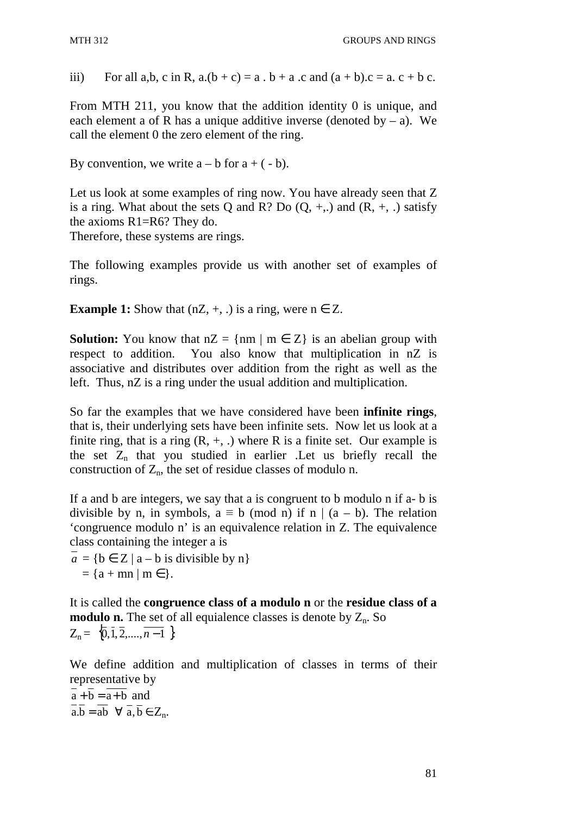iii) For all a,b, c in R,  $a.(b + c) = a \cdot b + a \cdot c$  and  $(a + b).c = a \cdot c + b \cdot c$ .

From MTH 211, you know that the addition identity 0 is unique, and each element a of R has a unique additive inverse (denoted by  $-$  a). We call the element 0 the zero element of the ring.

By convention, we write  $a - b$  for  $a + (-b)$ .

Let us look at some examples of ring now. You have already seen that Z is a ring. What about the sets O and R? Do  $(0, +, \cdot)$  and  $(R, +, \cdot)$  satisfy the axioms R1=R6? They do.

Therefore, these systems are rings.

The following examples provide us with another set of examples of rings.

**Example 1:** Show that  $(nZ, +, .)$  is a ring, were  $n \in Z$ .

**Solution:** You know that  $nZ = \{nm \mid m \in Z\}$  is an abelian group with respect to addition. You also know that multiplication in nZ is associative and distributes over addition from the right as well as the left. Thus, nZ is a ring under the usual addition and multiplication.

So far the examples that we have considered have been **infinite rings**, that is, their underlying sets have been infinite sets. Now let us look at a finite ring, that is a ring  $(R, +, \cdot)$  where R is a finite set. Our example is the set  $Z_n$  that you studied in earlier . Let us briefly recall the construction of  $Z_n$ , the set of residue classes of modulo n.

If a and b are integers, we say that a is congruent to b modulo n if a- b is divisible by n, in symbols,  $a \equiv b \pmod{n}$  if n |  $(a - b)$ . The relation 'congruence modulo n' is an equivalence relation in Z. The equivalence class containing the integer a is

 $a = \{b \in Z \mid a - b \text{ is divisible by } n\}$  $= {a + mn | m \in }$ .

It is called the **congruence class of a modulo n** or the **residue class of a modulo n.** The set of all equialence classes is denote by  $Z_n$ . So  $Z_n = \{ \overline{0}, \overline{1}, \overline{2}, \dots, \overline{n-1} \}$ 

We define addition and multiplication of classes in terms of their representative by

 $\overline{a} + \overline{b} = \overline{a+b}$  and  $a.b = ab \quad \forall \overline{a}, \overline{b} \in \mathbb{Z}_n$ .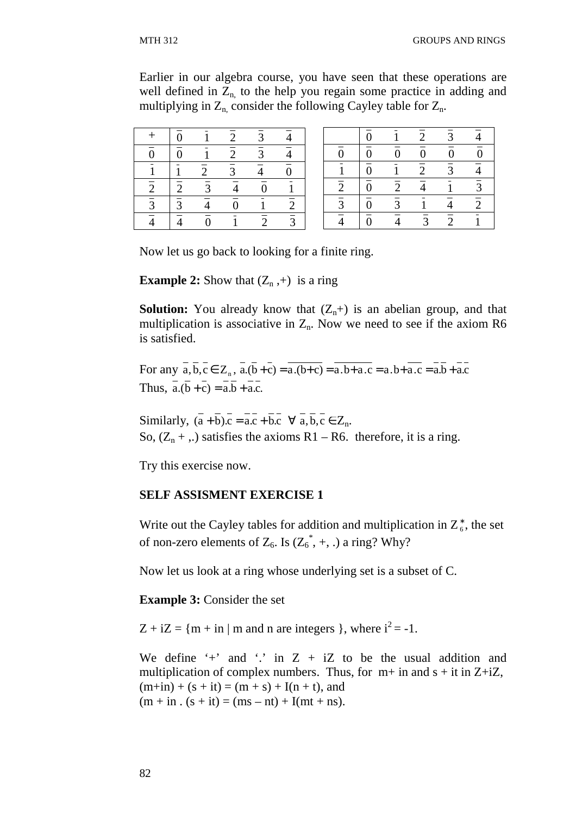Earlier in our algebra course, you have seen that these operations are well defined in  $Z_{n}$  to the help you regain some practice in adding and multiplying in  $Z_{n}$ , consider the following Cayley table for  $Z_{n}$ .

|                | $\overline{0}$            |                | $\overline{c}$ | 3                         |                           |
|----------------|---------------------------|----------------|----------------|---------------------------|---------------------------|
| $\overline{0}$ | $\overline{\overline{0}}$ |                | $\overline{2}$ | $\overline{\overline{3}}$ | $\frac{1}{4}$             |
|                |                           | $\overline{2}$ | $\frac{1}{3}$  | $\overline{4}$            | $\overline{\overline{0}}$ |
| $\overline{2}$ | $\overline{2}$            | $\overline{3}$ | →              | $\overline{0}$            |                           |
| $\overline{3}$ | $\overline{3}$            |                | $\overline{0}$ |                           | $\overline{2}$            |
|                |                           | $\overline{0}$ |                | $\overline{2}$            | $\overline{3}$            |

|                  | $\overline{0}$            |                | $\overline{2}$   | 3              |                |
|------------------|---------------------------|----------------|------------------|----------------|----------------|
| $\boldsymbol{0}$ | $\overline{\overline{0}}$ | $\overline{0}$ | $\boldsymbol{0}$ | $\overline{0}$ | $\overline{0}$ |
|                  | $\overline{\overline{0}}$ |                | $\overline{2}$   | 3              | $\overline{4}$ |
| $\overline{2}$   | $\overline{\overline{0}}$ | $\overline{c}$ |                  |                | $\overline{3}$ |
| $\overline{3}$   | $\overline{\overline{0}}$ | 3              |                  | 4              | $\overline{2}$ |
|                  | $\bar{0}$                 |                | 3                | $\overline{2}$ |                |

Now let us go back to looking for a finite ring.

**Example 2:** Show that  $(Z_n,+)$  is a ring

**Solution:** You already know that  $(Z_n+)$  is an abelian group, and that multiplication is associative in  $Z_n$ . Now we need to see if the axiom R6 is satisfied.

For any  $a, b, c \in Z_n$ ,  $a.(b+c) = a.(b+c) = a.b + a.c = a.b + a.c = a.b + a.c$ Thus,  $a.(\overline{b} + c) = a.\overline{b} + a.c.$ 

Similarly,  $(\overline{a} + \overline{b})\cdot\overline{c} = \overline{a} \cdot \overline{c} + \overline{b} \cdot \overline{c} \quad \forall \overline{a}, \overline{b}, \overline{c} \in \mathbb{Z}_n$ . So,  $(Z_n + ...)$  satisfies the axioms R1 – R6. therefore, it is a ring.

Try this exercise now.

#### **SELF ASSISMENT EXERCISE 1**

Write out the Cayley tables for addition and multiplication in  $Z_6^*$ , the set of non-zero elements of  $Z_6$ . Is  $(Z_6^*, +, \cdot)$  a ring? Why?

Now let us look at a ring whose underlying set is a subset of C.

**Example 3:** Consider the set

 $Z + iZ = {m + in | m}$  and n are integers }, where  $i^2 = -1$ .

We define  $\dot{+}$  and  $\dot{.}$  in Z + iZ to be the usual addition and multiplication of complex numbers. Thus, for  $m+$  in and  $s + it$  in  $Z+iZ$ ,  $(m+in) + (s + it) = (m + s) + I(n + t)$ , and  $(m + in \cdot (s + it) = (ms - nt) + I(mt + ns).$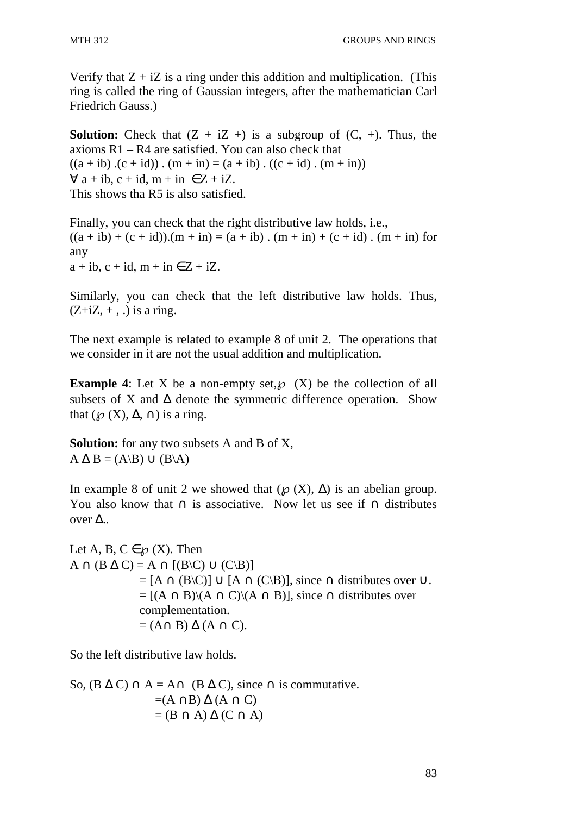Verify that  $Z + iZ$  is a ring under this addition and multiplication. (This ring is called the ring of Gaussian integers, after the mathematician Carl Friedrich Gauss.)

**Solution:** Check that  $(Z + iZ + iZ)$  is a subgroup of  $(C, +)$ . Thus, the axioms R1 – R4 are satisfied. You can also check that  $((a + ib) .(c + id))$ .  $(m + in) = (a + ib) . ((c + id) . (m + in))$  $\forall$  a + ib, c + id, m + in  $\in$  Z + iZ. This shows tha R5 is also satisfied.

Finally, you can check that the right distributive law holds, i.e.,  $((a + ib) + (c + id))$ .  $(m + in) = (a + ib)$ .  $(m + in) + (c + id)$ .  $(m + in)$  for any  $a + ib$ ,  $c + id$ ,  $m + in \in Z + iZ$ .

Similarly, you can check that the left distributive law holds. Thus,  $(Z+iZ, +, .)$  is a ring.

The next example is related to example 8 of unit 2. The operations that we consider in it are not the usual addition and multiplication.

**Example 4**: Let X be a non-empty set,  $\varnothing$  (X) be the collection of all subsets of X and  $\Delta$  denote the symmetric difference operation. Show that ( $\mathcal{O}(X)$ ,  $\Delta$ ,  $\cap$ ) is a ring.

**Solution:** for any two subsets A and B of X,  $A \Delta B = (A \setminus B) \cup (B \setminus A)$ 

In example 8 of unit 2 we showed that  $(\wp(X), \Delta)$  is an abelian group. You also know that  $\cap$  is associative. Now let us see if  $\cap$  distributes over ∆..

Let A, B,  $C \in \mathcal{O}(X)$ . Then  $A \cap (B \Delta C) = A \cap [(B \setminus C) \cup (C \setminus B)]$  $= [A \cap (B \setminus C)] \cup [A \cap (C \setminus B)]$ , since  $\cap$  distributes over  $\cup$ .  $=[(A \cap B) \setminus (A \cap C) \setminus (A \cap B)]$ , since  $\cap$  distributes over complementation.  $=(A \cap B) \Delta (A \cap C).$ 

So the left distributive law holds.

So,  $(B \Delta C) \cap A = A \cap (B \Delta C)$ , since  $\cap$  is commutative.  $=(A \cap B) \Delta (A \cap C)$  $=(B \cap A) \Delta (C \cap A)$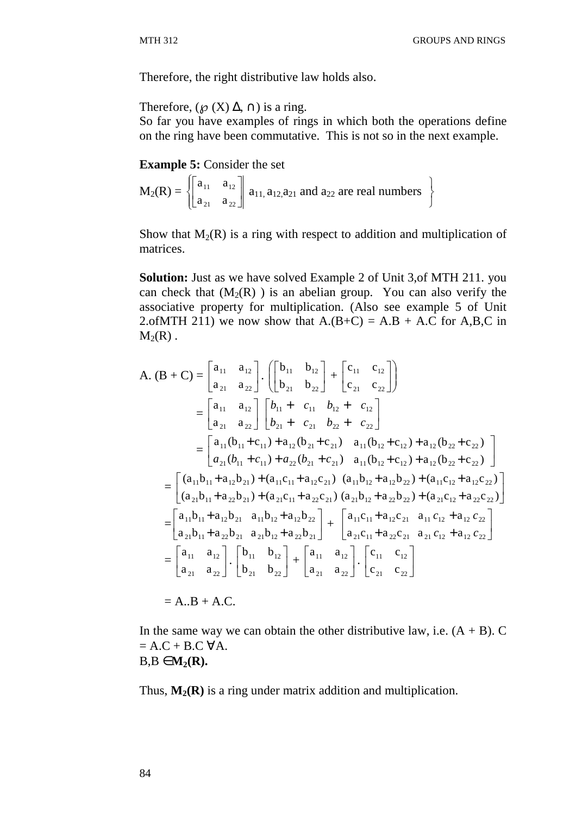Therefore, the right distributive law holds also.

Therefore,  $(\wp(X) \Delta, \cap)$  is a ring.

So far you have examples of rings in which both the operations define on the ring have been commutative. This is not so in the next example.

**Example 5:** Consider the set

$$
M_2(R) = \left\{ \begin{bmatrix} a_{11} & a_{12} \\ a_{21} & a_{22} \end{bmatrix} \right\} a_{11,} a_{12,} a_{21} \text{ and } a_{22} \text{ are real numbers } \}
$$

Show that  $M_2(R)$  is a ring with respect to addition and multiplication of matrices.

**Solution:** Just as we have solved Example 2 of Unit 3,of MTH 211. you can check that  $(M<sub>2</sub>(R))$  is an abelian group. You can also verify the associative property for multiplication. (Also see example 5 of Unit 2.of MTH 211) we now show that  $A(B+C) = A.B + A.C$  for  $A,B,C$  in  $M_2(R)$ .

$$
A. (B + C) = \begin{bmatrix} a_{11} & a_{12} \ a_{21} & a_{22} \end{bmatrix} \cdot \begin{bmatrix} b_{11} & b_{12} \ b_{21} & b_{22} \end{bmatrix} + \begin{bmatrix} c_{11} & c_{12} \ c_{21} & c_{22} \end{bmatrix}
$$
  
\n
$$
= \begin{bmatrix} a_{11} & a_{12} \ a_{21} & a_{22} \end{bmatrix} \begin{bmatrix} b_{11} + c_{11} & b_{12} + c_{12} \ b_{21} + c_{21} & b_{22} + c_{22} \end{bmatrix}
$$
  
\n
$$
= \begin{bmatrix} a_{11}(b_{11} + c_{11}) + a_{12}(b_{21} + c_{21}) & a_{11}(b_{12} + c_{12}) + a_{12}(b_{22} + c_{22}) \ a_{21}(b_{11} + c_{11}) + a_{22}(b_{21} + c_{21}) & a_{11}(b_{12} + c_{12}) + a_{12}(b_{22} + c_{22}) \end{bmatrix}
$$
  
\n
$$
= \begin{bmatrix} (a_{11}b_{11} + a_{12}b_{21}) + (a_{11}c_{11} + a_{12}c_{21}) & (a_{11}b_{12} + a_{12}b_{22}) + (a_{11}c_{12} + a_{12}c_{22}) \ (a_{21}b_{12} + a_{22}b_{21}) + (a_{21}c_{11} + a_{22}c_{21}) & (a_{21}b_{12} + a_{22}b_{22}) + (a_{21}c_{12} + a_{22}c_{22}) \end{bmatrix}
$$
  
\n
$$
= \begin{bmatrix} a_{11}b_{11} + a_{12}b_{21} & a_{11}b_{12} + a_{12}b_{22} \ a_{21}b_{11} + a_{22}b_{21} & a_{21}b_{12} + a_{22}b_{21} \end{bmatrix} + \begin{bmatrix} a_{11}c_{11} + a_{12}c_{21} & a_{11}c_{12} + a_{12}c_{22} \ a_{21}b_{11
$$

In the same way we can obtain the other distributive law, i.e.  $(A + B)$ . C  $= A.C + B.C \forall A.$  $B, B \in M$ <sup>2</sup> $(R)$ .

Thus,  $M_2(R)$  is a ring under matrix addition and multiplication.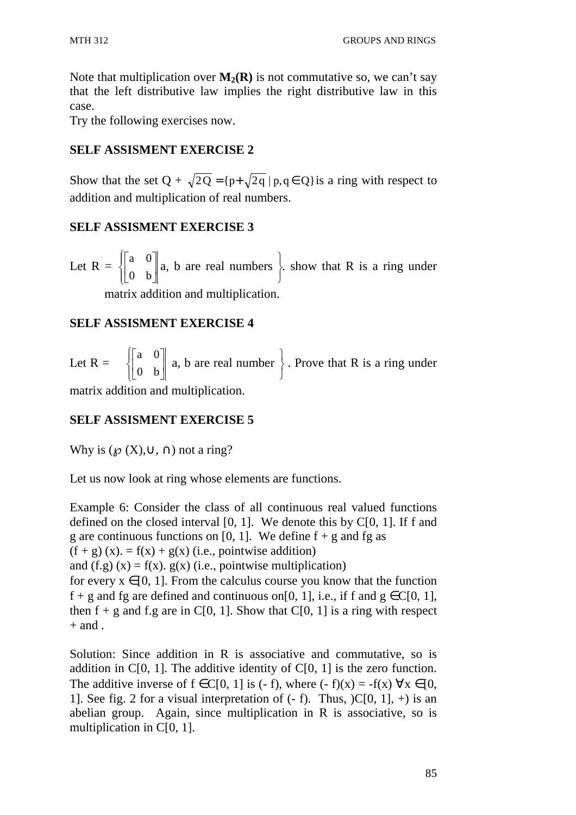Note that multiplication over  $M_2(R)$  is not commutative so, we can't say that the left distributive law implies the right distributive law in this case.

Try the following exercises now.

## **SELF ASSISMENT EXERCISE 2**

Show that the set Q +  $\sqrt{2Q} = {p+\sqrt{2q} \mid p,q \in Q}$  is a ring with respect to addition and multiplication of real numbers.

## **SELF ASSISMENT EXERCISE 3**

Let  $R = \begin{cases} \frac{1}{2} & \text{if } R = \frac{1}{2} \\ \frac{1}{2} & \text{if } R = \frac{1}{2} \end{cases}$ ∤  $\int$  $\overline{\phantom{a}}$  $\rfloor$ 1  $\mathsf{L}$ L Г 0 b a 0 a, b are real numbers J  $\left\{ \right\}$  $\mathcal{L}$ . show that R is a ring under matrix addition and multiplication.

## **SELF ASSISMENT EXERCISE 4**

Let R =  $\begin{cases} \end{cases}$ ∤  $\int$  $\overline{\phantom{a}}$  $\rfloor$ ⅂  $\mathbf{r}$ L 0 b a 0 a, b are real number J  $\left\{ \right\}$  $\mathcal{L}$ . Prove that R is a ring under

matrix addition and multiplication.

# **SELF ASSISMENT EXERCISE 5**

Why is  $({\mathcal{O}}(X), \cup, \cap)$  not a ring?

Let us now look at ring whose elements are functions.

Example 6: Consider the class of all continuous real valued functions defined on the closed interval  $[0, 1]$ . We denote this by  $C[0, 1]$ . If f and g are continuous functions on [0, 1]. We define  $f + g$  and fg as  $(f + g)(x) = f(x) + g(x)$  (i.e., pointwise addition) and  $(f.g)$   $(x) = f(x)$ .  $g(x)$  (i.e., pointwise multiplication) for every  $x \in [0, 1]$ . From the calculus course you know that the function f + g and fg are defined and continuous on[0, 1], i.e., if f and  $g \in C[0, 1]$ , then  $f + g$  and f.g are in C[0, 1]. Show that C[0, 1] is a ring with respect  $+$  and .

Solution: Since addition in R is associative and commutative, so is addition in  $C[0, 1]$ . The additive identity of  $C[0, 1]$  is the zero function. The additive inverse of  $f \in C[0, 1]$  is (- f), where (- f)(x) = -f(x)  $\forall x \in [0, 1]$ 1]. See fig. 2 for a visual interpretation of  $(-f)$ . Thus,  $)C[0, 1]$ ,  $+)$  is an abelian group. Again, since multiplication in R is associative, so is multiplication in C[0, 1].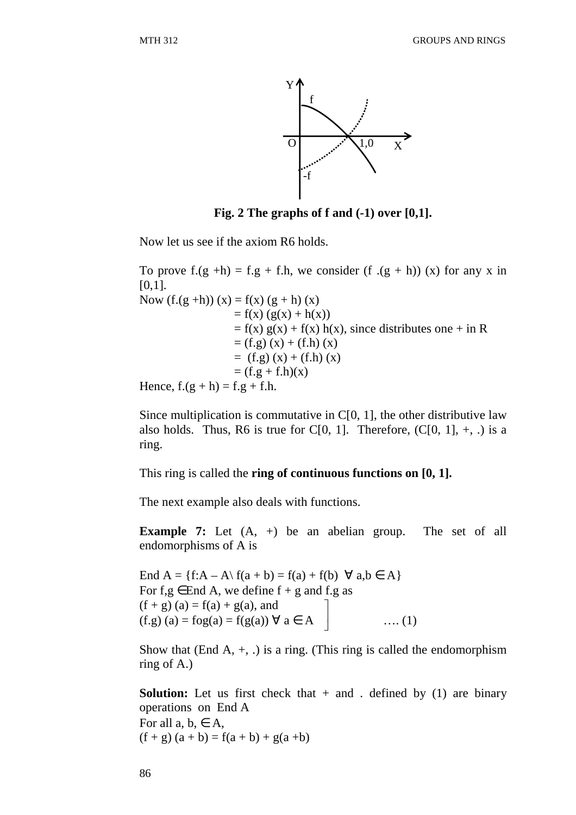

**Fig. 2 The graphs of f and (-1) over [0,1].** 

Now let us see if the axiom R6 holds.

To prove  $f(g + h) = f(g + f, h)$ , we consider  $(f (g + h))$  (x) for any x in  $[0,1]$ . Now  $(f.(g + h)) (x) = f(x) (g + h) (x)$  $= f(x) (g(x) + h(x))$  $= f(x) g(x) + f(x) h(x)$ , since distributes one + in R  $= (f.g) (x) + (f.h) (x)$  $=$  (f.g) (x) + (f.h) (x)  $= (f.g + f.h)(x)$ Hence,  $f.(g + h) = f.g + f.h$ .

Since multiplication is commutative in  $C[0, 1]$ , the other distributive law also holds. Thus, R6 is true for C[0, 1]. Therefore,  $(C[0, 1], +, \cdot)$  is a ring.

This ring is called the **ring of continuous functions on [0, 1].**

The next example also deals with functions.

**Example 7:** Let  $(A, +)$  be an abelian group. The set of all endomorphisms of A is

End A =  $\{f:A - A\} f(a + b) = f(a) + f(b) \forall a,b \in A\}$ For f,g  $\in$  End A, we define f + g and f.g as  $(f + g)(a) = f(a) + g(a)$ , and  $(f.g) (a) = f (g(a)) \forall a \in A$  ….. (1)  $\overline{\phantom{a}}$  $\rfloor$ 1

Show that (End A,  $+$ , .) is a ring. (This ring is called the endomorphism ring of A.)

**Solution:** Let us first check that  $+$  and . defined by (1) are binary operations on End A For all  $a, b \in A$ ,  $(f + g) (a + b) = f(a + b) + g(a + b)$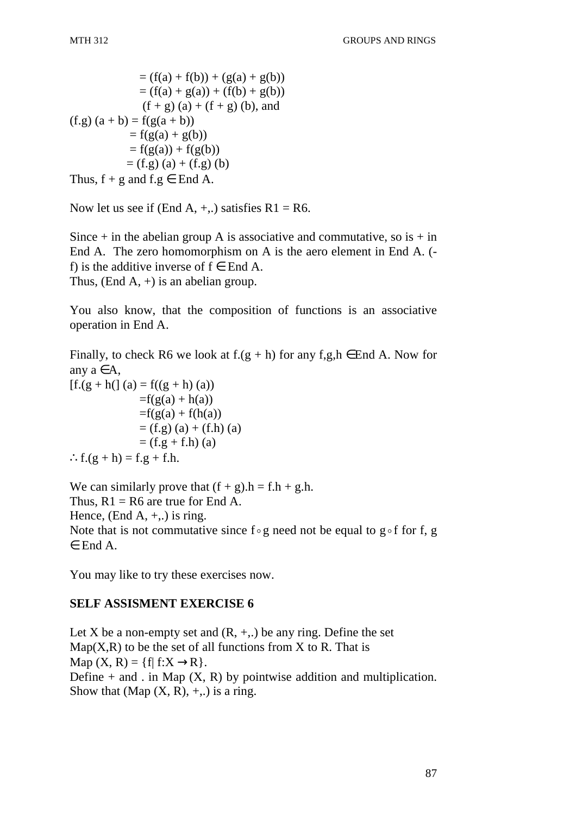$$
= (f(a) + f(b)) + (g(a) + g(b))
$$
  
\n
$$
= (f(a) + g(a)) + (f(b) + g(b))
$$
  
\n
$$
(f + g) (a) + (f + g) (b), and
$$
  
\n
$$
(f.g) (a + b) = f(g(a + b))
$$
  
\n
$$
= f(g(a) + g(b))
$$
  
\n
$$
= f(g(a)) + f(g(b))
$$
  
\n
$$
= (f.g) (a) + (f.g) (b)
$$
  
\nThus, f + g and f.g  $\in$  End A.

Now let us see if (End A,  $+$ ,.) satisfies R1 = R6.

Since  $+$  in the abelian group A is associative and commutative, so is  $+$  in End A. The zero homomorphism on A is the aero element in End A. ( f) is the additive inverse of  $f \in$  End A. Thus, (End A,  $+$ ) is an abelian group.

You also know, that the composition of functions is an associative operation in End A.

Finally, to check R6 we look at  $f(g + h)$  for any  $f.g.h \in End A$ . Now for any  $a \in A$ ,  $[f.(g + h() (a) = f((g + h) (a))$  $=f(g(a) + h(a))$  $=f(g(a) + f(h(a))$  $= (f.g) (a) + (f.h) (a)$  $= (f.g + f.h)(a)$  $\therefore f.(g + h) = f.g + f.h.$ 

We can similarly prove that  $(f + g) \cdot h = f \cdot h + g \cdot h$ . Thus,  $R1 = R6$  are true for End A. Hence, (End A,  $+$ , ) is ring. Note that is not commutative since  $f \circ g$  need not be equal to  $g \circ f$  for f, g ∈ End A.

You may like to try these exercises now.

#### **SELF ASSISMENT EXERCISE 6**

Let X be a non-empty set and  $(R, +, \cdot)$  be any ring. Define the set  $Map(X,R)$  to be the set of all functions from X to R. That is Map  $(X, R) = \{f | f: X \rightarrow R\}.$ Define  $+$  and . in Map  $(X, R)$  by pointwise addition and multiplication. Show that (Map  $(X, R)$ , +,.) is a ring.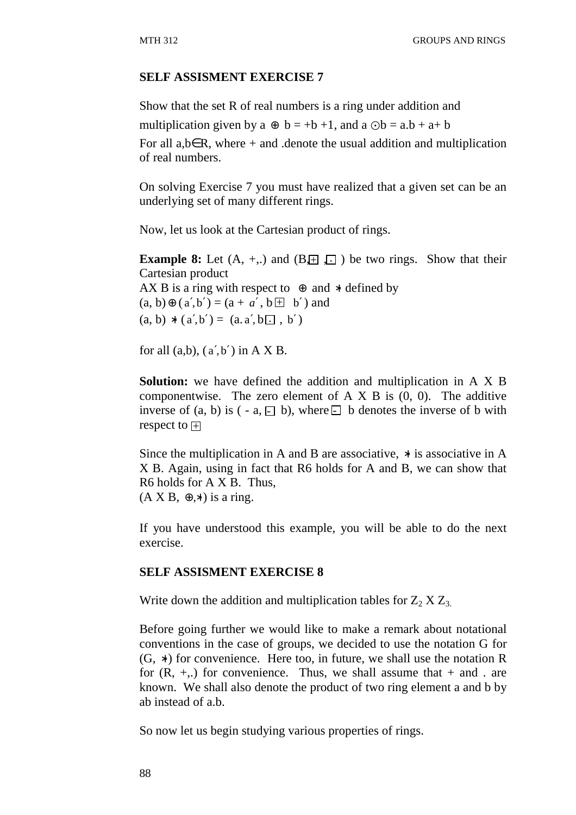#### **SELF ASSISMENT EXERCISE 7**

Show that the set R of real numbers is a ring under addition and multiplication given by a  $\oplus$  b = +b +1, and a  $\odot$ b = a.b + a+ b For all a,b∈R, where  $+$  and .denote the usual addition and multiplication of real numbers.

On solving Exercise 7 you must have realized that a given set can be an underlying set of many different rings.

Now, let us look at the Cartesian product of rings.

**Example 8:** Let  $(A, +,.)$  and  $(B, \pm)$ ,  $\Box$  be two rings. Show that their Cartesian product AX B is a ring with respect to  $\oplus$  and  $*$  defined by  $(a, b) \oplus (a', b') = (a + a', b \boxplus b')$  and  $(a, b) * (a', b') = (a, a', b \square, b')$ 

for all  $(a,b)$ ,  $(a',b')$  in A X B.

**Solution:** we have defined the addition and multiplication in A X B componentwise. The zero element of  $A \times B$  is  $(0, 0)$ . The additive inverse of  $(a, b)$  is  $(-a, \square, b)$ , where  $\square$  b denotes the inverse of b with respect to  $\overline{\pm}$ 

Since the multiplication in A and B are associative, ∗ is associative in A X B. Again, using in fact that R6 holds for A and B, we can show that R6 holds for A X B. Thus,  $(A \times B, \oplus, *)$  is a ring.

If you have understood this example, you will be able to do the next exercise.

#### **SELF ASSISMENT EXERCISE 8**

Write down the addition and multiplication tables for  $Z_2$   $X Z_3$ .

Before going further we would like to make a remark about notational conventions in the case of groups, we decided to use the notation G for (G, ∗ ) for convenience. Here too, in future, we shall use the notation R for  $(R, +,.)$  for convenience. Thus, we shall assume that  $+$  and . are known. We shall also denote the product of two ring element a and b by ab instead of a.b.

So now let us begin studying various properties of rings.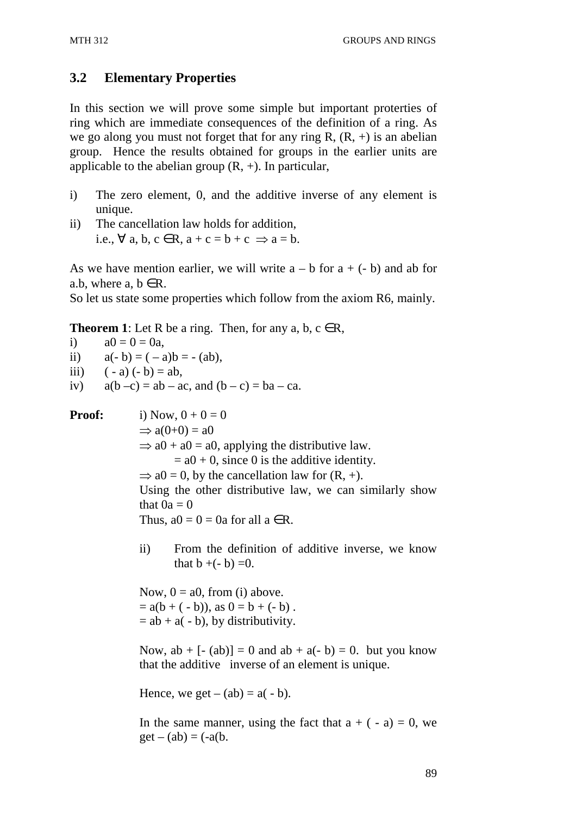# **3.2 Elementary Properties**

In this section we will prove some simple but important proterties of ring which are immediate consequences of the definition of a ring. As we go along you must not forget that for any ring R,  $(R, +)$  is an abelian group. Hence the results obtained for groups in the earlier units are applicable to the abelian group  $(R, +)$ . In particular,

- i) The zero element, 0, and the additive inverse of any element is unique.
- ii) The cancellation law holds for addition, i.e.,  $\forall$  a, b,  $c \in R$ ,  $a + c = b + c \implies a = b$ .

As we have mention earlier, we will write  $a - b$  for  $a + (-b)$  and ab for a.b, where a,  $b \in R$ .

So let us state some properties which follow from the axiom R6, mainly.

**Theorem 1**: Let R be a ring. Then, for any a, b,  $c \in R$ ,

i)  $a0 = 0 = 0a$ , ii)  $a(-b) = (-a)b = -(ab)$ , iii)  $(-a) (-b) = ab$ , iv)  $a(b-c) = ab - ac$ , and  $(b-c) = ba - ca$ . **Proof:** i) Now,  $0 + 0 = 0$  $\Rightarrow$  a(0+0) = a0  $\Rightarrow$  a0 + a0 = a0, applying the distributive law.  $= a0 + 0$ , since 0 is the additive identity.  $\Rightarrow$  a0 = 0, by the cancellation law for  $(R, +)$ . Using the other distributive law, we can similarly show that  $0a = 0$ Thus,  $a0 = 0 = 0$ a for all  $a \in R$ . ii) From the definition of additive inverse, we know that  $b + (-b) = 0$ .

> Now,  $0 = a0$ , from (i) above.  $= a(b + (-b))$ , as  $0 = b + (-b)$ .  $=$  ab  $+$  a( $-$ b), by distributivity.

Now,  $ab + [- (ab)] = 0$  and  $ab + a(-b) = 0$ . but you know that the additive inverse of an element is unique.

Hence, we get 
$$
-(ab) = a(-b)
$$
.

In the same manner, using the fact that  $a + (-a) = 0$ , we  $get - (ab) = (-a(b))$ .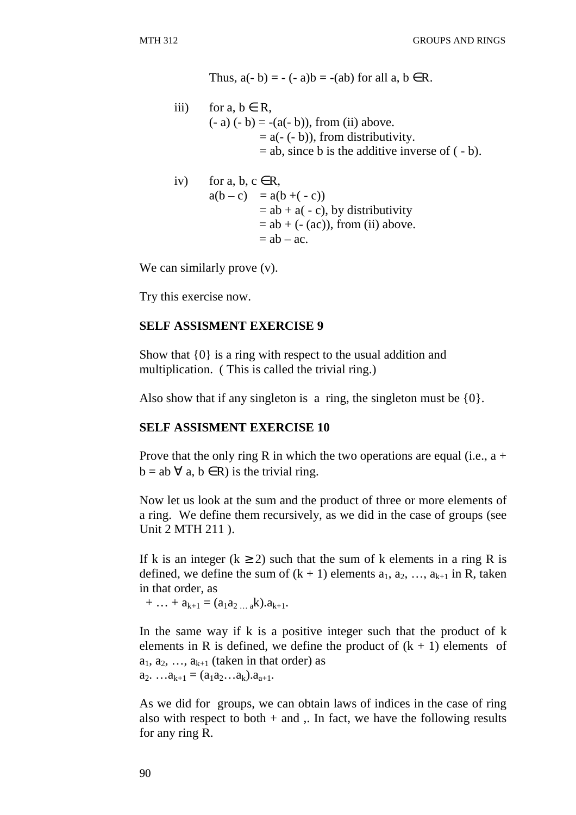Thus,  $a(-b) = -(-a)b = -(ab)$  for all  $a, b \in R$ .

iii) for a,  $b \in R$ ,  $(-a) (-b) = -(a(-b))$ , from (ii) above.  $= a(-(-b))$ , from distributivity.  $=$  ab, since b is the additive inverse of  $(-b)$ .

iv) for a, b, c 
$$
\in
$$
 R,  
\n
$$
a(b - c) = a(b + (-c))
$$
\n
$$
= ab + a(-c), by distributivity
$$
\n
$$
= ab + (- (ac)), from (ii) above.
$$
\n
$$
= ab - ac.
$$

We can similarly prove  $(v)$ .

Try this exercise now.

#### **SELF ASSISMENT EXERCISE 9**

Show that {0} is a ring with respect to the usual addition and multiplication. ( This is called the trivial ring.)

Also show that if any singleton is a ring, the singleton must be  $\{0\}$ .

#### **SELF ASSISMENT EXERCISE 10**

Prove that the only ring R in which the two operations are equal (i.e.,  $a +$  $b = ab \; \forall \; a, b \in R$ ) is the trivial ring.

Now let us look at the sum and the product of three or more elements of a ring. We define them recursively, as we did in the case of groups (see Unit 2 MTH 211 ).

If k is an integer ( $k \ge 2$ ) such that the sum of k elements in a ring R is defined, we define the sum of  $(k + 1)$  elements  $a_1, a_2, ..., a_{k+1}$  in R, taken in that order, as

 $+ \ldots + a_{k+1} = (a_1 a_2 \ldots a_k) a_{k+1}.$ 

In the same way if k is a positive integer such that the product of  $k$ elements in R is defined, we define the product of  $(k + 1)$  elements of  $a_1, a_2, \ldots, a_{k+1}$  (taken in that order) as  $a_2$ . … $a_{k+1} = (a_1 a_2 ... a_k) a_{a+1}$ .

As we did for groups, we can obtain laws of indices in the case of ring also with respect to both  $+$  and  $\ldots$  In fact, we have the following results for any ring R.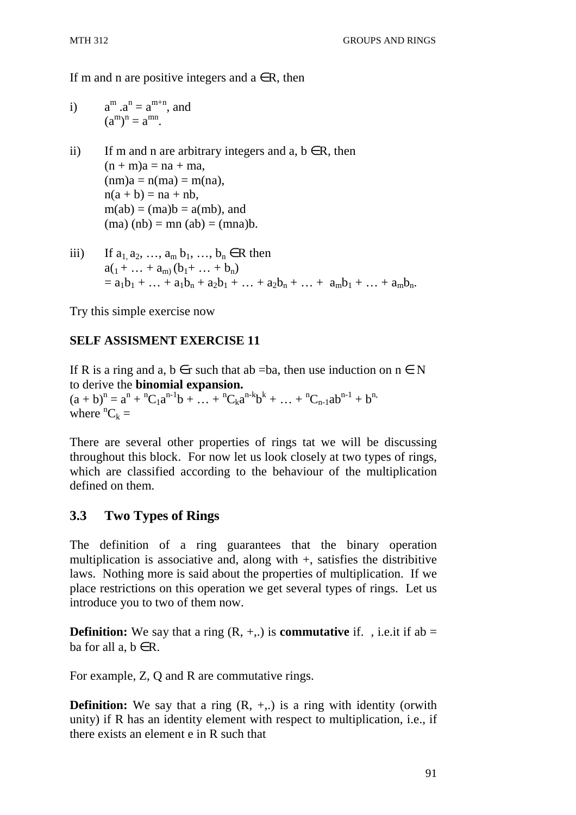If m and n are positive integers and  $a \in R$ , then

i) 
$$
a^m . a^n = a^{m+n}
$$
, and   
 $(a^m)^n = a^{mn}$ .

- ii) If m and n are arbitrary integers and a,  $b \in R$ , then  $(n + m)a = na + ma$ ,  $(nm)a = n(ma) = m(na)$ ,  $n(a + b) = na + nb$ ,  $m(ab) = (ma)b = a(mb)$ , and  $(ma) (nb) = mn (ab) = (mna)b$ .
- iii) If  $a_1, a_2, ..., a_m, b_1, ..., b_n \in R$  then  $a_{1} + ... + a_{m} (b_{1} + ... + b_{n})$  $= a_1b_1 + ... + a_1b_n + a_2b_1 + ... + a_2b_n + ... + a_mb_1 + ... + a_mb_n$ .

Try this simple exercise now

# **SELF ASSISMENT EXERCISE 11**

If R is a ring and a,  $b \in r$  such that ab =ba, then use induction on  $n \in N$ to derive the **binomial expansion.**

 $(a + b)^n = a^n + {}^nC_1a^{n-1}b + ... + {}^nC_ka^{n-k}b^k + ... + {}^nC_{n-1}ab^{n-1} + b^n$ where  ${}^nC_k =$ 

There are several other properties of rings tat we will be discussing throughout this block. For now let us look closely at two types of rings, which are classified according to the behaviour of the multiplication defined on them.

# **3.3 Two Types of Rings**

The definition of a ring guarantees that the binary operation multiplication is associative and, along with +, satisfies the distribitive laws. Nothing more is said about the properties of multiplication. If we place restrictions on this operation we get several types of rings. Let us introduce you to two of them now.

**Definition:** We say that a ring  $(R, +, \cdot)$  is **commutative** if. , i.e. it if ab = ba for all  $a, b \in R$ .

For example, Z, Q and R are commutative rings.

**Definition:** We say that a ring  $(R, +, \cdot)$  is a ring with identity (orwith unity) if R has an identity element with respect to multiplication, i.e., if there exists an element e in R such that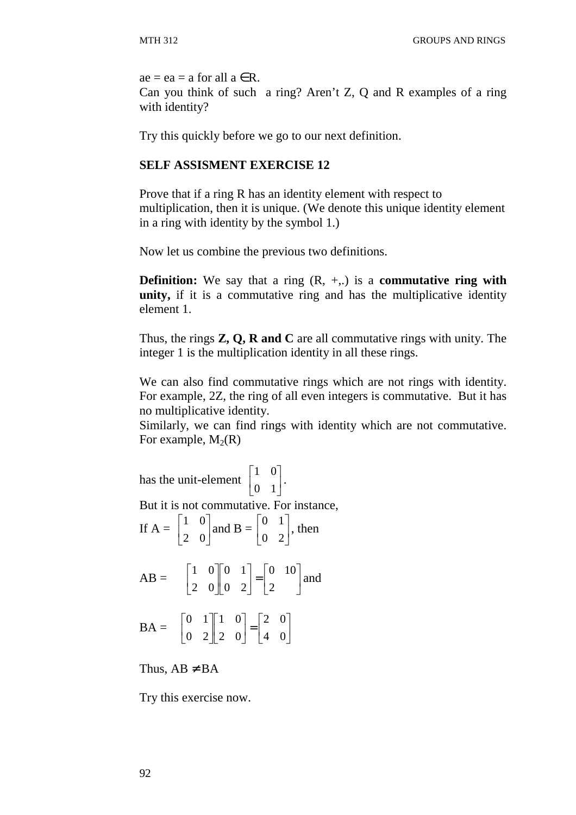$ae = ea = a$  for all  $a \in R$ .

Can you think of such a ring? Aren't Z, Q and R examples of a ring with identity?

Try this quickly before we go to our next definition.

### **SELF ASSISMENT EXERCISE 12**

Prove that if a ring R has an identity element with respect to multiplication, then it is unique. (We denote this unique identity element in a ring with identity by the symbol 1.)

Now let us combine the previous two definitions.

**Definition:** We say that a ring (R, +,.) is a **commutative ring with unity,** if it is a commutative ring and has the multiplicative identity element 1.

Thus, the rings **Z, Q, R and C** are all commutative rings with unity. The integer 1 is the multiplication identity in all these rings.

We can also find commutative rings which are not rings with identity. For example, 2Z, the ring of all even integers is commutative. But it has no multiplicative identity.

Similarly, we can find rings with identity which are not commutative. For example,  $M_2(R)$ 

has the unit-element  $\begin{bmatrix} 1 & 0 \\ 0 & 1 \end{bmatrix}$  $\rfloor$ ⅂  $\mathbf{r}$ L Γ 0 1 1 0 . But it is not commutative. For instance, If  $A = \begin{bmatrix} 1 & 0 \\ 2 & 0 \end{bmatrix}$ 」 1  $\mathbf{r}$ L Γ 2 0 1 0 and B =  $\begin{vmatrix} 0 & 1 \\ 0 & 2 \end{vmatrix}$ 」 1  $\mathbf{r}$ L Г 0 2 0 1 , then  $AB = \begin{bmatrix} 1 & 0 & 0 \\ 2 & 0 & 0 \end{bmatrix} \begin{bmatrix} 0 & 1 \\ 0 & 2 \end{bmatrix} = \begin{bmatrix} 0 & 10 \\ 2 & 0 \end{bmatrix}$ 」 1  $\mathbf{r}$ L Γ  $\vert$ 」 1  $\mathbf{r}$ L Γ  $\overline{\phantom{a}}$ 」 1  $\mathbf{r}$ L  $\lceil$ 2 0 10 0 2 0 1 2 0 1 0 and  $BA = \begin{bmatrix} 0 & 1 & 0 \\ 0 & 2 & 2 \end{bmatrix} = \begin{bmatrix} 2 & 0 \\ 4 & 0 \end{bmatrix}$  $\rfloor$ 1  $\mathbf{r}$ L Г  $\vert$  $\rfloor$ 1  $\mathbf{r}$ L Γ  $\overline{\phantom{a}}$  $\rfloor$ ⅂  $\mathsf{L}$ L Г 4 0 2 0 2 0 1 0 0 2 0 1

Thus,  $AB \neq BA$ 

Try this exercise now.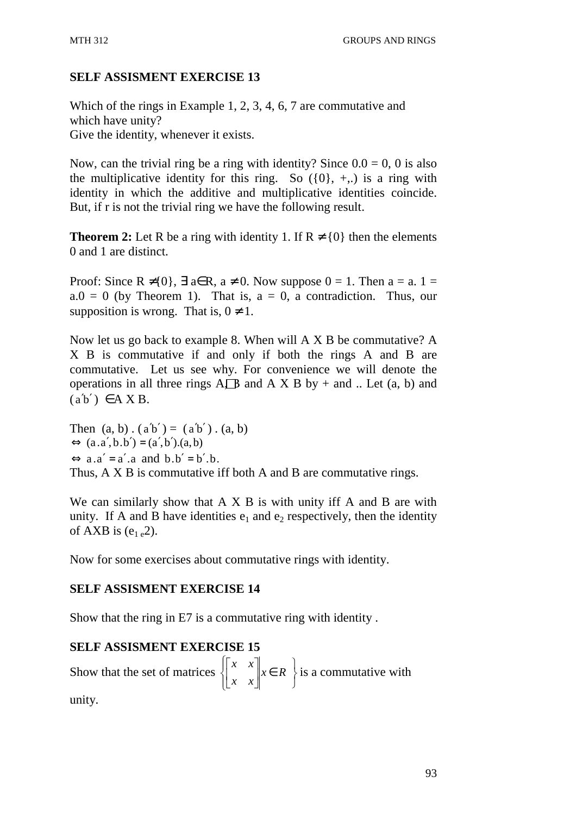# **SELF ASSISMENT EXERCISE 13**

Which of the rings in Example 1, 2, 3, 4, 6, 7 are commutative and which have unity? Give the identity, whenever it exists.

Now, can the trivial ring be a ring with identity? Since  $0.0 = 0$ , 0 is also the multiplicative identity for this ring. So  $(0, +)$  is a ring with identity in which the additive and multiplicative identities coincide. But, if r is not the trivial ring we have the following result.

**Theorem 2:** Let R be a ring with identity 1. If  $R \neq \{0\}$  then the elements 0 and 1 are distinct.

Proof: Since  $R \neq \{0\}$ ,  $\exists$  a $\in$  R, a  $\neq$  0. Now suppose  $0 = 1$ . Then a = a. 1 =  $a.0 = 0$  (by Theorem 1). That is,  $a = 0$ , a contradiction. Thus, our supposition is wrong. That is,  $0 \neq 1$ .

Now let us go back to example 8. When will A X B be commutative? A X B is commutative if and only if both the rings A and B are commutative. Let us see why. For convenience we will denote the operations in all three rings  $A \Box B$  and  $A \times B$  by + and .. Let (a, b) and  $(a'b') \in A X B$ .

Then  $(a, b) \cdot (a'b') = (a'b') \cdot (a, b)$  $\Leftrightarrow$   $(a.a', b.b') = (a', b'). (a, b)$  $\Leftrightarrow$  a.a' = a' a and b.b' = b' b. Thus, A X B is commutative iff both A and B are commutative rings.

We can similarly show that A X B is with unity iff A and B are with unity. If A and B have identities  $e_1$  and  $e_2$  respectively, then the identity of AXB is  $(e<sub>1 e</sub>2)$ .

Now for some exercises about commutative rings with identity.

### **SELF ASSISMENT EXERCISE 14**

Show that the ring in E7 is a commutative ring with identity .

# **SELF ASSISMENT EXERCISE 15**

Show that the set of matrices J  $\left\{ \right\}$  $\mathcal{L}$ ∈  $\overline{\mathcal{L}}$  $\mathsf{I}$ ∤  $\int$  $\overline{\phantom{a}}$ 」 1  $\mathbf{r}$ L  $\lceil$  $x \in R$ *x x*  $\left\{ x \in R \right\}$  is a commutative with unity.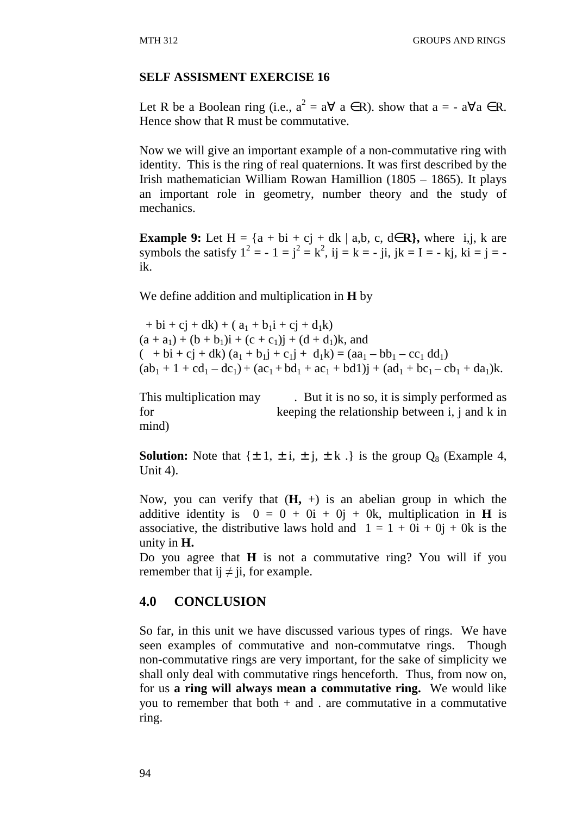#### **SELF ASSISMENT EXERCISE 16**

Let R be a Boolean ring (i.e.,  $a^2 = a \forall a \in R$ ). show that  $a = -a \forall a \in R$ . Hence show that R must be commutative.

Now we will give an important example of a non-commutative ring with identity. This is the ring of real quaternions. It was first described by the Irish mathematician William Rowan Hamillion (1805 – 1865). It plays an important role in geometry, number theory and the study of mechanics.

**Example 9:** Let H =  $\{a + bi + cj + dk \mid a,b, c, d \in \mathbb{R}\}$ , where i,j, k are symbols the satisfy  $1^2 = -1 = j^2 = k^2$ , ij = k = - ji, jk = I = - kj, ki = j = ik.

We define addition and multiplication in **H** by

 $+ bi + cj + dk$ ) + (  $a_1 + b_1i + cj + d_1k$ )  $(a + a_1) + (b + b_1)i + (c + c_1)i + (d + d_1)k$ , and  $(- + bi + cj + dk) (a_1 + b_1j + c_1j + d_1k) = (aa_1 - bb_1 - cc_1 dd_1)$  $(ab_1 + 1 + cd_1 - dc_1) + (ac_1 + bd_1 + ac_1 + bd1)$ j +  $(ad_1 + bc_1 - cb_1 + da_1)$ k.

This multiplication may . But it is no so, it is simply performed as for keeping the relationship between i, j and k in mind)

**Solution:** Note that  $\{\pm 1, \pm i, \pm j, \pm k\}$  is the group  $Q_8$  (Example 4, Unit 4).

Now, you can verify that  $(H, +)$  is an abelian group in which the additive identity is  $0 = 0 + 0i + 0j + 0k$ , multiplication in **H** is associative, the distributive laws hold and  $1 = 1 + 0i + 0j + 0k$  is the unity in **H.**

Do you agree that **H** is not a commutative ring? You will if you remember that ij  $\neq$  ji, for example.

### **4.0 CONCLUSION**

So far, in this unit we have discussed various types of rings. We have seen examples of commutative and non-commutatve rings. Though non-commutative rings are very important, for the sake of simplicity we shall only deal with commutative rings henceforth. Thus, from now on, for us **a ring will always mean a commutative ring.** We would like you to remember that both  $+$  and . are commutative in a commutative ring.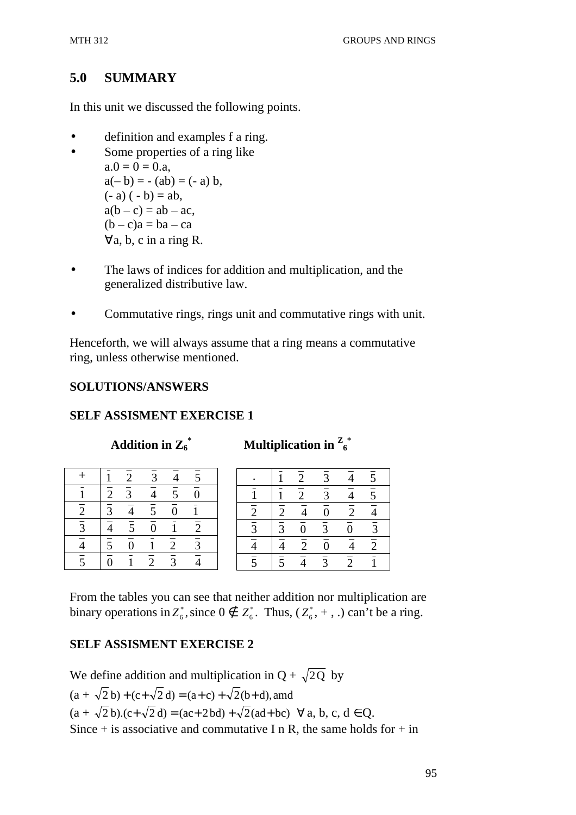### **5.0 SUMMARY**

In this unit we discussed the following points.

- definition and examples f a ring.
- Some properties of a ring like  $a.0 = 0 = 0.a$ ,  $a(- b) = - (ab) = (- a) b,$  $(-a) (-b) = ab,$  $a(b - c) = ab - ac$ ,  $(b - c)a = ba - ca$ ∀a, b, c in a ring R.
- The laws of indices for addition and multiplication, and the generalized distributive law.
- Commutative rings, rings unit and commutative rings with unit.

Henceforth, we will always assume that a ring means a commutative ring, unless otherwise mentioned.

#### **SOLUTIONS/ANSWERS**

#### **SELF ASSISMENT EXERCISE 1**

**Addition in**  $\mathbb{Z}_6^*$ 

**\* Multiplication in <sup>Z</sup> 6 \*** 

|                |                      | $\overline{c}$ | 3                         | $\overline{4}$            | $\overline{5}$ |  |
|----------------|----------------------|----------------|---------------------------|---------------------------|----------------|--|
|                | $\overline{2}$       | $\overline{3}$ | $\frac{1}{4}$             | $\overline{5}$            | $\bar{0}$      |  |
| $\overline{2}$ | $\overline{3}$       | $\overline{4}$ | $\overline{5}$            | $\overline{0}$            |                |  |
| $\overline{3}$ | $\frac{1}{4}$        | $\overline{5}$ | $\overline{\overline{0}}$ |                           | $\overline{2}$ |  |
|                | $\sqrt{\frac{1}{5}}$ | $\bar{0}$      |                           | $\overline{\overline{2}}$ | $\overline{3}$ |  |
| $\overline{5}$ | $\frac{1}{0}$        |                | $\overline{\overline{2}}$ | $\overline{3}$            |                |  |

|                |                         | $\overline{2}$            | $\overline{3}$ | $\overline{4}$   | $\overline{5}$ |
|----------------|-------------------------|---------------------------|----------------|------------------|----------------|
|                |                         | $\overline{\overline{2}}$ | $\overline{3}$ | $\overline{4}$   | $\overline{5}$ |
|                | $\overline{2}$          | $\frac{1}{4}$             | $\overline{0}$ | $\overline{2}$   |                |
| $rac{2}{3}$    | $\frac{1}{\frac{3}{4}}$ | $\frac{1}{\overline{0}}$  | $\frac{1}{3}$  | $\boldsymbol{0}$ | $\overline{3}$ |
| $\frac{1}{4}$  |                         | $\overline{2}$            | $\overline{0}$ | $\overline{4}$   | $\overline{2}$ |
| $\overline{5}$ | $\overline{5}$          |                           | $\overline{3}$ | $\overline{2}$   |                |

From the tables you can see that neither addition nor multiplication are binary operations in  $Z_6^*$ , since  $0 \notin Z_6^*$ . Thus,  $(Z_6^*$ , +, .) can't be a ring.

# **SELF ASSISMENT EXERCISE 2**

We define addition and multiplication in  $Q + \sqrt{2Q}$  by  $(a + \sqrt{2} b) + (c + \sqrt{2} d) = (a + c) + \sqrt{2} (b + d)$ , amd  $(a + \sqrt{2} b)$ . $(c + \sqrt{2} d) = (ac + 2 bd) + \sqrt{2} (ad + bc) \quad \forall a, b, c, d \in Q$ . Since  $+$  is associative and commutative I n R, the same holds for  $+$  in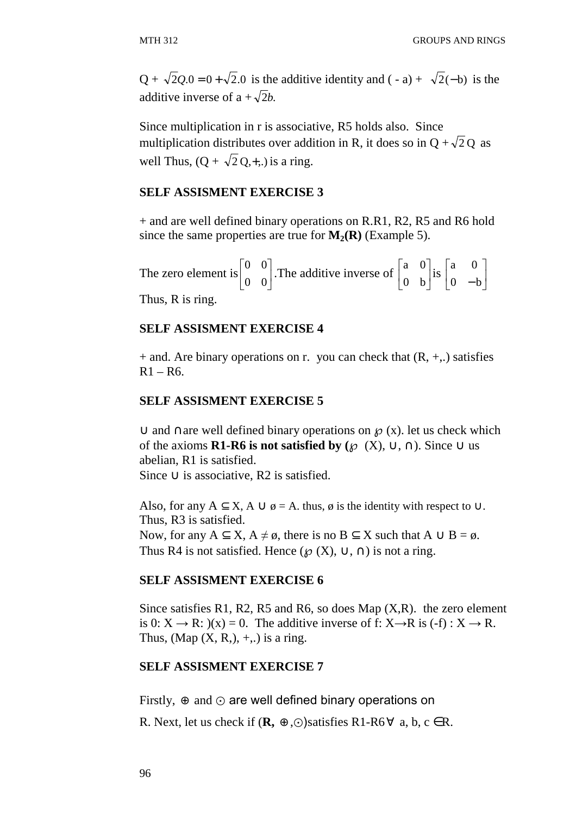$Q + \sqrt{2}Q.0 = 0 + \sqrt{2}$ .0 is the additive identity and (-a) +  $\sqrt{2}$ (-b) is the additive inverse of  $a + \sqrt{2}b$ .

Since multiplication in r is associative, R5 holds also. Since multiplication distributes over addition in R, it does so in  $Q + \sqrt{2}Q$  as well Thus,  $(Q + \sqrt{2} Q, +,.)$  is a ring.

#### **SELF ASSISMENT EXERCISE 3**

+ and are well defined binary operations on R.R1, R2, R5 and R6 hold since the same properties are true for  $M_2(R)$  (Example 5).

The zero element is  $\begin{bmatrix} 0 & 0 \\ 0 & 0 \end{bmatrix}$  $\rfloor$ 1  $\mathbf{r}$ L Γ 0 0  $\begin{bmatrix} 0 & 0 \\ 0 & 0 \end{bmatrix}$ . The additive inverse of  $\begin{bmatrix} a & 0 \\ 0 & b \end{bmatrix}$  $\rfloor$ 1  $\mathbf{r}$ L Γ 0 b  $\begin{bmatrix} a & 0 \\ 0 & b \end{bmatrix}$  is  $\begin{bmatrix} a & 0 \\ 0 & b \end{bmatrix}$  $\rfloor$ 1  $\mathbf{r}$ L Г  $0 - b$ a 0 Thus, R is ring.

#### **SELF ASSISMENT EXERCISE 4**

 $+$  and. Are binary operations on r. you can check that  $(R, +,.)$  satisfies  $R1 - R6$ .

#### **SELF ASSISMENT EXERCISE 5**

∪ and ∩are well defined binary operations on  $\mathcal{P}(x)$ . let us check which of the axioms **R1-R6 is not satisfied by** ( $\mathcal{O}(X)$ ,  $\cup$ ,  $\cap$ ). Since  $\cup$  us abelian, R1 is satisfied. Since  $\cup$  is associative, R2 is satisfied.

Also, for any  $A \subset X$ ,  $A \cup \emptyset = A$ , thus,  $\emptyset$  is the identity with respect to  $\cup$ . Thus, R3 is satisfied. Now, for any  $A \subset X$ ,  $A \neq \emptyset$ , there is no  $B \subset X$  such that  $A \cup B = \emptyset$ . Thus R4 is not satisfied. Hence ( $\mathcal{O}(X)$ ,  $\cup$ ,  $\cap$ ) is not a ring.

#### **SELF ASSISMENT EXERCISE 6**

Since satisfies R1, R2, R5 and R6, so does Map  $(X,R)$ . the zero element is 0:  $X \rightarrow R$ :  $(x) = 0$ . The additive inverse of f:  $X \rightarrow R$  is  $(-f) : X \rightarrow R$ . Thus,  $(Map(X, R<sub>1</sub>), +, .)$  is a ring.

#### **SELF ASSISMENT EXERCISE 7**

Firstly,  $\oplus$  and  $\odot$  are well defined binary operations on

R. Next, let us check if  $(\mathbf{R}, \oplus, \odot)$  satisfies R1-R6 $\forall$  a, b, c  $\in$  R.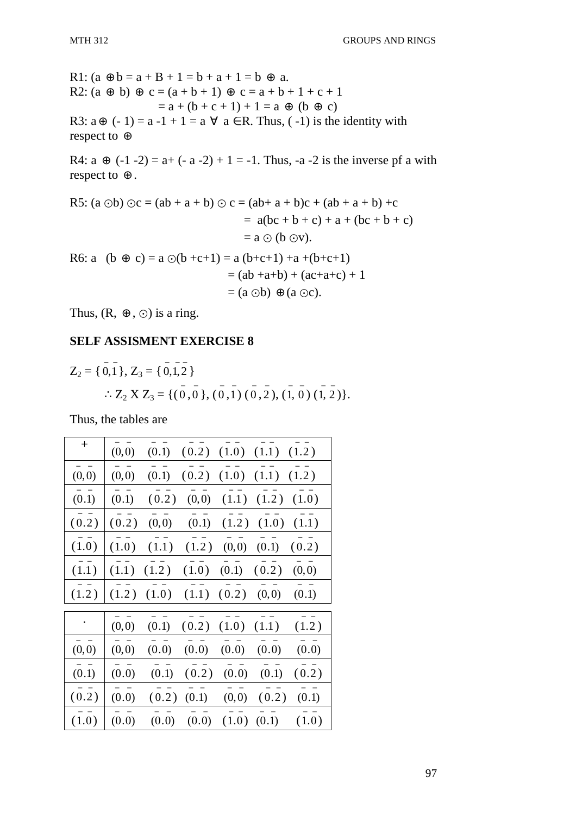R1:  $(a \oplus b = a + B + 1 = b + a + 1 = b \oplus a$ . R2:  $(a \oplus b) \oplus c = (a + b + 1) \oplus c = a + b + 1 + c + 1$  $= a + (b + c + 1) + 1 = a \oplus (b \oplus c)$ R3:  $a \oplus (-1) = a -1 + 1 = a \forall a \in R$ . Thus, (-1) is the identity with respect to ⊕ R4:  $a \oplus (-1 - 2) = a + (-a - 2) + 1 = -1$ . Thus,  $-a - 2$  is the inverse pf a with respect to ⊕ . R5: (a  $\odot$ b)  $\odot$ c = (ab + a + b)  $\odot$  c = (ab + a + b)c + (ab + a + b) +c  $= a(bc + b + c) + a + (bc + b + c)$  $=$  a  $\odot$  (b  $\odot$ v). R6: a (b  $\oplus$  c) = a  $\odot$ (b +c+1) = a (b+c+1) +a +(b+c+1)  $= (ab +a+b) + (ac+a+c) + 1$  $=(a \odot b) \oplus (a \odot c).$ 

Thus,  $(R, \oplus, \odot)$  is a ring.

#### **SELF ASSISMENT EXERCISE 8**

$$
Z_2 = \{ \overline{0}, \overline{1} \}, Z_3 = \{ \overline{0}, \overline{1}, \overline{2} \}
$$
  
 
$$
\therefore Z_2 \times Z_3 = \{ (\overline{0}, \overline{0}), (\overline{0}, \overline{1}), (\overline{0}, \overline{2}), (\overline{1}, \overline{0}), (\overline{1}, \overline{2}) \}.
$$

Thus, the tables are

| $\hspace{0.1mm} +$ | (0,0) | (0.1) | (0.2) |       | $(1.0)$ $(1.1)$ | (1.2) |
|--------------------|-------|-------|-------|-------|-----------------|-------|
| (0,0)              | (0,0) | (0.1) | (0.2) | (1.0) | (1.1)           | (1.2) |
| (0.1)              | (0.1) | (0.2) | (0,0) | (1.1) | (1.2)           | (1.0) |
| (0.2)              | (0.2) | (0,0) | (0.1) | (1.2) | (1.0)           | (1.1) |
| (1.0)              | (1.0) | (1.1) | (1.2) | (0,0) | (0.1)           | (0.2) |
| (1.1)              | (1.1) | (1.2) | (1.0) | (0.1) | (0.2)           | (0,0) |
| (1.2)              | (1.2) | (1.0) | (1.1) | (0.2) | (0,0)           | (0.1) |
|                    | (0,0) | (0.1) | (0.2) | (1.0) | (1.1)           | (1.2) |
| (0,0)              | (0,0) | (0.0) | (0.0) | (0.0) | (0.0)           | (0.0) |
| (0.1)              | (0.0) | (0.1) | (0.2) | (0.0) | (0.1)           | (0.2) |
| (0.2)              | (0.0) | (0.2) | (0.1) | (0,0) | (0.2)           | (0.1) |
| (1.0)              | (0.0) | (0.0) | (0.0) | (1.0) | (0.1)           | (1.0) |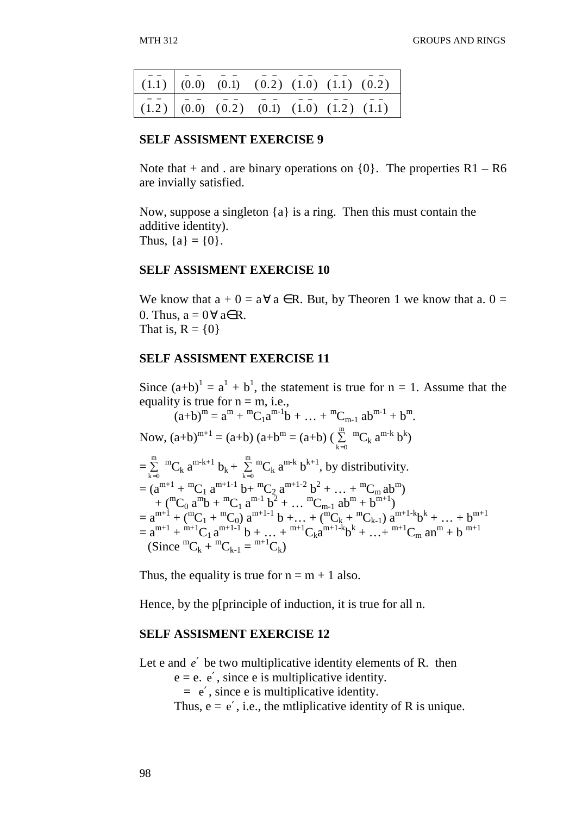|  |  |  | $(1.1)$ $(0.0)$ $(0.1)$ $(0.2)$ $(1.0)$ $(1.1)$ $(0.2)$                                                                                                                                                                            |
|--|--|--|------------------------------------------------------------------------------------------------------------------------------------------------------------------------------------------------------------------------------------|
|  |  |  | $(\overline{1},\overline{2})$ $\begin{bmatrix} 0.\overline{0} \end{bmatrix}$ $(\overline{0},\overline{2})$ $(\overline{0},\overline{1})$ $(\overline{1},\overline{0})$ $(\overline{1},\overline{2})$ $(\overline{1},\overline{1})$ |

#### **SELF ASSISMENT EXERCISE 9**

Note that  $+$  and . are binary operations on  $\{0\}$ . The properties R1 – R6 are invially satisfied.

Now, suppose a singleton {a} is a ring. Then this must contain the additive identity). Thus,  ${a} = {0}$ .

#### **SELF ASSISMENT EXERCISE 10**

We know that  $a + 0 = a \forall a \in \mathbb{R}$ . But, by Theoren 1 we know that a.  $0 =$ 0. Thus,  $a = 0 \forall a \in R$ . That is,  $R = \{0\}$ 

#### **SELF ASSISMENT EXERCISE 11**

Since  $(a+b)^1 = a^1 + b^1$ , the statement is true for  $n = 1$ . Assume that the equality is true for  $n = m$ , i.e.,

$$
(a+b)^{m} = a^{m} + {}^{m}C_{1}a^{m-1}b + ... + {}^{m}C_{m-1} ab^{m-1} + b^{m}.
$$
  
\nNow,  $(a+b)^{m+1} = (a+b) (a+b^{m} = (a+b) (\sum_{k=0}^{m} {}^{m}C_{k} a^{m-k} b^{k})$   
\n
$$
= \sum_{k=0}^{m} {}^{m}C_{k} a^{m-k+1} b_{k} + \sum_{k=0}^{m} {}^{m}C_{k} a^{m-k} b^{k+1}, by distributivity.\n
$$
= (a^{m+1} + {}^{m}C_{1} a^{m+1-1} b + {}^{m}C_{2} a^{m+1-2} b^{2} + ... + {}^{m}C_{m} ab^{m})
$$
\n
$$
+ ({}^{m}C_{0} a^{m}b + {}^{m}C_{1} a^{m-1} b^{2} + ... + {}^{m}C_{m-1} ab^{m} + b^{m+1})
$$
\n
$$
= a^{m+1} + ({}^{m}C_{1} + {}^{m}C_{0}) a^{m+1-1} b + ... + ({}^{m}C_{k} + {}^{m}C_{k-1}) a^{m+1-k} b^{k} + ... + b^{m+1}
$$
\n
$$
= a^{m+1} + {}^{m+1}C_{1} a^{m+1-1} b + ... + {}^{m+1}C_{k} a^{m+1-k} b^{k} + ... + {}^{m+1}C_{m} a n^{m} + b^{m+1}
$$
\n
$$
(Since {}^{m}C_{k} + {}^{m}C_{k-1} = {}^{m+1}C_{k})
$$
$$

Thus, the equality is true for  $n = m + 1$  also.

Hence, by the p[principle of induction, it is true for all n.

#### **SELF ASSISMENT EXERCISE 12**

Let e and *e*′ be two multiplicative identity elements of R. then

 $e = e$ .  $e'$ , since e is multiplicative identity.

 $= e'$ , since e is multiplicative identity.

Thus,  $e = e'$ , i.e., the mtliplicative identity of R is unique.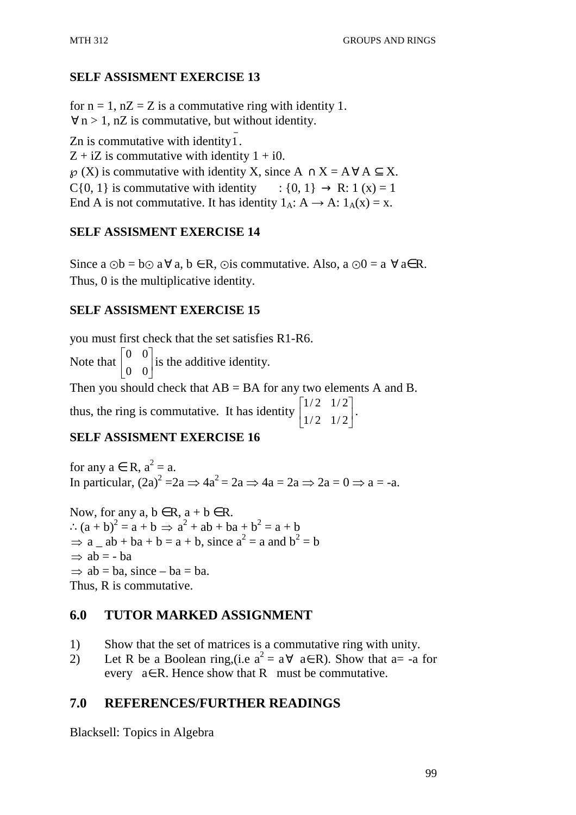# **SELF ASSISMENT EXERCISE 13**

for  $n = 1$ ,  $nZ = Z$  is a commutative ring with identity 1.  $\forall n > 1$ , nZ is commutative, but without identity. Zn is commutative with identity  $\overline{1}$ .

 $Z + iZ$  is commutative with identity  $1 + i0$ .  $\wp(X)$  is commutative with identity X, since  $A \cap X = A \forall A \subseteq X$ .

C{0, 1} is commutative with identity : {0, 1}  $\rightarrow$  R: 1 (x) = 1

End A is not commutative. It has identity  $1_A: A \rightarrow A: 1_A(x) = x$ .

# **SELF ASSISMENT EXERCISE 14**

Since a  $\odot$  b = b $\odot$  a  $\forall$  a, b  $\in$  R,  $\odot$  is commutative. Also, a  $\odot$  0 = a  $\forall$  a $\in$  R. Thus, 0 is the multiplicative identity.

### **SELF ASSISMENT EXERCISE 15**

you must first check that the set satisfies R1-R6.

Note that  $\begin{bmatrix} 0 & 0 \\ 0 & 0 \end{bmatrix}$ ⅂  $\mathbf{r}$ Γ 0 0 0 0 is the additive identity.

 $\rfloor$ L Then you should check that  $AB = BA$  for any two elements A and B. 1 Γ  $1/2$   $1/2$ 

thus, the ring is commutative. It has identity  $\begin{bmatrix} 1/2 & 1/2 \\ 1/2 & 1/2 \end{bmatrix}$ 」  $\mathsf{L}$ L  $1/2$   $1/2$ .

# **SELF ASSISMENT EXERCISE 16**

for any  $a \in R$ ,  $a^2 = a$ . In particular,  $(2a)^2 = 2a \Rightarrow 4a^2 = 2a \Rightarrow 4a = 2a \Rightarrow 2a = 0 \Rightarrow a = -a$ .

Now, for any  $a, b \in R$ ,  $a + b \in R$ . ∴  $(a + b)^2 = a + b \implies a^2 + ab + ba + b^2 = a + b$  $\Rightarrow$  a  $_{-}$  ab + ba + b = a + b, since a<sup>2</sup> = a and b<sup>2</sup> = b  $\Rightarrow$  ab = - ba  $\Rightarrow$  ab = ba, since – ba = ba. Thus, R is commutative.

# **6.0 TUTOR MARKED ASSIGNMENT**

- 1) Show that the set of matrices is a commutative ring with unity.
- 2) Let R be a Boolean ring,(i.e  $a^2 = a \forall a \in R$ ). Show that a= -a for every  $a \in R$ . Hence show that R must be commutative.

# **7.0 REFERENCES/FURTHER READINGS**

Blacksell: Topics in Algebra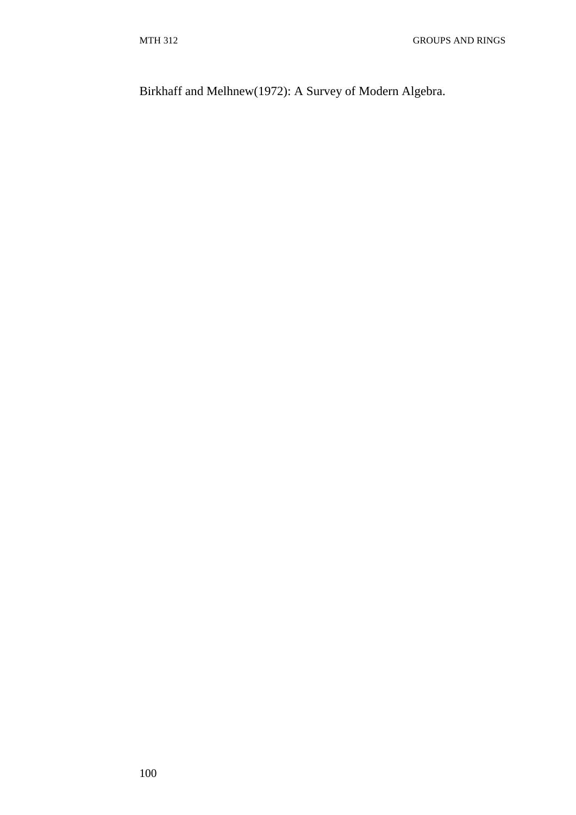Birkhaff and Melhnew(1972): A Survey of Modern Algebra.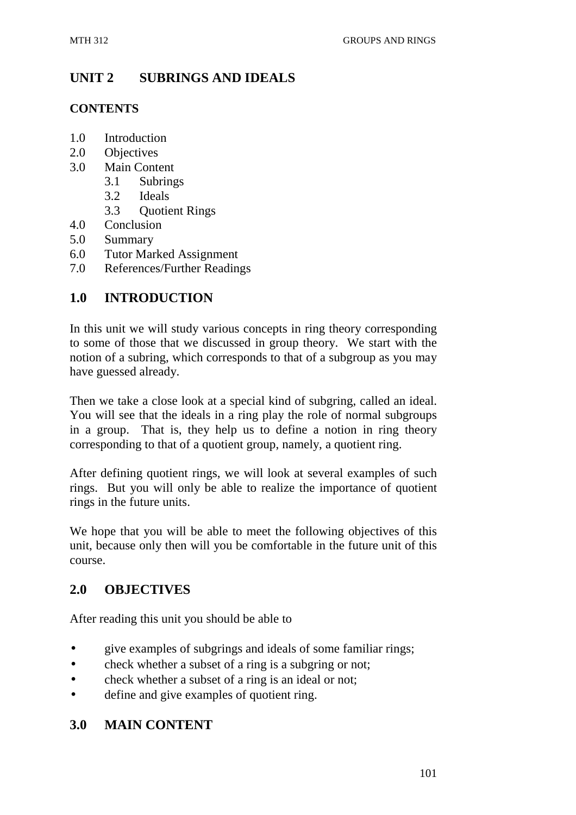# **UNIT 2 SUBRINGS AND IDEALS**

# **CONTENTS**

- 1.0 Introduction
- 2.0 Objectives
- 3.0 Main Content
	- 3.1 Subrings
		- 3.2 Ideals
		- 3.3 Quotient Rings
- 4.0 Conclusion
- 5.0 Summary
- 6.0 Tutor Marked Assignment
- 7.0 References/Further Readings

# **1.0 INTRODUCTION**

In this unit we will study various concepts in ring theory corresponding to some of those that we discussed in group theory. We start with the notion of a subring, which corresponds to that of a subgroup as you may have guessed already.

Then we take a close look at a special kind of subgring, called an ideal. You will see that the ideals in a ring play the role of normal subgroups in a group. That is, they help us to define a notion in ring theory corresponding to that of a quotient group, namely, a quotient ring.

After defining quotient rings, we will look at several examples of such rings. But you will only be able to realize the importance of quotient rings in the future units.

We hope that you will be able to meet the following objectives of this unit, because only then will you be comfortable in the future unit of this course.

# **2.0 OBJECTIVES**

After reading this unit you should be able to

- give examples of subgrings and ideals of some familiar rings;
- check whether a subset of a ring is a subgring or not;
- check whether a subset of a ring is an ideal or not;
- define and give examples of quotient ring.

# **3.0 MAIN CONTENT**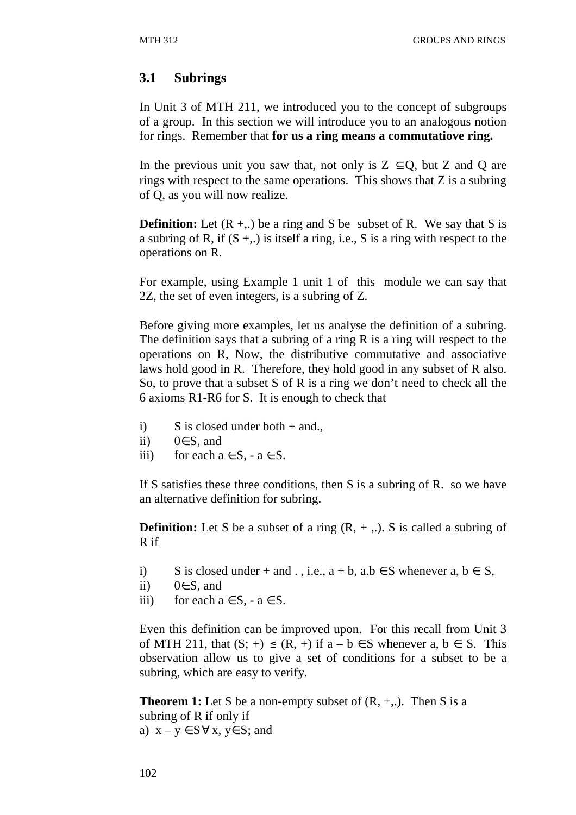# **3.1 Subrings**

In Unit 3 of MTH 211, we introduced you to the concept of subgroups of a group. In this section we will introduce you to an analogous notion for rings. Remember that **for us a ring means a commutatiove ring.**

In the previous unit you saw that, not only is  $Z \subset Q$ , but Z and Q are rings with respect to the same operations. This shows that Z is a subring of Q, as you will now realize.

**Definition:** Let  $(R + ...)$  be a ring and S be subset of R. We say that S is a subring of R, if  $(S + ...)$  is itself a ring, i.e., S is a ring with respect to the operations on R.

For example, using Example 1 unit 1 of this module we can say that 2Z, the set of even integers, is a subring of Z.

Before giving more examples, let us analyse the definition of a subring. The definition says that a subring of a ring R is a ring will respect to the operations on R, Now, the distributive commutative and associative laws hold good in R. Therefore, they hold good in any subset of R also. So, to prove that a subset S of R is a ring we don't need to check all the 6 axioms R1-R6 for S. It is enough to check that

- i) S is closed under both + and.,
- ii)  $0 \in S$ , and
- iii) for each  $a \in S$ ,  $-a \in S$ .

If S satisfies these three conditions, then S is a subring of R. so we have an alternative definition for subring.

**Definition:** Let S be a subset of a ring  $(R, +, \cdot)$ . S is called a subring of R if

- i) S is closed under + and . , i.e.,  $a + b$ ,  $a.b \in S$  whenever  $a, b \in S$ ,
- ii)  $0∈S$ , and
- iii) for each  $a \in S$ ,  $-a \in S$ .

Even this definition can be improved upon. For this recall from Unit 3 of MTH 211, that  $(S; +) \leq (R, +)$  if  $a - b \in S$  whenever a,  $b \in S$ . This observation allow us to give a set of conditions for a subset to be a subring, which are easy to verify.

**Theorem 1:** Let S be a non-empty subset of  $(R, +, \cdot)$ . Then S is a subring of R if only if a)  $x - y \in S \forall x, y \in S$ ; and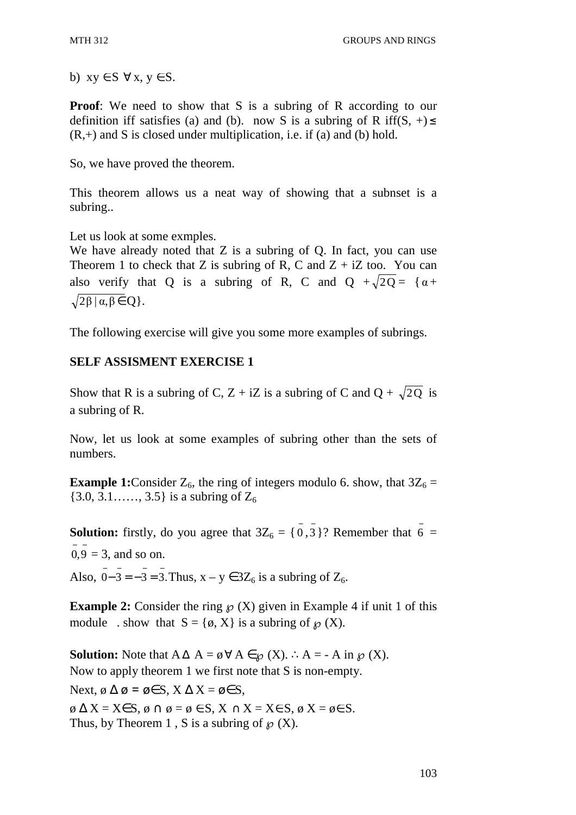b)  $xy \in S \ \forall x, y \in S$ .

**Proof:** We need to show that S is a subring of R according to our definition iff satisfies (a) and (b). now S is a subring of R iff(S, +)  $\leq$  $(R,+)$  and S is closed under multiplication, i.e. if (a) and (b) hold.

So, we have proved the theorem.

This theorem allows us a neat way of showing that a subnset is a subring..

Let us look at some exmples.

We have already noted that Z is a subring of O. In fact, you can use Theorem 1 to check that Z is subring of R, C and  $Z + iZ$  too. You can also verify that Q is a subring of R, C and  $Q + \sqrt{2Q} = \{ \alpha +$  $\sqrt{2\beta}$  |  $\alpha, \beta \in \mathcal{Q}$  }.

The following exercise will give you some more examples of subrings.

# **SELF ASSISMENT EXERCISE 1**

Show that R is a subring of C, Z + iZ is a subring of C and Q +  $\sqrt{2Q}$  is a subring of R.

Now, let us look at some examples of subring other than the sets of numbers.

**Example 1:** Consider  $Z_6$ , the ring of integers modulo 6. show, that  $3Z_6 =$  $\{3.0, 3.1, \ldots, 3.5\}$  is a subring of  $Z_6$ 

**Solution:** firstly, do you agree that  $3Z_6 = \{0, 3\}$ ? Remember that  $\overline{6} =$  $0,9 = 3$ , and so on.

Also,  $0 - 3 = -3 = 3$ . Thus,  $x - y \in 3Z_6$  is a subring of  $Z_6$ .

**Example 2:** Consider the ring  $\wp(X)$  given in Example 4 if unit 1 of this module . show that  $S = \{ \emptyset, X \}$  is a subring of  $\mathcal{O}(X)$ .

**Solution:** Note that  $A \Delta A = \emptyset \forall A \in \mathcal{D}(X)$ . ∴  $A = -A$  in  $\mathcal{D}(X)$ . Now to apply theorem 1 we first note that S is non-empty.

Next, ø  $\Delta \varnothing$  =  $\varnothing \in S$ ,  $X \Delta X = \varnothing \in S$ ,  $\emptyset$   $\Delta X = X \in S$ ,  $\emptyset$   $\cap$   $\emptyset = \emptyset$   $\in$  S,  $X \cap X = X \in S$ ,  $\emptyset$   $X = \emptyset \in S$ . Thus, by Theorem 1, S is a subring of  $\mathcal{P}(X)$ .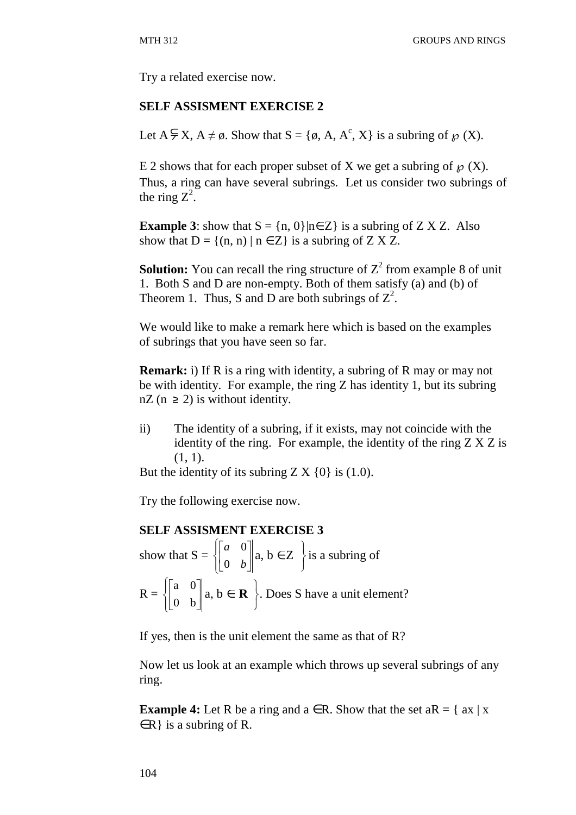Try a related exercise now.

#### **SELF ASSISMENT EXERCISE 2**

Let  $A \subsetneq X$ ,  $A \neq \emptyset$ . Show that  $S = \{\emptyset, A, A^c, X\}$  is a subring of  $\wp(X)$ .

E 2 shows that for each proper subset of X we get a subring of  $\mathcal{P}(X)$ . Thus, a ring can have several subrings. Let us consider two subrings of the ring  $Z^2$ .

**Example 3**: show that  $S = \{n, 0\}$ |n∈Z} is a subring of Z X Z. Also show that  $D = \{(n, n) | n \in \mathbb{Z}\}\$ is a subring of  $\mathbb{Z} \times \mathbb{Z}$ .

**Solution:** You can recall the ring structure of  $Z^2$  from example 8 of unit 1. Both S and D are non-empty. Both of them satisfy (a) and (b) of Theorem 1. Thus, S and D are both subrings of  $Z^2$ .

We would like to make a remark here which is based on the examples of subrings that you have seen so far.

**Remark:** i) If R is a ring with identity, a subring of R may or may not be with identity. For example, the ring Z has identity 1, but its subring  $nZ$  ( $n \geq 2$ ) is without identity.

ii) The identity of a subring, if it exists, may not coincide with the identity of the ring. For example, the identity of the ring  $Z X Z$  is  $(1, 1)$ .

But the identity of its subring  $ZX \{0\}$  is (1.0).

Try the following exercise now.

#### **SELF ASSISMENT EXERCISE 3**

show that  $S = \begin{cases}$ ∤  $\int$  $\overline{\phantom{a}}$ 」 1  $\mathbf{r}$ L Γ *b a* 0 0  $a, b \in Z$ J  $\left\{ \right\}$  $\mathcal{L}$ is a subring of  $R = \begin{cases}$ ∤  $\int$  $\overline{\phantom{a}}$  $\rfloor$ 1  $\mathsf{I}$ L Γ 0 b  $\begin{bmatrix} a & 0 \\ 0 & 1 \end{bmatrix}$  a,  $b \in \mathbf{R}$ J  $\left\{ \right\}$  $\mathcal{L}$ . Does S have a unit element?

If yes, then is the unit element the same as that of R?

Now let us look at an example which throws up several subrings of any ring.

**Example 4:** Let R be a ring and  $a \in R$ . Show that the set  $aR = \{ ax \mid x \}$  $\in$ R} is a subring of R.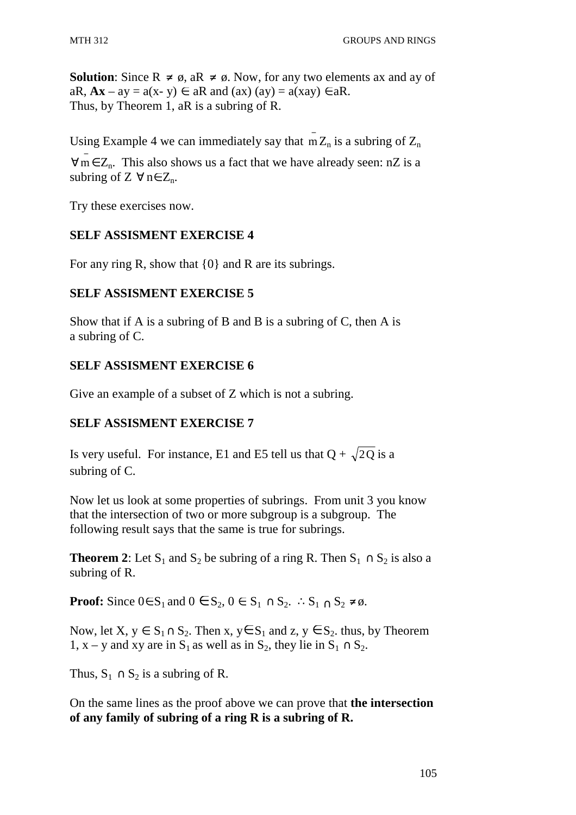**Solution**: Since  $R \neq \emptyset$ , a $R \neq \emptyset$ . Now, for any two elements ax and ay of aR,  $Ax - ay = a(x - y) \in aR$  and  $(ax) (ay) = a(xay) \in aR$ . Thus, by Theorem 1, aR is a subring of R.

Using Example 4 we can immediately say that  $\overline{m}Z_n$  is a subring of  $Z_n$ 

 $\forall m \in \mathbb{Z}_n$ . This also shows us a fact that we have already seen: nZ is a subring of  $Z \forall n \in Z_n$ .

Try these exercises now.

# **SELF ASSISMENT EXERCISE 4**

For any ring R, show that {0} and R are its subrings.

# **SELF ASSISMENT EXERCISE 5**

Show that if A is a subring of B and B is a subring of C, then A is a subring of C.

# **SELF ASSISMENT EXERCISE 6**

Give an example of a subset of Z which is not a subring.

# **SELF ASSISMENT EXERCISE 7**

Is very useful. For instance, E1 and E5 tell us that  $Q + \sqrt{2Q}$  is a subring of C.

Now let us look at some properties of subrings. From unit 3 you know that the intersection of two or more subgroup is a subgroup. The following result says that the same is true for subrings.

**Theorem 2**: Let S<sub>1</sub> and S<sub>2</sub> be subring of a ring R. Then  $S_1 \cap S_2$  is also a subring of R.

**Proof:** Since  $0 \in S_1$  and  $0 \in S_2$ ,  $0 \in S_1 \cap S_2$ . ∴ $S_1 \cap S_2 \neq \emptyset$ .

Now, let  $X, y \in S_1 \cap S_2$ . Then  $x, y \in S_1$  and  $z, y \in S_2$ , thus, by Theorem 1, x – y and xy are in S<sub>1</sub> as well as in S<sub>2</sub>, they lie in S<sub>1</sub> ∩ S<sub>2</sub>.

Thus,  $S_1 \cap S_2$  is a subring of R.

On the same lines as the proof above we can prove that **the intersection of any family of subring of a ring R is a subring of R.**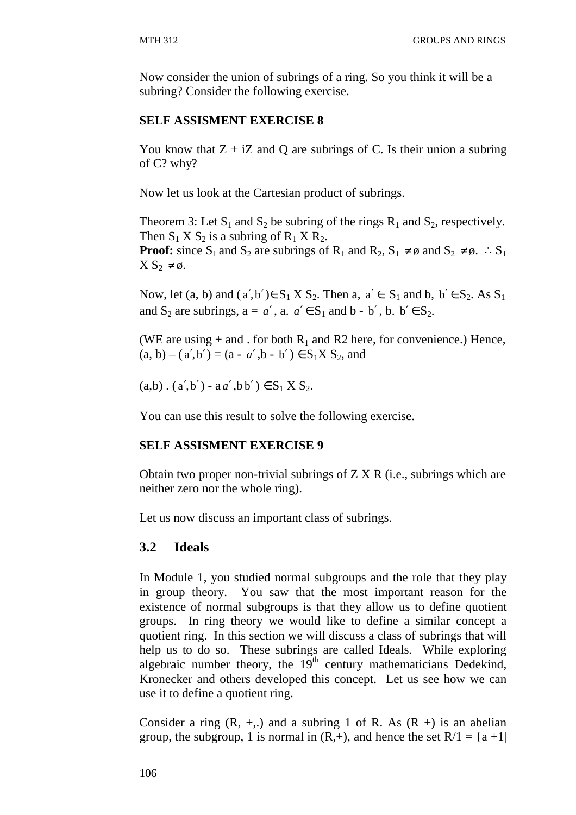Now consider the union of subrings of a ring. So you think it will be a subring? Consider the following exercise.

# **SELF ASSISMENT EXERCISE 8**

You know that  $Z + iZ$  and Q are subrings of C. Is their union a subring of C? why?

Now let us look at the Cartesian product of subrings.

Theorem 3: Let  $S_1$  and  $S_2$  be subring of the rings  $R_1$  and  $S_2$ , respectively. Then  $S_1$  X  $S_2$  is a subring of  $R_1$  X  $R_2$ .

**Proof:** since S<sub>1</sub> and S<sub>2</sub> are subrings of R<sub>1</sub> and R<sub>2</sub>, S<sub>1</sub> ≠ ø and S<sub>2</sub> ≠ ø. ∴S<sub>1</sub>  $X S_2 \neq \emptyset$ .

Now, let (a, b) and  $(a', b') \in S_1 X S_2$ . Then a,  $a' \in S_1$  and b,  $b' \in S_2$ . As  $S_1$ and  $S_2$  are subrings,  $a = a'$ ,  $a \cdot a' \in S_1$  and  $b - b'$ ,  $b \cdot b' \in S_2$ .

(WE are using  $+$  and . for both  $R_1$  and R2 here, for convenience.) Hence,  $(a, b) - (a', b') = (a - a', b - b') \in S_1 X S_2$ , and

 $(a,b)$ .  $(a',b') - aa', bb') \in S_1 X S_2$ .

You can use this result to solve the following exercise.

# **SELF ASSISMENT EXERCISE 9**

Obtain two proper non-trivial subrings of  $Z X R$  (i.e., subrings which are neither zero nor the whole ring).

Let us now discuss an important class of subrings.

# **3.2 Ideals**

In Module 1, you studied normal subgroups and the role that they play in group theory. You saw that the most important reason for the existence of normal subgroups is that they allow us to define quotient groups. In ring theory we would like to define a similar concept a quotient ring. In this section we will discuss a class of subrings that will help us to do so. These subrings are called Ideals. While exploring algebraic number theory, the  $19<sup>th</sup>$  century mathematicians Dedekind, Kronecker and others developed this concept. Let us see how we can use it to define a quotient ring.

Consider a ring  $(R, +,.)$  and a subring 1 of R. As  $(R +)$  is an abelian group, the subgroup, 1 is normal in  $(R,+)$ , and hence the set  $R/1 = \{a +1\}$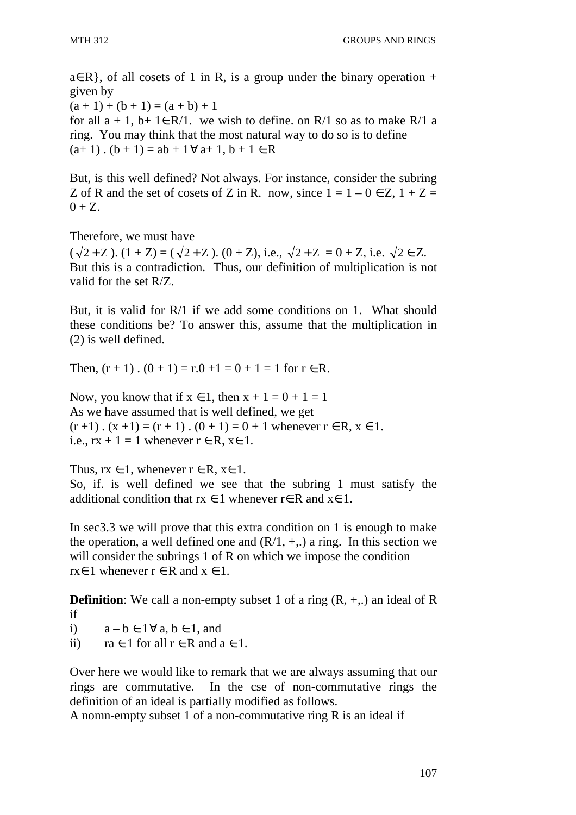$a \in R$ , of all cosets of 1 in R, is a group under the binary operation + given by  $(a + 1) + (b + 1) = (a + b) + 1$ for all  $a + 1$ ,  $b+ 1 \in R/1$ . we wish to define. on R/1 so as to make R/1 a ring. You may think that the most natural way to do so is to define  $(a+1)$ .  $(b + 1) = ab + 1 \forall a+1, b+1 \in R$ 

But, is this well defined? Not always. For instance, consider the subring Z of R and the set of cosets of Z in R. now, since  $1 = 1 - 0 \in Z$ ,  $1 + Z =$  $0 + Z$ .

Therefore, we must have  $(\sqrt{2+Z})$ .  $(1+Z) = (\sqrt{2+Z})$ .  $(0+Z)$ , i.e.,  $\sqrt{2+Z} = 0+Z$ , i.e.  $\sqrt{2} \in Z$ . But this is a contradiction. Thus, our definition of multiplication is not valid for the set R/Z.

But, it is valid for R/1 if we add some conditions on 1. What should these conditions be? To answer this, assume that the multiplication in (2) is well defined.

Then,  $(r + 1)$ ,  $(0 + 1) = r \cdot 0 + 1 = 0 + 1 = 1$  for  $r \in R$ .

Now, you know that if  $x \in 1$ , then  $x + 1 = 0 + 1 = 1$ As we have assumed that is well defined, we get  $(r+1)$ .  $(x+1) = (r+1)$ .  $(0+1) = 0+1$  whenever  $r \in R$ ,  $x \in 1$ . i.e.,  $rx + 1 = 1$  whenever  $r \in R$ ,  $x \in 1$ .

Thus,  $rx \in 1$ , whenever  $r \in R$ ,  $x \in 1$ . So, if. is well defined we see that the subring 1 must satisfy the additional condition that  $rx \in 1$  whenever  $r \in R$  and  $x \in 1$ .

In sec3.3 we will prove that this extra condition on 1 is enough to make the operation, a well defined one and  $(R/1, +,.)$  a ring. In this section we will consider the subrings 1 of R on which we impose the condition rx∈ 1 whenever  $r \in R$  and  $x \in 1$ .

**Definition**: We call a non-empty subset 1 of a ring  $(R, +,.)$  an ideal of R if

i)  $a - b \in 1 \forall a, b \in 1$ , and

ii)  $ra \in 1$  for all  $r \in R$  and  $a \in 1$ .

Over here we would like to remark that we are always assuming that our rings are commutative. In the cse of non-commutative rings the definition of an ideal is partially modified as follows.

A nomn-empty subset 1 of a non-commutative ring R is an ideal if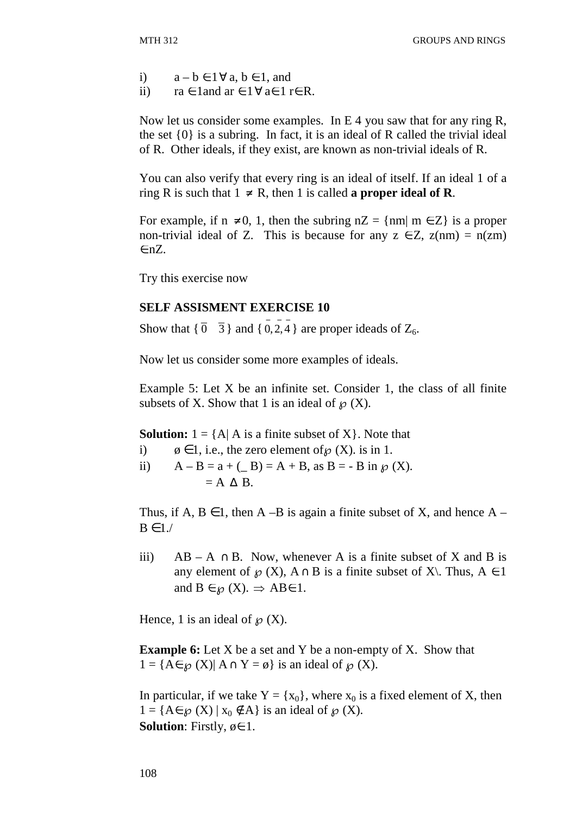- i)  $a b \in 1 \forall a, b \in 1$ , and
- ii)  $ra \in 1$  and  $ar \in 1 \forall a \in 1$  re R.

Now let us consider some examples. In E 4 you saw that for any ring R, the set {0} is a subring. In fact, it is an ideal of R called the trivial ideal of R. Other ideals, if they exist, are known as non-trivial ideals of R.

You can also verify that every ring is an ideal of itself. If an ideal 1 of a ring R is such that  $1 \neq R$ , then 1 is called **a proper ideal of R**.

For example, if  $n \neq 0$ , 1, then the subring  $nZ = \{nm | m \in Z\}$  is a proper non-trivial ideal of Z. This is because for any  $z \in Z$ ,  $z(nm) = n(zm)$ ∈nZ.

Try this exercise now

### **SELF ASSISMENT EXERCISE 10**

Show that  $\{\overline{0} \quad \overline{3}\}$  and  $\{\overline{0}, \overline{2}, \overline{4}\}$  are proper ideads of  $Z_6$ .

Now let us consider some more examples of ideals.

Example 5: Let X be an infinite set. Consider 1, the class of all finite subsets of X. Show that 1 is an ideal of  $\mathcal{D}(X)$ .

**Solution:**  $1 = \{A | A$  is a finite subset of X $\}$ . Note that

- i)  $\phi \in 1$ , i.e., the zero element of  $\mathcal{O}(X)$ . is in 1.
- ii)  $A B = a + (B) = A + B$ , as  $B = B$  in  $\mathcal{D}(X)$ .  $= A \triangle B$ .

Thus, if A,  $B \in I$ , then A –B is again a finite subset of X, and hence A –  $B \in 1$ ./

iii) AB – A ∩ B. Now, whenever A is a finite subset of X and B is any element of  $\wp(X)$ ,  $A \cap B$  is a finite subset of X\. Thus,  $A \in I$ and  $B \in \mathcal{D}(X)$ .  $\Rightarrow AB \in 1$ .

Hence, 1 is an ideal of  $\mathcal{P}(X)$ .

**Example 6:** Let X be a set and Y be a non-empty of X. Show that  $1 = {A \in \mathcal{D}(X) | A \cap Y = \emptyset}$  is an ideal of  $\mathcal{D}(X)$ .

In particular, if we take  $Y = \{x_0\}$ , where  $x_0$  is a fixed element of X, then  $1 = {A \in \mathcal{P}(X) \mid x_0 \notin A}$  is an ideal of  $\mathcal{P}(X)$ . **Solution**: Firstly,  $\emptyset \in 1$ .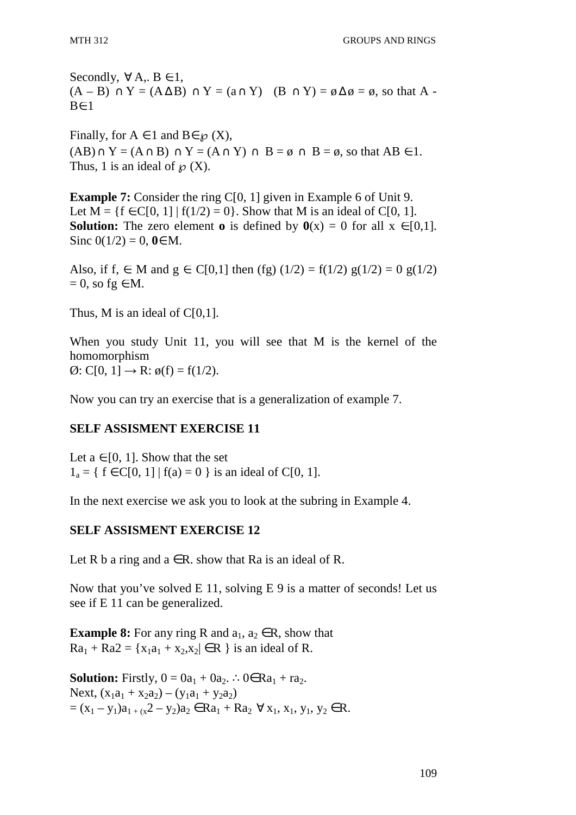Secondly,  $\forall A, B \in I$ ,  $(A - B) \cap Y = (A \Delta B) \cap Y = (a \cap Y)$   $(B \cap Y) = \emptyset \Delta \emptyset = \emptyset$ , so that A - $B \in 1$ 

Finally, for  $A \in 1$  and  $B \in \mathcal{P}(X)$ ,  $(AB) \cap Y = (A \cap B) \cap Y = (A \cap Y) \cap B = \emptyset \cap B = \emptyset$ , so that  $AB \in 1$ . Thus, 1 is an ideal of  $\mathcal{D}(X)$ .

**Example 7:** Consider the ring C[0, 1] given in Example 6 of Unit 9. Let  $M = \{f \in C[0, 1] | f(1/2) = 0\}$ . Show that M is an ideal of C[0, 1]. **Solution:** The zero element **o** is defined by  $\mathbf{0}(x) = 0$  for all  $x \in [0,1]$ . Sinc  $0(1/2) = 0$ ,  $0 \in M$ .

Also, if f,  $\in$  M and  $g \in C[0,1]$  then (fg) (1/2) = f(1/2) g(1/2) = 0 g(1/2)  $= 0$ , so fg  $\in M$ .

Thus, M is an ideal of  $C[0,1]$ .

When you study Unit 11, you will see that M is the kernel of the homomorphism  $\emptyset$ : C[0, 1]  $\to$  R:  $\emptyset$ (f) = f(1/2).

Now you can try an exercise that is a generalization of example 7.

### **SELF ASSISMENT EXERCISE 11**

Let  $a \in [0, 1]$ . Show that the set  $1_a = \{ f \in C[0, 1] | f(a) = 0 \}$  is an ideal of C[0, 1].

In the next exercise we ask you to look at the subring in Example 4.

### **SELF ASSISMENT EXERCISE 12**

Let R b a ring and  $a \in R$ . show that Ra is an ideal of R.

Now that you've solved E 11, solving E 9 is a matter of seconds! Let us see if E 11 can be generalized.

**Example 8:** For any ring R and  $a_1, a_2 \in R$ , show that  $Ra_1 + Ra_2 = {x_1a_1 + x_2, x_2 \in R}$  is an ideal of R.

**Solution:** Firstly,  $0 = 0a_1 + 0a_2$ . ∴0∈Ra<sub>1</sub> + ra<sub>2</sub>. Next,  $(x_1a_1 + x_2a_2) - (y_1a_1 + y_2a_2)$  $=(x_1 - y_1)a_{1+x}x^2 - y_2)a_2 \in Ra_1 + Ra_2 \ \forall x_1, x_1, y_1, y_2 \in R.$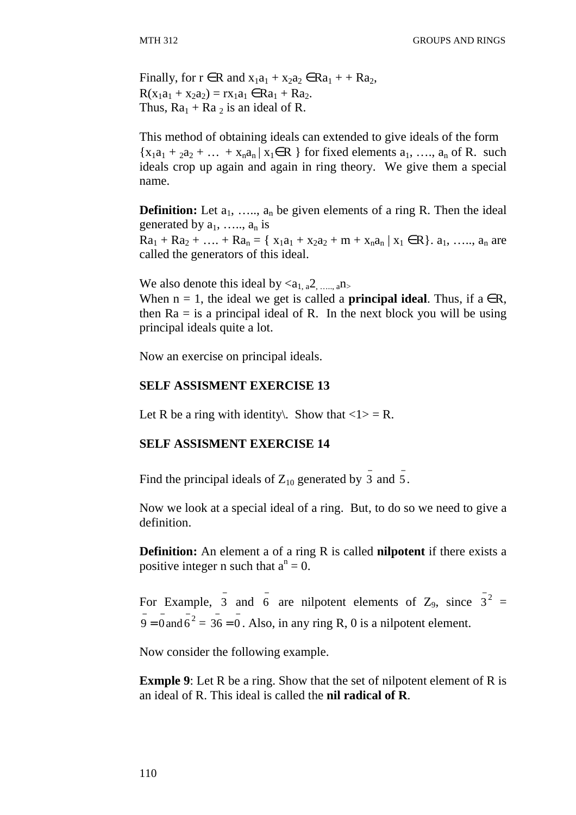Finally, for  $r \in R$  and  $x_1a_1 + x_2a_2 \in Ra_1 + Ra_2$ ,  $R(x_1a_1 + x_2a_2) = rx_1a_1 \in Ra_1 + Ra_2$ . Thus,  $Ra_1 + Ra_2$  is an ideal of R.

This method of obtaining ideals can extended to give ideals of the form  ${x_1a_1 + a_2a_2 + \ldots + x_na_n | x_1 \in R}$  for fixed elements  $a_1, \ldots, a_n$  of R. such ideals crop up again and again in ring theory. We give them a special name.

**Definition:** Let  $a_1$ , ...,  $a_n$  be given elements of a ring R. Then the ideal generated by  $a_1, \ldots, a_n$  is  $Ra_1 + Ra_2 + \ldots + Ra_n = \{ x_1a_1 + x_2a_2 + m + x_na_n | x_1 \in \mathbb{R} \}$ .  $a_1, \ldots, a_n$  are called the generators of this ideal.

We also denote this ideal by  $\langle a_{1a}^2, a_{2b}^2, \dots, a_{m}\rangle$ 

When  $n = 1$ , the ideal we get is called a **principal ideal**. Thus, if  $a \in R$ , then  $Ra =$  is a principal ideal of R. In the next block you will be using principal ideals quite a lot.

Now an exercise on principal ideals.

### **SELF ASSISMENT EXERCISE 13**

Let R be a ring with identity. Show that  $\langle 1 \rangle = R$ .

### **SELF ASSISMENT EXERCISE 14**

Find the principal ideals of  $Z_{10}$  generated by  $\frac{1}{3}$  and  $\frac{1}{5}$ .

Now we look at a special ideal of a ring. But, to do so we need to give a definition.

**Definition:** An element a of a ring R is called **nilpotent** if there exists a positive integer n such that  $a^n = 0$ .

For Example,  $\overline{3}$  and  $\overline{6}$  are nilpotent elements of Z<sub>9</sub>, since  $\overline{3}^2$  =  $\overline{9} = 0$  and  $\overline{6}^2 = 36 = 0$ . Also, in any ring R, 0 is a nilpotent element.

Now consider the following example.

**Exmple 9**: Let R be a ring. Show that the set of nilpotent element of R is an ideal of R. This ideal is called the **nil radical of R**.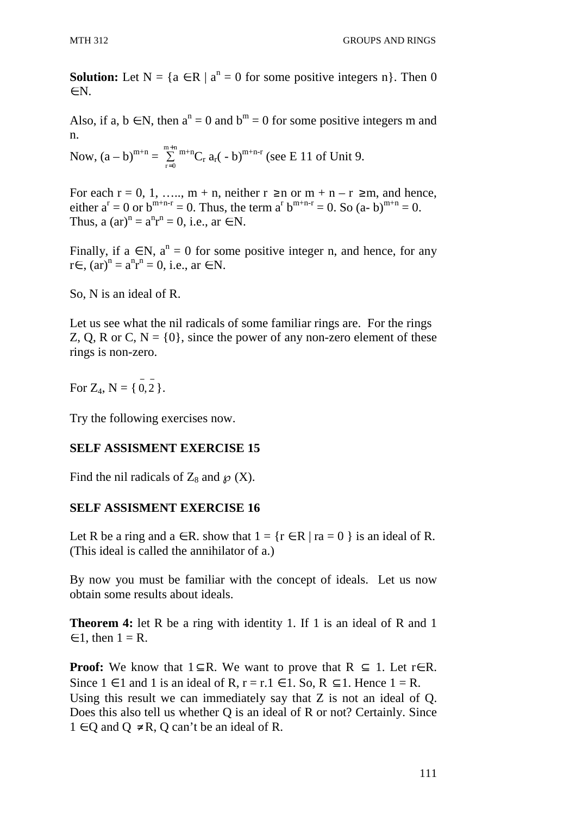**Solution:** Let  $N = \{a \in R \mid a^n = 0 \text{ for some positive integers } n\}$ . Then 0 ∈N.

Also, if a,  $b \in N$ , then  $a^n = 0$  and  $b^m = 0$  for some positive integers m and n.

Now,  $(a - b)^{m+n} = \sum_{m+n}^{\infty}$  $r=0$ + =  $\sum_{r=1}^{\infty}$  m+n<sub>Cr</sub> a<sub>r</sub>( - b)<sup>m+n-r</sup> (see E 11 of Unit 9.

For each  $r = 0, 1, \ldots, m + n$ , neither  $r \ge n$  or  $m + n - r \ge m$ , and hence, either  $a^r = 0$  or  $b^{m+n-r} = 0$ . Thus, the term  $a^r b^{m+n-r} = 0$ . So  $(a-b)^{m+n} = 0$ . Thus, a  $(ar)^n = a^n r^n = 0$ , i.e., ar  $\in \mathbb{N}$ .

Finally, if  $a \in N$ ,  $a^n = 0$  for some positive integer n, and hence, for any  $r \in$ ,  $(ar)^n = a^n r^n = 0$ , i.e., ar ∈ N.

So, N is an ideal of R.

Let us see what the nil radicals of some familiar rings are. For the rings Z, Q, R or C,  $N = \{0\}$ , since the power of any non-zero element of these rings is non-zero.

For  $Z_4$ ,  $N = \{ 0, 2 \}$ .

Try the following exercises now.

# **SELF ASSISMENT EXERCISE 15**

Find the nil radicals of  $Z_8$  and  $\wp(X)$ .

### **SELF ASSISMENT EXERCISE 16**

Let R be a ring and  $a \in R$ . show that  $1 = \{r \in R \mid ra = 0\}$  is an ideal of R. (This ideal is called the annihilator of a.)

By now you must be familiar with the concept of ideals. Let us now obtain some results about ideals.

**Theorem 4:** let R be a ring with identity 1. If 1 is an ideal of R and 1  $\in$  1, then  $1 = R$ .

**Proof:** We know that  $1 \subseteq R$ . We want to prove that  $R \subseteq 1$ . Let r  $\in R$ . Since  $1 \in I$  and 1 is an ideal of R,  $r = r \cdot 1 \in I$ . So, R  $\subset I$ . Hence  $1 = R$ . Using this result we can immediately say that Z is not an ideal of Q. Does this also tell us whether Q is an ideal of R or not? Certainly. Since  $1 \in \text{O}$  and  $\text{O} \neq \text{R}$ ,  $\text{O}$  can't be an ideal of R.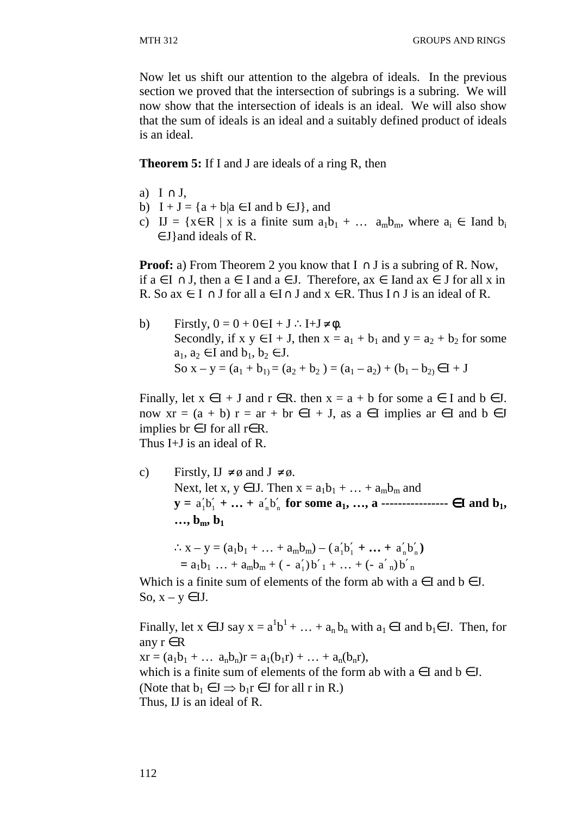Now let us shift our attention to the algebra of ideals. In the previous section we proved that the intersection of subrings is a subring. We will now show that the intersection of ideals is an ideal. We will also show that the sum of ideals is an ideal and a suitably defined product of ideals is an ideal.

### **Theorem 5:** If I and J are ideals of a ring R, then

- a)  $I \cap J$ .
- b)  $I + J = {a + b|a \in I \text{ and } b \in J}$ , and
- c) IJ = { $x \in R$  | x is a finite sum  $a_1b_1 + ... a_mb_m$ , where  $a_i \in$  Iand  $b_i$  $\in$  J} and ideals of R.

**Proof:** a) From Theorem 2 you know that  $I \cap J$  is a subring of R. Now, if  $a \in I$  ∩ J, then  $a \in I$  and  $a \in J$ . Therefore,  $ax \in I$  and  $ax \in J$  for all x in R. So ax  $\in I \cap J$  for all  $a \in I \cap J$  and  $x \in R$ . Thus  $I \cap J$  is an ideal of R.

\n- b) Firstly, 
$$
0 = 0 + 0 \in I + J
$$
.  $I + J \neq \emptyset$ . Secondly, if  $x \, y \in I + J$ , then  $x = a_1 + b_1$  and  $y = a_2 + b_2$  for some  $a_1, a_2 \in I$  and  $b_1, b_2 \in J$ . So  $x - y = (a_1 + b_1) = (a_2 + b_2) = (a_1 - a_2) + (b_1 - b_2) \in I + J$
\n

Finally, let  $x \in I + J$  and  $r \in R$ . then  $x = a + b$  for some  $a \in I$  and  $b \in J$ . now  $xr = (a + b) r = ar + br \in I + J$ , as  $a \in I$  implies  $ar \in I$  and  $b \in J$ implies br  $∈J$  for all r $∈R$ .

Thus I+J is an ideal of R.

c) Firstly,  $IJ \neq \emptyset$  and  $J \neq \emptyset$ . Next, let x,  $y \in$  IJ. Then  $x = a_1b_1 + ... + a_mb_m$  and  $y = a'_1b'_1 + ... + a'_nb'_n$  for some  $a_1, ..., a$  ----------------  $\in I$  and  $b_1$ ,  $\cdots$ ,  $b_m$ ,  $b_1$ 

$$
\therefore x - y = (a_1b_1 + \dots + a_mb_m) - (a'_1b'_1 + \dots + a'_nb'_n)
$$
  
= a<sub>1</sub>b<sub>1</sub> ... + a<sub>m</sub>b<sub>m</sub> + (-a'<sub>1</sub>)b'<sub>1</sub> + ... + (-a'<sub>n</sub>)b'<sub>n</sub>

Which is a finite sum of elements of the form ab with  $a \in I$  and  $b \in J$ . So,  $x - y \in$  IJ.

Finally, let  $x \in U$  say  $x = a^1b^1 + ... + a_nb_n$  with  $a_1 \in I$  and  $b_1 \in J$ . Then, for any  $r \in R$  $xr = (a_1b_1 + ... a_nb_n)r = a_1(b_1r) + ... + a_n(b_nr),$ which is a finite sum of elements of the form ab with  $a \in I$  and  $b \in J$ . (Note that  $b_1 \in J \implies b_1 r \in J$  for all r in R.) Thus, IJ is an ideal of R.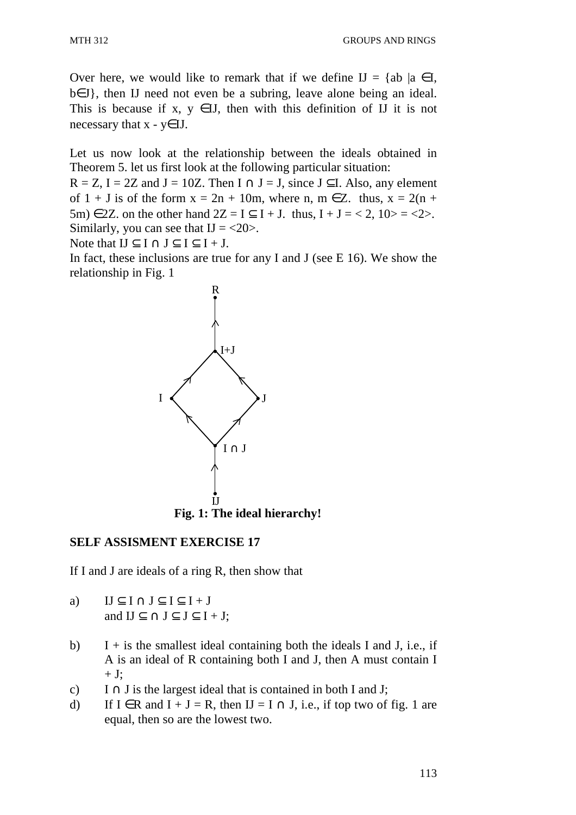Over here, we would like to remark that if we define  $IJ = \{ab \mid a \in I, \}$ b∈J}, then IJ need not even be a subring, leave alone being an ideal. This is because if x,  $y \in H$ , then with this definition of H it is not necessary that  $x - y \in II$ .

Let us now look at the relationship between the ideals obtained in Theorem 5. let us first look at the following particular situation:

 $R = Z$ , I = 2Z and J = 10Z. Then I  $\cap$  J = J, since J  $\subseteq$ I. Also, any element of  $1 + J$  is of the form  $x = 2n + 10m$ , where n,  $m \in \mathbb{Z}$ . thus,  $x = 2(n + 10m)$ 5m)  $\in$  2Z. on the other hand  $2Z = I \subset I + J$ . thus,  $I + J = \langle 2, 10 \rangle = \langle 2 \rangle$ . Similarly, you can see that  $I = <20$ .

Note that  $IJ \subset I \cap J \subset I \subset I + J$ .

In fact, these inclusions are true for any I and J (see  $E$  16). We show the relationship in Fig. 1



### **SELF ASSISMENT EXERCISE 17**

If I and J are ideals of a ring R, then show that

- a)  $IJ \subseteq I \cap J \subseteq I \subseteq I + J$ and  $IJ \subseteq \cap J \subseteq J \subseteq I + J$ ;
- b) I + is the smallest ideal containing both the ideals I and J, i.e., if A is an ideal of R containing both I and J, then A must contain I  $+$  J;
- c) I ∩ J is the largest ideal that is contained in both I and J;
- d) If  $I \in R$  and  $I + J = R$ , then  $I = I \cap J$ , i.e., if top two of fig. 1 are equal, then so are the lowest two.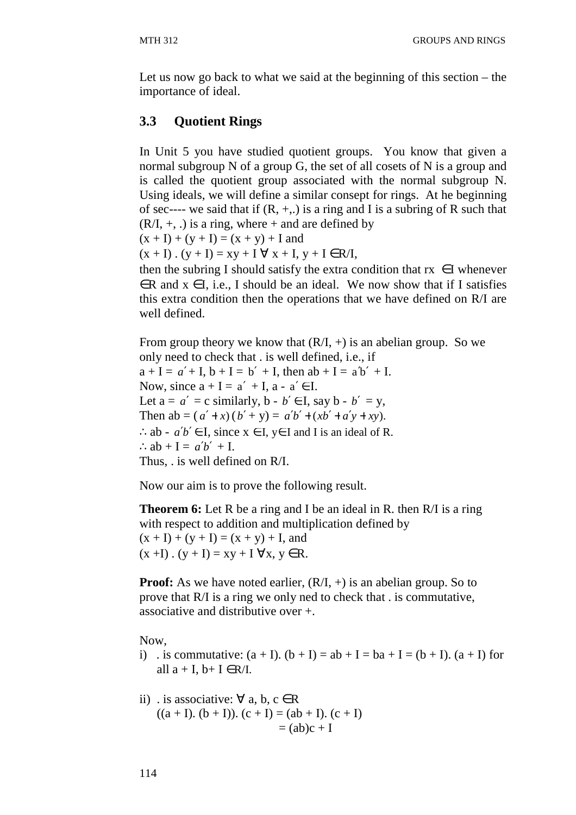Let us now go back to what we said at the beginning of this section – the importance of ideal.

# **3.3 Quotient Rings**

In Unit 5 you have studied quotient groups. You know that given a normal subgroup N of a group G, the set of all cosets of N is a group and is called the quotient group associated with the normal subgroup N. Using ideals, we will define a similar consept for rings. At he beginning of sec---- we said that if  $(R, +,.)$  is a ring and I is a subring of R such that  $(R/I, +, .)$  is a ring, where  $+$  and are defined by

 $(x + I) + (y + I) = (x + y) + I$  and

 $(x + I)$ .  $(y + I) = xy + I \forall x + I$ ,  $y + I \in R/I$ ,

then the subring I should satisfy the extra condition that  $rx \in I$  whenever  $\in$ R and  $x \in$ I, i.e., I should be an ideal. We now show that if I satisfies this extra condition then the operations that we have defined on R/I are well defined.

From group theory we know that  $(R/I, +)$  is an abelian group. So we only need to check that . is well defined, i.e., if  $a + I = a' + I$ ,  $b + I = b' + I$ , then  $ab + I = a'b' + I$ . Now, since  $a + I = a' + I$ ,  $a - a' \in I$ . Let  $a = a' = c$  similarly,  $b - b' \in I$ , say  $b - b' = v$ , Then  $ab = (a' + x)(b' + y) = a'b' + (xb' + a'y + xy)$ . ∴ab -  $a'b' \in I$ , since  $x \in I$ ,  $y \in I$  and I is an ideal of R.  $\therefore$  ab + I =  $a'b'$  + I. Thus, . is well defined on R/I.

Now our aim is to prove the following result.

**Theorem 6:** Let R be a ring and I be an ideal in R. then R/I is a ring with respect to addition and multiplication defined by  $(x + I) + (y + I) = (x + y) + I$ , and  $(x + I)$ .  $(y + I) = xy + I \forall x, y \in R$ .

**Proof:** As we have noted earlier,  $(R/I, +)$  is an abelian group. So to prove that R/I is a ring we only ned to check that . is commutative, associative and distributive over +.

Now,

- i) . is commutative:  $(a + I)$ .  $(b + I) = ab + I = ba + I = (b + I)$ .  $(a + I)$  for all  $a + I$ ,  $b+I \in R/I$ .
- ii) . is associative:  $\forall$  a, b, c  $\in$  R  $((a + I), (b + I)), (c + I) = (ab + I). (c + I)$  $=$  (ab)c + I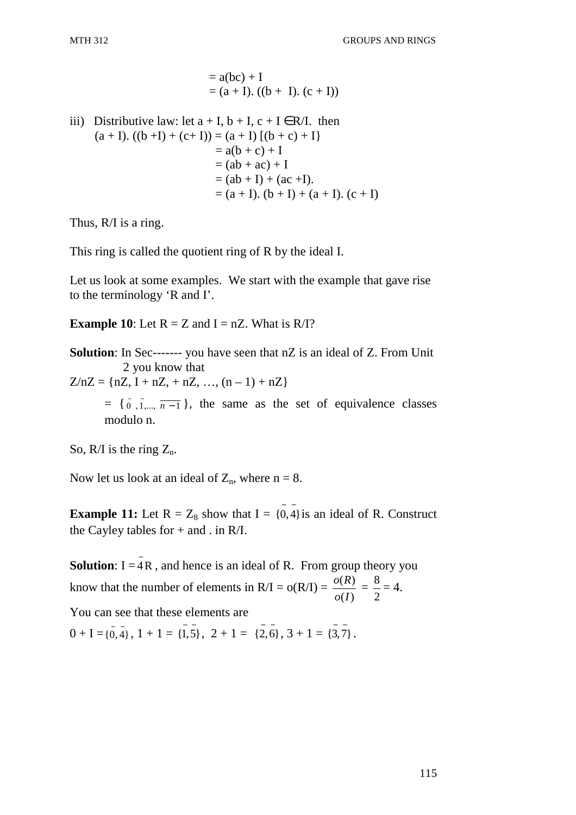= 
$$
a(bc) + I
$$
  
=  $(a + I)$ .  $((b + I)$ .  $(c + I))$ 

iii) Distributive law: let  $a + I$ ,  $b + I$ ,  $c + I \in R/I$ . then  $(a + I). ((b + I) + (c + I)) = (a + I) [(b + c) + I]$  $= a(b + c) + I$  $= (ab + ac) + I$  $= (ab + I) + (ac + I).$  $= (a + I)$ .  $(b + I) + (a + I)$ .  $(c + I)$ 

Thus, R/I is a ring.

This ring is called the quotient ring of R by the ideal I.

Let us look at some examples. We start with the example that gave rise to the terminology 'R and I'.

**Example 10:** Let  $R = Z$  and  $I = nZ$ . What is  $R/I$ ?

**Solution**: In Sec------- you have seen that nZ is an ideal of Z. From Unit 2 you know that

 $Z/nZ = {nZ, I + nZ, + nZ, ..., (n - 1) + nZ}$ 

 $= \{\overline{0}, \overline{1}, \dots, \overline{n-1}\}$ , the same as the set of equivalence classes modulo n.

So, R/I is the ring  $Z_n$ .

Now let us look at an ideal of  $Z_n$ , where  $n = 8$ .

**Example 11:** Let  $R = Z_8$  show that  $I = \{0, 4\}$  is an ideal of R. Construct the Cayley tables for + and . in R/I.

**Solution:**  $I = \overline{A}R$ , and hence is an ideal of R. From group theory you know that the number of elements in  $R/I = o(R/I) =$  $(I)$  $(R)$ *Io*  $\frac{o(R)}{m}$  = 2  $\frac{8}{3} = 4.$ 

You can see that these elements are

 $0 + I = \{0, 4\}, 1 + 1 = \{1, 5\}, 2 + 1 = \{2, 6\}, 3 + 1 = \{3, 7\}.$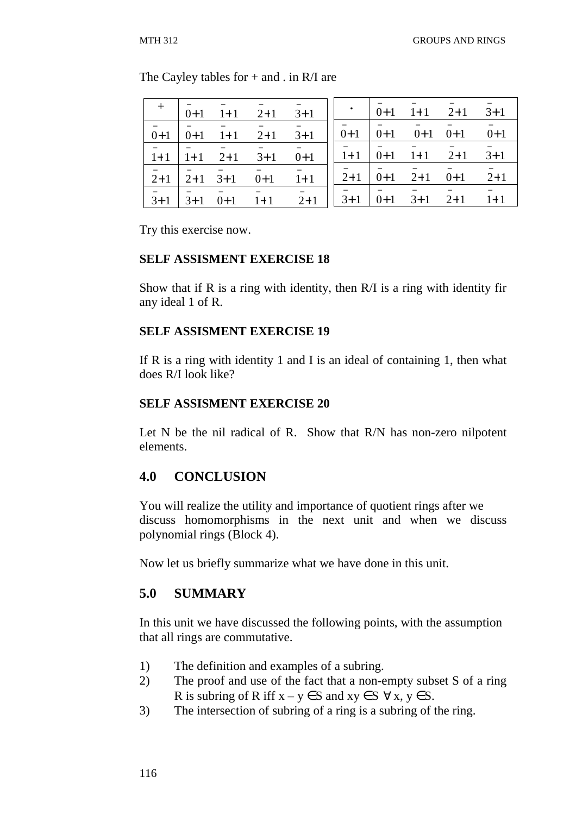|  |  | + $\begin{vmatrix} 1 & 1 & 1 & 1 & 1 \\ 0 & 1 & 1 & 1 & 1 \end{vmatrix}$ + 1 $\begin{vmatrix} 1 & 1 & 1 & 1 \\ 0 & 1 & 1 & 1 \end{vmatrix}$ + 1 $\begin{vmatrix} 1 & 1 & 1 & 1 \\ 0 & 1 & 1 & 1 \end{vmatrix}$ + 1 $\begin{vmatrix} 1 & 1 & 1 & 1 \\ 0 & 1 & 1 & 1 \end{vmatrix}$ |  |  |  |
|--|--|-----------------------------------------------------------------------------------------------------------------------------------------------------------------------------------------------------------------------------------------------------------------------------------|--|--|--|
|  |  | $\begin{vmatrix} 0+1 & 0+1 & 1 & 1 & 1 \end{vmatrix}$ + 1 $\begin{vmatrix} 0+1 & 0+1 & 0 & 1 \end{vmatrix}$ + 1 $\begin{vmatrix} 0+1 & 0+1 & 0 & 1 \end{vmatrix}$ + 1 $\begin{vmatrix} 0+1 & 0+1 & 0 & 1 \end{vmatrix}$                                                           |  |  |  |
|  |  | $\overline{1}+1$ $\overline{1}+1$ $\overline{2}+1$ $\overline{3}+1$ $\overline{0}+1$ $\overline{1}+1$ $\overline{0}+1$ $\overline{1}+1$ $\overline{2}+1$ $\overline{3}+1$                                                                                                         |  |  |  |
|  |  | $\overline{2}+1$ $\overline{2}+1$ $\overline{3}+1$ $\overline{0}+1$ $\overline{1}+1$ $\overline{1}$ $\overline{2}+1$ $\overline{0}+1$ $\overline{2}+1$ $\overline{0}+1$ $\overline{2}+1$                                                                                          |  |  |  |
|  |  | $\overline{3}+1$ $\overline{3}+1$ $\overline{0}+1$ $\overline{1}+1$ $\overline{2}+1$ $\overline{1}$ $\overline{3}+1$ $\overline{0}+1$ $\overline{3}+1$ $\overline{2}+1$ $\overline{1}+1$                                                                                          |  |  |  |

The Cayley tables for  $+$  and . in R/I are

Try this exercise now.

#### **SELF ASSISMENT EXERCISE 18**

Show that if R is a ring with identity, then R/I is a ring with identity fir any ideal 1 of R.

#### **SELF ASSISMENT EXERCISE 19**

If R is a ring with identity 1 and I is an ideal of containing 1, then what does R/I look like?

#### **SELF ASSISMENT EXERCISE 20**

Let N be the nil radical of R. Show that R/N has non-zero nilpotent elements.

# **4.0 CONCLUSION**

You will realize the utility and importance of quotient rings after we discuss homomorphisms in the next unit and when we discuss polynomial rings (Block 4).

Now let us briefly summarize what we have done in this unit.

# **5.0 SUMMARY**

In this unit we have discussed the following points, with the assumption that all rings are commutative.

- 1) The definition and examples of a subring.
- 2) The proof and use of the fact that a non-empty subset S of a ring R is subring of R iff  $x - y \in S$  and  $xy \in S \ \forall x, y \in S$ .
- 3) The intersection of subring of a ring is a subring of the ring.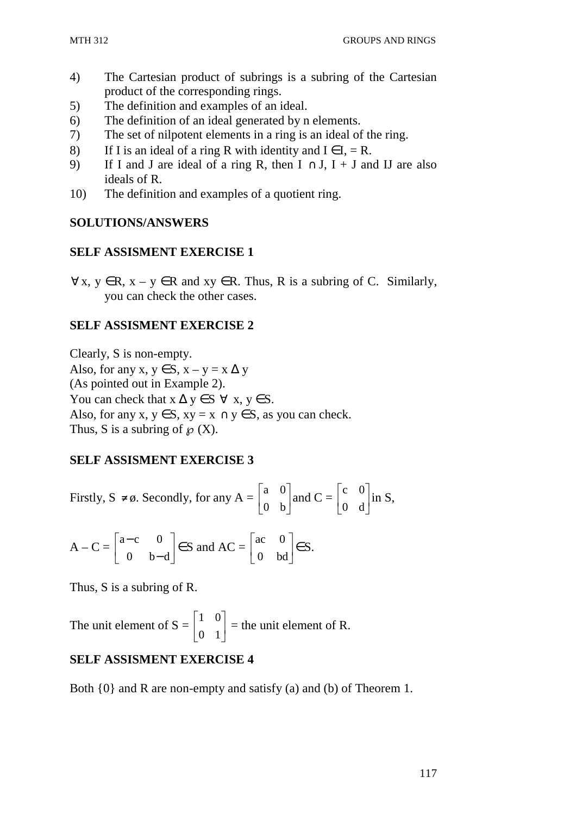- 4) The Cartesian product of subrings is a subring of the Cartesian product of the corresponding rings.
- 5) The definition and examples of an ideal.
- 6) The definition of an ideal generated by n elements.
- 7) The set of nilpotent elements in a ring is an ideal of the ring.
- 8) If I is an ideal of a ring R with identity and  $I \in I$ , = R.
- 9) If I and J are ideal of a ring R, then  $I \cap J$ ,  $I + J$  and IJ are also ideals of R.
- 10) The definition and examples of a quotient ring.

### **SOLUTIONS/ANSWERS**

# **SELF ASSISMENT EXERCISE 1**

 $\forall x, y \in R$ ,  $x - y \in R$  and  $xy \in R$ . Thus, R is a subring of C. Similarly, you can check the other cases.

# **SELF ASSISMENT EXERCISE 2**

Clearly, S is non-empty. Also, for any x,  $y \in S$ ,  $x - y = x \Delta y$ (As pointed out in Example 2). You can check that  $x \Delta y \in S \ \forall \ x, y \in S$ . Also, for any x,  $y \in S$ ,  $xy = x \cap y \in S$ , as you can check. Thus, S is a subring of  $\mathcal{D}(X)$ .

# **SELF ASSISMENT EXERCISE 3**

Firstly, S 
$$
\neq \emptyset
$$
. Secondly, for any A =  $\begin{bmatrix} a & 0 \\ 0 & b \end{bmatrix}$  and C =  $\begin{bmatrix} c & 0 \\ 0 & d \end{bmatrix}$  in S,

$$
A - C = \begin{bmatrix} a - c & 0 \\ 0 & b - d \end{bmatrix} \in S \text{ and } AC = \begin{bmatrix} ac & 0 \\ 0 & bd \end{bmatrix} \in S.
$$

Thus, S is a subring of R.

The unit element of  $S = \begin{bmatrix} 1 & 0 \\ 0 & 1 \end{bmatrix}$ 」 1  $\mathbf{r}$ L  $\lceil$ 0 1 1 0  $=$  the unit element of R.

# **SELF ASSISMENT EXERCISE 4**

Both {0} and R are non-empty and satisfy (a) and (b) of Theorem 1.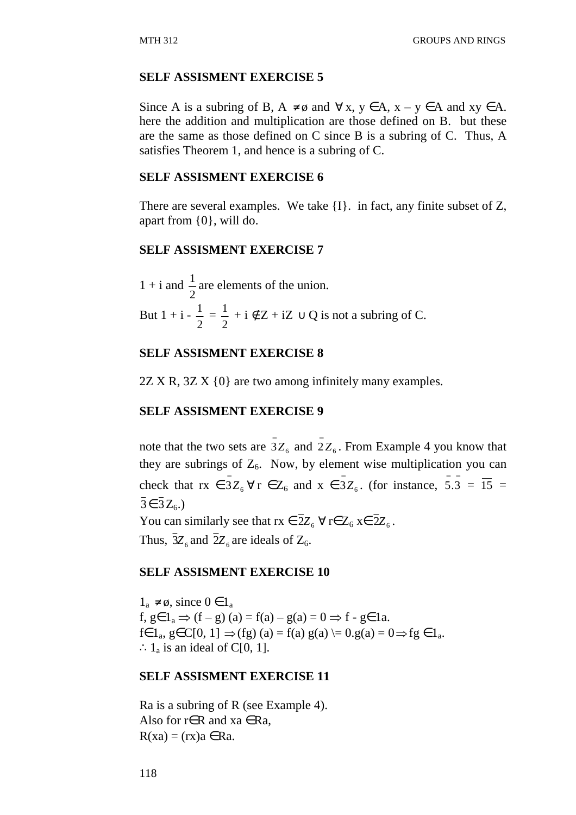#### **SELF ASSISMENT EXERCISE 5**

Since A is a subring of B,  $A \neq \emptyset$  and  $\forall x, y \in A$ ,  $x - y \in A$  and  $xy \in A$ . here the addition and multiplication are those defined on B. but these are the same as those defined on C since B is a subring of C. Thus, A satisfies Theorem 1, and hence is a subring of C.

#### **SELF ASSISMENT EXERCISE 6**

There are several examples. We take {I}. in fact, any finite subset of Z, apart from {0}, will do.

#### **SELF ASSISMENT EXERCISE 7**

 $1 + i$  and 2  $\frac{1}{2}$  are elements of the union. But  $1 + i -$ 2  $\frac{1}{2}$  = 2  $\frac{1}{2} + i \notin Z + iZ \cup Q$  is not a subring of C.

#### **SELF ASSISMENT EXERCISE 8**

2Z X R, 3Z X {0} are two among infinitely many examples.

#### **SELF ASSISMENT EXERCISE 9**

note that the two sets are  $3Z_6$  and  $2Z_6$ . From Example 4 you know that they are subrings of  $Z_6$ . Now, by element wise multiplication you can check that  $rx \in \bar{3}Z_6 \,\forall r \in Z_6$  and  $x \in \bar{3}Z_6$ . (for instance,  $\bar{5}.\bar{3} = \bar{15} = \bar{15}$  $\overline{3} \in \overline{3}Z_{6}$ .) You can similarly see that  $rx \in 2Z_6 \,\forall\, r \in Z_6$   $x \in 2Z_6$ . Thus,  $3Z_6$  and  $2Z_6$  are ideals of  $Z_6$ .

#### **SELF ASSISMENT EXERCISE 10**

 $1_a \neq \emptyset$ , since  $0 \in 1_a$ f,  $g \in 1_a \Rightarrow (f - g)(a) = f(a) - g(a) = 0 \Rightarrow f - g \in 1a$ .  $f \in 1_a, g \in C[0, 1] \Rightarrow (fg) (a) = f(a) g(a) \models 0. g(a) = 0 \Rightarrow fg \in 1_a.$  $\therefore$  1<sub>a</sub> is an ideal of C[0, 1].

#### **SELF ASSISMENT EXERCISE 11**

Ra is a subring of R (see Example 4). Also for  $r \in R$  and  $xa \in Ra$ ,  $R(xa) = (rx)a \in Ra$ .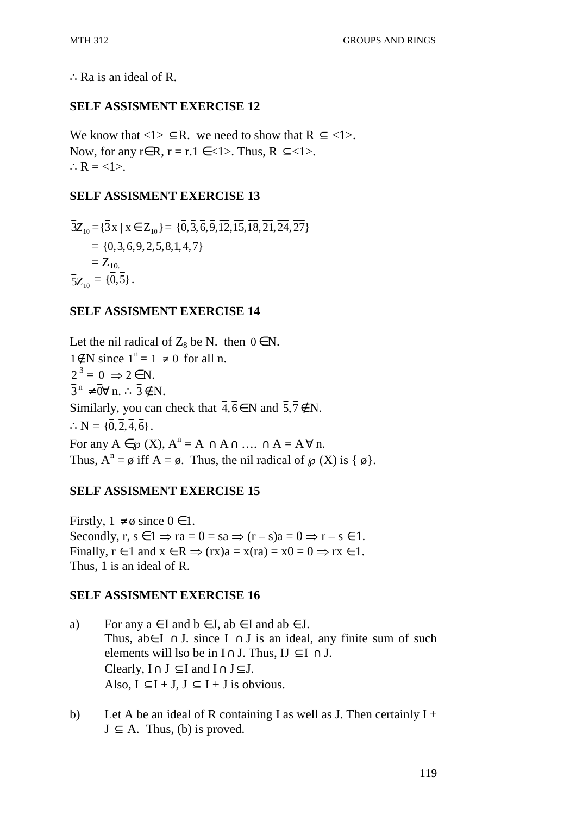∴Ra is an ideal of R.

### **SELF ASSISMENT EXERCISE 12**

We know that  $\langle 1 \rangle \subseteq R$ . we need to show that  $R \subseteq \langle 1 \rangle$ . Now, for any r∈R, r = r.1 ∈ <1>. Thus, R  $\subseteq$  <1>.  $\therefore$  R = <1>.

# **SELF ASSISMENT EXERCISE 13**

$$
\overline{3}Z_{10} = \{\overline{3} \times | \overline{x} \in Z_{10}\} = \{\overline{0}, \overline{3}, \overline{6}, \overline{9}, \overline{12}, \overline{15}, \overline{18}, \overline{21}, \overline{24}, \overline{27}\}\
$$
  
=  $\{\overline{0}, \overline{3}, \overline{6}, \overline{9}, \overline{2}, \overline{5}, \overline{8}, \overline{1}, \overline{4}, \overline{7}\}\$   
=  $Z_{10}$ .  
 $\overline{5}Z_{10} = \{\overline{0}, \overline{5}\}.$ 

# **SELF ASSISMENT EXERCISE 14**

Let the nil radical of  $Z_8$  be N. then  $0 \in N$ .  $\overline{1} \notin N$  since  $\overline{1}^n = \overline{1} \neq \overline{0}$  for all n.  $\overline{2}^3 = \overline{0} \Rightarrow \overline{2} \in \mathbb{N}.$  $\overline{3}^{\text{n}} \neq 0 \forall \text{n}. \therefore \overline{3} \notin \text{N}.$ Similarly, you can check that  $\overline{4,6} \in N$  and  $\overline{5,7} \notin N$ .  $\therefore N = \{0, 2, 4, 6\}$ . For any  $A \in \mathcal{P}(X)$ ,  $A^n = A \cap A \cap ... \cap A = A \forall n$ . Thus,  $A^n = \emptyset$  iff  $A = \emptyset$ . Thus, the nil radical of  $\wp(X)$  is {  $\emptyset$  }.

# **SELF ASSISMENT EXERCISE 15**

Firstly,  $1 \neq \emptyset$  since  $0 \in 1$ . Secondly,  $r, s \in 1 \Rightarrow ra = 0 = sa \Rightarrow (r - s)a = 0 \Rightarrow r - s \in 1$ . Finally,  $r \in 1$  and  $x \in R \implies (rx)a = x(ra) = x0 = 0 \implies rx \in 1$ . Thus, 1 is an ideal of R.

# **SELF ASSISMENT EXERCISE 16**

- a) For any  $a \in I$  and  $b \in J$ ,  $ab \in I$  and  $ab \in J$ . Thus, ab∈I ∩ J. since I ∩ J is an ideal, any finite sum of such elements will lso be in  $I \cap J$ . Thus,  $I \subseteq I \cap J$ . Clearly,  $I \cap J \subset I$  and  $I \cap J \subset J$ . Also,  $I \subset I + J$ ,  $J \subset I + J$  is obvious.
- b) Let A be an ideal of R containing I as well as J. Then certainly  $I +$  $J \subset A$ . Thus, (b) is proved.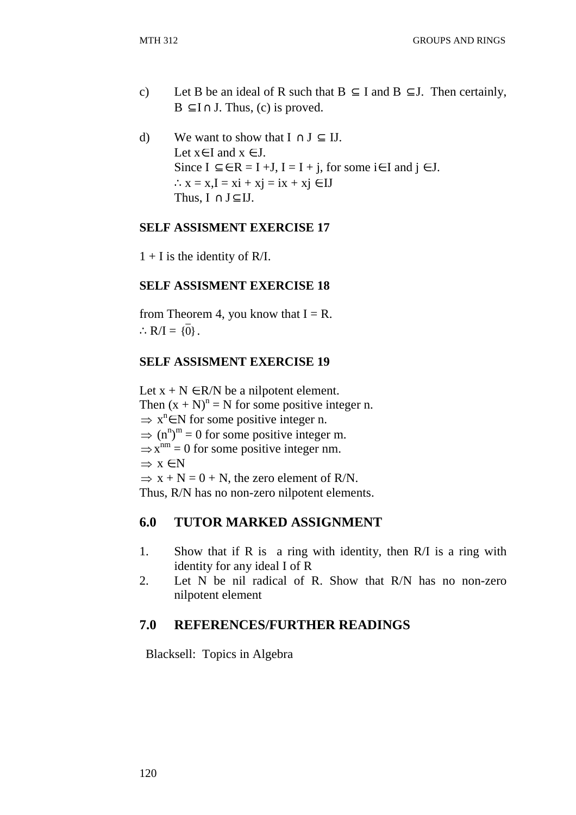- c) Let B be an ideal of R such that  $B \subseteq I$  and  $B \subseteq J$ . Then certainly,  $B \subseteq I \cap J$ . Thus, (c) is proved.
- d) We want to show that  $I \cap J \subseteq II$ . Let  $x \in I$  and  $x \in J$ . Since  $I \subseteq \in R = I + J$ ,  $I = I + j$ , for some i $\in I$  and  $j \in J$ .  $\therefore$  x = x,I = xi + xj = ix + xj  $\in$  IJ Thus,  $I \cap J \subset IJ$ .

### **SELF ASSISMENT EXERCISE 17**

 $1 + I$  is the identity of R/I.

### **SELF ASSISMENT EXERCISE 18**

from Theorem 4, you know that  $I = R$ .  $\therefore R/I = {\overline{0}}.$ 

#### **SELF ASSISMENT EXERCISE 19**

Let  $x + N \in R/N$  be a nilpotent element. Then  $(x + N)^n = N$  for some positive integer n.  $\Rightarrow$  x<sup>n</sup> $\in$  N for some positive integer n.  $\Rightarrow$  (n<sup>n</sup>)<sup>m</sup> = 0 for some positive integer m.  $\Rightarrow$  x<sup>nm</sup> = 0 for some positive integer nm.  $\Rightarrow$   $x \in N$  $\Rightarrow$  x + N = 0 + N, the zero element of R/N. Thus, R/N has no non-zero nilpotent elements.

# **6.0 TUTOR MARKED ASSIGNMENT**

- 1. Show that if R is a ring with identity, then R/I is a ring with identity for any ideal I of R
- 2. Let N be nil radical of R. Show that R/N has no non-zero nilpotent element

# **7.0 REFERENCES/FURTHER READINGS**

Blacksell: Topics in Algebra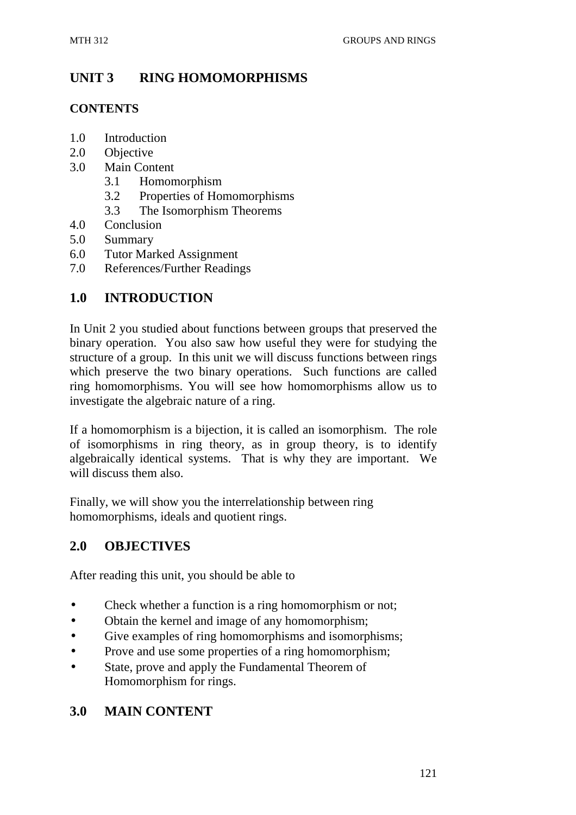# **UNIT 3 RING HOMOMORPHISMS**

### **CONTENTS**

- 1.0 Introduction
- 2.0 Objective
- 3.0 Main Content
	- 3.1 Homomorphism
	- 3.2 Properties of Homomorphisms
	- 3.3 The Isomorphism Theorems
- 4.0 Conclusion
- 5.0 Summary
- 6.0 Tutor Marked Assignment
- 7.0 References/Further Readings

# **1.0 INTRODUCTION**

In Unit 2 you studied about functions between groups that preserved the binary operation. You also saw how useful they were for studying the structure of a group. In this unit we will discuss functions between rings which preserve the two binary operations. Such functions are called ring homomorphisms. You will see how homomorphisms allow us to investigate the algebraic nature of a ring.

If a homomorphism is a bijection, it is called an isomorphism. The role of isomorphisms in ring theory, as in group theory, is to identify algebraically identical systems. That is why they are important. We will discuss them also.

Finally, we will show you the interrelationship between ring homomorphisms, ideals and quotient rings.

# **2.0 OBJECTIVES**

After reading this unit, you should be able to

- Check whether a function is a ring homomorphism or not;
- Obtain the kernel and image of any homomorphism;
- Give examples of ring homomorphisms and isomorphisms;
- Prove and use some properties of a ring homomorphism:
- State, prove and apply the Fundamental Theorem of Homomorphism for rings.

# **3.0 MAIN CONTENT**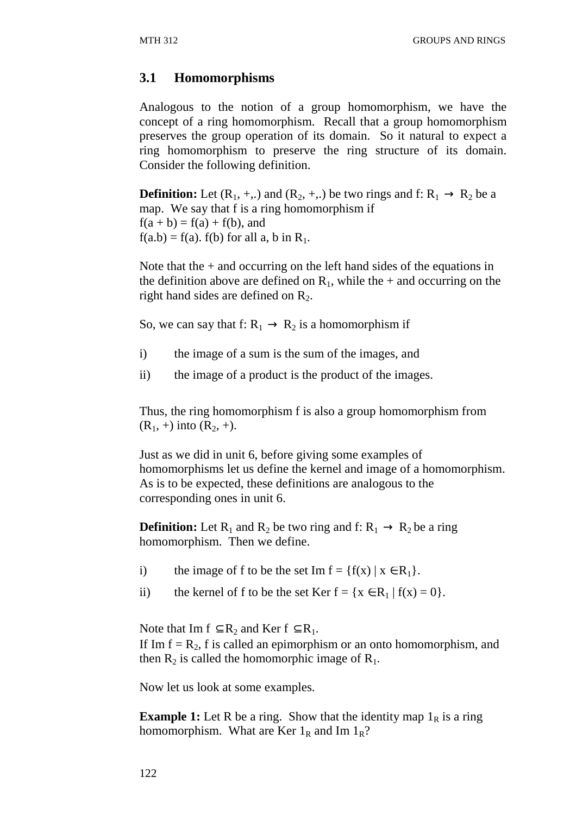# **3.1 Homomorphisms**

Analogous to the notion of a group homomorphism, we have the concept of a ring homomorphism. Recall that a group homomorphism preserves the group operation of its domain. So it natural to expect a ring homomorphism to preserve the ring structure of its domain. Consider the following definition.

**Definition:** Let  $(R_1, +,.)$  and  $(R_2, +,.)$  be two rings and f:  $R_1 \rightarrow R_2$  be a map. We say that f is a ring homomorphism if  $f(a + b) = f(a) + f(b)$ , and  $f(a.b) = f(a)$ .  $f(b)$  for all a, b in  $R_1$ .

Note that the  $+$  and occurring on the left hand sides of the equations in the definition above are defined on  $R_1$ , while the + and occurring on the right hand sides are defined on  $R_2$ .

So, we can say that f:  $R_1 \rightarrow R_2$  is a homomorphism if

- i) the image of a sum is the sum of the images, and
- ii) the image of a product is the product of the images.

Thus, the ring homomorphism f is also a group homomorphism from  $(R_1, +)$  into  $(R_2, +)$ .

Just as we did in unit 6, before giving some examples of homomorphisms let us define the kernel and image of a homomorphism. As is to be expected, these definitions are analogous to the corresponding ones in unit 6.

**Definition:** Let  $R_1$  and  $R_2$  be two ring and f:  $R_1 \rightarrow R_2$  be a ring homomorphism. Then we define.

- i) the image of f to be the set Im  $f = {f(x) | x \in R_1}.$
- ii) the kernel of f to be the set Ker  $f = \{x \in R_1 | f(x) = 0\}.$

Note that Im  $f \subseteq R_2$  and Ker  $f \subseteq R_1$ . If Im  $f = R_2$ , f is called an epimorphism or an onto homomorphism, and then  $R_2$  is called the homomorphic image of  $R_1$ .

Now let us look at some examples.

**Example 1:** Let R be a ring. Show that the identity map  $1<sub>R</sub>$  is a ring homomorphism. What are Ker  $1_R$  and Im  $1_R$ ?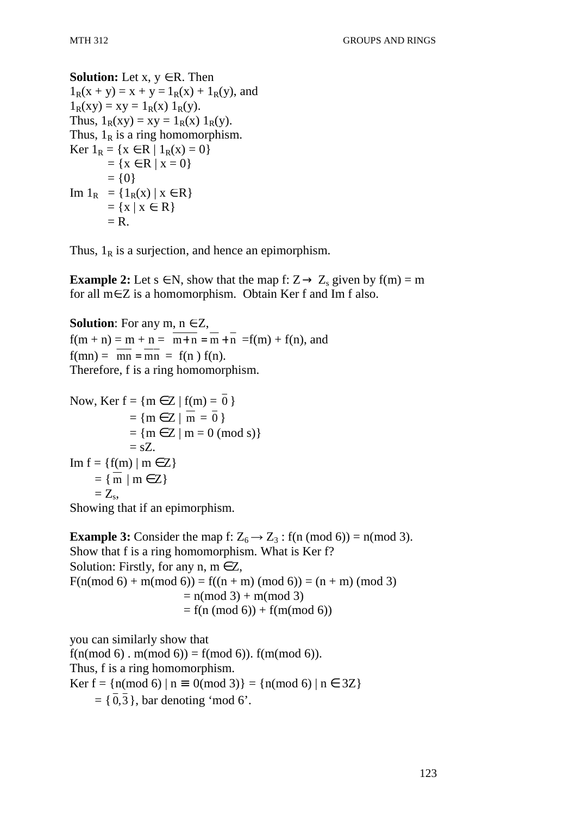# **Solution:** Let  $x, y \in R$ . Then  $1_R(x + y) = x + y = 1_R(x) + 1_R(y)$ , and  $1_R(xy) = xy = 1_R(x) 1_R(y)$ . Thus,  $1_R(xy) = xy = 1_R(x) 1_R(y)$ . Thus,  $1_R$  is a ring homomorphism. Ker  $1_R = \{x \in R \mid 1_R(x) = 0\}$  $= {x \in R | x = 0}$  $= \{0\}$ Im  $1_R = \{1_R(x) | x \in R\}$  $= \{x \mid x \in R\}$  $=$  R.

Thus,  $1_R$  is a surjection, and hence an epimorphism.

**Example 2:** Let  $s \in N$ , show that the map f:  $Z \rightarrow Z_s$  given by f(m) = m for all m∈Z is a homomorphism. Obtain Ker f and Im f also.

**Solution**: For any  $m, n \in \mathbb{Z}$ ,  $f(m + n) = m + n = \overline{m+n} = \overline{m+n} - f(m) + f(n)$ , and  $f(mn) = mn = mn = f(n) f(n)$ . Therefore, f is a ring homomorphism.

Now, Ker  $f = \{m \in Z \mid f(m) = 0\}$  $= \{m \in \mathbb{Z} \mid m = 0 \}$  $= {m \in Z | m = 0 \pmod{s}}$  $=$  sZ. Im  $f = \{f(m) \mid m \in Z\}$  $= \{ \overline{m} \mid m \in \mathbb{Z} \}$  $= Z_{\rm s}$ 

Showing that if an epimorphism.

**Example 3:** Consider the map f:  $Z_6 \rightarrow Z_3$ : f(n (mod 6)) = n(mod 3). Show that f is a ring homomorphism. What is Ker f? Solution: Firstly, for any  $n, m \in \mathbb{Z}$ ,  $F(n \mod 6) + m \mod 6) = f((n + m) \pmod 6) = (n + m) \pmod 3$  $= n \pmod{3} + m \pmod{3}$  $= f(n \pmod{6}) + f(m \pmod{6})$ 

you can similarly show that  $f(n \mod 6)$ .  $m \mod 6) = f(m \mod 6)$ .  $f(m \mod 6)$ . Thus, f is a ring homomorphism. Ker f =  $\{n \pmod{6} \mid n \equiv 0 \pmod{3}\} = \{n \pmod{6} \mid n \in 3Z\}$  $= \{ \overline{0}, \overline{3} \}$ , bar denoting 'mod 6'.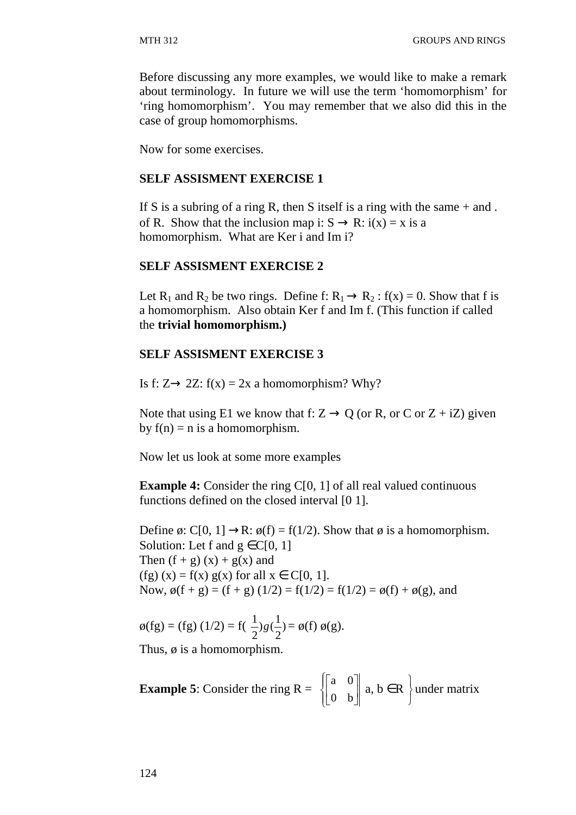Before discussing any more examples, we would like to make a remark about terminology. In future we will use the term 'homomorphism' for 'ring homomorphism'. You may remember that we also did this in the case of group homomorphisms.

Now for some exercises.

### **SELF ASSISMENT EXERCISE 1**

If S is a subring of a ring R, then S itself is a ring with the same  $+$  and. of R. Show that the inclusion map i:  $S \rightarrow R$ :  $i(x) = x$  is a homomorphism. What are Ker i and Im i?

#### **SELF ASSISMENT EXERCISE 2**

Let R<sub>1</sub> and R<sub>2</sub> be two rings. Define f:  $R_1 \rightarrow R_2$ : f(x) = 0. Show that f is a homomorphism. Also obtain Ker f and Im f. (This function if called the **trivial homomorphism.)**

### **SELF ASSISMENT EXERCISE 3**

Is f:  $Z \rightarrow 2Z$ : f(x) = 2x a homomorphism? Why?

Note that using E1 we know that f:  $Z \rightarrow Q$  (or R, or C or  $Z + iZ$ ) given by  $f(n) = n$  is a homomorphism.

Now let us look at some more examples

**Example 4:** Consider the ring C[0, 1] of all real valued continuous functions defined on the closed interval [0 1].

Define  $\emptyset$ : C[0, 1]  $\rightarrow$ R:  $\emptyset$ (f) = f(1/2). Show that  $\emptyset$  is a homomorphism. Solution: Let f and  $g \in C[0, 1]$ Then  $(f + g)(x) + g(x)$  and (fg)  $(x) = f(x) g(x)$  for all  $x \in C[0, 1]$ . Now,  $\phi(f + g) = (f + g)(1/2) = f(1/2) = f(1/2) = \phi(f) + \phi(g)$ , and

$$
\phi(fg) = (fg) (1/2) = f(\frac{1}{2})g(\frac{1}{2}) = \phi(f) \phi(g).
$$

Thus,  $\phi$  is a homomorphism.

**Example 5:** Consider the ring 
$$
R = \begin{bmatrix} a & 0 \ 0 & b \end{bmatrix}
$$
 a,  $b \in R$  under matrix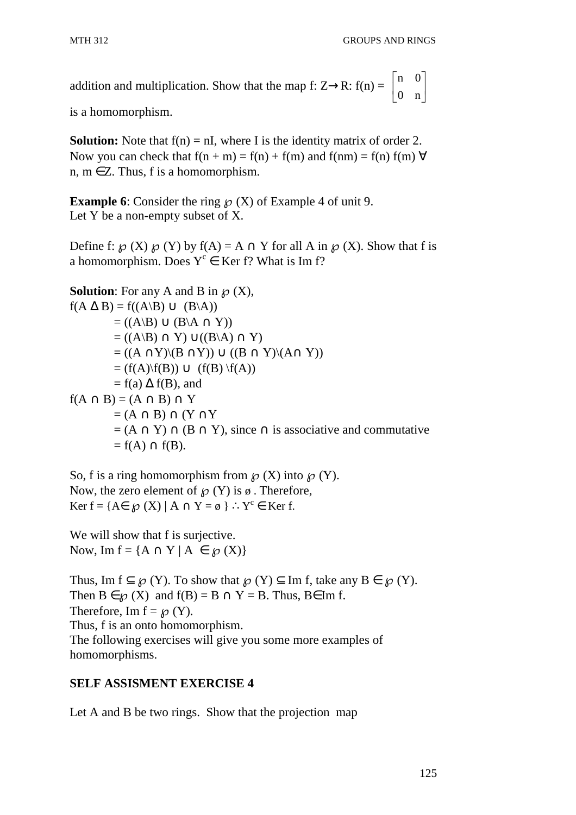addition and multiplication. Show that the map f: Z→R: f(n) =  $\begin{bmatrix} a & b \\ c & c \end{bmatrix}$ 」 1  $\mathsf{L}$ L 0 n n 0

is a homomorphism.

**Solution:** Note that  $f(n) = nI$ , where I is the identity matrix of order 2. Now you can check that  $f(n + m) = f(n) + f(m)$  and  $f(nm) = f(n) f(m) \forall$ n,  $m \in \mathbb{Z}$ . Thus, f is a homomorphism.

**Example 6**: Consider the ring  $\mathcal{P}(X)$  of Example 4 of unit 9. Let Y be a non-empty subset of X.

Define f:  $\mathcal{O}(X)$   $\mathcal{O}(Y)$  by  $f(A) = A \cap Y$  for all A in  $\mathcal{O}(X)$ . Show that f is a homomorphism. Does  $Y^c \in \text{Ker f? What is Im f?}$ 

**Solution**: For any A and B in  $\mathcal{O}(X)$ ,  $f(A \Delta B) = f((A \Bbb B) \cup (B \A))$  $= ((A\setminus B) \cup (B\setminus A \cap Y))$  $= ((A\Bbb B) \cap Y) \cup ((B\Bbb A) \cap Y)$  $= ((A \cap Y)(B \cap Y)) \cup ((B \cap Y)(A \cap Y))$  $= (f(A)\{f(B)) \cup (f(B)\{f(A)\})$  $= f(a) \Delta f(B)$ , and  $f(A \cap B) = (A \cap B) \cap Y$  $=(A \cap B) \cap (Y \cap Y)$  $= (A \cap Y) \cap (B \cap Y)$ , since  $\cap$  is associative and commutative  $=f(A) \cap f(B)$ .

So, f is a ring homomorphism from  $\mathcal{O}(X)$  into  $\mathcal{O}(Y)$ . Now, the zero element of  $\mathcal{D}(Y)$  is  $\emptyset$ . Therefore, Ker f = { $A \in \mathcal{D}(X) | A \cap Y = \emptyset$  } :  $Y^c \in \text{Ker f.}$ 

We will show that f is surjective. Now, Im  $f = \{A \cap Y \mid A \in \mathcal{D}(X)\}\$ 

Thus, Im  $f \subseteq \mathcal{D}(Y)$ . To show that  $\mathcal{D}(Y) \subseteq \text{Im } f$ , take any  $B \in \mathcal{D}(Y)$ . Then  $B \in \mathcal{D}(X)$  and  $f(B) = B \cap Y = B$ . Thus,  $B \in \text{Im } f$ . Therefore, Im  $f = \mathcal{O}(Y)$ . Thus, f is an onto homomorphism. The following exercises will give you some more examples of homomorphisms.

# **SELF ASSISMENT EXERCISE 4**

Let A and B be two rings. Show that the projection map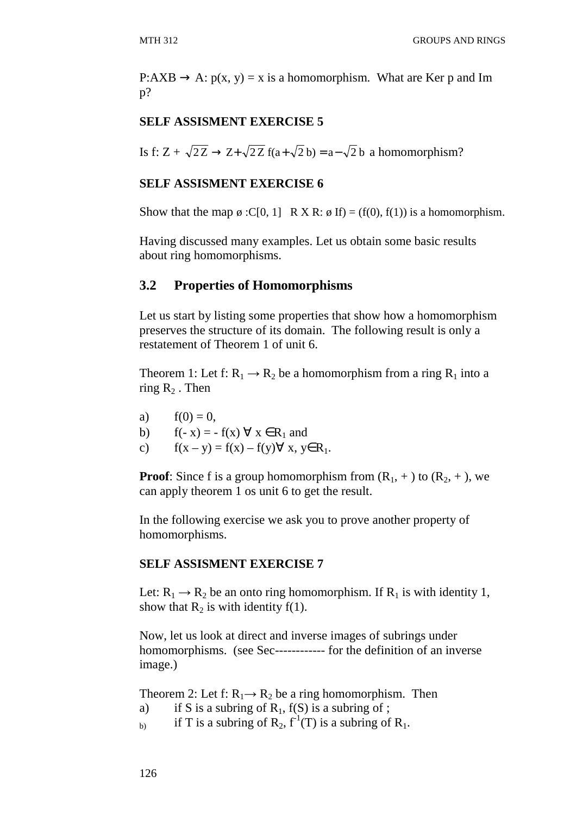$P: AXB \rightarrow A: p(x, y) = x$  is a homomorphism. What are Ker p and Im p?

### **SELF ASSISMENT EXERCISE 5**

Is f: Z +  $\sqrt{2Z}$   $\rightarrow$  Z+ $\sqrt{2Z}$  f(a+ $\sqrt{2}$  b) = a– $\sqrt{2}$  b a homomorphism?

### **SELF ASSISMENT EXERCISE 6**

Show that the map  $\emptyset$  :C[0, 1] R X R:  $\emptyset$  If) = (f(0), f(1)) is a homomorphism.

Having discussed many examples. Let us obtain some basic results about ring homomorphisms.

### **3.2 Properties of Homomorphisms**

Let us start by listing some properties that show how a homomorphism preserves the structure of its domain. The following result is only a restatement of Theorem 1 of unit 6.

Theorem 1: Let f:  $R_1 \rightarrow R_2$  be a homomorphism from a ring  $R_1$  into a ring  $R_2$ . Then

- a)  $f(0) = 0$ ,
- b)  $f(-x) = -f(x) \forall x \in R_1$  and
- c)  $f(x y) = f(x) f(y) \forall x, y \in R_1$ .

**Proof**: Since f is a group homomorphism from  $(R_1, +)$  to  $(R_2, +)$ , we can apply theorem 1 os unit 6 to get the result.

In the following exercise we ask you to prove another property of homomorphisms.

### **SELF ASSISMENT EXERCISE 7**

Let:  $R_1 \rightarrow R_2$  be an onto ring homomorphism. If  $R_1$  is with identity 1, show that  $R_2$  is with identity f(1).

Now, let us look at direct and inverse images of subrings under homomorphisms. (see Sec------------ for the definition of an inverse image.)

Theorem 2: Let f:  $R_1 \rightarrow R_2$  be a ring homomorphism. Then

- a) if S is a subring of  $R_1$ ,  $f(S)$  is a subring of;
- b) if T is a subring of  $R_2$ ,  $f^1(T)$  is a subring of  $R_1$ .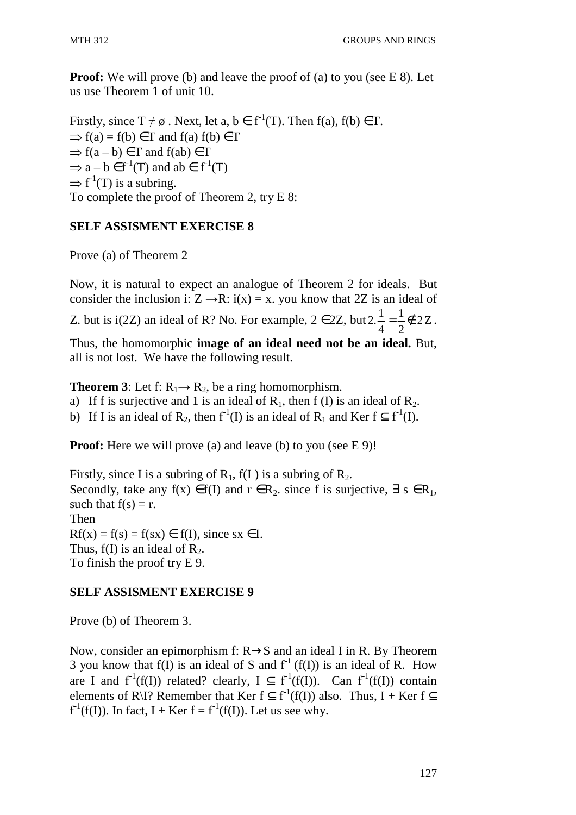**Proof:** We will prove (b) and leave the proof of (a) to you (see E 8). Let us use Theorem 1 of unit 10.

Firstly, since  $T \neq \emptyset$ . Next, let  $a, b \in f^1(T)$ . Then  $f(a), f(b) \in T$ .  $\Rightarrow$  f(a) = f(b)  $\in$  T and f(a) f(b)  $\in$  T  $\Rightarrow$  f(a – b)  $\in$  T and f(ab)  $\in$  T  $\Rightarrow$  a – b  $\in$  f<sup>-1</sup>(T) and ab  $\in$  f<sup>-1</sup>(T)  $\Rightarrow$  f<sup>-1</sup>(T) is a subring. To complete the proof of Theorem 2, try E 8:

# **SELF ASSISMENT EXERCISE 8**

Prove (a) of Theorem 2

Now, it is natural to expect an analogue of Theorem 2 for ideals. But consider the inclusion i:  $Z \rightarrow R$ : i(x) = x. you know that 2Z is an ideal of

Z. but is i(2Z) an ideal of R? No. For example,  $2 \in 2Z$ , but  $2\frac{1}{2} = \frac{1}{2} \notin 2Z$ 2 1 4  $2.\frac{1}{4} = \frac{1}{2} \notin 2Z$ .

Thus, the homomorphic **image of an ideal need not be an ideal.** But, all is not lost. We have the following result.

**Theorem 3**: Let f:  $R_1 \rightarrow R_2$ , be a ring homomorphism.

a) If f is surjective and 1 is an ideal of  $R_1$ , then f (I) is an ideal of  $R_2$ .

b) If I is an ideal of R<sub>2</sub>, then  $f^{-1}(I)$  is an ideal of R<sub>1</sub> and Ker  $f \subseteq f^{-1}(I)$ .

**Proof:** Here we will prove (a) and leave (b) to you (see E 9)!

Firstly, since I is a subring of  $R_1$ ,  $f(I)$  is a subring of  $R_2$ . Secondly, take any f(x)  $\in$  f(I) and  $r \in R_2$ , since f is surjective,  $\exists s \in R_1$ , such that  $f(s) = r$ . Then  $Rf(x) = f(s) = f(sx) \in f(I)$ , since sx  $\in I$ . Thus,  $f(I)$  is an ideal of  $R_2$ . To finish the proof try E 9.

# **SELF ASSISMENT EXERCISE 9**

Prove (b) of Theorem 3.

Now, consider an epimorphism f: R→S and an ideal I in R. By Theorem 3 you know that f(I) is an ideal of S and  $f<sup>-1</sup>(f(I))$  is an ideal of R. How are I and  $f^1(f(I))$  related? clearly,  $I \subseteq f^1(f(I))$ . Can  $f^1(f(I))$  contain elements of R\I? Remember that Ker  $f \subset f^{-1}(f(I))$  also. Thus, I + Ker  $f \subset$  $f<sup>-1</sup>(f(I))$ . In fact, I + Ker f =  $f<sup>-1</sup>(f(I))$ . Let us see why.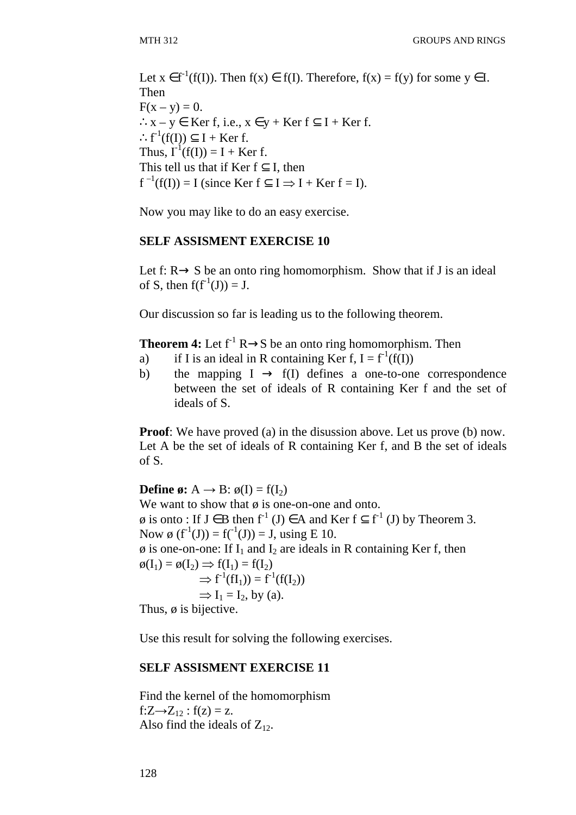Let  $x \in f^1(f(I))$ . Then  $f(x) \in f(I)$ . Therefore,  $f(x) = f(y)$  for some  $y \in I$ . Then  $F(x - y) = 0.$ ∴x – y ∈ Ker f, i.e.,  $x \in y +$  Ker f  $\subseteq$  I + Ker f. ∴f<sup>-1</sup>(f(I))  $\subseteq$  I + Ker f. Thus,  $I^{-1}(f(I)) = I + Ker f$ . This tell us that if Ker  $f \subset I$ , then  $f^{-1}(f(I)) = I$  (since Ker  $f \subseteq I \Rightarrow I + \text{Ker } f = I$ ).

Now you may like to do an easy exercise.

#### **SELF ASSISMENT EXERCISE 10**

Let f:  $R \rightarrow S$  be an onto ring homomorphism. Show that if J is an ideal of S, then  $f(f^{-1}(J)) = J$ .

Our discussion so far is leading us to the following theorem.

**Theorem 4:** Let  $f^{-1}R \rightarrow S$  be an onto ring homomorphism. Then

- a) if I is an ideal in R containing Ker f,  $I = f^{-1}(f(I))$
- b) the mapping  $I \rightarrow f(I)$  defines a one-to-one correspondence between the set of ideals of R containing Ker f and the set of ideals of S.

**Proof:** We have proved (a) in the disussion above. Let us prove (b) now. Let A be the set of ideals of R containing Ker f, and B the set of ideals of S.

**Define ø:**  $A \rightarrow B$ :  $\phi(I) = f(I_2)$ We want to show that  $\phi$  is one-on-one and onto.  $\emptyset$  is onto : If J ∈ B then f<sup>-1</sup> (J) ∈ A and Ker f ⊂ f<sup>-1</sup> (J) by Theorem 3. Now  $\emptyset$  (f<sup>-1</sup>(J)) = f(<sup>-1</sup>(J)) = J, using E 10.  $\phi$  is one-on-one: If I<sub>1</sub> and I<sub>2</sub> are ideals in R containing Ker f, then  $\phi(I_1) = \phi(I_2) \implies f(I_1) = f(I_2)$  $\Rightarrow$  f<sup>-1</sup>(fI<sub>1</sub>)) = f<sup>-1</sup>(f(I<sub>2</sub>))  $\Rightarrow$  I<sub>1</sub> = I<sub>2</sub>, by (a). Thus,  $\phi$  is bijective.

Use this result for solving the following exercises.

#### **SELF ASSISMENT EXERCISE 11**

Find the kernel of the homomorphism  $f:Z\rightarrow Z_1$ <sub>2</sub> :  $f(z) = z$ . Also find the ideals of  $Z_{12}$ .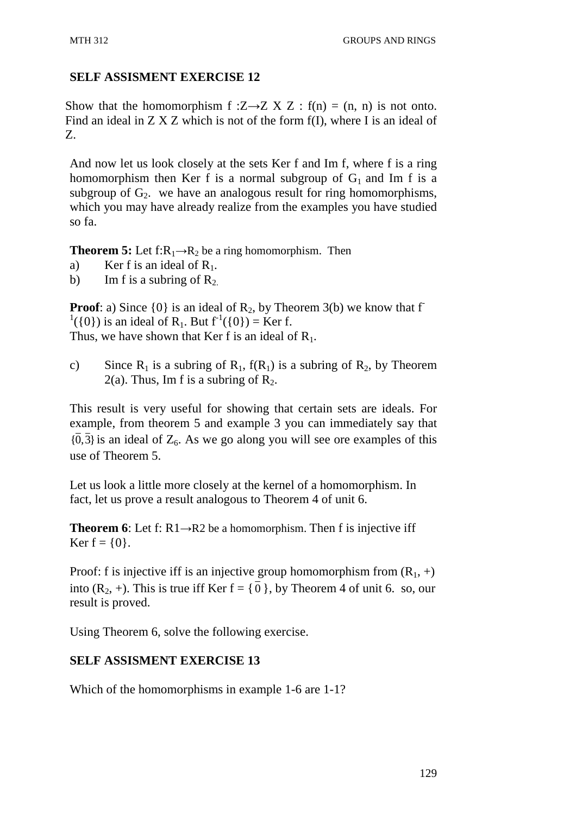# **SELF ASSISMENT EXERCISE 12**

Show that the homomorphism f : $Z \rightarrow Z X Z$  : f(n) = (n, n) is not onto. Find an ideal in  $Z$   $X$   $Z$  which is not of the form  $f(I)$ , where I is an ideal of Z.

And now let us look closely at the sets Ker f and Im f, where f is a ring homomorphism then Ker f is a normal subgroup of  $G_1$  and Im f is a subgroup of  $G_2$ . we have an analogous result for ring homomorphisms, which you may have already realize from the examples you have studied so fa.

**Theorem 5:** Let  $f:R_1\rightarrow R_2$  be a ring homomorphism. Then

- a) Ker f is an ideal of  $R_1$ .
- b) Im f is a subring of  $R_2$ .

**Proof**: a) Since  $\{0\}$  is an ideal of  $R_2$ , by Theorem 3(b) we know that f  $^{1}(\{0\})$  is an ideal of R<sub>1</sub>. But  $f^{-1}(\{0\}) =$  Ker f. Thus, we have shown that Ker f is an ideal of  $R_1$ .

c) Since  $R_1$  is a subring of  $R_1$ ,  $f(R_1)$  is a subring of  $R_2$ , by Theorem 2(a). Thus, Im f is a subring of  $R_2$ .

This result is very useful for showing that certain sets are ideals. For example, from theorem 5 and example 3 you can immediately say that  ${0,3}$  is an ideal of  $Z_6$ . As we go along you will see ore examples of this use of Theorem 5.

Let us look a little more closely at the kernel of a homomorphism. In fact, let us prove a result analogous to Theorem 4 of unit 6.

**Theorem 6**: Let f:  $R1 \rightarrow R2$  be a homomorphism. Then f is injective iff Ker  $f = \{0\}$ .

Proof: f is injective iff is an injective group homomorphism from  $(R_1, +)$ into  $(R_2, +)$ . This is true iff Ker  $f = \{ 0 \}$ , by Theorem 4 of unit 6. so, our result is proved.

Using Theorem 6, solve the following exercise.

# **SELF ASSISMENT EXERCISE 13**

Which of the homomorphisms in example 1-6 are 1-1?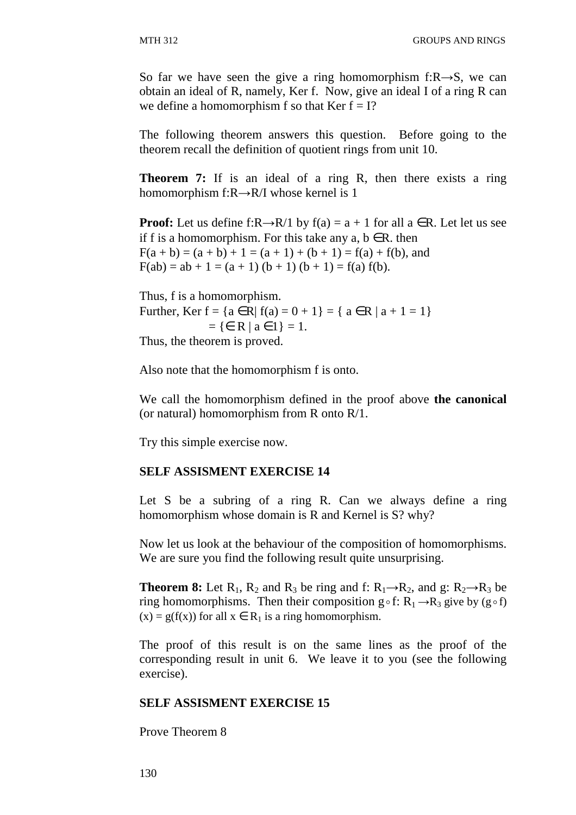So far we have seen the give a ring homomorphism f: $R\rightarrow S$ , we can obtain an ideal of R, namely, Ker f. Now, give an ideal I of a ring R can we define a homomorphism f so that Ker  $f = I$ ?

The following theorem answers this question. Before going to the theorem recall the definition of quotient rings from unit 10.

**Theorem 7:** If is an ideal of a ring R, then there exists a ring homomorphism f:R→R/I whose kernel is 1

**Proof:** Let us define f:R→R/1 by  $f(a) = a + 1$  for all  $a \in R$ . Let let us see if f is a homomorphism. For this take any  $a, b \in R$ . then  $F(a + b) = (a + b) + 1 = (a + 1) + (b + 1) = f(a) + f(b)$ , and  $F(ab) = ab + 1 = (a + 1) (b + 1) (b + 1) = f(a) f(b).$ 

Thus, f is a homomorphism. Further, Ker  $f = \{a \in R | f(a) = 0 + 1\} = \{a \in R | a + 1 = 1\}$  $= \{ \in \mathbb{R} \mid a \in 1 \} = 1.$ Thus, the theorem is proved.

Also note that the homomorphism f is onto.

We call the homomorphism defined in the proof above **the canonical** (or natural) homomorphism from R onto R/1.

Try this simple exercise now.

#### **SELF ASSISMENT EXERCISE 14**

Let S be a subring of a ring R. Can we always define a ring homomorphism whose domain is R and Kernel is S? why?

Now let us look at the behaviour of the composition of homomorphisms. We are sure you find the following result quite unsurprising.

**Theorem 8:** Let  $R_1$ ,  $R_2$  and  $R_3$  be ring and f:  $R_1 \rightarrow R_2$ , and g:  $R_2 \rightarrow R_3$  be ring homomorphisms. Then their composition  $g \circ f: R_1 \rightarrow R_3$  give by  $(g \circ f)$  $(x) = g(f(x))$  for all  $x \in R_1$  is a ring homomorphism.

The proof of this result is on the same lines as the proof of the corresponding result in unit 6. We leave it to you (see the following exercise).

#### **SELF ASSISMENT EXERCISE 15**

Prove Theorem 8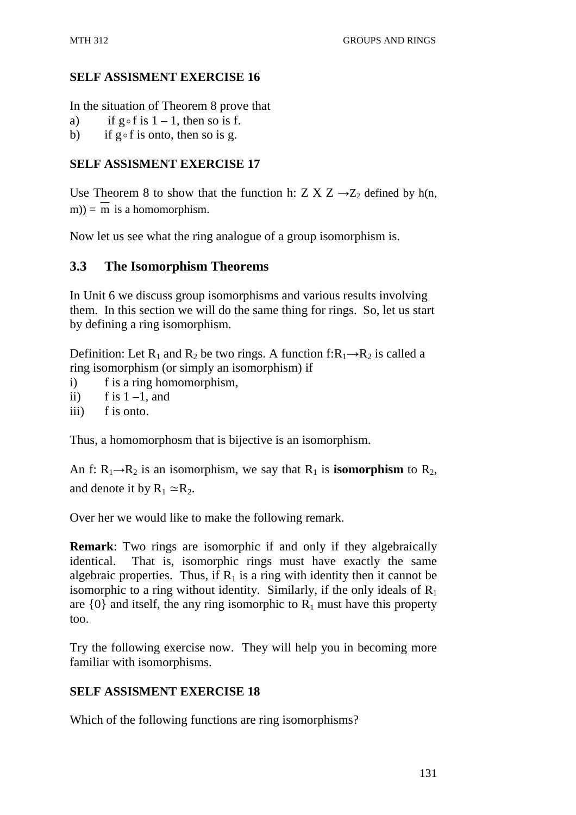### **SELF ASSISMENT EXERCISE 16**

In the situation of Theorem 8 prove that

- a) if  $g \circ f$  is  $1 1$ , then so is f.
- b) if  $g \circ f$  is onto, then so is g.

# **SELF ASSISMENT EXERCISE 17**

Use Theorem 8 to show that the function h: Z X Z  $\rightarrow$  Z<sub>2</sub> defined by h(n, m)) =  $\overline{m}$  is a homomorphism.

Now let us see what the ring analogue of a group isomorphism is.

# **3.3 The Isomorphism Theorems**

In Unit 6 we discuss group isomorphisms and various results involving them. In this section we will do the same thing for rings. So, let us start by defining a ring isomorphism.

Definition: Let R<sub>1</sub> and R<sub>2</sub> be two rings. A function f:R<sub>1</sub>→R<sub>2</sub> is called a ring isomorphism (or simply an isomorphism) if

- i) f is a ring homomorphism,
- ii) f is  $1 1$ , and
- iii) f is onto.

Thus, a homomorphosm that is bijective is an isomorphism.

An f:  $R_1 \rightarrow R_2$  is an isomorphism, we say that  $R_1$  is **isomorphism** to  $R_2$ , and denote it by  $R_1 \approx R_2$ .

Over her we would like to make the following remark.

**Remark**: Two rings are isomorphic if and only if they algebraically identical. That is, isomorphic rings must have exactly the same algebraic properties. Thus, if  $R_1$  is a ring with identity then it cannot be isomorphic to a ring without identity. Similarly, if the only ideals of  $R_1$ are  $\{0\}$  and itself, the any ring isomorphic to  $R_1$  must have this property too.

Try the following exercise now. They will help you in becoming more familiar with isomorphisms.

# **SELF ASSISMENT EXERCISE 18**

Which of the following functions are ring isomorphisms?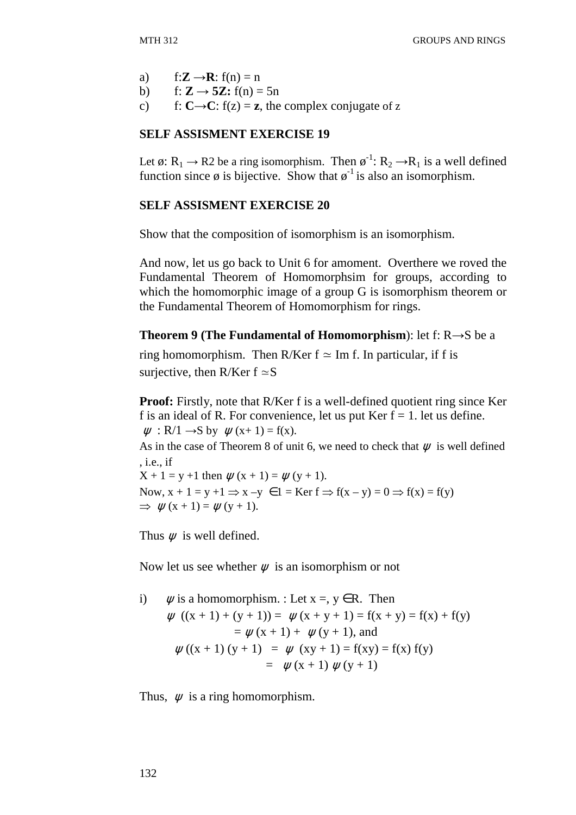a)  $f:Z \rightarrow \mathbf{R}$ :  $f(n) = n$ 

b) 
$$
f: \mathbb{Z} \to 5\mathbb{Z}
$$
:  $f(n) = 5n$ 

c) f:  $C \rightarrow C$ :  $f(z) = z$ , the complex conjugate of z

### **SELF ASSISMENT EXERCISE 19**

Let ø:  $R_1 \rightarrow R_2$  be a ring isomorphism. Then  $\varphi^{-1}$ :  $R_2 \rightarrow R_1$  is a well defined function since  $\phi$  is bijective. Show that  $\phi^{-1}$  is also an isomorphism.

### **SELF ASSISMENT EXERCISE 20**

Show that the composition of isomorphism is an isomorphism.

And now, let us go back to Unit 6 for amoment. Overthere we roved the Fundamental Theorem of Homomorphsim for groups, according to which the homomorphic image of a group G is isomorphism theorem or the Fundamental Theorem of Homomorphism for rings.

**Theorem 9 (The Fundamental of Homomorphism**): let f: R→S be a

ring homomorphism. Then R/Ker  $f \approx Im f$ . In particular, if f is surjective, then R/Ker  $f \approx S$ 

**Proof:** Firstly, note that R/Ker f is a well-defined quotient ring since Ker f is an ideal of R. For convenience, let us put  $Ker f = 1$ . let us define.  $\psi$ : R/1  $\rightarrow$ S by  $\psi$ (x+1) = f(x). As in the case of Theorem 8 of unit 6, we need to check that  $\psi$  is well defined , i.e., if  $X + 1 = y + 1$  then  $\psi(x + 1) = \psi(y + 1)$ . Now,  $x + 1 = y + 1 \Rightarrow x - y \in 1 = \text{Ker } f \Rightarrow f(x - y) = 0 \Rightarrow f(x) = f(y)$ 

Thus  $\psi$  is well defined.

 $\Rightarrow$   $\psi$  (x + 1) =  $\psi$  (y + 1).

Now let us see whether  $\psi$  is an isomorphism or not

i) 
$$
\psi
$$
 is a homomorphism. : Let  $x =, y \in R$ . Then  
\n $\psi ((x + 1) + (y + 1)) = \psi (x + y + 1) = f(x + y) = f(x) + f(y)$   
\n $= \psi (x + 1) + \psi (y + 1)$ , and  
\n $\psi ((x + 1) (y + 1)) = \psi (xy + 1) = f(xy) = f(x) f(y)$   
\n $= \psi (x + 1) \psi (y + 1)$ 

Thus,  $\psi$  is a ring homomorphism.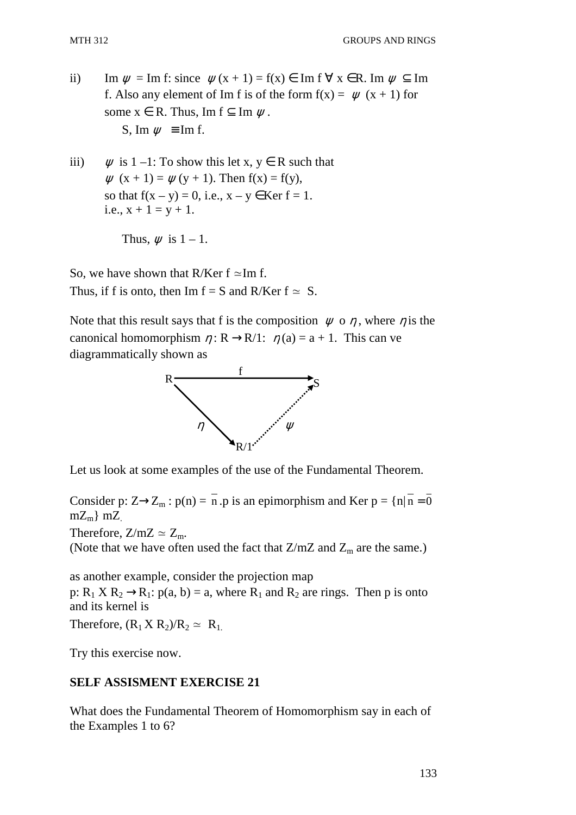- ii) Im  $\psi = \text{Im } f$ : since  $\psi(x + 1) = f(x) \in \text{Im } f \forall x \in \mathbb{R}$ . Im  $\psi \subset \text{Im } f$ f. Also any element of Im f is of the form  $f(x) = \psi(x + 1)$  for some  $x \in R$ . Thus, Im  $f \subset \text{Im } \psi$ . S, Im  $w \equiv$  Im f.
- iii)  $\psi$  is 1 –1: To show this let x,  $y \in R$  such that  $\psi$  (x + 1) =  $\psi$  (y + 1). Then f(x) = f(y), so that  $f(x - y) = 0$ , i.e.,  $x - y \in \text{Ker } f = 1$ . i.e.,  $x + 1 = y + 1$ .

```
Thus, \psi is 1 - 1.
```
So, we have shown that R/Ker  $f \simeq Im f$ . Thus, if f is onto, then Im  $f = S$  and R/Ker  $f \approx S$ .

Note that this result says that f is the composition  $\psi$  o  $\eta$ , where  $\eta$  is the canonical homomorphism  $\eta : \mathbb{R} \to \mathbb{R}/1$ :  $\eta(a) = a + 1$ . This can ve diagrammatically shown as



Let us look at some examples of the use of the Fundamental Theorem.

Consider p:  $Z \rightarrow Z_m$ :  $p(n) = \overline{n}$ . p is an epimorphism and Ker  $p = \{n | \overline{n} = 0\}$  $mZ_m$ } m $Z_m$ 

Therefore,  $Z/mZ \simeq Z_m$ .

(Note that we have often used the fact that  $Z/mZ$  and  $Z_m$  are the same.)

as another example, consider the projection map p:  $R_1$  X  $R_2 \rightarrow R_1$ :  $p(a, b) = a$ , where  $R_1$  and  $R_2$  are rings. Then p is onto and its kernel is

Therefore,  $(R_1 X R_2)/R_2 \simeq R_1$ .

Try this exercise now.

# **SELF ASSISMENT EXERCISE 21**

What does the Fundamental Theorem of Homomorphism say in each of the Examples 1 to 6?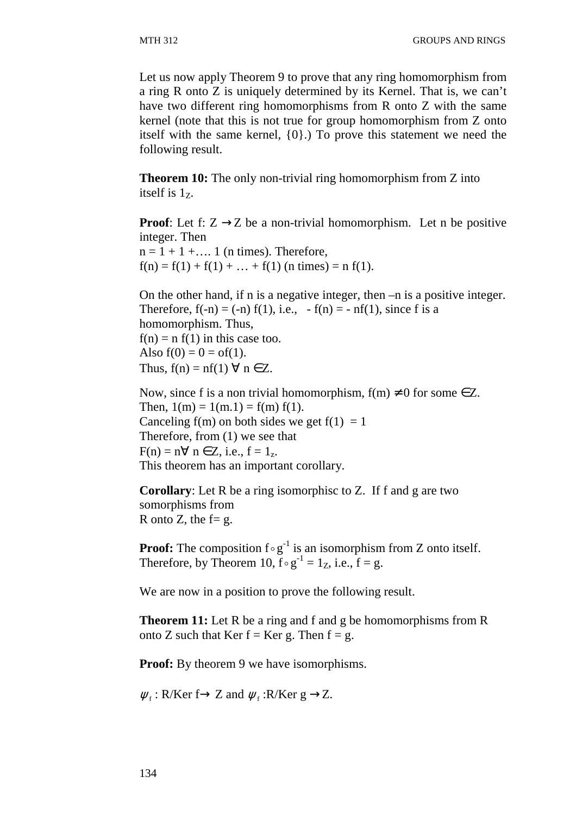Let us now apply Theorem 9 to prove that any ring homomorphism from a ring R onto Z is uniquely determined by its Kernel. That is, we can't have two different ring homomorphisms from R onto Z with the same kernel (note that this is not true for group homomorphism from Z onto itself with the same kernel, {0}.) To prove this statement we need the following result.

**Theorem 10:** The only non-trivial ring homomorphism from Z into itself is  $1<sub>z</sub>$ .

**Proof:** Let f:  $Z \rightarrow Z$  be a non-trivial homomorphism. Let n be positive integer. Then  $n = 1 + 1 + \dots$  1 (n times). Therefore,  $f(n) = f(1) + f(1) + ... + f(1)$  (n times) = n f(1).

On the other hand, if n is a negative integer, then –n is a positive integer. Therefore,  $f(-n) = (-n) f(1)$ , i.e.,  $-f(n) = -nf(1)$ , since f is a homomorphism. Thus,  $f(n) = n f(1)$  in this case too. Also  $f(0) = 0 = of(1)$ . Thus,  $f(n) = nf(1) \forall n \in Z$ .

Now, since f is a non trivial homomorphism,  $f(m) \neq 0$  for some  $\in Z$ . Then,  $1(m) = 1(m.1) = f(m) f(1)$ . Canceling  $f(m)$  on both sides we get  $f(1) = 1$ Therefore, from (1) we see that  $F(n) = n \forall n \in \mathbb{Z}$ , i.e.,  $f = 1_z$ . This theorem has an important corollary.

**Corollary**: Let R be a ring isomorphisc to Z. If f and g are two somorphisms from R onto Z, the  $f = g$ .

**Proof:** The composition  $f \circ g^{-1}$  is an isomorphism from Z onto itself. Therefore, by Theorem 10,  $f \circ g^{-1} = 1_Z$ , i.e.,  $f = g$ .

We are now in a position to prove the following result.

**Theorem 11:** Let R be a ring and f and g be homomorphisms from R onto Z such that Ker  $f = Ker g$ . Then  $f = g$ .

**Proof:** By theorem 9 we have isomorphisms.

 $\psi_f : R/Ker f \to Z$  and  $\psi_f : R/Ker g \to Z$ .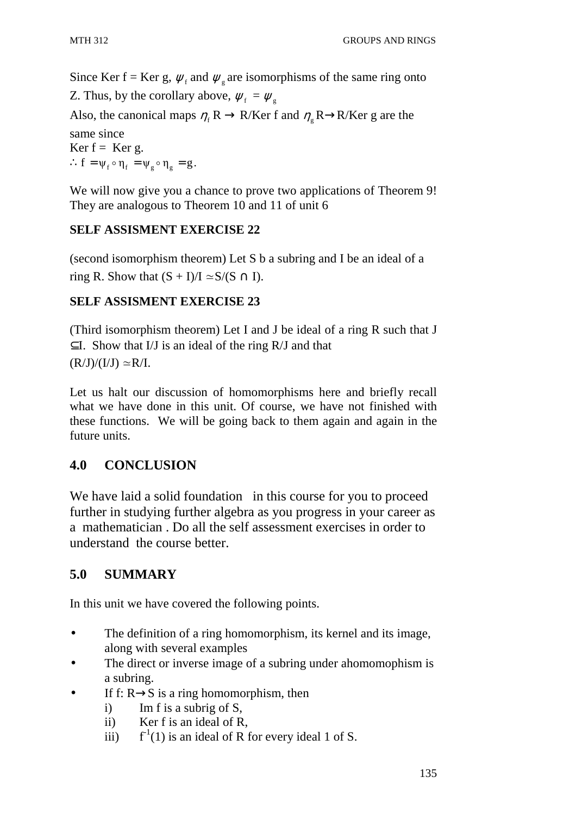Since Ker f = Ker g,  $\psi_f$  and  $\psi_g$  are isomorphisms of the same ring onto

Z. Thus, by the corollary above,  $\psi_f = \psi_g$ 

Also, the canonical maps  $\eta_f R \to R/Ker f$  and  $\eta_g R \to R/Ker g$  are the same since Ker  $f =$  Ker g.

 $\therefore f = \psi_f \circ \eta_f = \psi_g \circ \eta_g = g.$ 

We will now give you a chance to prove two applications of Theorem 9! They are analogous to Theorem 10 and 11 of unit 6

### **SELF ASSISMENT EXERCISE 22**

(second isomorphism theorem) Let S b a subring and I be an ideal of a ring R. Show that  $(S + I)/I \simeq S/(S \cap I)$ .

### **SELF ASSISMENT EXERCISE 23**

(Third isomorphism theorem) Let I and J be ideal of a ring R such that J  $\subset I$ . Show that I/J is an ideal of the ring R/J and that  $(R/J)/(I/J) \simeq R/I$ .

Let us halt our discussion of homomorphisms here and briefly recall what we have done in this unit. Of course, we have not finished with these functions. We will be going back to them again and again in the future units.

## **4.0 CONCLUSION**

We have laid a solid foundation in this course for you to proceed further in studying further algebra as you progress in your career as a mathematician . Do all the self assessment exercises in order to understand the course better.

## **5.0 SUMMARY**

In this unit we have covered the following points.

- The definition of a ring homomorphism, its kernel and its image, along with several examples
- The direct or inverse image of a subring under ahomomophism is a subring.
- If f:  $R \rightarrow S$  is a ring homomorphism, then
	- i) Im f is a subrig of S,
	- ii) Ker f is an ideal of R,
	- iii)  $f<sup>1</sup>(1)$  is an ideal of R for every ideal 1 of S.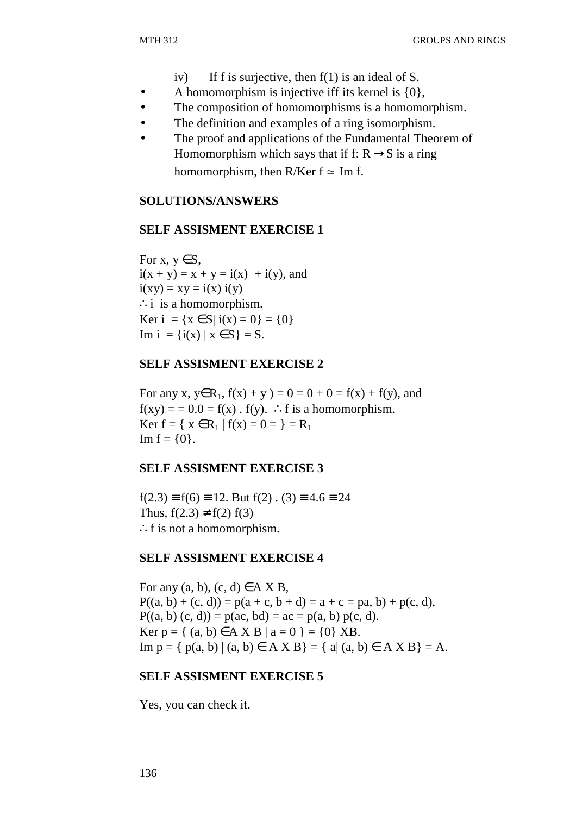- iv) If f is surjective, then  $f(1)$  is an ideal of S.
- A homomorphism is injective iff its kernel is  $\{0\}$ ,
- The composition of homomorphisms is a homomorphism.
- The definition and examples of a ring isomorphism.
- The proof and applications of the Fundamental Theorem of Homomorphism which says that if f:  $R \rightarrow S$  is a ring homomorphism, then R/Ker  $f \approx Im f$ .

#### **SOLUTIONS/ANSWERS**

#### **SELF ASSISMENT EXERCISE 1**

For x,  $y \in S$ ,  $i(x + y) = x + y = i(x) + i(y)$ , and  $i(xy) = xy = i(x) i(y)$ ∴i is a homomorphism. Ker i = { $x \in S$ | i( $x$ ) = 0} = {0} Im  $i = \{i(x) | x \in S\} = S$ .

#### **SELF ASSISMENT EXERCISE 2**

For any x,  $y \in R_1$ ,  $f(x) + y$  ) = 0 = 0 + 0 = f(x) + f(y), and  $f(xy) = 0.0 = f(x)$ .  $f(y)$ . ∴f is a homomorphism. Ker  $f = \{ x \in R_1 | f(x) = 0 \} = R_1$ Im  $f = \{0\}$ .

#### **SELF ASSISMENT EXERCISE 3**

 $f(2.3) \equiv f(6) \equiv 12$ . But  $f(2)$ .  $(3) \equiv 4.6 \equiv 24$ Thus,  $f(2.3) \neq f(2) f(3)$ ∴f is not a homomorphism.

#### **SELF ASSISMENT EXERCISE 4**

For any  $(a, b)$ ,  $(c, d) \in A X B$ ,  $P((a, b) + (c, d)) = p(a + c, b + d) = a + c = pa, b) + p(c, d),$  $P((a, b) (c, d)) = p(ac, bd) = ac = p(a, b) p(c, d).$ Ker  $p = \{ (a, b) \in A \times B \mid a = 0 \} = \{0\} \times B$ . Im  $p = \{ p(a, b) | (a, b) \in A X B \} = \{ a | (a, b) \in A X B \} = A$ .

#### **SELF ASSISMENT EXERCISE 5**

Yes, you can check it.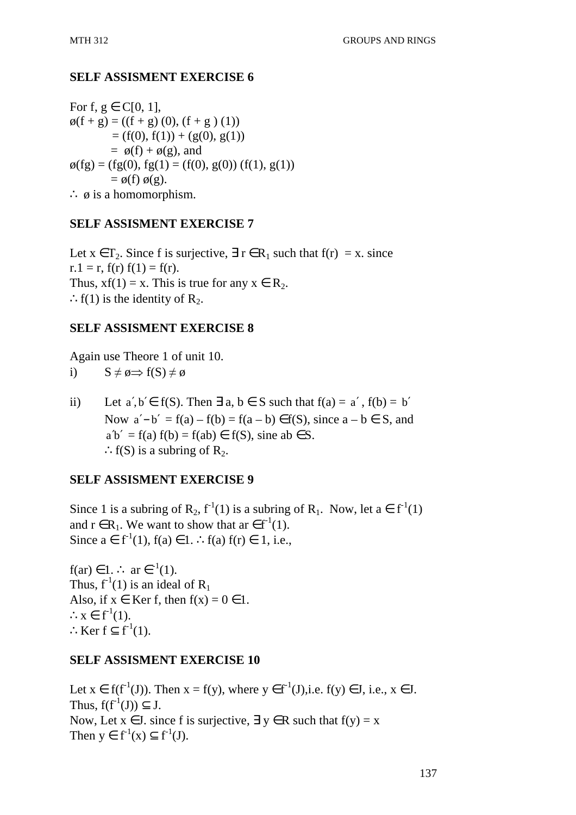### **SELF ASSISMENT EXERCISE 6**

For f,  $g \in C[0, 1]$ ,  $\phi(f + g) = ((f + g) (0), (f + g) (1))$  $= (f(0), f(1)) + (g(0), g(1))$  $=$   $\varphi(f) + \varphi(g)$ , and  $\varphi(fg) = (fg(0), fg(1) = (f(0), g(0)) (f(1), g(1))$  $= \phi(f) \phi(g)$ . ∴  $\phi$  is a homomorphism.

### **SELF ASSISMENT EXERCISE 7**

Let  $x \in T_2$ . Since f is surjective,  $\exists r \in R_1$  such that  $f(r) = x$ . since  $r.1 = r$ ,  $f(r) f(1) = f(r)$ . Thus,  $xf(1) = x$ . This is true for any  $x \in R_2$ .  $\therefore$  f(1) is the identity of R<sub>2</sub>.

### **SELF ASSISMENT EXERCISE 8**

Again use Theore 1 of unit 10.

i)  $S \neq \emptyset \Rightarrow f(S) \neq \emptyset$ 

ii) Let  $a', b' \in f(S)$ . Then  $\exists a, b \in S$  such that  $f(a) = a', f(b) = b'$ Now  $a'-b' = f(a) - f(b) = f(a-b) \in f(S)$ , since  $a - b \in S$ , and  $a'b' = f(a) f(b) = f(ab) \in f(S)$ , sine ab  $\in S$ . ∴f(S) is a subring of  $\mathbb{R}_{2}$ .

### **SELF ASSISMENT EXERCISE 9**

Since 1 is a subring of R<sub>2</sub>,  $f^{-1}(1)$  is a subring of R<sub>1</sub>. Now, let  $a \in f^{-1}(1)$ and  $r \in R_1$ . We want to show that ar  $\in f^{-1}(1)$ . Since  $a \in f^{-1}(1)$ ,  $f(a) \in 1$ . ∴  $f(a) f(r) \in 1$ , i.e.,

f(ar)  $\in$  1.  $\therefore$  ar  $\in$ <sup>-1</sup>(1). Thus,  $f^{-1}(1)$  is an ideal of  $R_1$ Also, if  $x \in \text{Ker } f$ , then  $f(x) = 0 \in 1$ .  $\therefore x \in f^{-1}(1)$ . ∴Ker f  $\subseteq$  f<sup>-1</sup>(1).

### **SELF ASSISMENT EXERCISE 10**

Let  $x \in f(f^1(J))$ . Then  $x = f(y)$ , where  $y \in f^1(J)$ , i.e.,  $f(y) \in J$ , i.e.,  $x \in J$ . Thus,  $f(f^1(J)) \subset J$ . Now, Let  $x \in J$ , since f is surjective,  $\exists y \in R$  such that  $f(y) = x$ Then  $y \in f^{-1}(x) \subset f^{-1}(J)$ .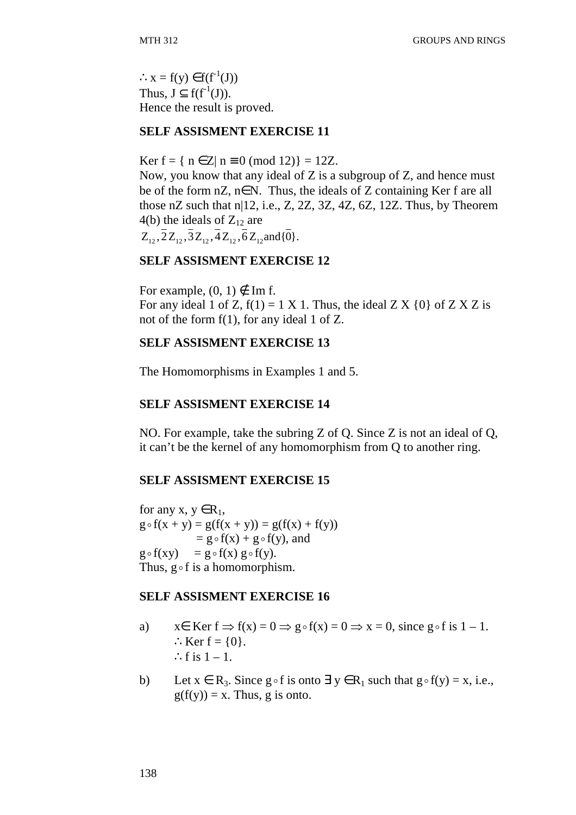$\therefore$  x = f(y)  $\in$  f(f<sup>-1</sup>(J)) Thus,  $J \subset f(f^{-1}(J))$ . Hence the result is proved.

#### **SELF ASSISMENT EXERCISE 11**

Ker f = {  $n \in \mathbb{Z}$ |  $n \equiv 0 \pmod{12}$  = 12Z.

Now, you know that any ideal of Z is a subgroup of Z, and hence must be of the form  $nZ$ ,  $n \in N$ . Thus, the ideals of Z containing Ker f are all those nZ such that n|12, i.e., Z, 2Z, 3Z, 4Z, 6Z, 12Z. Thus, by Theorem 4(b) the ideals of  $Z_{12}$  are  $Z_1, \overline{2}Z_1, \overline{3}Z_1, \overline{4}Z_1, \overline{6}Z_1$  and  $\{\overline{0}\}.$ 

#### **SELF ASSISMENT EXERCISE 12**

For example,  $(0, 1) \notin \text{Im } f$ . For any ideal 1 of Z,  $f(1) = 1 X 1$ . Thus, the ideal Z X  $\{0\}$  of Z X Z is not of the form f(1), for any ideal 1 of Z.

#### **SELF ASSISMENT EXERCISE 13**

The Homomorphisms in Examples 1 and 5.

#### **SELF ASSISMENT EXERCISE 14**

NO. For example, take the subring Z of Q. Since Z is not an ideal of Q, it can't be the kernel of any homomorphism from Q to another ring.

#### **SELF ASSISMENT EXERCISE 15**

for any x,  $y \in R_1$ ,  $g \circ f(x + y) = g(f(x + y)) = g(f(x) + f(y))$  $= g \circ f(x) + g \circ f(y)$ , and  $g \circ f(xy) = g \circ f(x) g \circ f(y).$ Thus,  $g \circ f$  is a homomorphism.

#### **SELF ASSISMENT EXERCISE 16**

- a)  $x \in \text{Ker } f \Rightarrow f(x) = 0 \Rightarrow g \circ f(x) = 0 \Rightarrow x = 0$ , since  $g \circ f$  is  $1 1$ .  $:$  Ker  $f = \{0\}.$ ∴f is  $1 - 1$ .
- b) Let  $x \in R_3$ . Since  $g \circ f$  is onto  $\exists y \in R_1$  such that  $g \circ f(y) = x$ , i.e.,  $g(f(y)) = x$ . Thus, g is onto.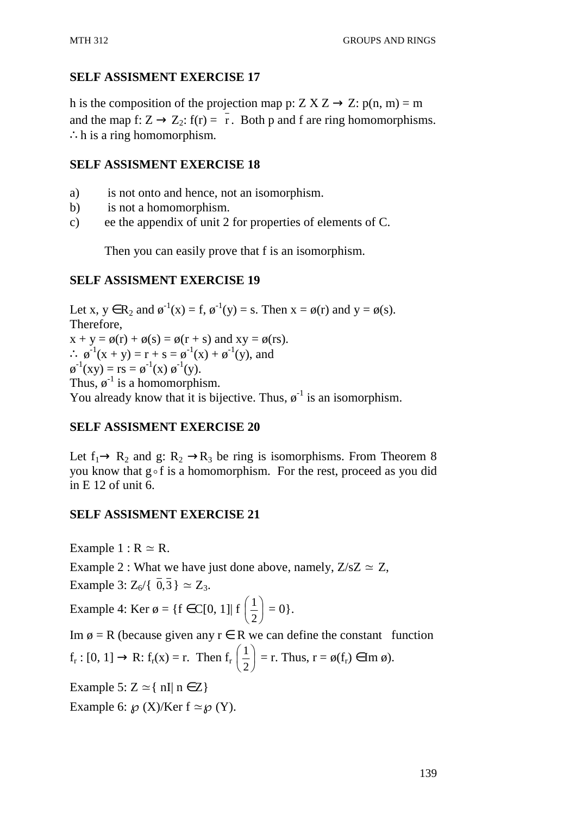### **SELF ASSISMENT EXERCISE 17**

h is the composition of the projection map p:  $Z X Z \rightarrow Z: p(n, m) = m$ and the map f:  $Z \rightarrow Z_2$ : f(r) = r. Both p and f are ring homomorphisms. ∴h is a ring homomorphism.

### **SELF ASSISMENT EXERCISE 18**

- a) is not onto and hence, not an isomorphism.
- b) is not a homomorphism.
- c) ee the appendix of unit 2 for properties of elements of C.

Then you can easily prove that f is an isomorphism.

### **SELF ASSISMENT EXERCISE 19**

Let x,  $y \in R_2$  and  $\phi^{-1}(x) = f$ ,  $\phi^{-1}(y) = s$ . Then  $x = \phi(r)$  and  $y = \phi(s)$ . Therefore,  $x + y = \phi(r) + \phi(s) = \phi(r + s)$  and  $xy = \phi(rs)$ . ∴  $\phi^{-1}(x + y) = r + s = \phi^{-1}(x) + \phi^{-1}(y)$ , and  $\varphi^{-1}(xy) = rs = \varphi^{-1}(x) \varphi^{-1}(y).$ Thus,  $\varphi^{-1}$  is a homomorphism. You already know that it is bijective. Thus,  $\varphi^{-1}$  is an isomorphism.

### **SELF ASSISMENT EXERCISE 20**

Let  $f_1 \rightarrow R_2$  and g:  $R_2 \rightarrow R_3$  be ring is isomorphisms. From Theorem 8 you know that  $g \circ f$  is a homomorphism. For the rest, proceed as you did in E 12 of unit 6.

### **SELF ASSISMENT EXERCISE 21**

Example  $1: R \simeq R$ .

Example 2 : What we have just done above, namely,  $Z/sZ \simeq Z$ , Example 3:  $Z_6 / \{\bar{0}, \bar{3}\} \simeq Z_3$ .

Example 4: Ker ø = {f  $\in$  C[0, 1]| f  $\left| \frac{1}{2} \right|$ J  $\left(\frac{1}{2}\right)$ l ſ 2  $\left(\frac{1}{2}\right) = 0$ .

Im  $\emptyset$  = R (because given any r  $\in$  R we can define the constant function  $f_r: [0, 1] \rightarrow R: f_r(x) = r.$  Then  $f_r \left\lfloor \frac{1}{2} \right\rfloor$ J  $\left(\frac{1}{2}\right)$ l ſ 2  $\left(\frac{1}{2}\right)$  = r. Thus, r =  $\varphi(f_r) \in \text{Im } \varphi$ ).

Example 5:  $Z \approx \{ \text{ nI} \mid \text{n} \in Z \}$ 

Example 6:  $\mathcal{O}(X)/K$ er f  $\simeq \mathcal{O}(Y)$ .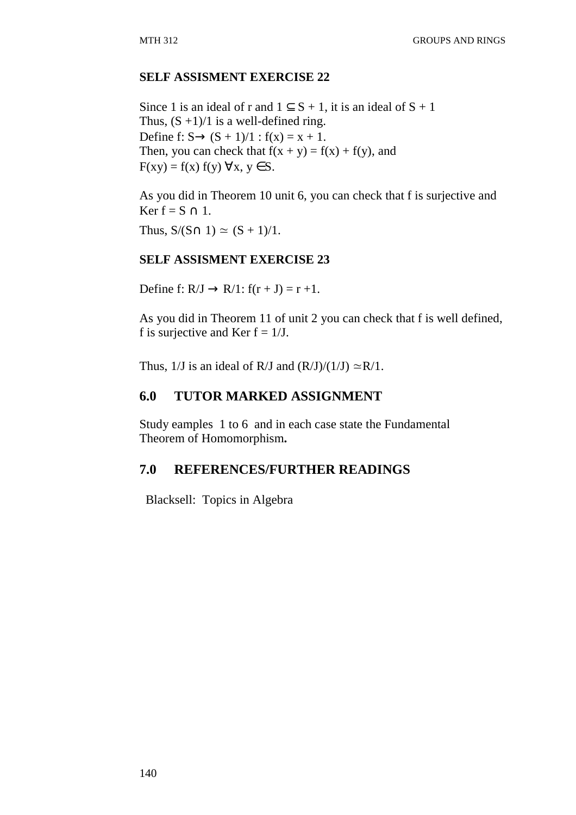### **SELF ASSISMENT EXERCISE 22**

Since 1 is an ideal of r and  $1 \subseteq S + 1$ , it is an ideal of  $S + 1$ Thus,  $(S +1)/1$  is a well-defined ring. Define f:  $S \to (S + 1)/1$  :  $f(x) = x + 1$ . Then, you can check that  $f(x + y) = f(x) + f(y)$ , and  $F(xy) = f(x) f(y) \forall x, y \in S.$ 

As you did in Theorem 10 unit 6, you can check that f is surjective and Ker f =  $S \cap 1$ .

Thus,  $S/(S \cap 1) \simeq (S + 1)/1$ .

#### **SELF ASSISMENT EXERCISE 23**

Define f:  $R/J \rightarrow R/1$ :  $f(r+J) = r+1$ .

As you did in Theorem 11 of unit 2 you can check that f is well defined, f is surjective and Ker  $f = 1/J$ .

Thus, 1/J is an ideal of R/J and  $(R/J)/(1/J) \simeq R/1$ .

### **6.0 TUTOR MARKED ASSIGNMENT**

Study eamples 1 to 6 and in each case state the Fundamental Theorem of Homomorphism**.** 

### **7.0 REFERENCES/FURTHER READINGS**

Blacksell: Topics in Algebra